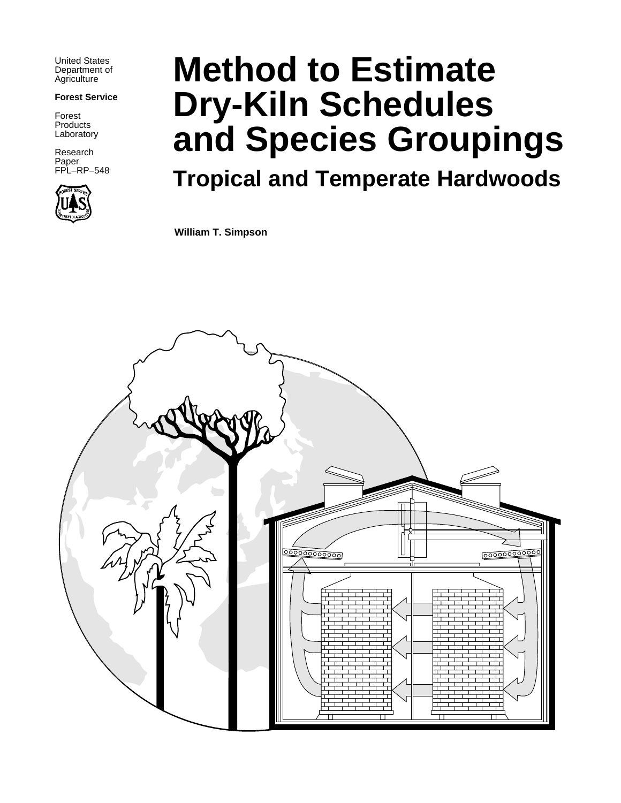United States Department of **Agriculture** 

#### **Forest Service**

Forest **Products** Laboratory

Research Paper FPL–RP–548



# **Method to Estimate Dry-Kiln Schedules and Species Groupings**

# **Tropical and Temperate Hardwoods**

**William T. Simpson**

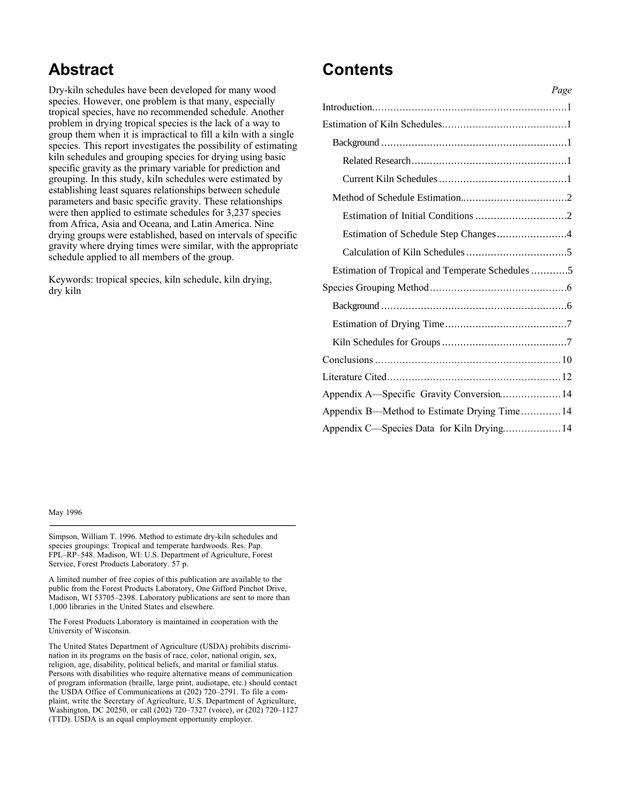### **Abstract**

Dry-kiln schedules have been developed for many wood species. However, one problem is that many, especially tropical species, have no recommended schedule. Another problem in drying tropical species is the lack of a way to group them when it is impractical to fill a kiln with a single species. This report investigates the possibility of estimating kiln schedules and grouping species for drying using basic specific gravity as the primary variable for prediction and grouping. In this study, kiln schedules were estimated by establishing least squares relationships between schedule parameters and basic specific gravity. These relationships were then applied to estimate schedules for 3,237 species from Africa, Asia and Oceana, and Latin America. Nine drying groups were established, based on intervals of specific gravity where drying times were similar, with the appropriate schedule applied to all members of the group.

Keywords: tropical species, kiln schedule, kiln drying, dry kiln

### **Contents**

|                                                  | Page |
|--------------------------------------------------|------|
|                                                  |      |
|                                                  |      |
|                                                  |      |
|                                                  |      |
|                                                  |      |
|                                                  |      |
|                                                  |      |
|                                                  |      |
|                                                  |      |
| Estimation of Tropical and Temperate Schedules 5 |      |
|                                                  |      |
|                                                  |      |
|                                                  |      |
|                                                  |      |
|                                                  |      |
|                                                  |      |
| Appendix A—Specific Gravity Conversion 14        |      |
| Appendix B—Method to Estimate Drying Time 14     |      |
| Appendix C-Species Data for Kiln Drying 14       |      |
|                                                  |      |

May 1996

Simpson, William T. 1996. Method to estimate dry-kiln schedules and species groupings: Tropical and temperate hardwoods. Res. Pap. FPL–RP–548. Madison, WI: U.S. Department of Agriculture, Forest Service, Forest Products Laboratory. 57 p.

A limited number of free copies of this publication are available to the public from the Forest Products Laboratory, One Gifford Pinchot Drive, Madison, WI 53705–2398. Laboratory publications are sent to more than 1,000 libraries in the United States and elsewhere.

The Forest Products Laboratory is maintained in cooperation with the University of Wisconsin.

The United States Department of Agriculture (USDA) prohibits discrimination in its programs on the basis of race, color, national origin, sex, religion, age, disability, political beliefs, and marital or familial status. Persons with disabilities who require alternative means of communication of program information (braille, large print, audiotape, etc.) should contact the USDA Office of Communications at (202) 720–2791. To file a complaint, write the Secretary of Agriculture, U.S. Department of Agriculture, Washington, DC 20250, or call (202) 720–7327 (voice), or (202) 720–1127 (TTD). USDA is an equal employment opportunity employer.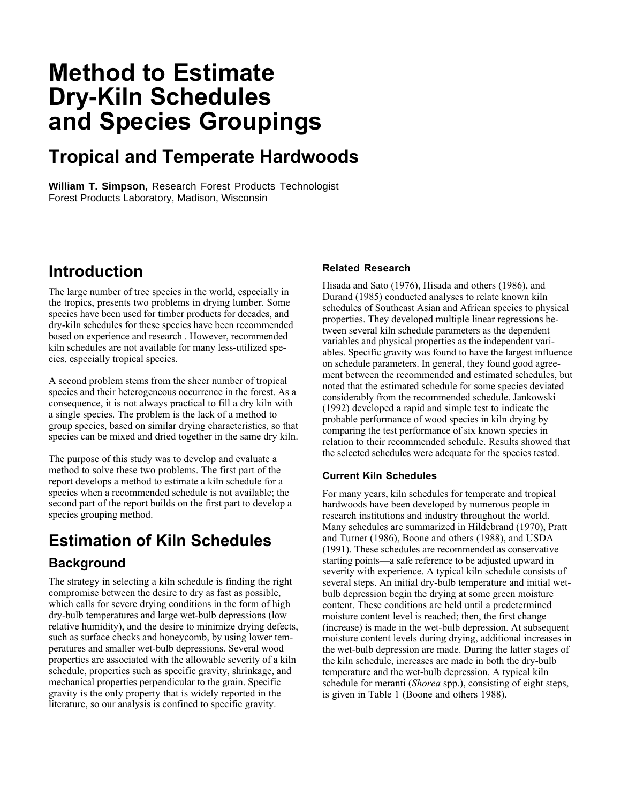## **Method to Estimate Dry-Kiln Schedules and Species Groupings**

### **Tropical and Temperate Hardwoods**

**William T. Simpson,** Research Forest Products Technologist Forest Products Laboratory, Madison, Wisconsin

### **Introduction**

The large number of tree species in the world, especially in the tropics, presents two problems in drying lumber. Some species have been used for timber products for decades, and dry-kiln schedules for these species have been recommended based on experience and research . However, recommended kiln schedules are not available for many less-utilized species, especially tropical species.

A second problem stems from the sheer number of tropical species and their heterogeneous occurrence in the forest. As a consequence, it is not always practical to fill a dry kiln with a single species. The problem is the lack of a method to group species, based on similar drying characteristics, so that species can be mixed and dried together in the same dry kiln.

The purpose of this study was to develop and evaluate a method to solve these two problems. The first part of the report develops a method to estimate a kiln schedule for a species when a recommended schedule is not available; the second part of the report builds on the first part to develop a species grouping method.

### **Estimation of Kiln Schedules Background**

The strategy in selecting a kiln schedule is finding the right compromise between the desire to dry as fast as possible, which calls for severe drying conditions in the form of high dry-bulb temperatures and large wet-bulb depressions (low relative humidity), and the desire to minimize drying defects, such as surface checks and honeycomb, by using lower temperatures and smaller wet-bulb depressions. Several wood properties are associated with the allowable severity of a kiln schedule, properties such as specific gravity, shrinkage, and mechanical properties perpendicular to the grain. Specific gravity is the only property that is widely reported in the literature, so our analysis is confined to specific gravity.

#### **Related Research**

Hisada and Sato (1976), Hisada and others (1986), and Durand (1985) conducted analyses to relate known kiln schedules of Southeast Asian and African species to physical properties. They developed multiple linear regressions between several kiln schedule parameters as the dependent variables and physical properties as the independent variables. Specific gravity was found to have the largest influence on schedule parameters. In general, they found good agreement between the recommended and estimated schedules, but noted that the estimated schedule for some species deviated considerably from the recommended schedule. Jankowski (1992) developed a rapid and simple test to indicate the probable performance of wood species in kiln drying by comparing the test performance of six known species in relation to their recommended schedule. Results showed that the selected schedules were adequate for the species tested.

#### **Current Kiln Schedules**

For many years, kiln schedules for temperate and tropical hardwoods have been developed by numerous people in research institutions and industry throughout the world. Many schedules are summarized in Hildebrand (1970), Pratt and Turner (1986), Boone and others (1988), and USDA (1991). These schedules are recommended as conservative starting points—a safe reference to be adjusted upward in severity with experience. A typical kiln schedule consists of several steps. An initial dry-bulb temperature and initial wetbulb depression begin the drying at some green moisture content. These conditions are held until a predetermined moisture content level is reached; then, the first change (increase) is made in the wet-bulb depression. At subsequent moisture content levels during drying, additional increases in the wet-bulb depression are made. During the latter stages of the kiln schedule, increases are made in both the dry-bulb temperature and the wet-bulb depression. A typical kiln schedule for meranti (*Shorea* spp.), consisting of eight steps, is given in Table 1 (Boone and others 1988).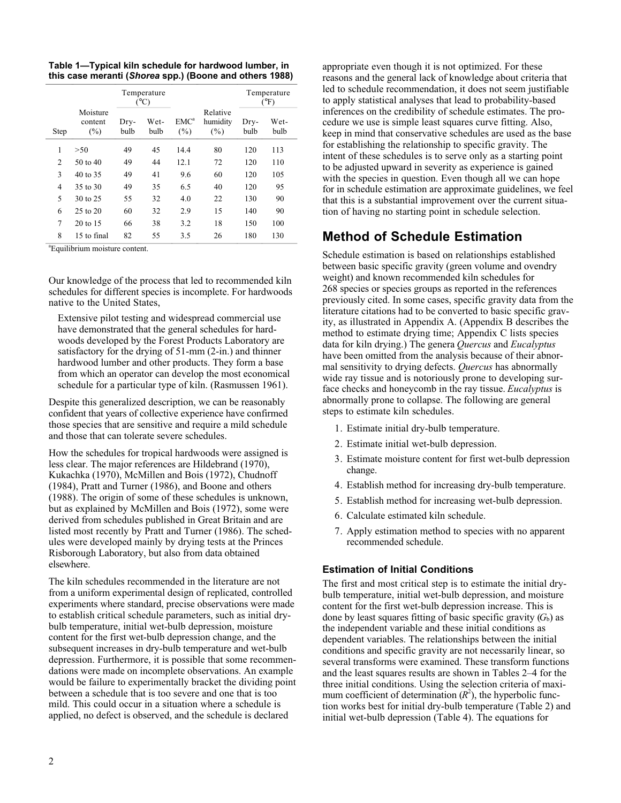**Table 1—Typical kiln schedule for hardwood lumber, in this case meranti (***Shorea* **spp.) (Boone and others 1988)**

|                | Temperature<br>$(^{\circ}C)$  |              |              |                             |                                |              | Temperature<br>$(^{\circ}F)$ |
|----------------|-------------------------------|--------------|--------------|-----------------------------|--------------------------------|--------------|------------------------------|
| <b>Step</b>    | Moisture<br>content<br>$(\%)$ | Dry-<br>bulb | Wet-<br>bulb | EMC <sup>a</sup><br>$(\% )$ | Relative<br>humidity<br>$(\%)$ | Dry-<br>bulb | Wet-<br>bulb                 |
| 1              | > 50                          | 49           | 45           | 14.4                        | 80                             | 120          | 113                          |
| $\overline{c}$ | 50 to 40                      | 49           | 44           | 12.1                        | 72                             | 120          | 110                          |
| 3              | 40 to 35                      | 49           | 41           | 9.6                         | 60                             | 120          | 105                          |
| 4              | 35 to 30                      | 49           | 35           | 6.5                         | 40                             | 120          | 95                           |
| 5              | 30 to 25                      | 55           | 32           | 4.0                         | 22                             | 130          | 90                           |
| 6              | $25$ to $20$                  | 60           | 32           | 2.9                         | 15                             | 140          | 90                           |
| 7              | $20 \text{ to } 15$           | 66           | 38           | 3.2                         | 18                             | 150          | 100                          |
| 8              | 15 to final                   | 82           | 55           | 3.5                         | 26                             | 180          | 130                          |

a Equilibrium moisture content.

Our knowledge of the process that led to recommended kiln schedules for different species is incomplete. For hardwoods native to the United States,

Extensive pilot testing and widespread commercial use have demonstrated that the general schedules for hardwoods developed by the Forest Products Laboratory are satisfactory for the drying of 51-mm (2-in.) and thinner hardwood lumber and other products. They form a base from which an operator can develop the most economical schedule for a particular type of kiln. (Rasmussen 1961).

Despite this generalized description, we can be reasonably confident that years of collective experience have confirmed those species that are sensitive and require a mild schedule and those that can tolerate severe schedules.

How the schedules for tropical hardwoods were assigned is less clear. The major references are Hildebrand (1970), Kukachka (1970), McMillen and Bois (1972), Chudnoff (1984), Pratt and Turner (1986), and Boone and others (1988). The origin of some of these schedules is unknown, but as explained by McMillen and Bois (1972), some were derived from schedules published in Great Britain and are listed most recently by Pratt and Turner (1986). The schedules were developed mainly by drying tests at the Princes Risborough Laboratory, but also from data obtained elsewhere.

The kiln schedules recommended in the literature are not from a uniform experimental design of replicated, controlled experiments where standard, precise observations were made to establish critical schedule parameters, such as initial drybulb temperature, initial wet-bulb depression, moisture content for the first wet-bulb depression change, and the subsequent increases in dry-bulb temperature and wet-bulb depression. Furthermore, it is possible that some recommendations were made on incomplete observations. An example would be failure to experimentally bracket the dividing point between a schedule that is too severe and one that is too mild. This could occur in a situation where a schedule is applied, no defect is observed, and the schedule is declared

appropriate even though it is not optimized. For these reasons and the general lack of knowledge about criteria that led to schedule recommendation, it does not seem justifiable to apply statistical analyses that lead to probability-based inferences on the credibility of schedule estimates. The procedure we use is simple least squares curve fitting. Also, keep in mind that conservative schedules are used as the base for establishing the relationship to specific gravity. The intent of these schedules is to serve only as a starting point to be adjusted upward in severity as experience is gained with the species in question. Even though all we can hope for in schedule estimation are approximate guidelines, we feel that this is a substantial improvement over the current situation of having no starting point in schedule selection.

#### **Method of Schedule Estimation**

Schedule estimation is based on relationships established between basic specific gravity (green volume and ovendry weight) and known recommended kiln schedules for 268 species or species groups as reported in the references previously cited. In some cases, specific gravity data from the literature citations had to be converted to basic specific gravity, as illustrated in Appendix A. (Appendix B describes the method to estimate drying time; Appendix C lists species data for kiln drying.) The genera *Quercus* and *Eucalyptus* have been omitted from the analysis because of their abnormal sensitivity to drying defects. *Quercus* has abnormally wide ray tissue and is notoriously prone to developing surface checks and honeycomb in the ray tissue. *Eucalyptus* is abnormally prone to collapse. The following are general steps to estimate kiln schedules.

- 1. Estimate initial dry-bulb temperature.
- 2. Estimate initial wet-bulb depression.
- 3. Estimate moisture content for first wet-bulb depression change.
- 4. Establish method for increasing dry-bulb temperature.
- 5. Establish method for increasing wet-bulb depression.
- 6. Calculate estimated kiln schedule.
- 7. Apply estimation method to species with no apparent recommended schedule.

#### **Estimation of Initial Conditions**

The first and most critical step is to estimate the initial drybulb temperature, initial wet-bulb depression, and moisture content for the first wet-bulb depression increase. This is done by least squares fitting of basic specific gravity  $(G_b)$  as the independent variable and these initial conditions as dependent variables. The relationships between the initial conditions and specific gravity are not necessarily linear, so several transforms were examined. These transform functions and the least squares results are shown in Tables 2–4 for the three initial conditions. Using the selection criteria of maximum coefficient of determination  $(R^2)$ , the hyperbolic function works best for initial dry-bulb temperature (Table 2) and initial wet-bulb depression (Table 4). The equations for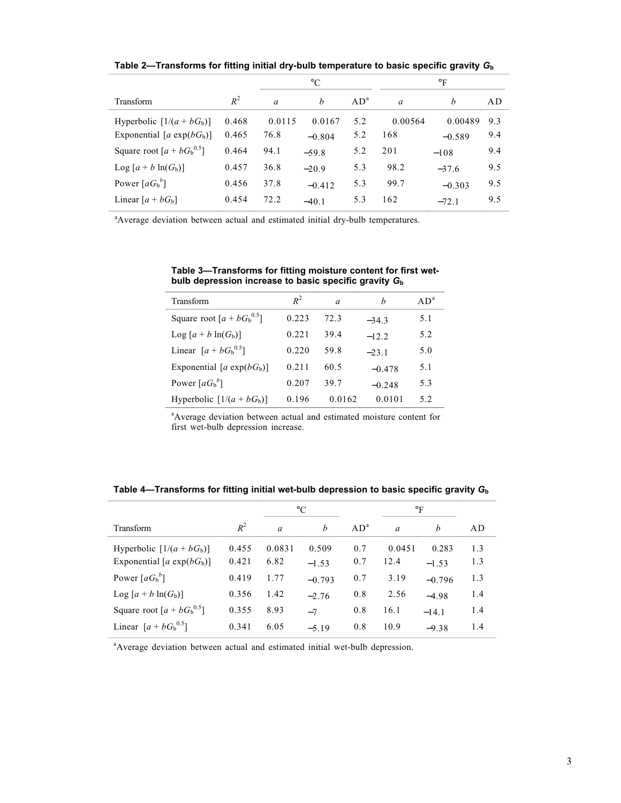**Table 2—Transforms for fitting initial dry-bulb temperature to basic specific gravity** *G***<sup>b</sup>**

|                                |       |                | $^{\circ}C$      |                 |               | $\circ$ F |     |
|--------------------------------|-------|----------------|------------------|-----------------|---------------|-----------|-----|
| Transform                      | $R^2$ | $\overline{a}$ | $\boldsymbol{h}$ | AD <sup>a</sup> | $\mathfrak a$ | h         | AD  |
| Hyperbolic $[1/(a + bGb)]$     | 0.468 | 0.0115         | 0.0167           | 5.2             | 0.00564       | 0.00489   | 9.3 |
| Exponential [ $a \exp(bG_b)$ ] | 0.465 | 76.8           | $-0.804$         | 5.2             | 168           | $-0.589$  | 9.4 |
| Square root $[a + bGb0.5]$     | 0.464 | 94.1           | $-59.8$          | 5.2             | 201           | $-108$    | 9.4 |
| Log $[a + b \ln(G_b)]$         | 0.457 | 36.8           | $-20.9$          | 5.3             | 98.2          | $-37.6$   | 9.5 |
| Power $[aG_b^b]$               | 0.456 | 37.8           | $-0.412$         | 5.3             | 99.7          | $-0.303$  | 9.5 |
| Linear $[a + bG_b]$            | 0.454 | 72.2           | $-40.1$          | 5.3             | 162           | $-72.1$   | 9.5 |

<sup>a</sup> Average deviation between actual and estimated initial dry-bulb temperatures.

| Transform                    | $R^2$ | $\alpha$ | h        | AD <sup>a</sup> |
|------------------------------|-------|----------|----------|-----------------|
| Square root $[a + bGb0.5]$   | 0.223 | 72.3     | $-34.3$  | 5.1             |
| Log $[a + b \ln(G_b)]$       | 0.221 | 39.4     | $-12.2$  | 5.2             |
| Linear $[a + bG_{b}^{0.5}]$  | 0.220 | 59.8     | $-23.1$  | 5.0             |
| Exponential [a $exp(bG_b)$ ] | 0.211 | 60.5     | $-0.478$ | 5.1             |
| Power $[aG_{b}^{b}]$         | 0.207 | 39.7     | $-0.248$ | 5.3             |
| Hyperbolic $[1/(a + bGb)]$   | 0.196 | 0.0162   | 0.0101   | 5.2             |

**Table 3—Transforms for fitting moisture content for first wetbulb depression increase to basic specific gravity** *G***<sup>b</sup>**

<sup>a</sup>Average deviation between actual and estimated moisture content for first wet-bulb depression increase.

|                               |       |          | $\rm ^{\circ}C$  | $\circ$ F       |                |          |     |
|-------------------------------|-------|----------|------------------|-----------------|----------------|----------|-----|
| Transform                     | $R^2$ | $\alpha$ | $\boldsymbol{b}$ | AD <sup>a</sup> | $\overline{a}$ | h        | AD  |
| Hyperbolic $[1/(a + bGb)]$    | 0.455 | 0.0831   | 0.509            | 0.7             | 0.0451         | 0.283    | 1.3 |
| Exponential [a $\exp(bG_b)$ ] | 0.421 | 6.82     | $-1.53$          | 0.7             | 12.4           | $-1.53$  | 1.3 |
| Power $[aG_b^b]$              | 0.419 | 1.77     | $-0.793$         | 0.7             | 3.19           | $-0.796$ | 1.3 |
| Log $[a + b \ln(G_b)]$        | 0.356 | 1.42     | $-2.76$          | 0.8             | 2.56           | $-4.98$  | 1.4 |
| Square root $[a + bGb0.5]$    | 0.355 | 8.93     | $-7$             | 0.8             | 16.1           | $-14.1$  | 1.4 |
| Linear $[a + bGb^{0.5}]$      | 0.341 | 6.05     | $-5.19$          | 0.8             | 10.9           | $-9.38$  | 1.4 |

**Table 4—Transforms for fitting initial wet-bulb depression to basic specific gravity** *G***<sup>b</sup>**

<sup>a</sup> Average deviation between actual and estimated initial wet-bulb depression.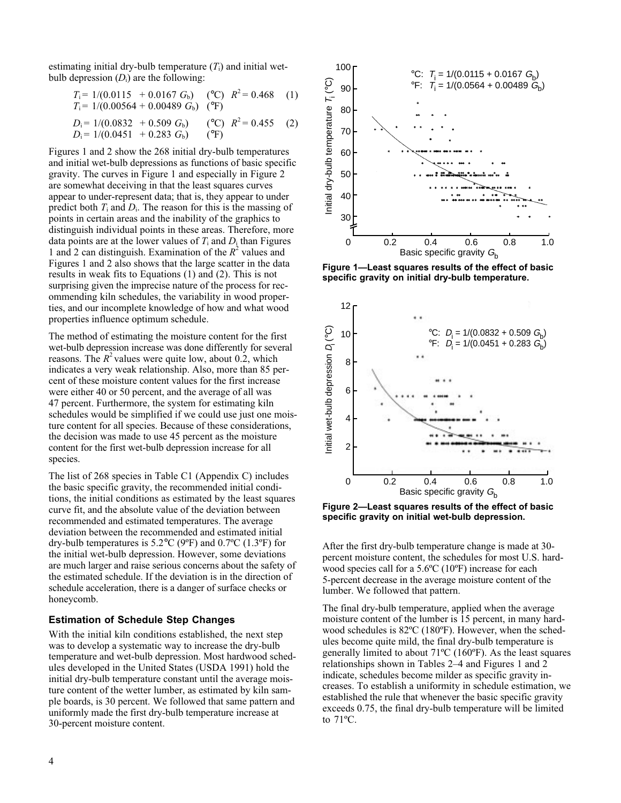estimating initial dry-bulb temperature  $(T<sub>i</sub>)$  and initial wetbulb depression  $(D_i)$  are the following:

$$
T_i = 1/(0.0115 + 0.0167 G_b) \quad (\text{°C}) \quad R^2 = 0.468 \quad (1)
$$
  
\n
$$
T_i = 1/(0.00564 + 0.00489 G_b) \quad (\text{°F})
$$
  
\n
$$
D_i = 1/(0.0832 + 0.509 G_b) \quad (\text{°C}) \quad R^2 = 0.455 \quad (2)
$$

$$
D_i = 1/(0.0852 + 0.309 \text{ G}_b) \qquad (C) \qquad R = 0.433 \qquad (2)
$$
  

$$
D_i = 1/(0.0451 + 0.283 \text{ G}_b) \qquad (^{\circ}F)
$$

Figures 1 and 2 show the 268 initial dry-bulb temperatures and initial wet-bulb depressions as functions of basic specific gravity. The curves in Figure 1 and especially in Figure 2 are somewhat deceiving in that the least squares curves appear to under-represent data; that is, they appear to under predict both *T*i and *D*i. The reason for this is the massing of points in certain areas and the inability of the graphics to distinguish individual points in these areas. Therefore, more data points are at the lower values of  $T_i$  and  $D_i$  than Figures 1 and 2 can distinguish. Examination of the  $R^2$  values and Figures 1 and 2 also shows that the large scatter in the data results in weak fits to Equations (1) and (2). This is not surprising given the imprecise nature of the process for recommending kiln schedules, the variability in wood properties, and our incomplete knowledge of how and what wood properties influence optimum schedule.

The method of estimating the moisture content for the first wet-bulb depression increase was done differently for several reasons. The  $R^2$  values were quite low, about 0.2, which indicates a very weak relationship. Also, more than 85 percent of these moisture content values for the first increase were either 40 or 50 percent, and the average of all was 47 percent. Furthermore, the system for estimating kiln schedules would be simplified if we could use just one moisture content for all species. Because of these considerations, the decision was made to use 45 percent as the moisture content for the first wet-bulb depression increase for all species.

The list of 268 species in Table C1 (Appendix C) includes the basic specific gravity, the recommended initial conditions, the initial conditions as estimated by the least squares curve fit, and the absolute value of the deviation between recommended and estimated temperatures. The average deviation between the recommended and estimated initial dry-bulb temperatures is  $5.2^{\circ}$ C (9<sup>o</sup>F) and  $0.7^{\circ}$ C (1.3<sup>o</sup>F) for the initial wet-bulb depression. However, some deviations are much larger and raise serious concerns about the safety of the estimated schedule. If the deviation is in the direction of schedule acceleration, there is a danger of surface checks or honeycomb.

#### **Estimation of Schedule Step Changes**

With the initial kiln conditions established, the next step was to develop a systematic way to increase the dry-bulb temperature and wet-bulb depression. Most hardwood schedules developed in the United States (USDA 1991) hold the initial dry-bulb temperature constant until the average moisture content of the wetter lumber, as estimated by kiln sample boards, is 30 percent. We followed that same pattern and uniformly made the first dry-bulb temperature increase at 30-percent moisture content.



**Figure 1—Least squares results of the effect of basic specific gravity on initial dry-bulb temperature.**



**Figure 2—Least squares results of the effect of basic specific gravity on initial wet-bulb depression.**

After the first dry-bulb temperature change is made at 30 percent moisture content, the schedules for most U.S. hardwood species call for a 5.6ºC (10ºF) increase for each 5-percent decrease in the average moisture content of the lumber. We followed that pattern.

The final dry-bulb temperature, applied when the average moisture content of the lumber is 15 percent, in many hardwood schedules is 82ºC (180ºF). However, when the schedules become quite mild, the final dry-bulb temperature is generally limited to about 71ºC (160ºF). As the least squares relationships shown in Tables 2–4 and Figures 1 and 2 indicate, schedules become milder as specific gravity increases. To establish a uniformity in schedule estimation, we established the rule that whenever the basic specific gravity exceeds 0.75, the final dry-bulb temperature will be limited to 71ºC.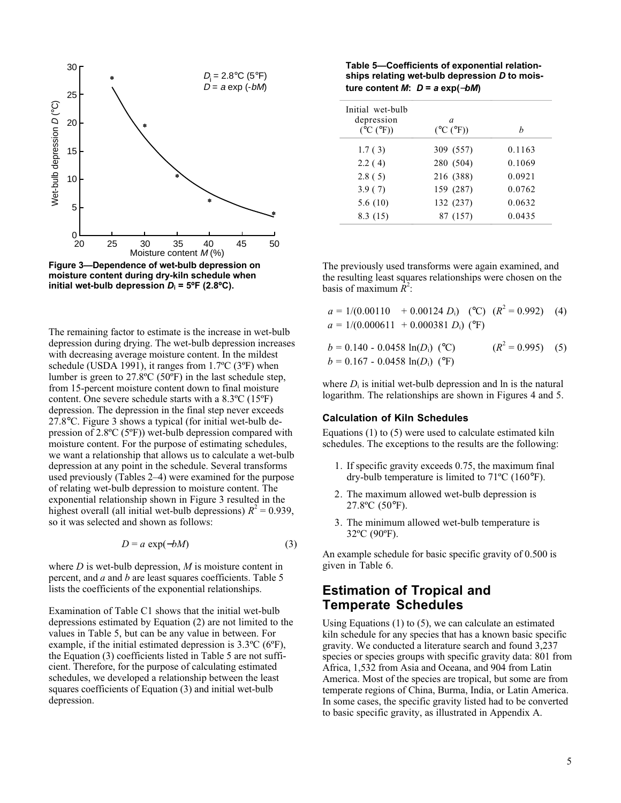

**Figure 3—Dependence of wet-bulb depression on moisture content during dry-kiln schedule when initial wet-bulb depression**  $D_i = 5^{\circ}F (2.8^{\circ}C)$ **.** 

The remaining factor to estimate is the increase in wet-bulb depression during drying. The wet-bulb depression increases with decreasing average moisture content. In the mildest schedule (USDA 1991), it ranges from 1.7ºC (3ºF) when lumber is green to 27.8ºC (50ºF) in the last schedule step, from 15-percent moisture content down to final moisture content. One severe schedule starts with a 8.3ºC (15ºF) depression. The depression in the final step never exceeds 27.8°C. Figure 3 shows a typical (for initial wet-bulb depression of 2.8ºC (5ºF)) wet-bulb depression compared with moisture content. For the purpose of estimating schedules, we want a relationship that allows us to calculate a wet-bulb depression at any point in the schedule. Several transforms used previously (Tables 2–4) were examined for the purpose of relating wet-bulb depression to moisture content. The exponential relationship shown in Figure 3 resulted in the highest overall (all initial wet-bulb depressions)  $R^2 = 0.939$ , so it was selected and shown as follows:

$$
D = a \exp(-bM) \tag{3}
$$

where *D* is wet-bulb depression, *M* is moisture content in percent, and *a* and *b* are least squares coefficients. Table 5 lists the coefficients of the exponential relationships.

Examination of Table C1 shows that the initial wet-bulb depressions estimated by Equation (2) are not limited to the values in Table 5, but can be any value in between. For example, if the initial estimated depression is 3.3ºC (6ºF), the Equation (3) coefficients listed in Table 5 are not sufficient. Therefore, for the purpose of calculating estimated schedules, we developed a relationship between the least squares coefficients of Equation (3) and initial wet-bulb depression.

**Table 5—Coefficients of exponential relationships relating wet-bulb depression** *D* **to mois-** $\tan \theta$ *ture content M: D = a exp(-bM)* 

| Initial wet-bulb<br>depression<br>$(^{\circ}C(^{\circ}F))$ | a<br>$(^{\circ}C(^{\circ}F))$ | h      |
|------------------------------------------------------------|-------------------------------|--------|
| 1.7(3)                                                     | 309 (557)                     | 0.1163 |
| 2.2(4)                                                     | 280 (504)                     | 0.1069 |
| 2.8(5)                                                     | 216 (388)                     | 0.0921 |
| 3.9(7)                                                     | 159 (287)                     | 0.0762 |
| 5.6(10)                                                    | 132 (237)                     | 0.0632 |
| 8.3(15)                                                    | 87 (157)                      | 0.0435 |

The previously used transforms were again examined, and the resulting least squares relationships were chosen on the basis of maximum  $\tilde{R}^2$ :

| $a = 1/(0.00110 + 0.00124 D_i)$ (°C) $(R^2 = 0.992)$ (4) |                    |  |
|----------------------------------------------------------|--------------------|--|
| $a = 1/(0.000611 + 0.000381 D_i)$ (°F)                   |                    |  |
| $b = 0.140 - 0.0458 \ln(D_i)$ (°C)                       | $(R2 = 0.995)$ (5) |  |
| $b = 0.167 - 0.0458 \ln(D_i)$ (°F)                       |                    |  |

where  $D_i$  is initial wet-bulb depression and  $\ln$  is the natural logarithm. The relationships are shown in Figures 4 and 5.

#### **Calculation of Kiln Schedules**

Equations (1) to (5) were used to calculate estimated kiln schedules. The exceptions to the results are the following:

- 1. If specific gravity exceeds 0.75, the maximum final dry-bulb temperature is limited to 71ºC (160°F).
- 2. The maximum allowed wet-bulb depression is 27.8ºC (50°F).
- 3. The minimum allowed wet-bulb temperature is 32ºC (90ºF).

An example schedule for basic specific gravity of 0.500 is given in Table 6.

#### **Estimation of Tropical and Temperate Schedules**

Using Equations (1) to (5), we can calculate an estimated kiln schedule for any species that has a known basic specific gravity. We conducted a literature search and found 3,237 species or species groups with specific gravity data: 801 from Africa, 1,532 from Asia and Oceana, and 904 from Latin America. Most of the species are tropical, but some are from temperate regions of China, Burma, India, or Latin America. In some cases, the specific gravity listed had to be converted to basic specific gravity, as illustrated in Appendix A.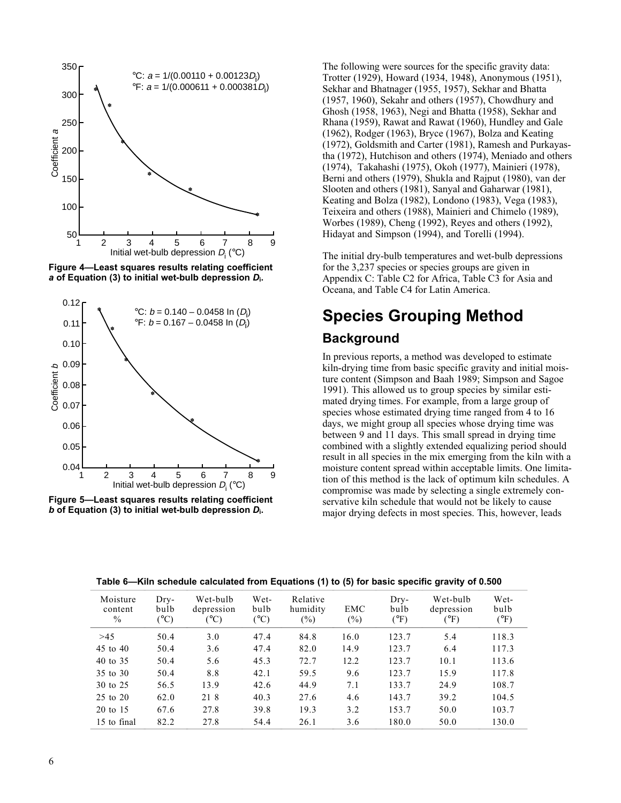

**Figure 4—Least squares results relating coefficient** *a* **of Equation (3) to initial wet-bulb depression** *D***i.**



**Figure 5—Least squares results relating coefficient** *b* **of Equation (3) to initial wet-bulb depression** *D***i.**

The following were sources for the specific gravity data: Trotter (1929), Howard (1934, 1948), Anonymous (1951), Sekhar and Bhatnager (1955, 1957), Sekhar and Bhatta (1957, 1960), Sekahr and others (1957), Chowdhury and Ghosh (1958, 1963), Negi and Bhatta (1958), Sekhar and Rhana (1959), Rawat and Rawat (1960), Hundley and Gale (1962), Rodger (1963), Bryce (1967), Bolza and Keating (1972), Goldsmith and Carter (1981), Ramesh and Purkayastha (1972), Hutchison and others (1974), Meniado and others (1974), Takahashi (1975), Okoh (1977), Mainieri (1978), Berni and others (1979), Shukla and Rajput (1980), van der Slooten and others (1981), Sanyal and Gaharwar (1981), Keating and Bolza (1982), Londono (1983), Vega (1983), Teixeira and others (1988), Mainieri and Chimelo (1989), Worbes (1989), Cheng (1992), Reyes and others (1992), Hidayat and Simpson (1994), and Torelli (1994).

The initial dry-bulb temperatures and wet-bulb depressions for the 3,237 species or species groups are given in Appendix C: Table C2 for Africa, Table C3 for Asia and Oceana, and Table C4 for Latin America.

### **Species Grouping Method Background**

In previous reports, a method was developed to estimate kiln-drying time from basic specific gravity and initial moisture content (Simpson and Baah 1989; Simpson and Sagoe 1991). This allowed us to group species by similar estimated drying times. For example, from a large group of species whose estimated drying time ranged from 4 to 16 days, we might group all species whose drying time was between 9 and 11 days. This small spread in drying time combined with a slightly extended equalizing period should result in all species in the mix emerging from the kiln with a moisture content spread within acceptable limits. One limitation of this method is the lack of optimum kiln schedules. A compromise was made by selecting a single extremely conservative kiln schedule that would not be likely to cause major drying defects in most species. This, however, leads

| Moisture<br>content<br>$\%$ | $Drv-$<br>bulb<br>$(^{\circ}C)$ | Wet-bulb<br>depression<br>$(^{\circ}C)$ | Wet-<br>bulb<br>$(^{\circ}C)$ | Relative<br>humidity<br>$(\%)$ | EMC<br>$(\%)$ | $Drv-$<br>bulb<br>(°F) | Wet-bulb<br>depression<br>$(^\circ F)$ | Wet-<br>bulb<br>$(^{\circ}F)$ |
|-----------------------------|---------------------------------|-----------------------------------------|-------------------------------|--------------------------------|---------------|------------------------|----------------------------------------|-------------------------------|
| >45                         | 50.4                            | 3.0                                     | 47.4                          | 84.8                           | 16.0          | 123.7                  | 5.4                                    | 118.3                         |
| 45 to 40                    | 50.4                            | 3.6                                     | 47.4                          | 82.0                           | 14.9          | 123.7                  | 6.4                                    | 117.3                         |
| 40 to 35                    | 50.4                            | 5.6                                     | 45.3                          | 72.7                           | 12.2          | 123.7                  | 10.1                                   | 113.6                         |
| 35 to 30                    | 50.4                            | 8.8                                     | 42.1                          | 59.5                           | 9.6           | 123.7                  | 15.9                                   | 117.8                         |
| 30 to 25                    | 56.5                            | 13.9                                    | 42.6                          | 44.9                           | 7.1           | 133.7                  | 24.9                                   | 108.7                         |
| 25 to 20                    | 62.0                            | 21 8                                    | 40.3                          | 27.6                           | 4.6           | 143.7                  | 39.2                                   | 104.5                         |
| $20$ to 15                  | 67.6                            | 27.8                                    | 39.8                          | 19.3                           | 3.2           | 153.7                  | 50.0                                   | 103.7                         |
| 15 to final                 | 82.2                            | 27.8                                    | 54.4                          | 26.1                           | 3.6           | 180.0                  | 50.0                                   | 130.0                         |

**Table 6—Kiln schedule calculated from Equations (1) to (5) for basic specific gravity of 0.500**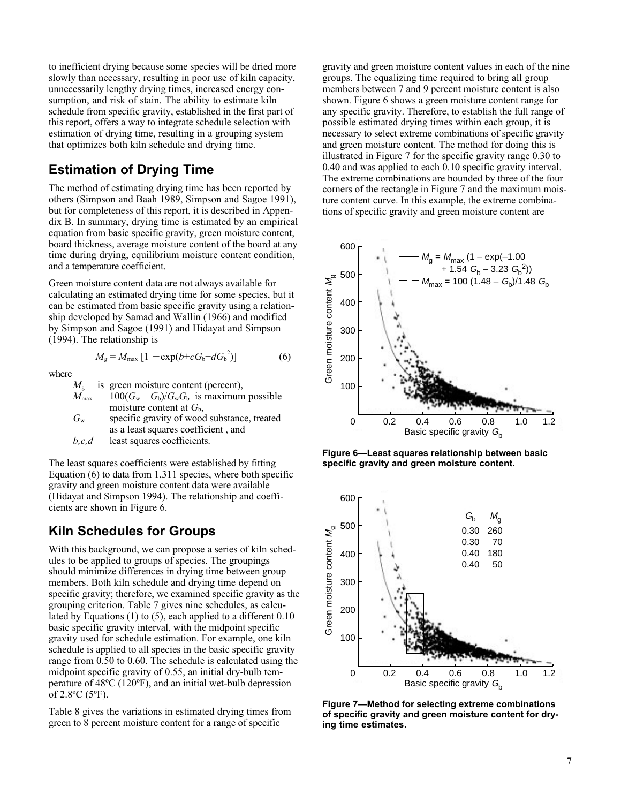to inefficient drying because some species will be dried more slowly than necessary, resulting in poor use of kiln capacity, unnecessarily lengthy drying times, increased energy consumption, and risk of stain. The ability to estimate kiln schedule from specific gravity, established in the first part of this report, offers a way to integrate schedule selection with estimation of drying time, resulting in a grouping system that optimizes both kiln schedule and drying time.

#### **Estimation of Drying Time**

The method of estimating drying time has been reported by others (Simpson and Baah 1989, Simpson and Sagoe 1991), but for completeness of this report, it is described in Appendix B. In summary, drying time is estimated by an empirical equation from basic specific gravity, green moisture content, board thickness, average moisture content of the board at any time during drying, equilibrium moisture content condition, and a temperature coefficient.

Green moisture content data are not always available for calculating an estimated drying time for some species, but it can be estimated from basic specific gravity using a relationship developed by Samad and Wallin (1966) and modified by Simpson and Sagoe (1991) and Hidayat and Simpson (1994). The relationship is

$$
M_{\rm g} = M_{\rm max} \left[ 1 - \exp(b + c G_{\rm b} + d G_{\rm b}^2) \right] \tag{6}
$$

where

 $M<sub>g</sub>$  is green moisture content (percent),  $M_{\text{max}}$  100 $(G_{\text{w}} - G_{\text{b}})/G_{\text{w}}G_{\text{b}}$  is maximum possible moisture content at  $G_{\rm b}$ ,

*G*w specific gravity of wood substance, treated as a least squares coefficient , and

*b,c,d* least squares coefficients.

The least squares coefficients were established by fitting Equation  $(6)$  to data from 1,311 species, where both specific gravity and green moisture content data were available (Hidayat and Simpson 1994). The relationship and coefficients are shown in Figure 6.

#### **Kiln Schedules for Groups**

With this background, we can propose a series of kiln schedules to be applied to groups of species. The groupings should minimize differences in drying time between group members. Both kiln schedule and drying time depend on specific gravity; therefore, we examined specific gravity as the grouping criterion. Table 7 gives nine schedules, as calculated by Equations (1) to (5), each applied to a different 0.10 basic specific gravity interval, with the midpoint specific gravity used for schedule estimation. For example, one kiln schedule is applied to all species in the basic specific gravity range from 0.50 to 0.60. The schedule is calculated using the midpoint specific gravity of 0.55, an initial dry-bulb temperature of 48ºC (120ºF), and an initial wet-bulb depression of 2.8ºC (5ºF).

Table 8 gives the variations in estimated drying times from green to 8 percent moisture content for a range of specific

gravity and green moisture content values in each of the nine groups. The equalizing time required to bring all group members between 7 and 9 percent moisture content is also shown. Figure 6 shows a green moisture content range for any specific gravity. Therefore, to establish the full range of possible estimated drying times within each group, it is necessary to select extreme combinations of specific gravity and green moisture content. The method for doing this is illustrated in Figure 7 for the specific gravity range 0.30 to 0.40 and was applied to each 0.10 specific gravity interval. The extreme combinations are bounded by three of the four corners of the rectangle in Figure 7 and the maximum moisture content curve. In this example, the extreme combinations of specific gravity and green moisture content are



**Figure 6—Least squares relationship between basic specific gravity and green moisture content.**



**Figure 7—Method for selecting extreme combinations of specific gravity and green moisture content for drying time estimates.**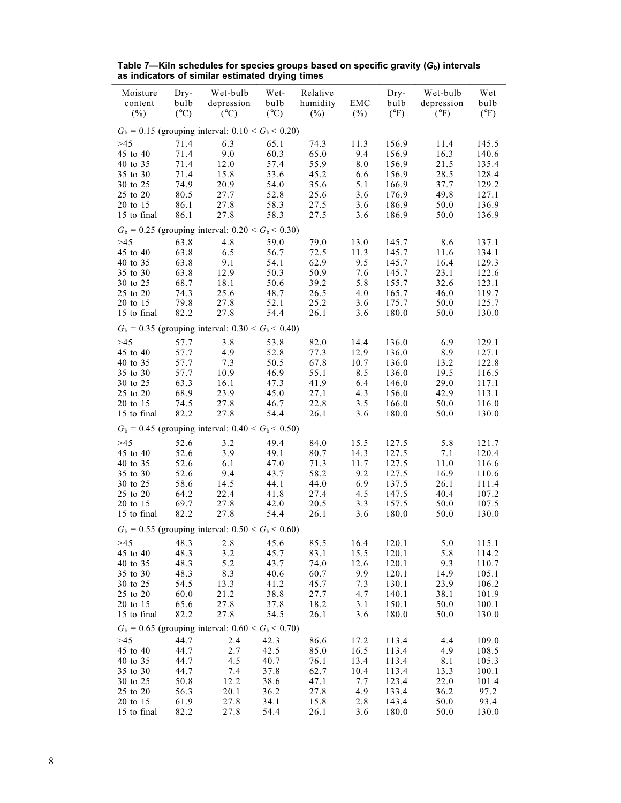| Moisture<br>content<br>(%) | Dry-<br>bulb<br>$(^{\circ}C)$ | Wet-bulb<br>depression<br>$(^{\circ}C)$                       | Wet-<br>bulb<br>$({}^{\circ}C)$ | Relative<br>humidity<br>$(\%)$ | EMC<br>$(\%)$ | Dry-<br>bulb<br>$(^{\circ}F)$ | Wet-bulb<br>depression<br>$(^{\circ}F)$ | Wet<br>bulb<br>$(^{\circ}F)$ |
|----------------------------|-------------------------------|---------------------------------------------------------------|---------------------------------|--------------------------------|---------------|-------------------------------|-----------------------------------------|------------------------------|
|                            |                               | $G_b = 0.15$ (grouping interval: $0.10 < G_b < 0.20$ )        |                                 |                                |               |                               |                                         |                              |
| >45                        | 71.4                          | 6.3                                                           | 65.1                            |                                |               | 156.9                         | 11.4                                    | 145.5                        |
| 45 to 40                   |                               | 9.0                                                           |                                 | 74.3<br>65.0                   | 11.3          |                               | 16.3                                    |                              |
|                            | 71.4                          |                                                               | 60.3                            |                                | 9.4           | 156.9                         |                                         | 140.6                        |
| 40 to 35                   | 71.4                          | 12.0                                                          | 57.4                            | 55.9                           | $8.0\,$       | 156.9                         | 21.5                                    | 135.4                        |
| 35 to 30                   | 71.4                          | 15.8                                                          | 53.6                            | 45.2                           | 6.6           | 156.9                         | 28.5                                    | 128.4                        |
| 30 to 25                   | 74.9                          | 20.9                                                          | 54.0                            | 35.6                           | 5.1           | 166.9                         | 37.7                                    | 129.2                        |
| 25 to 20                   | 80.5                          | 27.7                                                          | 52.8                            | 25.6                           | 3.6           | 176.9                         | 49.8                                    | 127.1                        |
| 20 to 15                   | 86.1                          | 27.8                                                          | 58.3                            | 27.5                           | 3.6           | 186.9                         | 50.0                                    | 136.9                        |
| 15 to final                | 86.1                          | 27.8                                                          | 58.3                            | 27.5                           | 3.6           | 186.9                         | 50.0                                    | 136.9                        |
| >45                        | 63.8                          | $G_b = 0.25$ (grouping interval: $0.20 < G_b < 0.30$ )<br>4.8 | 59.0                            | 79.0                           | 13.0          | 145.7                         | 8.6                                     | 137.1                        |
| 45 to 40                   | 63.8                          | 6.5                                                           | 56.7                            | 72.5                           | 11.3          | 145.7                         | 11.6                                    | 134.1                        |
| 40 to 35                   | 63.8                          | 9.1                                                           | 54.1                            | 62.9                           | 9.5           | 145.7                         | 16.4                                    | 129.3                        |
| 35 to 30                   | 63.8                          | 12.9                                                          | 50.3                            | 50.9                           | 7.6           | 145.7                         | 23.1                                    | 122.6                        |
| 30 to 25                   | 68.7                          | 18.1                                                          | 50.6                            | 39.2                           | 5.8           | 155.7                         | 32.6                                    | 123.1                        |
| 25 to 20                   | 74.3                          | 25.6                                                          | 48.7                            | 26.5                           | 4.0           | 165.7                         | 46.0                                    | 119.7                        |
| 20 to 15                   | 79.8                          | 27.8                                                          | 52.1                            | 25.2                           | 3.6           | 175.7                         | 50.0                                    | 125.7                        |
| 15 to final                | 82.2                          | 27.8                                                          | 54.4                            | 26.1                           | 3.6           | 180.0                         | 50.0                                    | 130.0                        |
|                            |                               |                                                               |                                 |                                |               |                               |                                         |                              |
|                            |                               | $G_b = 0.35$ (grouping interval: $0.30 < G_b < 0.40$ )        |                                 |                                |               |                               |                                         |                              |
| $>45$                      | 57.7<br>57.7                  | 3.8                                                           | 53.8                            | 82.0                           | 14.4          | 136.0                         | 6.9                                     | 129.1                        |
| 45 to 40                   |                               | 4.9                                                           | 52.8                            | 77.3                           | 12.9          | 136.0                         | 8.9                                     | 127.1                        |
| 40 to 35                   | 57.7                          | 7.3                                                           | 50.5                            | 67.8                           | 10.7          | 136.0                         | 13.2                                    | 122.8                        |
| 35 to 30                   | 57.7                          | 10.9                                                          | 46.9                            | 55.1                           | 8.5           | 136.0                         | 19.5                                    | 116.5                        |
| 30 to 25                   | 63.3                          | 16.1                                                          | 47.3                            | 41.9                           | 6.4           | 146.0                         | 29.0                                    | 117.1                        |
| 25 to 20                   | 68.9                          | 23.9                                                          | 45.0                            | 27.1                           | 4.3           | 156.0                         | 42.9                                    | 113.1                        |
| 20 to 15                   | 74.5                          | 27.8                                                          | 46.7                            | 22.8                           | 3.5<br>3.6    | 166.0                         | 50.0                                    | 116.0                        |
| 15 to final                | 82.2                          | 27.8                                                          | 54.4                            | 26.1                           |               | 180.0                         | 50.0                                    | 130.0                        |
|                            |                               | $G_b = 0.45$ (grouping interval: $0.40 < G_b < 0.50$ )        |                                 |                                |               |                               |                                         |                              |
| >45                        | 52.6                          | 3.2                                                           | 49.4                            | 84.0                           | 15.5          | 127.5                         | 5.8                                     | 121.7                        |
| 45 to 40                   | 52.6                          | 3.9                                                           | 49.1                            | 80.7                           | 14.3          | 127.5                         | 7.1                                     | 120.4                        |
| 40 to 35                   | 52.6                          | 6.1                                                           | 47.0                            | 71.3                           | 11.7          | 127.5                         | 11.0                                    | 116.6                        |
| 35 to 30                   | 52.6                          | 9.4                                                           | 43.7                            | 58.2                           | 9.2           | 127.5                         | 16.9                                    | 110.6                        |
| 30 to 25                   | 58.6                          | 14.5                                                          | 44.1                            | 44.0                           | 6.9           | 137.5                         | 26.1                                    | 111.4                        |
| 25 to 20                   | 64.2                          | 22.4                                                          | 41.8                            | 27.4                           | 4.5           | 147.5                         | 40.4                                    | 107.2                        |
| 20 to 15                   | 69.7                          | 27.8                                                          | 42.0                            | 20.5                           | 3.3           | 157.5                         | 50.0                                    | 107.5                        |
| 15 to final                | 82.2                          | 27.8                                                          | 54.4                            | 26.1                           | 3.6           | 180.0                         | 50.0                                    | 130.0                        |
|                            |                               | $G_b = 0.55$ (grouping interval: $0.50 < G_b < 0.60$ )        |                                 |                                |               |                               |                                         |                              |
| >45                        |                               | 48.3 2.8 45.6                                                 |                                 | 85.5                           | 16.4          | 120.1                         | 5.0                                     | 115.1                        |
| 45 to 40                   | 48.3                          | 3.2                                                           | 45.7                            | 83.1                           | 15.5          | 120.1                         | 5.8                                     | 114.2                        |
| 40 to 35                   | 48.3                          | 5.2                                                           | 43.7                            | 74.0                           | 12.6          | 120.1                         | 9.3                                     | 110.7                        |
| 35 to 30                   | 48.3                          | 8.3                                                           | 40.6                            | 60.7                           | 9.9           | 120.1                         | 14.9                                    | 105.1                        |
| 30 to 25                   | 54.5                          | 13.3                                                          | 41.2                            | 45.7                           | 7.3           | 130.1                         | 23.9                                    | 106.2                        |
| 25 to 20                   | 60.0                          | 21.2                                                          | 38.8                            | 27.7                           | 4.7           | 140.1                         | 38.1                                    | 101.9                        |
| 20 to 15                   | 65.6                          | 27.8                                                          | 37.8                            | 18.2                           | 3.1           | 150.1                         | 50.0                                    | 100.1                        |
| 15 to final                | 82.2                          | 27.8                                                          | 54.5                            | 26.1                           | 3.6           | 180.0                         | 50.0                                    | 130.0                        |
|                            |                               | $G_b = 0.65$ (grouping interval: $0.60 < G_b < 0.70$ )        |                                 |                                |               |                               |                                         |                              |
| >45                        | 44.7                          | 2.4                                                           | 42.3                            | 86.6                           | 17.2          | 113.4                         | 4.4                                     | 109.0                        |
| 45 to 40                   | 44.7                          | 2.7                                                           | 42.5                            | 85.0                           | 16.5          | 113.4                         | 4.9                                     | 108.5                        |
| 40 to 35                   | 44.7                          | 4.5                                                           | 40.7                            | 76.1                           | 13.4          | 113.4                         | 8.1                                     | 105.3                        |
| 35 to 30                   | 44.7                          | 7.4                                                           | 37.8                            | 62.7                           | 10.4          | 113.4                         | 13.3                                    | 100.1                        |
| 30 to 25                   | 50.8                          | 12.2                                                          | 38.6                            | 47.1                           | 7.7           | 123.4                         | 22.0                                    | 101.4                        |
| 25 to 20                   | 56.3                          | 20.1                                                          | 36.2                            | 27.8                           | 4.9           | 133.4                         | 36.2                                    | 97.2                         |
| 20 to 15                   | 61.9                          | 27.8                                                          | 34.1                            | 15.8                           | 2.8           | 143.4                         | 50.0                                    | 93.4                         |
| 15 to final                | 82.2                          | 27.8                                                          | 54.4                            | 26.1                           | 3.6           | 180.0                         | 50.0                                    | 130.0                        |

**Table 7—Kiln schedules for species groups based on specific gravity (***G***b) intervals as indicators of similar estimated drying times**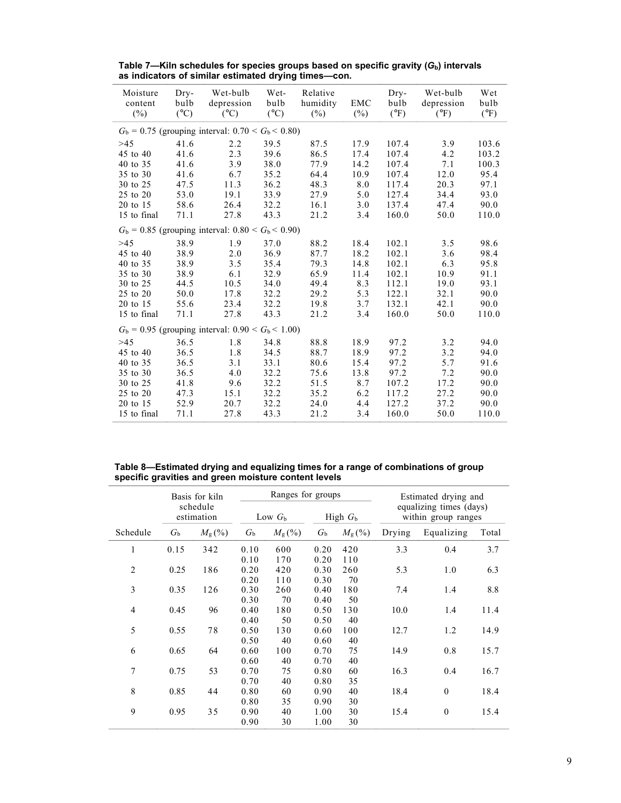| Moisture<br>content<br>$(\%)$ | Dry-<br>bulb<br>$({}^{\circ}C)$ | Wet-bulb<br>depression<br>$({}^{\circ}C)$              | Wet-<br>bulb<br>$({}^{\circ}C)$ | Relative<br>humidity<br>$(\%)$ | <b>EMC</b><br>$(\%)$ | Dry-<br>bulb<br>$(^{\circ}F)$ | Wet-bulb<br>depression<br>$(^{\circ}F)$ | Wet<br>bulb<br>$(^{\circ}F)$ |
|-------------------------------|---------------------------------|--------------------------------------------------------|---------------------------------|--------------------------------|----------------------|-------------------------------|-----------------------------------------|------------------------------|
|                               |                                 | $G_b = 0.75$ (grouping interval: $0.70 < G_b < 0.80$ ) |                                 |                                |                      |                               |                                         |                              |
| >45                           | 41.6                            | 2.2                                                    | 39.5                            | 87.5                           | 17.9                 | 107.4                         | 3.9                                     | 103.6                        |
| 45 to 40                      | 41.6                            | 2.3                                                    | 39.6                            | 86.5                           | 17.4                 | 107.4                         | 4.2                                     | 103.2                        |
| 40 to 35                      | 41.6                            | 3.9                                                    | 38.0                            | 77.9                           | 14.2                 | 107.4                         | 7.1                                     | 100.3                        |
| 35 to 30                      | 41.6                            | 6.7                                                    | 35.2                            | 64.4                           | 10.9                 | 107.4                         | 12.0                                    | 95.4                         |
| 30 to 25                      | 47.5                            | 11.3                                                   | 36.2                            | 48.3                           | 8.0                  | 117.4                         | 20.3                                    | 97.1                         |
| 25 to 20                      | 53.0                            | 19.1                                                   | 33.9                            | 27.9                           | 5.0                  | 127.4                         | 34.4                                    | 93.0                         |
| 20 to 15                      | 58.6                            | 26.4                                                   | 32.2                            | 16.1                           | 3.0                  | 137.4                         | 47.4                                    | 90.0                         |
| 15 to final                   | 71.1                            | 27.8                                                   | 43.3                            | 21.2                           | 3.4                  | 160.0                         | 50.0                                    | 110.0                        |
|                               |                                 | $G_b = 0.85$ (grouping interval: $0.80 < G_b < 0.90$ ) |                                 |                                |                      |                               |                                         |                              |
| >45                           | 38.9                            | 1.9                                                    | 37.0                            | 88.2                           | 18.4                 | 102.1                         | 3.5                                     | 98.6                         |
| 45 to 40                      | 38.9                            | 2.0                                                    | 36.9                            | 87.7                           | 18.2                 | 102.1                         | 3.6                                     | 98.4                         |
| 40 to 35                      | 38.9                            | 3.5                                                    | 35.4                            | 79.3                           | 14.8                 | 102.1                         | 6.3                                     | 95.8                         |
| 35 to 30                      | 38.9                            | 6.1                                                    | 32.9                            | 65.9                           | 11.4                 | 102.1                         | 10.9                                    | 91.1                         |
| 30 to 25                      | 44.5                            | 10.5                                                   | 34.0                            | 49.4                           | 8.3                  | 112.1                         | 19.0                                    | 93.1                         |
| 25 to 20                      | 50.0                            | 17.8                                                   | 32.2                            | 29.2                           | 5.3                  | 122.1                         | 32.1                                    | 90.0                         |
| 20 to 15                      | 55.6                            | 23.4                                                   | 32.2                            | 19.8                           | 3.7                  | 132.1                         | 42.1                                    | 90.0                         |
| 15 to final                   | 71.1                            | 27.8                                                   | 43.3                            | 21.2                           | 3.4                  | 160.0                         | 50.0                                    | 110.0                        |
|                               |                                 | $G_b = 0.95$ (grouping interval: $0.90 < G_b < 1.00$ ) |                                 |                                |                      |                               |                                         |                              |
| >45                           | 36.5                            | 1.8                                                    | 34.8                            | 88.8                           | 18.9                 | 97.2                          | 3.2                                     | 94.0                         |
| 45 to 40                      | 36.5                            | 1.8                                                    | 34.5                            | 88.7                           | 18.9                 | 97.2                          | 3.2                                     | 94.0                         |
| 40 to 35                      | 36.5                            | 3.1                                                    | 33.1                            | 80.6                           | 15.4                 | 97.2                          | 5.7                                     | 91.6                         |
| 35 to 30                      | 36.5                            | 4.0                                                    | 32.2                            | 75.6                           | 13.8                 | 97.2                          | 7.2                                     | 90.0                         |
| 30 to 25                      | 41.8                            | 9.6                                                    | 32.2                            | 51.5                           | 8.7                  | 107.2                         | 17.2                                    | 90.0                         |
| 25 to 20                      | 47.3                            | 15.1                                                   | 32.2                            | 35.2                           | 6.2                  | 117.2                         | 27.2                                    | 90.0                         |
| 20 to 15                      | 52.9                            | 20.7                                                   | 32.2                            | 24.0                           | 4.4                  | 127.2                         | 37.2                                    | 90.0                         |
| 15 to final                   | 71.1                            | 27.8                                                   | 43.3                            | 21.2                           | 3.4                  | 160.0                         | 50.0                                    | 110.0                        |

**Table 7—Kiln schedules for species groups based on specific gravity (***G***b) intervals as indicators of similar estimated drying times—con.**

| Table 8—Estimated drying and equalizing times for a range of combinations of group |
|------------------------------------------------------------------------------------|
| specific gravities and green moisture content levels                               |

|                |                        | Basis for kiln  |             | Ranges for groups     |             |                 | Estimated drying and |                                                |       |
|----------------|------------------------|-----------------|-------------|-----------------------|-------------|-----------------|----------------------|------------------------------------------------|-------|
|                | schedule<br>estimation |                 |             | High $Gb$<br>Low $Gb$ |             |                 |                      | equalizing times (days)<br>within group ranges |       |
| Schedule       | $G_{\rm b}$            | $M_{\rm g}$ (%) | $G_{\rm b}$ | $M_{\rm g}$ (%)       | $G_{\rm b}$ | $M_{\rm g}$ (%) | Drying               | Equalizing                                     | Total |
| 1              | 0.15                   | 342             | 0.10        | 600                   | 0.20        | 420             | 3.3                  | 0.4                                            | 3.7   |
|                |                        |                 | 0.10        | 170                   | 0.20        | 110             |                      |                                                |       |
| $\overline{2}$ | 0.25                   | 186             | 0.20        | 420                   | 0.30        | 260             | 5.3                  | 1.0                                            | 6.3   |
|                |                        |                 | 0.20        | 110                   | 0.30        | 70              |                      |                                                |       |
| 3              | 0.35                   | 126             | 0.30        | 260                   | 0.40        | 180             | 7.4                  | 1.4                                            | 8.8   |
|                |                        |                 | 0.30        | 70                    | 0.40        | 50              |                      |                                                |       |
| $\overline{4}$ | 0.45                   | 96              | 0.40        | 180                   | 0.50        | 130             | 10.0                 | 1.4                                            | 11.4  |
|                |                        |                 | 0.40        | 50                    | 0.50        | 40              |                      |                                                |       |
| 5              | 0.55                   | 78              | 0.50        | 130                   | 0.60        | 100             | 12.7                 | 1.2                                            | 14.9  |
|                |                        |                 | 0.50        | 40                    | 0.60        | 40              |                      |                                                |       |
| 6              | 0.65                   | 64              | 0.60        | 100                   | 0.70        | 75              | 14.9                 | 0.8                                            | 15.7  |
|                |                        |                 | 0.60        | 40                    | 0.70        | 40              |                      |                                                |       |
| 7              | 0.75                   | 53              | 0.70        | 75                    | 0.80        | 60              | 16.3                 | 0.4                                            | 16.7  |
|                |                        |                 |             |                       |             |                 |                      |                                                |       |
|                |                        |                 | 0.70        | 40                    | 0.80        | 35              |                      |                                                |       |
| 8              | 0.85                   | 44              | 0.80        | 60                    | 0.90        | 40              | 18.4                 | $\theta$                                       | 18.4  |
|                |                        |                 | 0.80        | 35                    | 0.90        | 30              |                      |                                                |       |
| 9              | 0.95                   | 35              | 0.90        | 40                    | 1.00        | 30              | 15.4                 | $\mathbf{0}$                                   | 15.4  |
|                |                        |                 | 0.90        | 30                    | 1.00        | 30              |                      |                                                |       |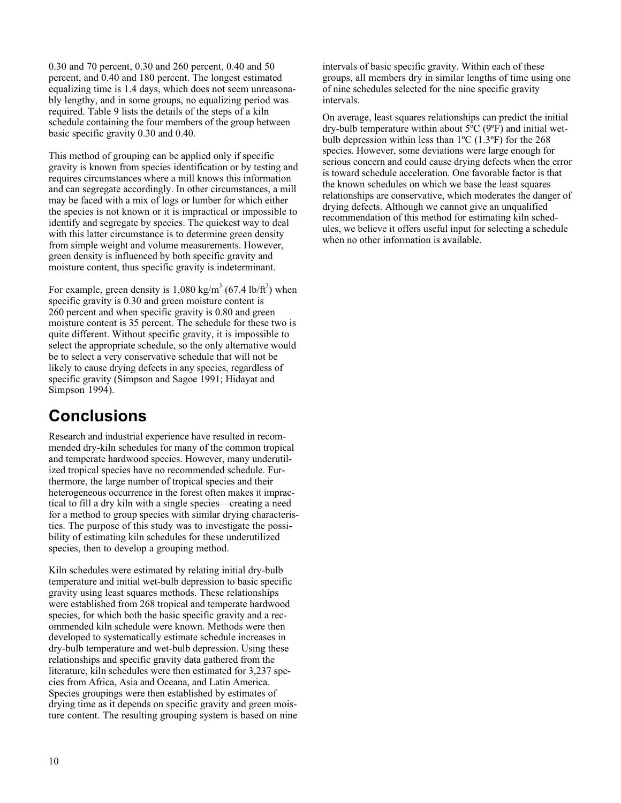0.30 and 70 percent, 0.30 and 260 percent, 0.40 and 50 percent, and 0.40 and 180 percent. The longest estimated equalizing time is 1.4 days, which does not seem unreasonably lengthy, and in some groups, no equalizing period was required. Table 9 lists the details of the steps of a kiln schedule containing the four members of the group between basic specific gravity 0.30 and 0.40.

This method of grouping can be applied only if specific gravity is known from species identification or by testing and requires circumstances where a mill knows this information and can segregate accordingly. In other circumstances, a mill may be faced with a mix of logs or lumber for which either the species is not known or it is impractical or impossible to identify and segregate by species. The quickest way to deal with this latter circumstance is to determine green density from simple weight and volume measurements. However, green density is influenced by both specific gravity and moisture content, thus specific gravity is indeterminant.

For example, green density is  $1,080 \text{ kg/m}^3$  (67.4 lb/ft<sup>3</sup>) when specific gravity is 0.30 and green moisture content is 260 percent and when specific gravity is 0.80 and green moisture content is 35 percent. The schedule for these two is quite different. Without specific gravity, it is impossible to select the appropriate schedule, so the only alternative would be to select a very conservative schedule that will not be likely to cause drying defects in any species, regardless of specific gravity (Simpson and Sagoe 1991; Hidayat and Simpson 1994).

### **Conclusions**

Research and industrial experience have resulted in recommended dry-kiln schedules for many of the common tropical and temperate hardwood species. However, many underutilized tropical species have no recommended schedule. Furthermore, the large number of tropical species and their heterogeneous occurrence in the forest often makes it impractical to fill a dry kiln with a single species—creating a need for a method to group species with similar drying characteristics. The purpose of this study was to investigate the possibility of estimating kiln schedules for these underutilized species, then to develop a grouping method.

Kiln schedules were estimated by relating initial dry-bulb temperature and initial wet-bulb depression to basic specific gravity using least squares methods. These relationships were established from 268 tropical and temperate hardwood species, for which both the basic specific gravity and a recommended kiln schedule were known. Methods were then developed to systematically estimate schedule increases in dry-bulb temperature and wet-bulb depression. Using these relationships and specific gravity data gathered from the literature, kiln schedules were then estimated for 3,237 species from Africa, Asia and Oceana, and Latin America. Species groupings were then established by estimates of drying time as it depends on specific gravity and green moisture content. The resulting grouping system is based on nine

intervals of basic specific gravity. Within each of these groups, all members dry in similar lengths of time using one of nine schedules selected for the nine specific gravity intervals.

On average, least squares relationships can predict the initial dry-bulb temperature within about  $5^{\circ}C$  (9 $^{\circ}F$ ) and initial wetbulb depression within less than  $1^{\circ}$ C (1.3°F) for the 268 species. However, some deviations were large enough for serious concern and could cause drying defects when the error is toward schedule acceleration. One favorable factor is that the known schedules on which we base the least squares relationships are conservative, which moderates the danger of drying defects. Although we cannot give an unqualified recommendation of this method for estimating kiln schedules, we believe it offers useful input for selecting a schedule when no other information is available.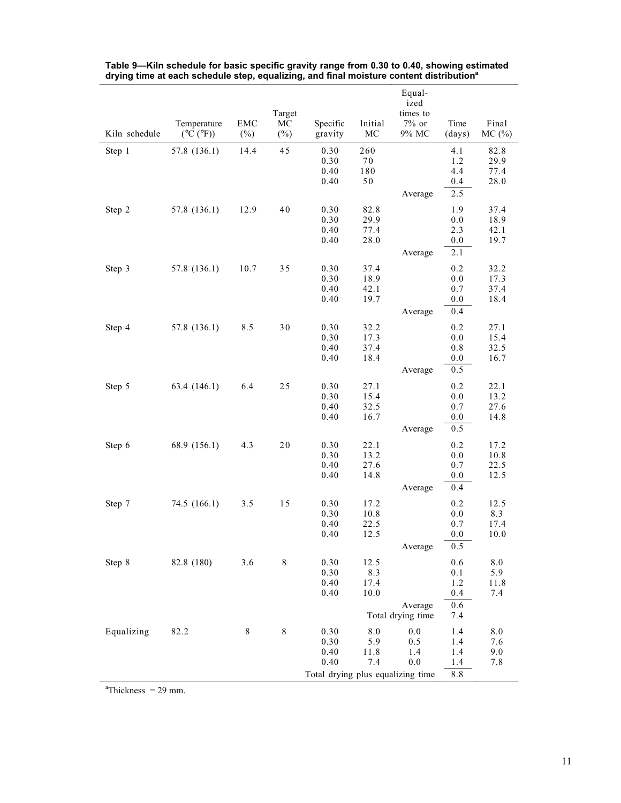|               |                                          |               | Target       |                                                                   |                                | Equal-<br>ized<br>times to   |                                        |                              |
|---------------|------------------------------------------|---------------|--------------|-------------------------------------------------------------------|--------------------------------|------------------------------|----------------------------------------|------------------------------|
| Kiln schedule | Temperature<br>$(^{\circ}C~(^{\circ}F))$ | EMC<br>$(\%)$ | MC<br>$(\%)$ | Specific<br>gravity                                               | Initial<br>MC                  | $7\%$ or<br>9% MC            | Time<br>(days)                         | Final<br>MC(%)               |
| Step 1        | 57.8 (136.1)                             | 14.4          | 45           | 0.30<br>0.30<br>0.40<br>0.40                                      | 260<br>$7\,0$<br>180<br>$50\,$ | Average                      | 4.1<br>1.2<br>4.4<br>0.4<br>2.5        | 82.8<br>29.9<br>77.4<br>28.0 |
| Step 2        | 57.8 (136.1)                             | 12.9          | 40           | 0.30<br>0.30<br>0.40<br>0.40                                      | 82.8<br>29.9<br>77.4<br>28.0   | Average                      | 1.9<br>0.0<br>2.3<br>$0.0\,$<br>2.1    | 37.4<br>18.9<br>42.1<br>19.7 |
| Step 3        | 57.8 (136.1)                             | 10.7          | 35           | 0.30<br>0.30<br>0.40<br>0.40                                      | 37.4<br>18.9<br>42.1<br>19.7   | Average                      | 0.2<br>$0.0\,$<br>0.7<br>0.0<br>0.4    | 32.2<br>17.3<br>37.4<br>18.4 |
| Step 4        | 57.8 (136.1)                             | 8.5           | 30           | 0.30<br>0.30<br>0.40<br>0.40                                      | 32.2<br>17.3<br>37.4<br>18.4   | Average                      | 0.2<br>0.0<br>0.8<br>0.0<br>0.5        | 27.1<br>15.4<br>32.5<br>16.7 |
| Step 5        | 63.4 (146.1)                             | 6.4           | 25           | 0.30<br>0.30<br>0.40<br>0.40                                      | 27.1<br>15.4<br>32.5<br>16.7   | Average                      | 0.2<br>0.0<br>0.7<br>$0.0\,$<br>0.5    | 22.1<br>13.2<br>27.6<br>14.8 |
| Step 6        | 68.9 (156.1)                             | 4.3           | 20           | 0.30<br>0.30<br>0.40<br>0.40                                      | 22.1<br>13.2<br>27.6<br>14.8   | Average                      | 0.2<br>0.0<br>0.7<br>0.0<br>0.4        | 17.2<br>10.8<br>22.5<br>12.5 |
| Step 7        | 74.5 (166.1)                             | 3.5           | 15           | 0.30<br>0.30<br>0.40<br>0.40                                      | 17.2<br>10.8<br>22.5<br>12.5   | Average                      | 0.2<br>0.0<br>0.7<br>0.0<br>0.5        | 12.5<br>8.3<br>17.4<br>10.0  |
| Step 8        | 82.8 (180)                               | 3.6           | 8            | 0.30<br>0.30<br>0.40<br>0.40                                      | 12.5<br>8.3<br>17.4<br>10.0    | Average<br>Total drying time | 0.6<br>0.1<br>1.2<br>0.4<br>0.6<br>7.4 | 8.0<br>5.9<br>11.8<br>7.4    |
| Equalizing    | 82.2                                     | 8             | $\,$ 8 $\,$  | 0.30<br>0.30<br>0.40<br>0.40<br>Total drying plus equalizing time | 8.0<br>5.9<br>11.8<br>7.4      | 0.0<br>0.5<br>1.4<br>0.0     | 1.4<br>1.4<br>1.4<br>1.4<br>8.8        | 8.0<br>7.6<br>9.0<br>7.8     |

**Table 9—Kiln schedule for basic specific gravity range from 0.30 to 0.40, showing estimated** drying time at each schedule step, equalizing, and final moisture content distribution<sup>a</sup>

 $a^2$ Thickness = 29 mm.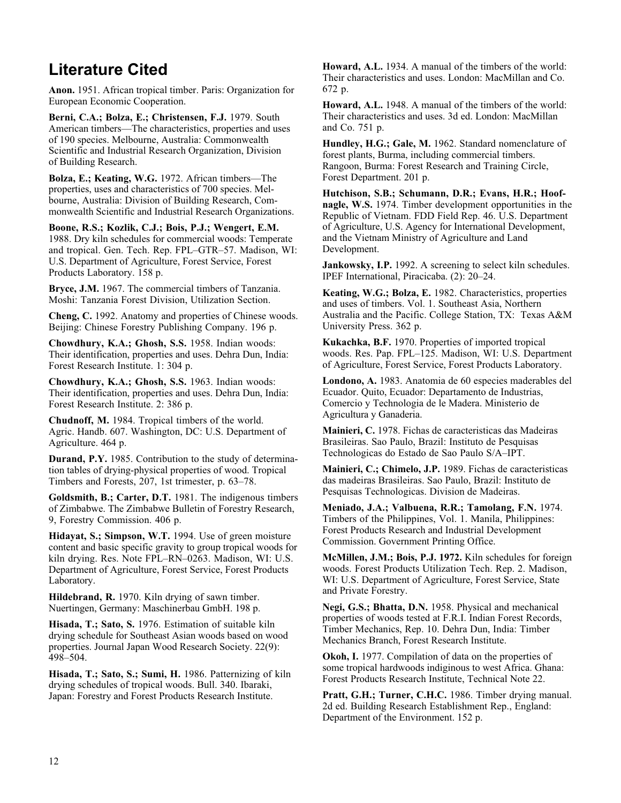### **Literature Cited**

**Anon.** 1951. African tropical timber. Paris: Organization for European Economic Cooperation.

**Berni, C.A.; Bolza, E.; Christensen, F.J.** 1979. South American timbers—The characteristics, properties and uses of 190 species. Melbourne, Australia: Commonwealth Scientific and Industrial Research Organization, Division of Building Research.

**Bolza, E.; Keating, W.G.** 1972. African timbers—The properties, uses and characteristics of 700 species. Melbourne, Australia: Division of Building Research, Commonwealth Scientific and Industrial Research Organizations.

**Boone, R.S.; Kozlik, C.J.; Bois, P.J.; Wengert, E.M.** 1988. Dry kiln schedules for commercial woods: Temperate and tropical. Gen. Tech. Rep. FPL–GTR–57. Madison, WI: U.S. Department of Agriculture, Forest Service, Forest Products Laboratory. 158 p.

**Bryce, J.M.** 1967. The commercial timbers of Tanzania. Moshi: Tanzania Forest Division, Utilization Section.

**Cheng, C.** 1992. Anatomy and properties of Chinese woods. Beijing: Chinese Forestry Publishing Company. 196 p.

**Chowdhury, K.A.; Ghosh, S.S.** 1958. Indian woods: Their identification, properties and uses. Dehra Dun, India: Forest Research Institute. 1: 304 p.

**Chowdhury, K.A.; Ghosh, S.S.** 1963. Indian woods: Their identification, properties and uses. Dehra Dun, India: Forest Research Institute. 2: 386 p.

**Chudnoff, M.** 1984. Tropical timbers of the world. Agric. Handb. 607. Washington, DC: U.S. Department of Agriculture. 464 p.

**Durand, P.Y.** 1985. Contribution to the study of determination tables of drying-physical properties of wood. Tropical Timbers and Forests, 207, 1st trimester, p. 63–78.

**Goldsmith, B.; Carter, D.T.** 1981. The indigenous timbers of Zimbabwe. The Zimbabwe Bulletin of Forestry Research, 9, Forestry Commission. 406 p.

**Hidayat, S.; Simpson, W.T.** 1994. Use of green moisture content and basic specific gravity to group tropical woods for kiln drying. Res. Note FPL–RN–0263. Madison, WI: U.S. Department of Agriculture, Forest Service, Forest Products Laboratory.

**Hildebrand, R.** 1970. Kiln drying of sawn timber. Nuertingen, Germany: Maschinerbau GmbH. 198 p.

**Hisada, T.; Sato, S.** 1976. Estimation of suitable kiln drying schedule for Southeast Asian woods based on wood properties. Journal Japan Wood Research Society. 22(9): 498–504.

**Hisada, T.; Sato, S.; Sumi, H.** 1986. Patternizing of kiln drying schedules of tropical woods. Bull. 340. Ibaraki, Japan: Forestry and Forest Products Research Institute.

**Howard, A.L.** 1934. A manual of the timbers of the world: Their characteristics and uses. London: MacMillan and Co. 672 p.

**Howard, A.L.** 1948. A manual of the timbers of the world: Their characteristics and uses. 3d ed. London: MacMillan and Co. 751 p.

**Hundley, H.G.; Gale, M.** 1962. Standard nomenclature of forest plants, Burma, including commercial timbers. Rangoon, Burma: Forest Research and Training Circle, Forest Department. 201 p.

**Hutchison, S.B.; Schumann, D.R.; Evans, H.R.; Hoofnagle, W.S.** 1974. Timber development opportunities in the Republic of Vietnam. FDD Field Rep. 46. U.S. Department of Agriculture, U.S. Agency for International Development, and the Vietnam Ministry of Agriculture and Land Development.

**Jankowsky, I.P.** 1992. A screening to select kiln schedules. IPEF International, Piracicaba. (2): 20–24.

**Keating, W.G.; Bolza, E.** 1982. Characteristics, properties and uses of timbers. Vol. 1. Southeast Asia, Northern Australia and the Pacific. College Station, TX: Texas A&M University Press. 362 p.

**Kukachka, B.F.** 1970. Properties of imported tropical woods. Res. Pap. FPL–125. Madison, WI: U.S. Department of Agriculture, Forest Service, Forest Products Laboratory.

**Londono, A.** 1983. Anatomia de 60 especies maderables del Ecuador. Quito, Ecuador: Departamento de Industrias, Comercio y Technologia de le Madera. Ministerio de Agricultura y Ganaderia.

**Mainieri, C.** 1978. Fichas de caracteristicas das Madeiras Brasileiras. Sao Paulo, Brazil: Instituto de Pesquisas Technologicas do Estado de Sao Paulo S/A–IPT.

**Mainieri, C.; Chimelo, J.P.** 1989. Fichas de caracteristicas das madeiras Brasileiras. Sao Paulo, Brazil: Instituto de Pesquisas Technologicas. Division de Madeiras.

**Meniado, J.A.; Valbuena, R.R.; Tamolang, F.N.** 1974. Timbers of the Philippines, Vol. 1. Manila, Philippines: Forest Products Research and Industrial Development Commission. Government Printing Office.

**McMillen, J.M.; Bois, P.J. 1972.** Kiln schedules for foreign woods. Forest Products Utilization Tech. Rep. 2. Madison, WI: U.S. Department of Agriculture, Forest Service, State and Private Forestry.

**Negi, G.S.; Bhatta, D.N.** 1958. Physical and mechanical properties of woods tested at F.R.I. Indian Forest Records, Timber Mechanics, Rep. 10. Dehra Dun, India: Timber Mechanics Branch, Forest Research Institute.

**Okoh, I.** 1977. Compilation of data on the properties of some tropical hardwoods indiginous to west Africa. Ghana: Forest Products Research Institute, Technical Note 22.

**Pratt, G.H.; Turner, C.H.C.** 1986. Timber drying manual. 2d ed. Building Research Establishment Rep., England: Department of the Environment. 152 p.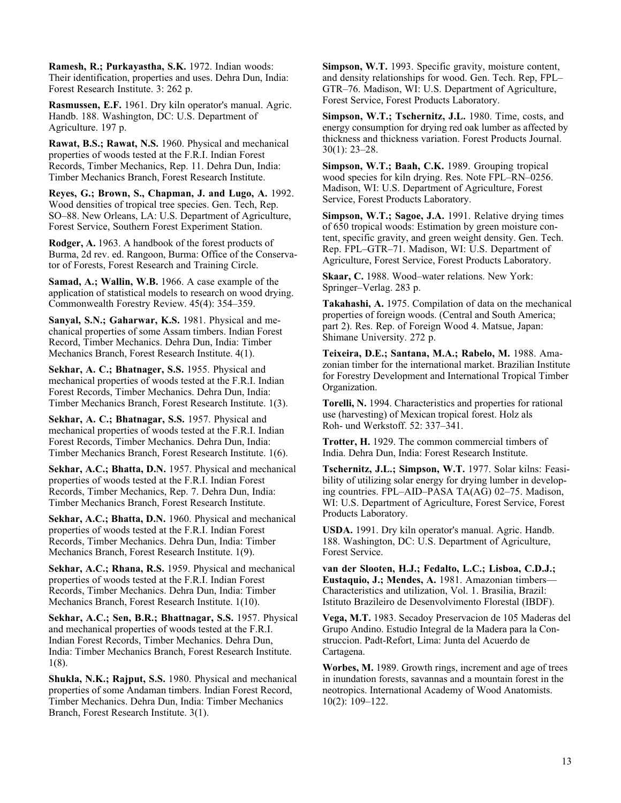**Ramesh, R.; Purkayastha, S.K.** 1972. Indian woods: Their identification, properties and uses. Dehra Dun, India: Forest Research Institute. 3: 262 p.

**Rasmussen, E.F.** 1961. Dry kiln operator's manual. Agric. Handb. 188. Washington, DC: U.S. Department of Agriculture. 197 p.

**Rawat, B.S.; Rawat, N.S.** 1960. Physical and mechanical properties of woods tested at the F.R.I. Indian Forest Records, Timber Mechanics, Rep. 11. Dehra Dun, India: Timber Mechanics Branch, Forest Research Institute.

**Reyes, G.; Brown, S., Chapman, J. and Lugo, A.** 1992. Wood densities of tropical tree species. Gen. Tech, Rep. SO–88. New Orleans, LA: U.S. Department of Agriculture, Forest Service, Southern Forest Experiment Station.

**Rodger, A.** 1963. A handbook of the forest products of Burma, 2d rev. ed. Rangoon, Burma: Office of the Conservator of Forests, Forest Research and Training Circle.

**Samad, A.; Wallin, W.B.** 1966. A case example of the application of statistical models to research on wood drying. Commonwealth Forestry Review. 45(4): 354–359.

**Sanyal, S.N.; Gaharwar, K.S.** 1981. Physical and mechanical properties of some Assam timbers. Indian Forest Record, Timber Mechanics. Dehra Dun, India: Timber Mechanics Branch, Forest Research Institute. 4(1).

**Sekhar, A. C.; Bhatnager, S.S.** 1955. Physical and mechanical properties of woods tested at the F.R.I. Indian Forest Records, Timber Mechanics. Dehra Dun, India: Timber Mechanics Branch, Forest Research Institute. 1(3).

**Sekhar, A. C.; Bhatnagar, S.S.** 1957. Physical and mechanical properties of woods tested at the F.R.I. Indian Forest Records, Timber Mechanics. Dehra Dun, India: Timber Mechanics Branch, Forest Research Institute. 1(6).

**Sekhar, A.C.; Bhatta, D.N.** 1957. Physical and mechanical properties of woods tested at the F.R.I. Indian Forest Records, Timber Mechanics, Rep. 7. Dehra Dun, India: Timber Mechanics Branch, Forest Research Institute.

**Sekhar, A.C.; Bhatta, D.N.** 1960. Physical and mechanical properties of woods tested at the F.R.I. Indian Forest Records, Timber Mechanics. Dehra Dun, India: Timber Mechanics Branch, Forest Research Institute. 1(9).

**Sekhar, A.C.; Rhana, R.S.** 1959. Physical and mechanical properties of woods tested at the F.R.I. Indian Forest Records, Timber Mechanics. Dehra Dun, India: Timber Mechanics Branch, Forest Research Institute. 1(10).

**Sekhar, A.C.; Sen, B.R.; Bhattnagar, S.S.** 1957. Physical and mechanical properties of woods tested at the F.R.I. Indian Forest Records, Timber Mechanics. Dehra Dun, India: Timber Mechanics Branch, Forest Research Institute. 1(8).

**Shukla, N.K.; Rajput, S.S.** 1980. Physical and mechanical properties of some Andaman timbers. Indian Forest Record, Timber Mechanics. Dehra Dun, India: Timber Mechanics Branch, Forest Research Institute. 3(1).

**Simpson, W.T.** 1993. Specific gravity, moisture content, and density relationships for wood. Gen. Tech. Rep, FPL– GTR–76. Madison, WI: U.S. Department of Agriculture, Forest Service, Forest Products Laboratory.

**Simpson, W.T.; Tschernitz, J.L.** 1980. Time, costs, and energy consumption for drying red oak lumber as affected by thickness and thickness variation. Forest Products Journal. 30(1): 23–28.

**Simpson, W.T.; Baah, C.K.** 1989. Grouping tropical wood species for kiln drying. Res. Note FPL–RN–0256. Madison, WI: U.S. Department of Agriculture, Forest Service, Forest Products Laboratory.

**Simpson, W.T.; Sagoe, J.A.** 1991. Relative drying times of 650 tropical woods: Estimation by green moisture content, specific gravity, and green weight density. Gen. Tech. Rep. FPL–GTR–71. Madison, WI: U.S. Department of Agriculture, Forest Service, Forest Products Laboratory.

**Skaar, C.** 1988. Wood–water relations. New York: Springer–Verlag. 283 p.

**Takahashi, A.** 1975. Compilation of data on the mechanical properties of foreign woods. (Central and South America; part 2). Res. Rep. of Foreign Wood 4. Matsue, Japan: Shimane University. 272 p.

**Teixeira, D.E.; Santana, M.A.; Rabelo, M.** 1988. Amazonian timber for the international market. Brazilian Institute for Forestry Development and International Tropical Timber Organization.

**Torelli, N.** 1994. Characteristics and properties for rational use (harvesting) of Mexican tropical forest. Holz als Roh- und Werkstoff. 52: 337–341.

**Trotter, H.** 1929. The common commercial timbers of India. Dehra Dun, India: Forest Research Institute.

**Tschernitz, J.L.; Simpson, W.T.** 1977. Solar kilns: Feasibility of utilizing solar energy for drying lumber in developing countries. FPL–AID–PASA TA(AG) 02–75. Madison, WI: U.S. Department of Agriculture, Forest Service, Forest Products Laboratory.

**USDA.** 1991. Dry kiln operator's manual. Agric. Handb. 188. Washington, DC: U.S. Department of Agriculture, Forest Service.

**van der Slooten, H.J.; Fedalto, L.C.; Lisboa, C.D.J.; Eustaquio, J.; Mendes, A.** 1981. Amazonian timbers— Characteristics and utilization, Vol. 1. Brasilia, Brazil: Istituto Brazileiro de Desenvolvimento Florestal (IBDF).

**Vega, M.T.** 1983. Secadoy Preservacion de 105 Maderas del Grupo Andino. Estudio Integral de la Madera para la Construccion. Padt-Refort, Lima: Junta del Acuerdo de Cartagena.

**Worbes, M.** 1989. Growth rings, increment and age of trees in inundation forests, savannas and a mountain forest in the neotropics. International Academy of Wood Anatomists. 10(2): 109–122.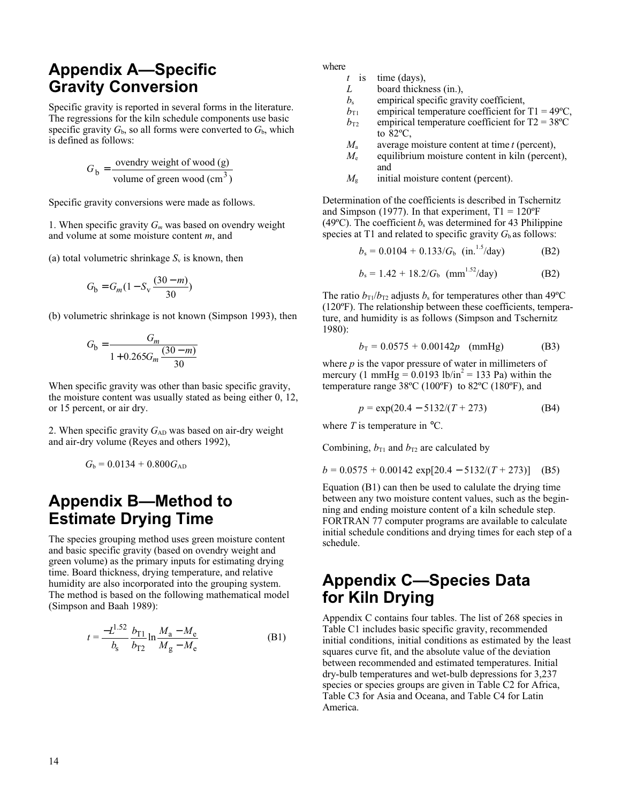### **Appendix A—Specific Gravity Conversion**

Specific gravity is reported in several forms in the literature. The regressions for the kiln schedule components use basic specific gravity  $G_b$ , so all forms were converted to  $G_b$ , which is defined as follows:

$$
Gb = \frac{\text{overdry weight of wood (g)}}{\text{volume of green wood (cm}^3)}
$$

Specific gravity conversions were made as follows.

1. When specific gravity  $G_m$  was based on ovendry weight and volume at some moisture content *m*, and

(a) total volumetric shrinkage  $S_v$  is known, then

$$
G_{\rm b} = G_m (1 - S_{\rm v} \frac{(30 - m)}{30})
$$

(b) volumetric shrinkage is not known (Simpson 1993), then

$$
G_{\rm b} = \frac{G_m}{1 + 0.265 G_m \frac{(30 - m)}{30}}
$$

When specific gravity was other than basic specific gravity, the moisture content was usually stated as being either 0, 12, or 15 percent, or air dry.

2. When specific gravity  $G_{AD}$  was based on air-dry weight and air-dry volume (Reyes and others 1992),

$$
G_{\rm b}=0.0134+0.800G_{\rm AD}
$$

### **Appendix B—Method to Estimate Drying Time**

The species grouping method uses green moisture content and basic specific gravity (based on ovendry weight and green volume) as the primary inputs for estimating drying time. Board thickness, drying temperature, and relative humidity are also incorporated into the grouping system. The method is based on the following mathematical model (Simpson and Baah 1989):

$$
t = \frac{-L^{1.52}}{b_s} \frac{b_{T1}}{b_{T2}} \ln \frac{M_a - M_e}{M_g - M_e}
$$
 (B1)

where

*t* is time (days),

- *L* board thickness (in.),
- *b*<sup>s</sup> empirical specific gravity coefficient,
- $b_{\text{T1}}$  empirical temperature coefficient for T1 = 49<sup>o</sup>C,
- $b_{T2}$  empirical temperature coefficient for T2 = 38°C to 82ºC,
- *M*<sup>a</sup> average moisture content at time *t* (percent),
- $M_e$  equilibrium moisture content in kiln (percent), and
- $M<sub>g</sub>$  initial moisture content (percent).

Determination of the coefficients is described in Tschernitz and Simpson (1977). In that experiment,  $T1 = 120^{\circ}F$ (49 $^{\circ}$ C). The coefficient  $b_s$  was determined for 43 Philippine species at T1 and related to specific gravity  $G<sub>b</sub>$  as follows:

$$
b_{s} = 0.0104 + 0.133/G_{b} \text{ (in.}^{1.5}/\text{day)} \tag{B2}
$$

$$
b_{s} = 1.42 + 18.2/G_{b} \text{ (mm}^{1.52}/\text{day)} \tag{B2}
$$

The ratio  $b_{T1}/b_{T2}$  adjusts  $b_s$  for temperatures other than 49<sup>o</sup>C (120ºF). The relationship between these coefficients, temperature, and humidity is as follows (Simpson and Tschernitz 1980):

$$
b_{\rm T} = 0.0575 + 0.00142p \quad \text{(mmHg)} \tag{B3}
$$

where *p* is the vapor pressure of water in millimeters of mercury (1 mmHg =  $0.0193$  lb/in<sup>2</sup> = 133 Pa) within the temperature range 38ºC (100ºF) to 82ºC (180ºF), and

$$
p = \exp(20.4 - 5132/(T + 273))
$$
 (B4)

where  $T$  is temperature in  $^{\circ}C$ .

Combining,  $b_{T1}$  and  $b_{T2}$  are calculated by

$$
b = 0.0575 + 0.00142 \exp[20.4 - 5132/(T + 273)]
$$
 (B5)

Equation (B1) can then be used to calulate the drying time between any two moisture content values, such as the beginning and ending moisture content of a kiln schedule step. FORTRAN 77 computer programs are available to calculate initial schedule conditions and drying times for each step of a schedule.

### **Appendix C—Species Data for Kiln Drying**

Appendix C contains four tables. The list of 268 species in Table C1 includes basic specific gravity, recommended initial conditions, initial conditions as estimated by the least squares curve fit, and the absolute value of the deviation between recommended and estimated temperatures. Initial dry-bulb temperatures and wet-bulb depressions for 3,237 species or species groups are given in Table C2 for Africa, Table C3 for Asia and Oceana, and Table C4 for Latin America.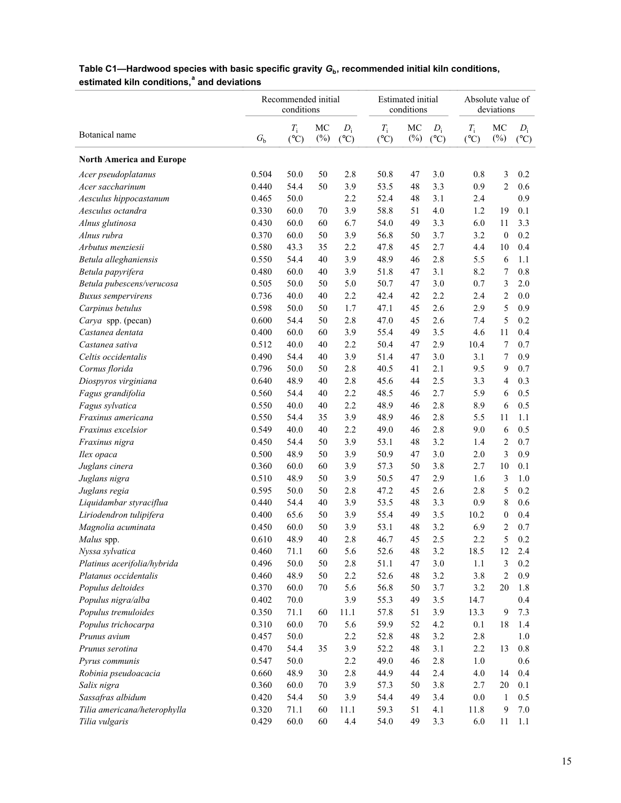|                                 |             | Recommended initial<br>conditions |              |                        |                                | <b>Estimated</b> initial<br>conditions |                        | Absolute value of            | deviations       |                          |
|---------------------------------|-------------|-----------------------------------|--------------|------------------------|--------------------------------|----------------------------------------|------------------------|------------------------------|------------------|--------------------------|
| Botanical name                  | $G_{\rm b}$ | $T_{\rm i}$<br>$(^{\circ}C)$      | MC<br>$(\%)$ | $D_i$<br>$(^{\circ}C)$ | $T_{\rm i}$<br>$({}^{\circ}C)$ | MC<br>$(\%)$                           | $D_i$<br>$(^{\circ}C)$ | $T_{\rm i}$<br>$(^{\circ}C)$ | MC<br>$(\%)$     | $D_i$<br>$({}^{\circ}C)$ |
| <b>North America and Europe</b> |             |                                   |              |                        |                                |                                        |                        |                              |                  |                          |
| Acer pseudoplatanus             | 0.504       | 50.0                              | 50           | 2.8                    | 50.8                           | 47                                     | 3.0                    | 0.8                          | 3                | 0.2                      |
| Acer saccharinum                | 0.440       | 54.4                              | 50           | 3.9                    | 53.5                           | 48                                     | 3.3                    | 0.9                          | $\overline{c}$   | 0.6                      |
| Aesculus hippocastanum          | 0.465       | 50.0                              |              | 2.2                    | 52.4                           | 48                                     | 3.1                    | 2.4                          |                  | 0.9                      |
| Aesculus octandra               | 0.330       | 60.0                              | 70           | 3.9                    | 58.8                           | 51                                     | 4.0                    | 1.2                          | 19               | 0.1                      |
| Alnus glutinosa                 | 0.430       | 60.0                              | 60           | 6.7                    | 54.0                           | 49                                     | 3.3                    | 6.0                          | 11               | 3.3                      |
| Alnus rubra                     | 0.370       | 60.0                              | 50           | 3.9                    | 56.8                           | 50                                     | 3.7                    | 3.2                          | $\boldsymbol{0}$ | 0.2                      |
| Arbutus menziesii               | 0.580       | 43.3                              | 35           | 2.2                    | 47.8                           | 45                                     | 2.7                    | 4.4                          | 10               | 0.4                      |
| Betula alleghaniensis           | 0.550       | 54.4                              | 40           | 3.9                    | 48.9                           | 46                                     | 2.8                    | 5.5                          | 6                | 1.1                      |
| Betula papyrifera               | 0.480       | 60.0                              | 40           | 3.9                    | 51.8                           | 47                                     | 3.1                    | 8.2                          | 7                | 0.8                      |
| Betula pubescens/verucosa       | 0.505       | 50.0                              | 50           | 5.0                    | 50.7                           | 47                                     | 3.0                    | 0.7                          | 3                | 2.0                      |
| <b>Buxus</b> sempervirens       | 0.736       | 40.0                              | 40           | 2.2                    | 42.4                           | 42                                     | 2.2                    | 2.4                          | 2                | 0.0                      |
| Carpinus betulus                | 0.598       | 50.0                              | 50           | 1.7                    | 47.1                           | 45                                     | 2.6                    | 2.9                          | 5                | 0.9                      |
| Carya spp. (pecan)              | 0.600       | 54.4                              | 50           | 2.8                    | 47.0                           | 45                                     | 2.6                    | 7.4                          | 5                | 0.2                      |
| Castanea dentata                | 0.400       | 60.0                              | 60           | 3.9                    | 55.4                           | 49                                     | 3.5                    | 4.6                          | 11               | 0.4                      |
| Castanea sativa                 | 0.512       | 40.0                              | 40           | 2.2                    | 50.4                           | 47                                     | 2.9                    | 10.4                         | 7                | 0.7                      |
| Celtis occidentalis             | 0.490       | 54.4                              | 40           | 3.9                    | 51.4                           | 47                                     | 3.0                    | 3.1                          | 7                | 0.9                      |
| Cornus florida                  | 0.796       | 50.0                              | 50           | 2.8                    | 40.5                           | 41                                     | 2.1                    | 9.5                          | 9                | 0.7                      |
| Diospyros virginiana            | 0.640       | 48.9                              | 40           | 2.8                    | 45.6                           | 44                                     | 2.5                    | 3.3                          | 4                | 0.3                      |
| Fagus grandifolia               | 0.560       | 54.4                              | 40           | 2.2                    | 48.5                           | 46                                     | 2.7                    | 5.9                          | 6                | 0.5                      |
| Fagus sylvatica                 | 0.550       | 40.0                              | 40           | 2.2                    | 48.9                           | 46                                     | 2.8                    | 8.9                          | 6                | 0.5                      |
| Fraxinus americana              | 0.550       | 54.4                              | 35           | 3.9                    | 48.9                           | 46                                     | 2.8                    | 5.5                          | 11               | 1.1                      |
| Fraxinus excelsior              | 0.549       | 40.0                              | 40           | 2.2                    | 49.0                           | 46                                     | 2.8                    | 9.0                          | 6                | 0.5                      |
| Fraxinus nigra                  | 0.450       | 54.4                              | 50           | 3.9                    | 53.1                           | 48                                     | 3.2                    | 1.4                          | 2                | 0.7                      |
| Ilex opaca                      | 0.500       | 48.9                              | 50           | 3.9                    | 50.9                           | 47                                     | 3.0                    | 2.0                          | 3                | 0.9                      |
| Juglans cinera                  | 0.360       | 60.0                              | 60           | 3.9                    | 57.3                           | 50                                     | 3.8                    | 2.7                          | 10               | 0.1                      |
| Juglans nigra                   | 0.510       | 48.9                              | 50           | 3.9                    | 50.5                           | 47                                     | 2.9                    | 1.6                          | 3                | 1.0                      |
| Juglans regia                   | 0.595       | 50.0                              | 50           | 2.8                    | 47.2                           | 45                                     | 2.6                    | 2.8                          | 5                | 0.2                      |
| Liquidambar styraciflua         | 0.440       | 54.4                              | 40           | 3.9                    | 53.5                           | 48                                     | 3.3                    | 0.9                          | 8                | 0.6                      |
| Liriodendron tulipifera         | 0.400       | 65.6                              | 50           | 3.9                    | 55.4                           | 49                                     | 3.5                    | 10.2                         | $\boldsymbol{0}$ | 0.4                      |
| Magnolia acuminata              | 0.450       | 60.0                              | 50           | 3.9                    | 53.1                           | 48                                     | 3.2                    | 6.9                          | $\overline{2}$   | 0.7                      |
| Malus spp.                      | 0.610       | 48.9                              | 40           | 2.8                    | 46.7                           | 45                                     | 2.5                    | 2.2                          | 5                | 0.2                      |
| Nyssa sylvatica                 | 0.460       | 71.1                              | 60           | 5.6                    | 52.6                           | 48                                     | 3.2                    | 18.5                         | 12               | 2.4                      |
| Platinus acerifolia/hybrida     | 0.496       | 50.0                              | 50           | 2.8                    | 51.1                           | 47                                     | 3.0                    | 1.1                          | 3                | 0.2                      |
| Platanus occidentalis           | 0.460       | 48.9                              | 50           | 2.2                    | 52.6                           | 48                                     | 3.2                    | 3.8                          | 2                | 0.9                      |
| Populus deltoides               | 0.370       | 60.0                              | 70           | 5.6                    | 56.8                           | 50                                     | 3.7                    | 3.2                          | 20               | 1.8                      |
| Populus nigra/alba              | 0.402       | 70.0                              |              | 3.9                    | 55.3                           | 49                                     | 3.5                    | 14.7                         |                  | 0.4                      |
| Populus tremuloides             | 0.350       | 71.1                              | 60           | 11.1                   | 57.8                           | 51                                     | 3.9                    | 13.3                         | 9                | 7.3                      |
| Populus trichocarpa             | 0.310       | 60.0                              | 70           | 5.6                    | 59.9                           | 52                                     | 4.2                    | 0.1                          | 18               | 1.4                      |
| Prunus avium                    | 0.457       | 50.0                              |              | 2.2                    | 52.8                           | 48                                     | 3.2                    | 2.8                          |                  | 1.0                      |
| Prunus serotina                 | 0.470       | 54.4                              | 35           | 3.9                    | 52.2                           | 48                                     | 3.1                    | 2.2                          | 13               | $0.8\,$                  |
| Pyrus communis                  | 0.547       | 50.0                              |              | 2.2                    | 49.0                           | 46                                     | 2.8                    | 1.0                          |                  | 0.6                      |
| Robinia pseudoacacia            | 0.660       | 48.9                              | 30           | 2.8                    | 44.9                           | 44                                     | 2.4                    | 4.0                          | 14               | 0.4                      |
| Salix nigra                     | 0.360       | 60.0                              | 70           | 3.9                    | 57.3                           | 50                                     | 3.8                    | 2.7                          | 20               | 0.1                      |
| Sassafras albidum               | 0.420       | 54.4                              | 50           | 3.9                    | 54.4                           | 49                                     | 3.4                    | 0.0                          | 1                | 0.5                      |
| Tilia americana/heterophylla    | 0.320       | 71.1                              | 60           | 11.1                   | 59.3                           | 51                                     | 4.1                    | 11.8                         | 9                | 7.0                      |
| Tilia vulgaris                  | 0.429       | 60.0                              | 60           | 4.4                    | 54.0                           | 49                                     | 3.3                    | 6.0                          | 11               | 1.1                      |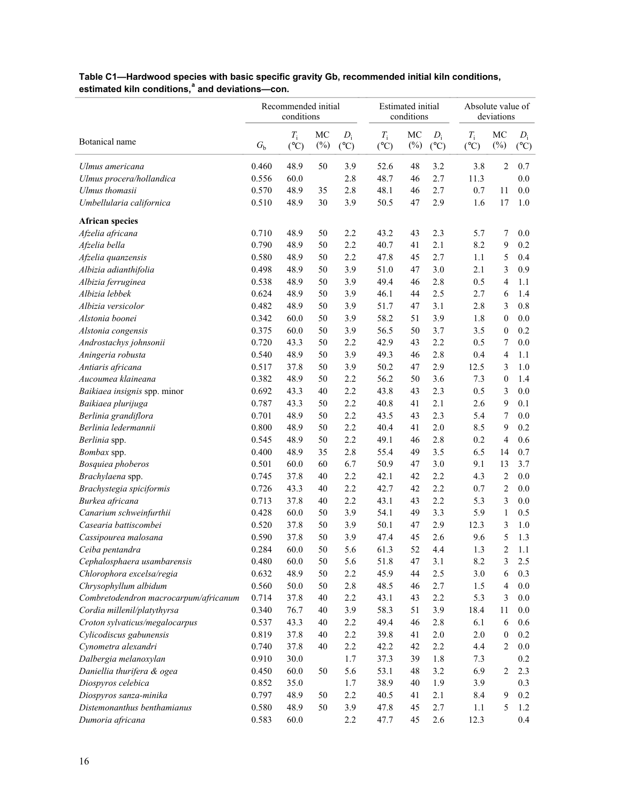|                                                     |                | Recommended initial<br>conditions |              |                        |                                | Estimated initial<br>conditions |                        | Absolute value of<br>deviations |                          |                        |  |  |
|-----------------------------------------------------|----------------|-----------------------------------|--------------|------------------------|--------------------------------|---------------------------------|------------------------|---------------------------------|--------------------------|------------------------|--|--|
| Botanical name                                      | $G_{\rm b}$    | $T_{\rm i}$<br>$(^{\circ}C)$      | MC<br>$(\%)$ | $D_i$<br>$(^{\circ}C)$ | $T_{\rm i}$<br>$({}^{\circ}C)$ | MC<br>$(\%)$                    | $D_i$<br>$(^{\circ}C)$ | $T_{\rm i}$<br>$(^{\circ}C)$    | MC<br>$(\%)$             | $D_i$<br>$(^{\circ}C)$ |  |  |
| Ulmus americana                                     | 0.460          | 48.9                              | 50           | 3.9                    | 52.6                           | 48                              | 3.2                    | 3.8                             | $\overline{2}$           | 0.7                    |  |  |
| Ulmus procera/hollandica                            | 0.556          | 60.0                              |              | 2.8                    | 48.7                           | 46                              | 2.7                    | 11.3                            |                          | 0.0                    |  |  |
| Ulmus thomasii                                      | 0.570          | 48.9                              | 35           | 2.8                    | 48.1                           | 46                              | 2.7                    | 0.7                             | 11                       | 0.0                    |  |  |
| Umbellularia californica                            | 0.510          | 48.9                              | 30           | 3.9                    | 50.5                           | 47                              | 2.9                    | 1.6                             | 17                       | 1.0                    |  |  |
| <b>African species</b>                              |                |                                   |              |                        |                                |                                 |                        |                                 |                          |                        |  |  |
| Afzelia africana                                    | 0.710          | 48.9                              | 50           | 2.2                    | 43.2                           | 43                              | 2.3                    | 5.7                             | 7                        | 0.0                    |  |  |
| Afzelia bella                                       | 0.790          | 48.9                              | 50           | 2.2                    | 40.7                           | 41                              | 2.1                    | 8.2                             | 9                        | 0.2                    |  |  |
| Afzelia quanzensis                                  | 0.580          | 48.9                              | 50           | 2.2                    | 47.8                           | 45                              | 2.7                    | 1.1                             | 5                        | 0.4                    |  |  |
| Albizia adianthifolia                               | 0.498          | 48.9                              | 50           | 3.9                    | 51.0                           | 47                              | 3.0                    | 2.1                             | 3                        | 0.9                    |  |  |
| Albizia ferruginea                                  | 0.538          | 48.9                              | 50           | 3.9                    | 49.4                           | 46                              | 2.8                    | 0.5                             | 4                        | 1.1                    |  |  |
| Albizia lebbek                                      | 0.624          | 48.9                              | 50           | 3.9                    | 46.1                           | 44                              | 2.5                    | 2.7                             | 6                        | 1.4                    |  |  |
| Albizia versicolor                                  | 0.482          | 48.9                              | 50           | 3.9                    | 51.7                           | 47                              | 3.1                    | 2.8                             | 3                        | 0.8                    |  |  |
| Alstonia boonei                                     | 0.342          | 60.0                              | 50           | 3.9                    | 58.2                           | 51                              | 3.9                    | 1.8                             | $\boldsymbol{0}$         | 0.0                    |  |  |
| Alstonia congensis                                  | 0.375          | 60.0                              | 50           | 3.9                    | 56.5                           | 50                              | 3.7                    | 3.5                             | $\boldsymbol{0}$         | 0.2                    |  |  |
| Androstachys johnsonii                              | 0.720          | 43.3                              | 50           | 2.2                    | 42.9                           | 43                              | 2.2                    | 0.5                             | 7                        | 0.0                    |  |  |
| Aningeria robusta                                   | 0.540          | 48.9                              | 50           | 3.9                    | 49.3                           | 46                              | 2.8                    | 0.4                             | $\overline{\mathcal{L}}$ | 1.1                    |  |  |
| Antiaris africana                                   | 0.517          | 37.8                              | 50           | 3.9                    | 50.2                           | 47                              | 2.9                    | 12.5                            | 3                        | 1.0                    |  |  |
| Aucoumea klaineana                                  | 0.382          | 48.9                              | 50           | 2.2                    | 56.2                           | 50                              | 3.6                    | 7.3                             | $\boldsymbol{0}$         | 1.4                    |  |  |
| Baikiaea insignis spp. minor                        | 0.692          | 43.3                              | 40           | 2.2                    | 43.8                           | 43                              | 2.3                    | 0.5                             | 3                        | 0.0                    |  |  |
| Baikiaea plurijuga                                  | 0.787          | 43.3                              | 50           | 2.2                    | 40.8                           | 41                              | 2.1                    | 2.6                             | 9                        | 0.1                    |  |  |
| Berlinia grandiflora                                | 0.701          | 48.9                              | 50           | 2.2                    | 43.5                           | 43                              | 2.3                    | 5.4                             | 7                        | 0.0                    |  |  |
| Berlinia ledermannii                                | 0.800          | 48.9                              | 50           | 2.2                    | 40.4                           | 41                              | 2.0                    | 8.5                             | 9                        | 0.2                    |  |  |
| Berlinia spp.                                       | 0.545          | 48.9                              | 50           | 2.2                    | 49.1                           | 46                              | 2.8                    | 0.2                             | 4                        | 0.6                    |  |  |
| Bombax spp.                                         | 0.400          | 48.9                              | 35           | 2.8                    | 55.4                           | 49                              | 3.5                    | 6.5                             | 14                       | 0.7                    |  |  |
| Bosquiea phoberos                                   | 0.501          | 60.0                              | 60           | 6.7                    | 50.9                           | 47                              | 3.0                    | 9.1                             | 13                       | 3.7                    |  |  |
| Brachylaena spp.                                    | 0.745          | 37.8                              | 40           | 2.2                    | 42.1                           | 42                              | 2.2                    | 4.3                             | $\overline{c}$           | 0.0                    |  |  |
| Brachystegia spiciformis                            | 0.726          | 43.3                              | 40           | 2.2                    | 42.7                           | 42                              | 2.2                    | 0.7                             | $\overline{c}$           | 0.0                    |  |  |
| Burkea africana                                     | 0.713          | 37.8                              | 40           | 2.2                    | 43.1                           | 43                              | 2.2                    | 5.3                             | 3                        | 0.0                    |  |  |
| Canarium schweinfurthii                             | 0.428          | 60.0                              | 50           | 3.9                    | 54.1                           | 49                              | 3.3                    | 5.9                             | $\mathbf{1}$             | 0.5                    |  |  |
| Casearia battiscombei                               | 0.520          | 37.8                              | 50           | 3.9                    | 50.1                           | 47                              | 2.9                    | 12.3                            | 3                        | 1.0                    |  |  |
| Cassipourea malosana                                | 0.590          | 37.8                              | 50           | 3.9                    | 47.4                           | 45                              | 2.6                    | 9.6                             | 5                        | 1.3                    |  |  |
| Ceiba pentandra                                     | 0.284          | 60.0                              | 50           | 5.6                    | 61.3                           | 52                              | 4.4                    | 1.3                             | $\overline{c}$           | 1.1                    |  |  |
| Cephalosphaera usambarensis                         | 0.480          | 60.0                              | 50           | 5.6                    | 51.8                           | 47                              | 3.1                    | 8.2                             | 3                        | 2.5                    |  |  |
| Chlorophora excelsa/regia                           | 0.632          | 48.9                              | 50           | 2.2                    | 45.9                           | 44                              | 2.5                    | 3.0                             | 6                        | 0.3                    |  |  |
| Chrysophyllum albidum                               | 0.560          | 50.0                              | 50           | 2.8                    | 48.5                           | 46                              | 2.7                    | 1.5                             | $\overline{\mathcal{A}}$ | $0.0\,$                |  |  |
| Combretodendron macrocarpum/africanum               | 0.714          | 37.8                              | 40           | 2.2                    | 43.1                           | 43                              | 2.2                    | 5.3                             | 3                        | 0.0                    |  |  |
| Cordia millenil/platythyrsa                         | 0.340          | 76.7                              | 40           | 3.9                    | 58.3                           | 51                              | 3.9                    | 18.4                            | 11                       | 0.0                    |  |  |
| Croton sylvaticus/megalocarpus                      | 0.537          | 43.3                              | 40           | 2.2                    | 49.4                           | 46                              | 2.8                    | 6.1                             | 6                        | 0.6                    |  |  |
| Cylicodiscus gabunensis                             | 0.819          | 37.8                              | 40           | 2.2                    | 39.8                           | 41                              | $2.0\,$                | 2.0                             | $\boldsymbol{0}$         | 0.2                    |  |  |
| Cynometra alexandri                                 | 0.740          | 37.8                              | 40           | 2.2                    | 42.2                           | 42                              | 2.2                    | 4.4                             | $\overline{c}$           | $0.0\,$                |  |  |
|                                                     |                |                                   |              |                        |                                |                                 |                        |                                 |                          |                        |  |  |
| Dalbergia melanoxylan<br>Daniellia thurifera & ogea | 0.910<br>0.450 | 30.0<br>60.0                      | 50           | 1.7<br>5.6             | 37.3<br>53.1                   | 39<br>48                        | 1.8<br>3.2             | 7.3<br>6.9                      | $\overline{c}$           | 0.2<br>2.3             |  |  |
|                                                     | 0.852          | 35.0                              |              | 1.7                    | 38.9                           | 40                              | 1.9                    | 3.9                             |                          | 0.3                    |  |  |
| Diospyros celebica<br>Diospyros sanza-minika        | 0.797          | 48.9                              | 50           | 2.2                    | 40.5                           | 41                              | 2.1                    | 8.4                             | 9                        | 0.2                    |  |  |
| Distemonanthus benthamianus                         | 0.580          | 48.9                              | 50           | 3.9                    | 47.8                           | 45                              | 2.7                    | 1.1                             | 5                        | 1.2                    |  |  |
| Dumoria africana                                    | 0.583          | 60.0                              |              | 2.2                    | 47.7                           | 45                              | 2.6                    | 12.3                            |                          | 0.4                    |  |  |
|                                                     |                |                                   |              |                        |                                |                                 |                        |                                 |                          |                        |  |  |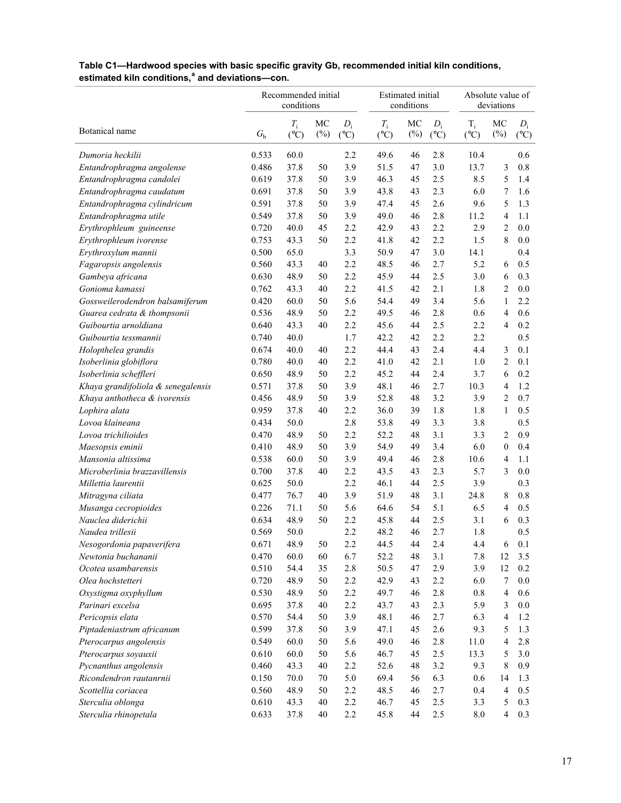|                                    |             | Recommended initial<br>conditions |              |                        |                          | <b>Estimated</b> initial<br>conditions |                        |                          | Absolute value of<br>deviations |                        |  |  |  |
|------------------------------------|-------------|-----------------------------------|--------------|------------------------|--------------------------|----------------------------------------|------------------------|--------------------------|---------------------------------|------------------------|--|--|--|
| Botanical name                     | $G_{\rm b}$ | $T_i$<br>$(^{\circ}C)$            | MC<br>$(\%)$ | $D_i$<br>$(^{\circ}C)$ | $T_i$<br>$({}^{\circ}C)$ | MC<br>$(\%)$                           | $D_i$<br>$(^{\circ}C)$ | $T_i$<br>$({}^{\circ}C)$ | MC<br>$(\%)$                    | $D_i$<br>$(^{\circ}C)$ |  |  |  |
| Dumoria heckilii                   | 0.533       | 60.0                              |              | 2.2                    | 49.6                     | 46                                     | 2.8                    | 10.4                     |                                 | 0.6                    |  |  |  |
| Entandrophragma angolense          | 0.486       | 37.8                              | 50           | 3.9                    | 51.5                     | 47                                     | 3.0                    | 13.7                     | 3                               | 0.8                    |  |  |  |
| Entandrophragma candolei           | 0.619       | 37.8                              | 50           | 3.9                    | 46.3                     | 45                                     | 2.5                    | 8.5                      | 5                               | 1.4                    |  |  |  |
| Entandrophragma caudatum           | 0.691       | 37.8                              | 50           | 3.9                    | 43.8                     | 43                                     | 2.3                    | 6.0                      | 7                               | 1.6                    |  |  |  |
| Entandrophragma cylindricum        | 0.591       | 37.8                              | 50           | 3.9                    | 47.4                     | 45                                     | 2.6                    | 9.6                      | 5                               | 1.3                    |  |  |  |
| Entandrophragma utile              | 0.549       | 37.8                              | 50           | 3.9                    | 49.0                     | 46                                     | 2.8                    | 11.2                     | $\overline{4}$                  | 1.1                    |  |  |  |
| Erythrophleum guineense            | 0.720       | 40.0                              | 45           | 2.2                    | 42.9                     | 43                                     | 2.2                    | 2.9                      | 2                               | 0.0                    |  |  |  |
| Erythrophleum ivorense             | 0.753       | 43.3                              | 50           | 2.2                    | 41.8                     | 42                                     | 2.2                    | 1.5                      | $\,$ 8 $\,$                     | $0.0\,$                |  |  |  |
| Erythroxylum mannii                | 0.500       | 65.0                              |              | 3.3                    | 50.9                     | 47                                     | 3.0                    | 14.1                     |                                 | 0.4                    |  |  |  |
| Fagaropsis angolensis              | 0.560       | 43.3                              | 40           | 2.2                    | 48.5                     | 46                                     | 2.7                    | 5.2                      | 6                               | 0.5                    |  |  |  |
| Gambeya africana                   | 0.630       | 48.9                              | 50           | 2.2                    | 45.9                     | 44                                     | 2.5                    | 3.0                      | 6                               | 0.3                    |  |  |  |
| Gonioma kamassi                    | 0.762       | 43.3                              | 40           | 2.2                    | 41.5                     | 42                                     | 2.1                    | 1.8                      | $\overline{c}$                  | 0.0                    |  |  |  |
| Gossweilerodendron balsamiferum    | 0.420       | 60.0                              | 50           | 5.6                    | 54.4                     | 49                                     | 3.4                    | 5.6                      | $\mathbf{1}$                    | 2.2                    |  |  |  |
| Guarea cedrata & thompsonii        | 0.536       | 48.9                              | 50           | 2.2                    | 49.5                     | 46                                     | 2.8                    | 0.6                      | $\overline{4}$                  | 0.6                    |  |  |  |
| Guibourtia arnoldiana              | 0.640       | 43.3                              | 40           | 2.2                    | 45.6                     | 44                                     | 2.5                    | 2.2                      | $\overline{4}$                  | 0.2                    |  |  |  |
| Guibourtia tessmannii              | 0.740       | 40.0                              |              | 1.7                    | 42.2                     | 42                                     | 2.2                    | 2.2                      |                                 | 0.5                    |  |  |  |
| Holopthelea grandis                | 0.674       | 40.0                              | 40           | 2.2                    | 44.4                     | 43                                     | 2.4                    | 4.4                      | 3                               | 0.1                    |  |  |  |
| Isoberlinia globiflora             | 0.780       | 40.0                              | 40           | 2.2                    | 41.0                     | 42                                     | 2.1                    | 1.0                      | 2                               | 0.1                    |  |  |  |
| Isoberlinia scheffleri             | 0.650       | 48.9                              | 50           | 2.2                    | 45.2                     | 44                                     | 2.4                    | 3.7                      | 6                               | 0.2                    |  |  |  |
| Khaya grandifoliola & senegalensis | 0.571       | 37.8                              | 50           | 3.9                    | 48.1                     | 46                                     | 2.7                    | 10.3                     | $\overline{4}$                  | 1.2                    |  |  |  |
| Khaya anthotheca & ivorensis       | 0.456       | 48.9                              | 50           | 3.9                    | 52.8                     | 48                                     | 3.2                    | 3.9                      | $\overline{c}$                  | 0.7                    |  |  |  |
| Lophira alata                      | 0.959       | 37.8                              | 40           | 2.2                    | 36.0                     | 39                                     | 1.8                    | 1.8                      | $\mathbf{1}$                    | 0.5                    |  |  |  |
| Lovoa klaineana                    | 0.434       | 50.0                              |              | 2.8                    | 53.8                     | 49                                     | 3.3                    | 3.8                      |                                 | 0.5                    |  |  |  |
| Lovoa trichilioides                | 0.470       | 48.9                              | 50           | 2.2                    | 52.2                     | 48                                     | 3.1                    | 3.3                      | 2                               | 0.9                    |  |  |  |
| Maesopsis eminii                   | 0.410       | 48.9                              | 50           | 3.9                    | 54.9                     | 49                                     | 3.4                    | 6.0                      | $\boldsymbol{0}$                | 0.4                    |  |  |  |
| Mansonia altissima                 | 0.538       | 60.0                              | 50           | 3.9                    | 49.4                     | 46                                     | 2.8                    | 10.6                     | $\overline{4}$                  | 1.1                    |  |  |  |
| Microberlinia brazzavillensis      | 0.700       | 37.8                              | 40           | 2.2                    | 43.5                     | 43                                     | 2.3                    | 5.7                      | 3                               | 0.0                    |  |  |  |
| Millettia laurentii                | 0.625       | 50.0                              |              | 2.2                    | 46.1                     | 44                                     | 2.5                    | 3.9                      |                                 | 0.3                    |  |  |  |
| Mitragyna ciliata                  | 0.477       | 76.7                              | 40           | 3.9                    | 51.9                     | 48                                     | 3.1                    | 24.8                     | 8                               | 0.8                    |  |  |  |
| Musanga cecropioides               | 0.226       | 71.1                              | 50           | 5.6                    | 64.6                     | 54                                     | 5.1                    | 6.5                      | $\overline{4}$                  | 0.5                    |  |  |  |
| Nauclea diderichii                 | 0.634       | 48.9                              | 50           | 2.2                    | 45.8                     | 44                                     | 2.5                    | 3.1                      | 6                               | 0.3                    |  |  |  |
| Naudea trillesii                   | 0.569       | 50.0                              |              | 2.2                    | 48.2                     | 46                                     | 2.7                    | 1.8                      |                                 | 0.5                    |  |  |  |
| Nesogordonia papaverifera          | 0.671       | 48.9                              | 50           | 2.2                    | 44.5                     | 44                                     | 2.4                    | 4.4                      | 6                               | 0.1                    |  |  |  |
| Newtonia buchananii                | 0.470       | 60.0                              | 60           | 6.7                    | 52.2                     | 48                                     | 3.1                    | 7.8                      | 12                              | 3.5                    |  |  |  |
| Ocotea usambarensis                | 0.510       | 54.4                              | 35           | 2.8                    | 50.5                     | 47                                     | 2.9                    | 3.9                      | 12                              | 0.2                    |  |  |  |
| Olea hochstetteri                  | 0.720       | 48.9                              | 50           | 2.2                    | 42.9                     | 43                                     | 2.2                    | 6.0                      | 7                               | 0.0                    |  |  |  |
| Oxystigma oxyphyllum               | 0.530       | 48.9                              | 50           | 2.2                    | 49.7                     | 46                                     | 2.8                    | 0.8                      | $\overline{4}$                  | 0.6                    |  |  |  |
| Parinari excelsa                   | 0.695       | 37.8                              | 40           | 2.2                    | 43.7                     | 43                                     | 2.3                    | 5.9                      | 3                               | 0.0                    |  |  |  |
| Pericopsis elata                   | 0.570       | 54.4                              | 50           | 3.9                    | 48.1                     | 46                                     | 2.7                    | 6.3                      | $\overline{4}$                  | 1.2                    |  |  |  |
| Piptadeniastrum africanum          | 0.599       | 37.8                              | 50           | 3.9                    | 47.1                     | 45                                     | 2.6                    | 9.3                      | 5                               | 1.3                    |  |  |  |
| Pterocarpus angolensis             | 0.549       | 60.0                              | 50           | 5.6                    | 49.0                     | 46                                     | $2.8\,$                | 11.0                     | 4                               | 2.8                    |  |  |  |
| Pterocarpus soyauxii               | 0.610       | 60.0                              | 50           | 5.6                    | 46.7                     | 45                                     | $2.5\,$                | 13.3                     | 5                               | 3.0                    |  |  |  |
| Pycnanthus angolensis              | 0.460       | 43.3                              | 40           | 2.2                    | 52.6                     | 48                                     | 3.2                    | 9.3                      | $\,$ 8 $\,$                     | 0.9                    |  |  |  |
| Ricondendron rautanrnii            | 0.150       | 70.0                              | 70           | $5.0\,$                | 69.4                     | 56                                     | 6.3                    | 0.6                      | 14                              | 1.3                    |  |  |  |
| Scottellia coriacea                | 0.560       | 48.9                              | 50           | 2.2                    | 48.5                     | 46                                     | 2.7                    | 0.4                      | $\overline{4}$                  | 0.5                    |  |  |  |
| Sterculia oblonga                  | 0.610       | 43.3                              | $40\,$       | 2.2                    | 46.7                     | 45                                     | $2.5\,$                | 3.3                      | 5                               | 0.3                    |  |  |  |
| Sterculia rhinopetala              | 0.633       | 37.8                              | $40\,$       | 2.2                    | 45.8                     | 44                                     | 2.5                    | 8.0                      | $\overline{4}$                  | 0.3                    |  |  |  |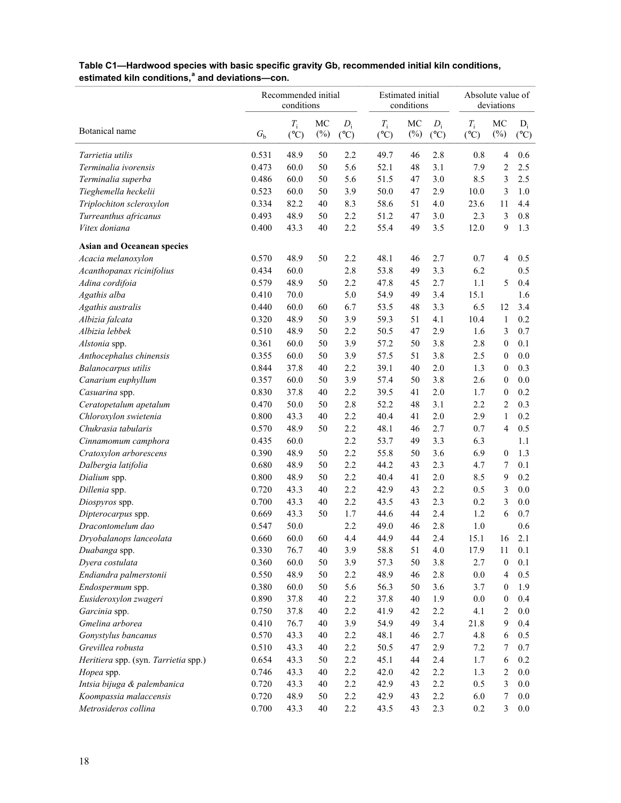|                                      |             | Recommended initial<br>conditions |              |                        | <b>Estimated</b> initial | conditions   |                        |                              | Absolute value of<br>deviations |                        |  |  |
|--------------------------------------|-------------|-----------------------------------|--------------|------------------------|--------------------------|--------------|------------------------|------------------------------|---------------------------------|------------------------|--|--|
| Botanical name                       | $G_{\rm b}$ | $T_{\rm i}$<br>$(^{\circ}C)$      | MC<br>$(\%)$ | $D_i$<br>$(^{\circ}C)$ | $T_i$<br>$({}^{\circ}C)$ | MC<br>$(\%)$ | $D_i$<br>$(^{\circ}C)$ | $T_{\rm i}$<br>$(^{\circ}C)$ | MC<br>$(\%)$                    | $D_i$<br>$(^{\circ}C)$ |  |  |
| Tarrietia utilis                     | 0.531       | 48.9                              | 50           | 2.2                    | 49.7                     | 46           | 2.8                    | 0.8                          | $\overline{4}$                  | 0.6                    |  |  |
| Terminalia ivorensis                 | 0.473       | 60.0                              | 50           | 5.6                    | 52.1                     | 48           | 3.1                    | 7.9                          | $\overline{c}$                  | 2.5                    |  |  |
| Terminalia superba                   | 0.486       | 60.0                              | 50           | 5.6                    | 51.5                     | 47           | 3.0                    | 8.5                          | 3                               | 2.5                    |  |  |
| Tieghemella heckelii                 | 0.523       | 60.0                              | 50           | 3.9                    | 50.0                     | 47           | 2.9                    | 10.0                         | 3                               | $1.0$                  |  |  |
| Triplochiton scleroxylon             | 0.334       | 82.2                              | 40           | 8.3                    | 58.6                     | 51           | 4.0                    | 23.6                         | 11                              | 4.4                    |  |  |
| Turreanthus africanus                | 0.493       | 48.9                              | 50           | 2.2                    | 51.2                     | 47           | 3.0                    | 2.3                          | 3                               | $0.8\,$                |  |  |
| Vitex doniana                        | 0.400       | 43.3                              | 40           | 2.2                    | 55.4                     | 49           | 3.5                    | 12.0                         | 9                               | 1.3                    |  |  |
| <b>Asian and Oceanean species</b>    |             |                                   |              |                        |                          |              |                        |                              |                                 |                        |  |  |
| Acacia melanoxylon                   | 0.570       | 48.9                              | 50           | 2.2                    | 48.1                     | 46           | 2.7                    | 0.7                          | $\overline{4}$                  | 0.5                    |  |  |
| Acanthopanax ricinifolius            | 0.434       | 60.0                              |              | 2.8                    | 53.8                     | 49           | 3.3                    | 6.2                          |                                 | 0.5                    |  |  |
| Adina cordifoia                      | 0.579       | 48.9                              | 50           | 2.2                    | 47.8                     | 45           | 2.7                    | 1.1                          | 5                               | 0.4                    |  |  |
| Agathis alba                         | 0.410       | 70.0                              |              | 5.0                    | 54.9                     | 49           | 3.4                    | 15.1                         |                                 | 1.6                    |  |  |
| Agathis australis                    | 0.440       | 60.0                              | 60           | 6.7                    | 53.5                     | 48           | 3.3                    | 6.5                          | 12                              | 3.4                    |  |  |
| Albizia falcata                      | 0.320       | 48.9                              | 50           | 3.9                    | 59.3                     | 51           | 4.1                    | 10.4                         | $\mathbf{1}$                    | 0.2                    |  |  |
| Albizia lebbek                       | 0.510       | 48.9                              | 50           | 2.2                    | 50.5                     | 47           | 2.9                    | 1.6                          | 3                               | 0.7                    |  |  |
| Alstonia spp.                        | 0.361       | 60.0                              | 50           | 3.9                    | 57.2                     | 50           | 3.8                    | 2.8                          | $\boldsymbol{0}$                | 0.1                    |  |  |
| Anthocephalus chinensis              | 0.355       | 60.0                              | 50           | 3.9                    | 57.5                     | 51           | 3.8                    | 2.5                          | $\boldsymbol{0}$                | 0.0                    |  |  |
| Balanocarpus utilis                  | 0.844       | 37.8                              | 40           | 2.2                    | 39.1                     | 40           | 2.0                    | 1.3                          | $\boldsymbol{0}$                | 0.3                    |  |  |
| Canarium euphyllum                   | 0.357       | 60.0                              | 50           | 3.9                    | 57.4                     | 50           | 3.8                    | 2.6                          | $\boldsymbol{0}$                | 0.0                    |  |  |
| Casuarina spp.                       | 0.830       | 37.8                              | 40           | 2.2                    | 39.5                     | 41           | 2.0                    | 1.7                          | $\boldsymbol{0}$                | 0.2                    |  |  |
| Ceratopetalum apetalum               | 0.470       | 50.0                              | 50           | 2.8                    | 52.2                     | 48           | 3.1                    | 2.2                          | $\overline{c}$                  | 0.3                    |  |  |
| Chloroxylon swietenia                | 0.800       | 43.3                              | 40           | 2.2                    | 40.4                     | 41           | 2.0                    | 2.9                          | $\mathbf{1}$                    | 0.2                    |  |  |
| Chukrasia tabularis                  | 0.570       | 48.9                              | 50           | 2.2                    | 48.1                     | 46           | 2.7                    | 0.7                          | $\overline{4}$                  | 0.5                    |  |  |
| Cinnamomum camphora                  | 0.435       | 60.0                              |              | 2.2                    | 53.7                     | 49           | 3.3                    | 6.3                          |                                 | 1.1                    |  |  |
| Cratoxylon arborescens               | 0.390       | 48.9                              | 50           | 2.2                    | 55.8                     | 50           | 3.6                    | 6.9                          | $\bf{0}$                        | 1.3                    |  |  |
| Dalbergia latifolia                  | 0.680       | 48.9                              | 50           | 2.2                    | 44.2                     | 43           | 2.3                    | 4.7                          | 7                               | 0.1                    |  |  |
| Dialium spp.                         | 0.800       | 48.9                              | 50           | 2.2                    | 40.4                     | 41           | 2.0                    | 8.5                          | 9                               | 0.2                    |  |  |
| Dillenia spp.                        | 0.720       | 43.3                              | 40           | 2.2                    | 42.9                     | 43           | 2.2                    | 0.5                          | 3                               | 0.0                    |  |  |
| Diospyros spp.                       | 0.700       | 43.3                              | 40           | 2.2                    | 43.5                     | 43           | 2.3                    | 0.2                          | 3                               | 0.0                    |  |  |
| Dipterocarpus spp.                   | 0.669       | 43.3                              | 50           | 1.7                    | 44.6                     | 44           | 2.4                    | 1.2                          | 6                               | 0.7                    |  |  |
| Dracontomelum dao                    | 0.547       | 50.0                              |              | 2.2                    | 49.0                     | 46           | 2.8                    | 1.0                          |                                 | 0.6                    |  |  |
| Dryobalanops lanceolata              | 0.660       | 60.0                              | 60           | 4.4                    | 44.9                     | 44           | 2.4                    | 15.1                         | 16                              | 2.1                    |  |  |
| Duabanga spp.                        | 0.330       | 76.7                              | 40           | 3.9                    | 58.8                     | 51           | $4.0$                  | 17.9                         | 11                              | 0.1                    |  |  |
| Dyera costulata                      | 0.360       | 60.0                              | 50           | 3.9                    | 57.3                     | 50           | $3.8$                  | 2.7                          | $\boldsymbol{0}$                | 0.1                    |  |  |
| Endiandra palmerstonii               | 0.550       | 48.9                              | 50           | 2.2                    | 48.9                     | 46           | $2.8\,$                | $0.0\,$                      | $\overline{4}$                  | 0.5                    |  |  |
| Endospermum spp.                     | 0.380       | 60.0                              | 50           | 5.6                    | 56.3                     | 50           | 3.6                    | 3.7                          | $\boldsymbol{0}$                | 1.9                    |  |  |
| Eusideroxylon zwageri                | 0.890       | 37.8                              | 40           | 2.2                    | 37.8                     | 40           | 1.9                    | $0.0\,$                      | $\boldsymbol{0}$                | 0.4                    |  |  |
| Garcinia spp.                        | 0.750       | 37.8                              | 40           | 2.2                    | 41.9                     | 42           | 2.2                    | 4.1                          | $\sqrt{2}$                      | $0.0\,$                |  |  |
| Gmelina arborea                      | 0.410       | 76.7                              | 40           | 3.9                    | 54.9                     | 49           | 3.4                    | 21.8                         | $\mathbf{9}$                    | 0.4                    |  |  |
| Gonystylus bancanus                  | 0.570       | 43.3                              | 40           | 2.2                    | 48.1                     | 46           | 2.7                    | 4.8                          | 6                               | 0.5                    |  |  |
| Grevillea robusta                    | 0.510       | 43.3                              | 40           | 2.2                    | 50.5                     | 47           | 2.9                    | 7.2                          | 7                               | 0.7                    |  |  |
| Heritiera spp. (syn. Tarrietia spp.) | 0.654       | 43.3                              | 50           | 2.2                    | 45.1                     | 44           | 2.4                    | 1.7                          | 6                               | 0.2                    |  |  |
| Hopea spp.                           | 0.746       | 43.3                              | 40           | 2.2                    | 42.0                     | 42           | 2.2                    | 1.3                          | $\sqrt{2}$                      | $0.0\,$                |  |  |
| Intsia bijuga & palembanica          | 0.720       | 43.3                              | 40           | 2.2                    | 42.9                     | 43           | 2.2                    | 0.5                          | 3                               | $0.0\,$                |  |  |
| Koompassia malaccensis               | 0.720       | 48.9                              | 50           | 2.2                    | 42.9                     | 43           | 2.2                    | 6.0                          | 7                               | 0.0                    |  |  |
| Metrosideros collina                 | 0.700       | 43.3                              | 40           | $2.2\,$                | 43.5                     | 43           | 2.3                    | 0.2                          | $\mathfrak{Z}$                  | $0.0\,$                |  |  |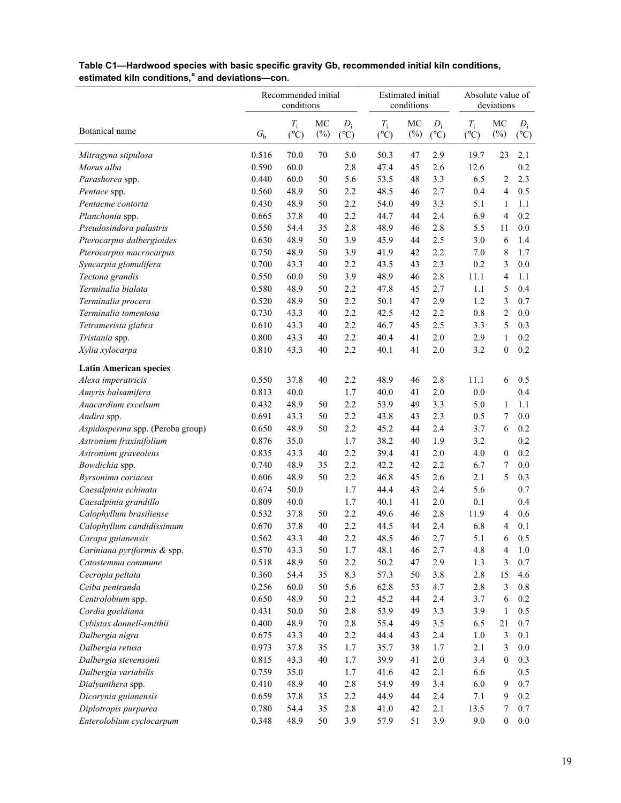|                                  |             | Recommended initial<br>conditions |              |                        |                                | Estimated initial<br>conditions |                        |                              | Absolute value of<br>deviations |                        |  |  |  |
|----------------------------------|-------------|-----------------------------------|--------------|------------------------|--------------------------------|---------------------------------|------------------------|------------------------------|---------------------------------|------------------------|--|--|--|
| Botanical name                   | $G_{\rm b}$ | $T_{\rm i}$<br>$(^{\circ}C)$      | MC<br>$(\%)$ | $D_i$<br>$(^{\circ}C)$ | $T_{\rm i}$<br>$({}^{\circ}C)$ | MC<br>$(\%)$                    | $D_i$<br>$(^{\circ}C)$ | $T_{\rm i}$<br>$(^{\circ}C)$ | MC<br>$(\%)$                    | $D_i$<br>$(^{\circ}C)$ |  |  |  |
| Mitragyna stipulosa              | 0.516       | 70.0                              | 70           | 5.0                    | 50.3                           | 47                              | 2.9                    | 19.7                         | 23                              | 2.1                    |  |  |  |
| Morus alba                       | 0.590       | 60.0                              |              | 2.8                    | 47.4                           | 45                              | 2.6                    | 12.6                         |                                 | 0.2                    |  |  |  |
| Parashorea spp.                  | 0.440       | 60.0                              | 50           | 5.6                    | 53.5                           | 48                              | 3.3                    | 6.5                          | 2                               | 2.3                    |  |  |  |
| Pentace spp.                     | 0.560       | 48.9                              | 50           | 2.2                    | 48.5                           | 46                              | 2.7                    | 0.4                          | $\overline{4}$                  | 0.5                    |  |  |  |
| Pentacme contorta                | 0.430       | 48.9                              | 50           | 2.2                    | 54.0                           | 49                              | 3.3                    | 5.1                          | 1                               | 1.1                    |  |  |  |
| Planchonia spp.                  | 0.665       | 37.8                              | 40           | 2.2                    | 44.7                           | 44                              | 2.4                    | 6.9                          | $\overline{4}$                  | 0.2                    |  |  |  |
| Pseudosindora palustris          | 0.550       | 54.4                              | 35           | 2.8                    | 48.9                           | 46                              | 2.8                    | 5.5                          | 11                              | 0.0                    |  |  |  |
| Pterocarpus dalbergioides        | 0.630       | 48.9                              | 50           | 3.9                    | 45.9                           | 44                              | 2.5                    | 3.0                          | 6                               | 1.4                    |  |  |  |
| Pterocarpus macrocarpus          | 0.750       | 48.9                              | 50           | 3.9                    | 41.9                           | 42                              | 2.2                    | 7.0                          | 8                               | 1.7                    |  |  |  |
| Syncarpia glomulifera            | 0.700       | 43.3                              | 40           | 2.2                    | 43.5                           | 43                              | 2.3                    | 0.2                          | 3                               | 0.0                    |  |  |  |
| Tectona grandis                  | 0.550       | 60.0                              | 50           | 3.9                    | 48.9                           | 46                              | 2.8                    | 11.1                         | $\overline{4}$                  | 1.1                    |  |  |  |
| Terminalia bialata               | 0.580       | 48.9                              | 50           | 2.2                    | 47.8                           | 45                              | 2.7                    | 1.1                          | 5                               | 0.4                    |  |  |  |
| Terminalia procera               | 0.520       | 48.9                              | 50           | 2.2                    | 50.1                           | 47                              | 2.9                    | 1.2                          | 3                               | 0.7                    |  |  |  |
| Terminalia tomentosa             | 0.730       | 43.3                              | 40           | 2.2                    | 42.5                           | 42                              | 2.2                    | 0.8                          | $\sqrt{2}$                      | 0.0                    |  |  |  |
| Tetramerista glabra              | 0.610       | 43.3                              | 40           | 2.2                    | 46.7                           | 45                              | 2.5                    | 3.3                          | 5                               | 0.3                    |  |  |  |
| Tristania spp.                   | 0.800       | 43.3                              | 40           | 2.2                    | 40.4                           | 41                              | 2.0                    | 2.9                          | $\mathbf{1}$                    | 0.2                    |  |  |  |
| Xylia xylocarpa                  | 0.810       | 43.3                              | 40           | 2.2                    | 40.1                           | 41                              | 2.0                    | 3.2                          | $\boldsymbol{0}$                | 0.2                    |  |  |  |
| <b>Latin American species</b>    |             |                                   |              |                        |                                |                                 |                        |                              |                                 |                        |  |  |  |
| Alexa imperatricis               | 0.550       | 37.8                              | 40           | 2.2                    | 48.9                           | 46                              | 2.8                    | 11.1                         | 6                               | 0.5                    |  |  |  |
| Amyris balsamifera               | 0.813       | 40.0                              |              | 1.7                    | 40.0                           | 41                              | 2.0                    | 0.0                          |                                 | 0.4                    |  |  |  |
| Anacardium excelsum              | 0.432       | 48.9                              | 50           | 2.2                    | 53.9                           | 49                              | 3.3                    | 5.0                          | $\mathbf{1}$                    | 1.1                    |  |  |  |
| Andira spp.                      | 0.691       | 43.3                              | 50           | 2.2                    | 43.8                           | 43                              | 2.3                    | 0.5                          | 7                               | 0.0                    |  |  |  |
| Aspidosperma spp. (Peroba group) | 0.650       | 48.9                              | 50           | 2.2                    | 45.2                           | 44                              | 2.4                    | 3.7                          | 6                               | 0.2                    |  |  |  |
| Astronium fraxinifolium          | 0.876       | 35.0                              |              | 1.7                    | 38.2                           | 40                              | 1.9                    | 3.2                          |                                 | 0.2                    |  |  |  |
| Astronium graveolens             | 0.835       | 43.3                              | 40           | 2.2                    | 39.4                           | 41                              | 2.0                    | 4.0                          | $\boldsymbol{0}$                | 0.2                    |  |  |  |
| Bowdichia spp.                   | 0.740       | 48.9                              | 35           | 2.2                    | 42.2                           | 42                              | 2.2                    | 6.7                          | 7                               | 0.0                    |  |  |  |
| Byrsonima coriacea               | 0.606       | 48.9                              | 50           | 2.2                    | 46.8                           | 45                              | 2.6                    | 2.1                          | 5                               | 0.3                    |  |  |  |
| Caesalpinia echinata             | 0.674       | 50.0                              |              | 1.7                    | 44.4                           | 43                              | 2.4                    | 5.6                          |                                 | 0.7                    |  |  |  |
| Caesalpinia grandillo            | 0.809       | 40.0                              |              | 1.7                    | 40.1                           | 41                              | 2.0                    | 0.1                          |                                 | 0.4                    |  |  |  |
| Calophyllum brasiliense          | 0.532       | 37.8                              | 50           | 2.2                    | 49.6                           | 46                              | 2.8                    | 11.9                         | 4                               | 0.6                    |  |  |  |
| Calophyllum candidissimum        | 0.670       | 37.8                              | 40           | 2.2                    | 44.5                           | 44                              | 2.4                    | 6.8                          | $\overline{4}$                  | 0.1                    |  |  |  |
| Carapa guianensis                | 0.562       | 43.3                              | 40           | 2.2                    | 48.5                           | 46                              | 2.7                    | 5.1                          | 6                               | 0.5                    |  |  |  |
| Cariniana pyriformis & spp.      | 0.570       | 43.3                              | 50           | 1.7                    | 48.1                           | 46                              | 2.7                    | 4.8                          | $\overline{4}$                  | $1.0\,$                |  |  |  |
| Catostemma commune               | 0.518       | 48.9                              | 50           | 2.2                    | 50.2                           | 47                              | 2.9                    | 1.3                          | 3                               | 0.7                    |  |  |  |
| Cecropia peltata                 | 0.360       | 54.4                              | 35           | 8.3                    | 57.3                           | 50                              | $3.8$                  | 2.8                          | 15                              | 4.6                    |  |  |  |
| Ceiba pentranda                  | 0.256       | 60.0                              | 50           | 5.6                    | 62.8                           | 53                              | 4.7                    | 2.8                          | 3                               | $0.8\,$                |  |  |  |
| Centrolobium spp.                | 0.650       | 48.9                              | 50           | 2.2                    | 45.2                           | 44                              | 2.4                    | 3.7                          | 6                               | 0.2                    |  |  |  |
| Cordia goeldiana                 | 0.431       | 50.0                              | 50           | 2.8                    | 53.9                           | 49                              | 3.3                    | 3.9                          | $\mathbf{1}$                    | 0.5                    |  |  |  |
| Cybistax donnell-smithii         | 0.400       | 48.9                              | $70\,$       | 2.8                    | 55.4                           | 49                              | $3.5$                  | 6.5                          | 21                              | 0.7                    |  |  |  |
| Dalbergia nigra                  | 0.675       | 43.3                              | 40           | 2.2                    | 44.4                           | 43                              | 2.4                    | 1.0                          | 3                               | 0.1                    |  |  |  |
| Dalbergia retusa                 | 0.973       | 37.8                              | 35           | 1.7                    | 35.7                           | 38                              | 1.7                    | 2.1                          | 3                               | $0.0\,$                |  |  |  |
| Dalbergia stevensonii            | 0.815       | 43.3                              | 40           | 1.7                    | 39.9                           | 41                              | $2.0\,$                | 3.4                          | $\boldsymbol{0}$                | 0.3                    |  |  |  |
| Dalbergia variabilis             | 0.759       | 35.0                              |              | 1.7                    | 41.6                           | 42                              | 2.1                    | 6.6                          |                                 | 0.5                    |  |  |  |
| Dialyanthera spp.                | 0.410       | 48.9                              | 40           | 2.8                    | 54.9                           | 49                              | 3.4                    | 6.0                          | 9                               | 0.7                    |  |  |  |
| Dicorynia guianensis             | 0.659       | 37.8                              | 35           | 2.2                    | 44.9                           | 44                              | 2.4                    | 7.1                          | 9                               | 0.2                    |  |  |  |
| Diplotropis purpurea             | 0.780       | 54.4                              | 35           | 2.8                    | 41.0                           | 42                              | 2.1                    | 13.5                         | 7                               | 0.7                    |  |  |  |
| Enterolobium cyclocarpum         | 0.348       | 48.9                              | 50           | 3.9                    | 57.9                           | 51                              | 3.9                    | 9.0                          | $\boldsymbol{0}$                | $0.0\,$                |  |  |  |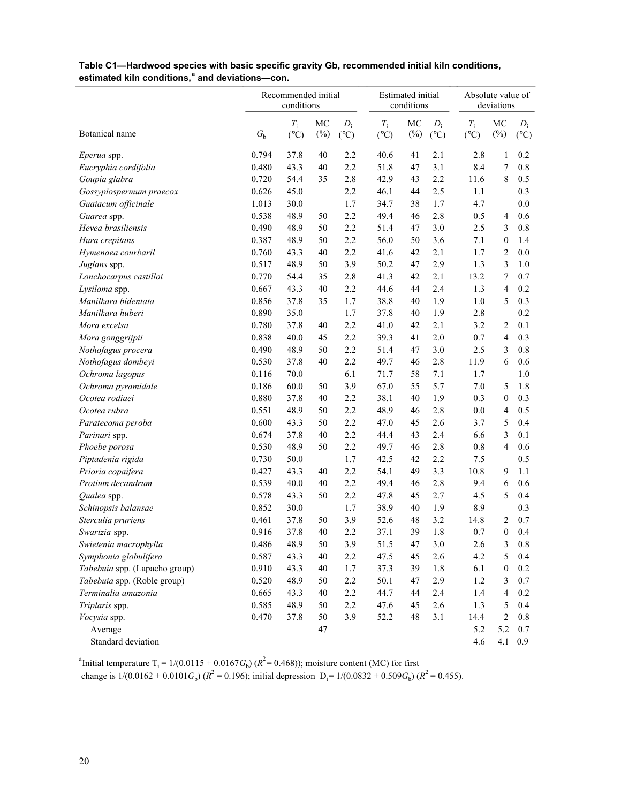| Table C1—Hardwood species with basic specific gravity Gb, recommended initial kiln conditions, |
|------------------------------------------------------------------------------------------------|
| estimated kiln conditions, <sup>a</sup> and deviations-con.                                    |

|                               |             | Recommended initial<br>conditions |              |                        |                                | <b>Estimated</b> initial<br>conditions |                        |                              | Absolute value of<br>deviations |                        |  |  |
|-------------------------------|-------------|-----------------------------------|--------------|------------------------|--------------------------------|----------------------------------------|------------------------|------------------------------|---------------------------------|------------------------|--|--|
| Botanical name                | $G_{\rm b}$ | $T_i$<br>$(^{\circ}C)$            | MC<br>$(\%)$ | $D_i$<br>$(^{\circ}C)$ | $T_{\rm i}$<br>$({}^{\circ}C)$ | MC<br>$(\%)$                           | $D_i$<br>$(^{\circ}C)$ | $T_{\rm i}$<br>$(^{\circ}C)$ | MC<br>$(\%)$                    | $D_i$<br>$(^{\circ}C)$ |  |  |
| Eperua spp.                   | 0.794       | 37.8                              | 40           | 2.2                    | 40.6                           | 41                                     | 2.1                    | 2.8                          | 1                               | 0.2                    |  |  |
| Eucryphia cordifolia          | 0.480       | 43.3                              | 40           | 2.2                    | 51.8                           | 47                                     | 3.1                    | 8.4                          | 7                               | 0.8                    |  |  |
| Goupia glabra                 | 0.720       | 54.4                              | 35           | 2.8                    | 42.9                           | 43                                     | 2.2                    | 11.6                         | 8                               | 0.5                    |  |  |
| Gossypiospermum praecox       | 0.626       | 45.0                              |              | 2.2                    | 46.1                           | 44                                     | 2.5                    | 1.1                          |                                 | 0.3                    |  |  |
| Guaiacum officinale           | 1.013       | 30.0                              |              | 1.7                    | 34.7                           | 38                                     | 1.7                    | 4.7                          |                                 | 0.0                    |  |  |
| Guarea spp.                   | 0.538       | 48.9                              | 50           | 2.2                    | 49.4                           | 46                                     | 2.8                    | 0.5                          | 4                               | 0.6                    |  |  |
| Hevea brasiliensis            | 0.490       | 48.9                              | 50           | 2.2                    | 51.4                           | 47                                     | 3.0                    | 2.5                          | 3                               | 0.8                    |  |  |
| Hura crepitans                | 0.387       | 48.9                              | 50           | 2.2                    | 56.0                           | 50                                     | 3.6                    | 7.1                          | $\boldsymbol{0}$                | 1.4                    |  |  |
| Hymenaea courbaril            | 0.760       | 43.3                              | 40           | 2.2                    | 41.6                           | 42                                     | 2.1                    | 1.7                          | 2                               | 0.0                    |  |  |
| Juglans spp.                  | 0.517       | 48.9                              | 50           | 3.9                    | 50.2                           | 47                                     | 2.9                    | 1.3                          | 3                               | 1.0                    |  |  |
| Lonchocarpus castilloi        | 0.770       | 54.4                              | 35           | 2.8                    | 41.3                           | 42                                     | 2.1                    | 13.2                         | 7                               | 0.7                    |  |  |
| Lysiloma spp.                 | 0.667       | 43.3                              | 40           | 2.2                    | 44.6                           | 44                                     | 2.4                    | 1.3                          | 4                               | 0.2                    |  |  |
| Manilkara bidentata           | 0.856       | 37.8                              | 35           | 1.7                    | 38.8                           | 40                                     | 1.9                    | 1.0                          | 5                               | 0.3                    |  |  |
| Manilkara huberi              | 0.890       | 35.0                              |              | 1.7                    | 37.8                           | 40                                     | 1.9                    | 2.8                          |                                 | 0.2                    |  |  |
| Mora excelsa                  | 0.780       | 37.8                              | 40           | 2.2                    | 41.0                           | 42                                     | 2.1                    | 3.2                          | 2                               | 0.1                    |  |  |
| Mora gonggrijpii              | 0.838       | 40.0                              | 45           | 2.2                    | 39.3                           | 41                                     | 2.0                    | 0.7                          | 4                               | 0.3                    |  |  |
| Nothofagus procera            | 0.490       | 48.9                              | 50           | 2.2                    | 51.4                           | 47                                     | 3.0                    | 2.5                          | 3                               | 0.8                    |  |  |
| Nothofagus dombeyi            | 0.530       | 37.8                              | 40           | 2.2                    | 49.7                           | 46                                     | 2.8                    | 11.9                         | 6                               | 0.6                    |  |  |
| Ochroma lagopus               | 0.116       | 70.0                              |              | 6.1                    | 71.7                           | 58                                     | 7.1                    | 1.7                          |                                 | 1.0                    |  |  |
| Ochroma pyramidale            | 0.186       | 60.0                              | 50           | 3.9                    | 67.0                           | 55                                     | 5.7                    | 7.0                          | 5                               | 1.8                    |  |  |
| Ocotea rodiaei                | 0.880       | 37.8                              | 40           | 2.2                    | 38.1                           | 40                                     | 1.9                    | 0.3                          | $\boldsymbol{0}$                | 0.3                    |  |  |
| Ocotea rubra                  | 0.551       | 48.9                              | 50           | 2.2                    | 48.9                           | 46                                     | 2.8                    | 0.0                          | 4                               | 0.5                    |  |  |
| Paratecoma peroba             | 0.600       | 43.3                              | 50           | 2.2                    | 47.0                           | 45                                     | 2.6                    | 3.7                          | 5                               | 0.4                    |  |  |
| Parinari spp.                 | 0.674       | 37.8                              | 40           | 2.2                    | 44.4                           | 43                                     | 2.4                    | 6.6                          | 3                               | 0.1                    |  |  |
| Phoebe porosa                 | 0.530       | 48.9                              | 50           | 2.2                    | 49.7                           | 46                                     | 2.8                    | 0.8                          | $\overline{\mathcal{L}}$        | 0.6                    |  |  |
| Piptadenia rigida             | 0.730       | 50.0                              |              | 1.7                    | 42.5                           | 42                                     | 2.2                    | 7.5                          |                                 | 0.5                    |  |  |
| Prioria copaifera             | 0.427       | 43.3                              | 40           | 2.2                    | 54.1                           | 49                                     | 3.3                    | 10.8                         | 9                               | 1.1                    |  |  |
| Protium decandrum             | 0.539       | 40.0                              | 40           | 2.2                    | 49.4                           | 46                                     | 2.8                    | 9.4                          | 6                               | 0.6                    |  |  |
| Qualea spp.                   | 0.578       | 43.3                              | 50           | 2.2                    | 47.8                           | 45                                     | 2.7                    | 4.5                          | 5                               | 0.4                    |  |  |
| Schinopsis balansae           | 0.852       | 30.0                              |              | 1.7                    | 38.9                           | 40                                     | 1.9                    | 8.9                          |                                 | 0.3                    |  |  |
| Sterculia pruriens            | 0.461       | 37.8                              | 50           | 3.9                    | 52.6                           | 48                                     | 3.2                    | 14.8                         | 2                               | 0.7                    |  |  |
| Swartzia spp.                 | 0.916       | 37.8                              | 40           | 2.2                    | 37.1                           | 39                                     | 1.8                    | 0.7                          | $\boldsymbol{0}$                | 0.4                    |  |  |
| Swietenia macrophylla         | 0.486       | 48.9                              | 50           | 3.9                    | 51.5                           | 47                                     | 3.0                    | 2.6                          | 3                               | 0.8                    |  |  |
| Symphonia globulifera         | 0.587       | 43.3                              | 40           | 2.2                    | 47.5                           | 45                                     | 2.6                    | 4.2                          | 5                               | 0.4                    |  |  |
| Tabebuia spp. (Lapacho group) | 0.910       | 43.3                              | 40           | 1.7                    | 37.3                           | 39                                     | 1.8                    | 6.1                          | $\boldsymbol{0}$                | 0.2                    |  |  |
| Tabebuia spp. (Roble group)   | 0.520       | 48.9                              | 50           | 2.2                    | 50.1                           | 47                                     | 2.9                    | 1.2                          | 3                               | 0.7                    |  |  |
| Terminalia amazonia           | 0.665       | 43.3                              | 40           | 2.2                    | 44.7                           | 44                                     | 2.4                    | 1.4                          | $\overline{\mathcal{L}}$        | 0.2                    |  |  |
| Triplaris spp.                | 0.585       | 48.9                              | 50           | 2.2                    | 47.6                           | 45                                     | 2.6                    | 1.3                          | 5                               | 0.4                    |  |  |
| Vocysia spp.                  | 0.470       | 37.8                              | 50           | 3.9                    | 52.2                           | 48                                     | 3.1                    | 14.4                         | $\overline{c}$                  | 0.8                    |  |  |
| Average                       |             |                                   | 47           |                        |                                |                                        |                        | 5.2                          | 5.2                             | 0.7                    |  |  |
| Standard deviation            |             |                                   |              |                        |                                |                                        |                        | 4.6                          | 4.1                             | 0.9                    |  |  |

<sup>a</sup>Initial temperature T<sub>i</sub> = 1/(0.0115 + 0.0167 $G_b$ ) ( $R^2$  = 0.468)); moisture content (MC) for first

change is  $1/(0.0162 + 0.0101G_b)$  ( $R^2 = 0.196$ ); initial depression  $D_i = 1/(0.0832 + 0.509G_b)$  ( $R^2 = 0.455$ ).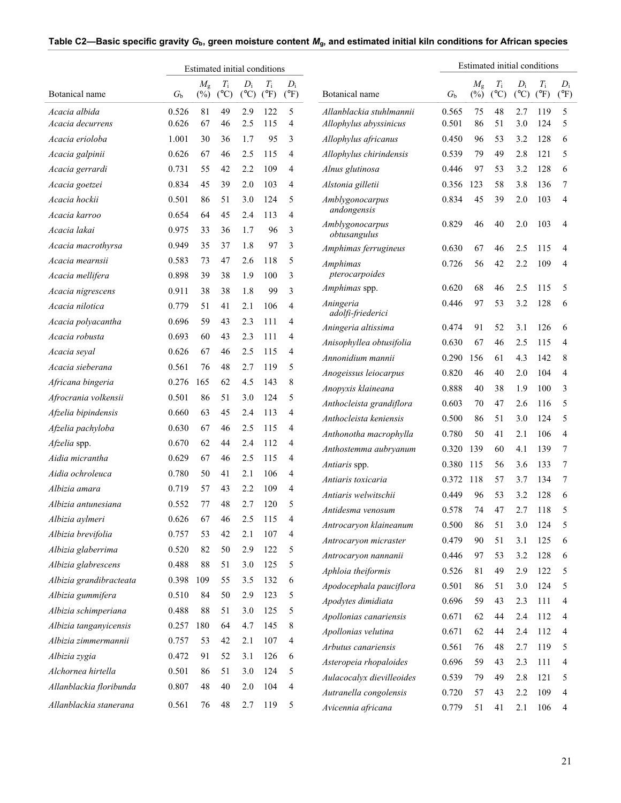| Estimated initial conditions |           |                       |                              |                        |                              |                        |                                                 |                |                       |                              |                        | Estimated initial conditions |                        |
|------------------------------|-----------|-----------------------|------------------------------|------------------------|------------------------------|------------------------|-------------------------------------------------|----------------|-----------------------|------------------------------|------------------------|------------------------------|------------------------|
| Botanical name               | $G_{b}$   | $M_{\rm g}$<br>$(\%)$ | $T_{\rm i}$<br>$(^{\circ}C)$ | $D_i$<br>$(^{\circ}C)$ | $T_{\rm i}$<br>$(^{\circ}F)$ | $D_i$<br>$(^{\circ}F)$ | Botanical name                                  | $G_{\rm b}$    | $M_{\rm g}$<br>$(\%)$ | $T_{\rm i}$<br>$(^{\circ}C)$ | $D_i$<br>$(^{\circ}C)$ | $T_{\rm i}$<br>$(^{\circ}F)$ | $D_i$<br>$(^{\circ}F)$ |
| Acacia albida                | 0.526     | 81                    | 49                           | 2.9                    | 122                          | 5                      | Allanblackia stuhlmannii                        | 0.565          | 75                    | 48                           | 2.7                    | 119                          | 5                      |
| Acacia decurrens             | 0.626     | 67                    | 46                           | 2.5                    | 115                          | 4                      | Allophylus abyssinicus                          | 0.501          | 86                    | 51                           | 3.0                    | 124                          | 5                      |
| Acacia erioloba              | 1.001     | 30                    | 36                           | 1.7                    | 95                           | 3                      | Allophylus africanus                            | 0.450          | 96                    | 53                           | 3.2                    | 128                          | 6                      |
| Acacia galpinii              | 0.626     | 67                    | 46                           | 2.5                    | 115                          | 4                      | Allophylus chirindensis                         | 0.539          | 79                    | 49                           | 2.8                    | 121                          | 5                      |
| Acacia gerrardi              | 0.731     | 55                    | 42                           | 2.2                    | 109                          | 4                      | Alnus glutinosa                                 | 0.446          | 97                    | 53                           | 3.2                    | 128                          | 6                      |
| Acacia goetzei               | 0.834     | 45                    | 39                           | 2.0                    | 103                          | 4                      | Alstonia gilletii                               | 0.356          | 123                   | 58                           | 3.8                    | 136                          | 7                      |
| Acacia hockii                | 0.501     | 86                    | 51                           | 3.0                    | 124                          | 5                      | Amblygonocarpus                                 | 0.834          | 45                    | 39                           | 2.0                    | 103                          | 4                      |
| Acacia karroo                | 0.654     | 64                    | 45                           | 2.4                    | 113                          | $\overline{4}$         | andongensis                                     |                |                       |                              |                        |                              |                        |
| Acacia lakai                 | 0.975     | 33                    | 36                           | 1.7                    | 96                           | 3                      | Amblygonocarpus<br>obtusangulus                 | 0.829          | 46                    | 40                           | 2.0                    | 103                          | 4                      |
| Acacia macrothyrsa           | 0.949     | 35                    | 37                           | 1.8                    | 97                           | 3                      | Amphimas ferrugineus                            | 0.630          | 67                    | 46                           | 2.5                    | 115                          | 4                      |
| Acacia mearnsii              | 0.583     | 73                    | 47                           | 2.6                    | 118                          | 5                      | <b>Amphimas</b>                                 | 0.726          | 56                    | 42                           | 2.2                    | 109                          | 4                      |
| Acacia mellifera             | 0.898     | 39                    | 38                           | 1.9                    | 100                          | 3                      | pterocarpoides                                  |                |                       |                              |                        |                              |                        |
| Acacia nigrescens            | 0.911     | 38                    | 38                           | 1.8                    | 99                           | 3                      | Amphimas spp.                                   | 0.620          | 68                    | 46                           | 2.5                    | 115                          | 5                      |
| Acacia nilotica              | 0.779     | 51                    | 41                           | 2.1                    | 106                          | $\overline{4}$         | Aningeria<br>adolfi-friederici                  | 0.446          | 97                    | 53                           | 3.2                    | 128                          | 6                      |
| Acacia polyacantha           | 0.696     | 59                    | 43                           | 2.3                    | 111                          | 4                      | Aningeria altissima                             | 0.474          | 91                    | 52                           | 3.1                    | 126                          | 6                      |
| Acacia robusta               | 0.693     | 60                    | 43                           | 2.3                    | 111                          | 4                      | Anisophyllea obtusifolia                        | 0.630          | 67                    | 46                           | 2.5                    | 115                          | 4                      |
| Acacia seyal                 | 0.626     | 67                    | 46                           | 2.5                    | 115                          | 4                      | Annonidium mannii                               | 0.290          | 156                   | 61                           | 4.3                    | 142                          | 8                      |
| Acacia sieberana             | 0.561     | 76                    | 48                           | 2.7                    | 119                          | 5                      | Anogeissus leiocarpus                           | 0.820          | 46                    | 40                           | 2.0                    | 104                          | 4                      |
| Africana bingeria            | 0.276     | 165                   | 62                           | 4.5                    | 143                          | 8                      | Anopyxis klaineana                              | 0.888          | 40                    | 38                           | 1.9                    | 100                          | 3                      |
| Afrocrania volkensii         | 0.501     | 86                    | 51                           | 3.0                    | 124                          | 5                      | Anthocleista grandiflora                        | 0.603          | 70                    | 47                           | 2.6                    | 116                          | 5                      |
| Afzelia bipindensis          | 0.660     | 63                    | 45                           | 2.4                    | 113                          | 4                      | Anthocleista keniensis                          | 0.500          | 86                    | 51                           | 3.0                    | 124                          | 5                      |
| Afzelia pachyloba            | 0.630     | 67                    | 46                           | 2.5                    | 115                          | 4                      | Anthonotha macrophylla                          | 0.780          | 50                    | 41                           | 2.1                    | 106                          | $\overline{4}$         |
| Afzelia spp.                 | 0.670     | 62                    | 44                           | 2.4                    | 112                          | $\overline{4}$         | Anthostemma aubryanum                           | 0.320          | 139                   | 60                           | 4.1                    | 139                          | 7                      |
| Aidia micrantha              | 0.629     | 67                    | 46                           | 2.5                    | 115                          | $\overline{4}$         | Antiaris spp.                                   | 0.380          | 115                   | 56                           | 3.6                    | 133                          | 7                      |
| Aidia ochroleuca             | 0.780     | 50                    | 41                           | 2.1                    | 106                          | 4                      | Antiaris toxicaria                              | 0.372          | 118                   | 57                           | 3.7                    | 134                          | 7                      |
| Albizia amara                | 0.719     | 57                    | 43                           | 2.2                    | 109                          | 4                      | Antiaris welwitschii                            | 0.449          | 96                    | 53                           | 3.2                    | 128                          | 6                      |
| Albizia antunesiana          | 0.552     | 77                    | 48                           | 2.7                    | 120                          | 5                      |                                                 | 0.578          | 74                    | 47                           | 2.7                    | 118                          |                        |
| Albizia aylmeri              | 0.626     | 67                    | 46                           | 2.5                    | 115                          | 4                      | Antidesma venosum                               | 0.500          | 86                    | 51                           | 3.0                    | 124                          | 5                      |
| Albizia brevifolia           | 0.757     | 53                    | 42                           | 2.1                    | 107                          | 4                      | Antrocaryon klaineanum<br>Antrocaryon micraster | 0.479          | 90                    | 51                           | 3.1                    | 125                          | 6                      |
| Albizia glaberrima           | 0.520     | 82                    | 50                           | 2.9                    | 122                          | 5                      | Antrocaryon nannanii                            | 0.446          | 97                    | 53                           | 3.2                    | 128                          | 6                      |
| Albizia glabrescens          | 0.488     | 88                    | 51                           | 3.0                    | 125                          | 5                      | Aphloia theiformis                              | 0.526          | 81                    | 49                           | 2.9                    | 122                          | 5                      |
| Albizia grandibracteata      | 0.398 109 |                       | 55                           | 3.5                    | 132                          | 6                      |                                                 | 0.501          | 86                    | 51                           | 3.0                    | 124                          | 5                      |
| Albizia gummifera            | 0.510     | 84                    | 50                           | 2.9                    | 123                          | 5                      | Apodocephala pauciflora                         |                | 59                    | 43                           | 2.3                    |                              |                        |
| Albizia schimperiana         | 0.488     | 88                    | 51                           | 3.0                    | 125                          | 5                      | Apodytes dimidiata<br>Apollonias canariensis    | 0.696<br>0.671 | 62                    | 44                           | 2.4                    | 111<br>112                   | 4<br>4                 |
| Albizia tanganyicensis       | 0.257     | 180                   | 64                           | 4.7                    | 145                          | 8                      | Apollonias velutina                             | 0.671          | 62                    | 44                           | 2.4                    | 112                          | 4                      |
| Albizia zimmermannii         | 0.757     | 53                    | 42                           | 2.1                    | 107                          | 4                      | Arbutus canariensis                             |                |                       |                              |                        |                              |                        |
| Albizia zygia                | 0.472     | 91                    | 52                           | 3.1                    | 126                          | 6                      |                                                 | 0.561          | 76                    | 48                           | 2.7                    | 119                          | 5                      |
| Alchornea hirtella           | 0.501     | 86                    | 51                           | 3.0                    | 124                          | 5                      | Asteropeia rhopaloides                          | 0.696          | 59                    | 43                           | 2.3                    | 111                          | 4                      |
| Allanblackia floribunda      | 0.807     | 48                    | 40                           | 2.0                    | 104                          | 4                      | Aulacocalyx dievilleoides                       | 0.539          | 79                    | 49                           | 2.8                    | 121                          | 5                      |
| Allanblackia stanerana       | 0.561     | 76                    | 48                           | 2.7                    | 119                          | 5                      | Autranella congolensis<br>Avicennia africana    | 0.720<br>0.779 | 57<br>51              | 43<br>41                     | 2.2<br>2.1             | 109<br>106                   | 4<br>4                 |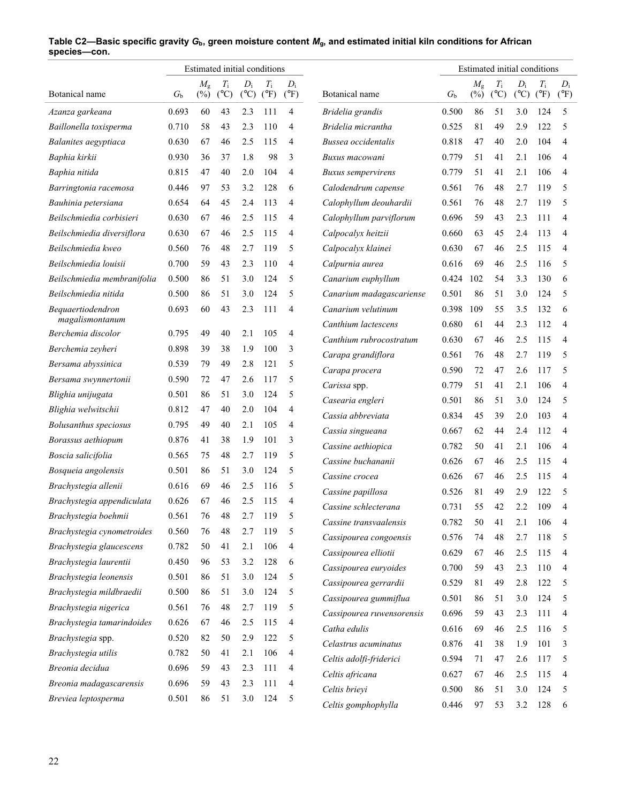|                                       | Estimated initial conditions |                       |                              |                          |                              |                        | Estimated initial conditions |                |                       |                              |                          |                              |                        |
|---------------------------------------|------------------------------|-----------------------|------------------------------|--------------------------|------------------------------|------------------------|------------------------------|----------------|-----------------------|------------------------------|--------------------------|------------------------------|------------------------|
| Botanical name                        | $G_{b}$                      | $M_{\rm g}$<br>$(\%)$ | $T_{\rm i}$<br>$(^{\circ}C)$ | $D_i$<br>$({}^{\circ}C)$ | $T_{\rm i}$<br>$(^{\circ}F)$ | $D_i$<br>$(^{\circ}F)$ | Botanical name               | G <sub>b</sub> | $M_{\rm g}$<br>$(\%)$ | $T_{\rm i}$<br>$(^{\circ}C)$ | $D_i$<br>$({}^{\circ}C)$ | $T_{\rm i}$<br>$(^{\circ}F)$ | $D_i$<br>$(^{\circ}F)$ |
| Azanza garkeana                       | 0.693                        | 60                    | 43                           | 2.3                      | 111                          | $\overline{4}$         | Bridelia grandis             | 0.500          | 86                    | 51                           | 3.0                      | 124                          | 5                      |
| Baillonella toxisperma                | 0.710                        | 58                    | 43                           | 2.3                      | 110                          | $\overline{4}$         | Bridelia micrantha           | 0.525          | 81                    | 49                           | 2.9                      | 122                          | 5                      |
| Balanites aegyptiaca                  | 0.630                        | 67                    | 46                           | 2.5                      | 115                          | 4                      | Bussea occidentalis          | 0.818          | 47                    | 40                           | 2.0                      | 104                          | $\overline{4}$         |
| Baphia kirkii                         | 0.930                        | 36                    | 37                           | 1.8                      | 98                           | 3                      | Buxus macowani               | 0.779          | 51                    | 41                           | 2.1                      | 106                          | $\overline{4}$         |
| Baphia nitida                         | 0.815                        | 47                    | 40                           | 2.0                      | 104                          | 4                      | <b>Buxus</b> sempervirens    | 0.779          | 51                    | 41                           | 2.1                      | 106                          | $\overline{4}$         |
| Barringtonia racemosa                 | 0.446                        | 97                    | 53                           | 3.2                      | 128                          | 6                      | Calodendrum capense          | 0.561          | 76                    | 48                           | 2.7                      | 119                          | 5                      |
| Bauhinia petersiana                   | 0.654                        | 64                    | 45                           | 2.4                      | 113                          | 4                      | Calophyllum deouhardii       | 0.561          | 76                    | 48                           | 2.7                      | 119                          | 5                      |
| Beilschmiedia corbisieri              | 0.630                        | 67                    | 46                           | 2.5                      | 115                          | $\overline{4}$         | Calophyllum parviflorum      | 0.696          | 59                    | 43                           | 2.3                      | 111                          | 4                      |
| Beilschmiedia diversiflora            | 0.630                        | 67                    | 46                           | 2.5                      | 115                          | 4                      | Calpocalyx heitzii           | 0.660          | 63                    | 45                           | 2.4                      | 113                          | $\overline{4}$         |
| Beilschmiedia kweo                    | 0.560                        | 76                    | 48                           | 2.7                      | 119                          | 5                      | Calpocalyx klainei           | 0.630          | 67                    | 46                           | 2.5                      | 115                          | $\overline{4}$         |
| Beilschmiedia louisii                 | 0.700                        | 59                    | 43                           | 2.3                      | 110                          | $\overline{4}$         | Calpurnia aurea              | 0.616          | 69                    | 46                           | 2.5                      | 116                          | 5                      |
| Beilschmiedia membranifolia           | 0.500                        | 86                    | 51                           | 3.0                      | 124                          | 5                      | Canarium euphyllum           | 0.424          | 102                   | 54                           | 3.3                      | 130                          | 6                      |
| Beilschmiedia nitida                  | 0.500                        | 86                    | 51                           | 3.0                      | 124                          | 5                      | Canarium madagascariense     | 0.501          | 86                    | 51                           | 3.0                      | 124                          | 5                      |
| Bequaertiodendron                     | 0.693                        | 60                    | 43                           | 2.3                      | 111                          | $\overline{4}$         | Canarium velutinum           | 0.398          | 109                   | 55                           | 3.5                      | 132                          | 6                      |
| magalismontanum<br>Berchemia discolor | 0.795                        | 49                    | 40                           | 2.1                      | 105                          | $\overline{4}$         | Canthium lactescens          | 0.680          | 61                    | 44                           | 2.3                      | 112                          | $\overline{4}$         |
| Berchemia zeyheri                     | 0.898                        | 39                    | 38                           | 1.9                      | 100                          | 3                      | Canthium rubrocostratum      | 0.630          | 67                    | 46                           | 2.5                      | 115                          | $\overline{4}$         |
| Bersama abyssinica                    | 0.539                        | 79                    | 49                           | 2.8                      | 121                          | 5                      | Carapa grandiflora           | 0.561          | 76                    | 48                           | 2.7                      | 119                          | 5                      |
| Bersama swynnertonii                  | 0.590                        | 72                    | 47                           | 2.6                      | 117                          | 5                      | Carapa procera               | 0.590          | 72                    | 47                           | 2.6                      | 117                          | 5                      |
| Blighia unijugata                     | 0.501                        | 86                    | 51                           | 3.0                      | 124                          | 5                      | Carissa spp.                 | 0.779          | 51                    | 41                           | 2.1                      | 106                          | $\overline{4}$         |
| Blighia welwitschii                   | 0.812                        | 47                    | 40                           | 2.0                      | 104                          | $\overline{4}$         | Casearia engleri             | 0.501          | 86                    | 51                           | 3.0                      | 124                          | 5                      |
| <b>Bolusanthus</b> speciosus          | 0.795                        | 49                    | 40                           | 2.1                      | 105                          | $\overline{4}$         | Cassia abbreviata            | 0.834          | 45                    | 39                           | 2.0                      | 103                          | $\overline{4}$         |
| Borassus aethiopum                    | 0.876                        | 41                    | 38                           | 1.9                      | 101                          | 3                      | Cassia singueana             | 0.667          | 62                    | 44                           | 2.4                      | 112                          | $\overline{4}$         |
| Boscia salicifolia                    | 0.565                        | 75                    | 48                           | 2.7                      | 119                          | 5                      | Cassine aethiopica           | 0.782          | 50                    | 41                           | 2.1                      | 106                          | $\overline{4}$         |
| Bosqueia angolensis                   | 0.501                        | 86                    | 51                           | 3.0                      | 124                          | 5                      | Cassine buchananii           | 0.626          | 67                    | 46                           | 2.5                      | 115                          | $\overline{4}$         |
| Brachystegia allenii                  | 0.616                        | 69                    | 46                           | 2.5                      | 116                          | 5                      | Cassine crocea               | 0.626          | 67                    | 46                           | 2.5                      | 115                          | 4                      |
| Brachystegia appendiculata            | 0.626                        | 67                    | 46                           | 2.5                      | 115                          | $\overline{4}$         | Cassine papillosa            | 0.526          | 81                    | 49                           | 2.9                      | 122                          | 5                      |
| Brachystegia boehmii                  | 0.561                        | 76                    | 48                           | 2.7                      | 119                          | 5                      | Cassine schlecterana         | 0.731          | 55                    | 42                           | 2.2                      | 109                          | 4                      |
| Brachystegia cynometroides            | 0.560                        | 76                    | 48                           | 2.7                      | 119                          | 5                      | Cassine transvaalensis       | 0.782          | 50                    | 41                           | 2.1                      | 106                          | 4                      |
| Brachystegia glaucescens              | 0.782                        | 50                    | 41                           | 2.1                      | 106                          | 4                      | Cassipourea congoensis       | 0.576          | 74                    | 48                           | 2.7                      | 118                          | 5                      |
| Brachystegia laurentii                | 0.450                        | 96                    | 53                           | 3.2                      | 128                          | 6                      | Cassipourea elliotii         | 0.629          | 67                    | 46                           | 2.5                      | 115                          | 4                      |
| Brachystegia leonensis                | 0.501                        | 86                    | 51                           | 3.0                      | 124                          | 5                      | Cassipourea euryoides        | 0.700          | 59                    | 43                           | 2.3                      | 110                          | 4                      |
| Brachystegia mildbraedii              | 0.500                        | 86                    | 51                           | 3.0                      | 124                          | 5                      | Cassipourea gerrardii        | 0.529          | 81                    | 49                           | 2.8                      | 122                          | 5                      |
| Brachystegia nigerica                 | 0.561                        | 76                    | 48                           | 2.7                      | 119                          | 5                      | Cassipourea gummiflua        | 0.501          | 86                    | 51                           | 3.0                      | 124                          | 5                      |
| Brachystegia tamarindoides            | 0.626                        | 67                    | 46                           | 2.5                      | 115                          | 4                      | Cassipourea ruwensorensis    | 0.696          | 59                    | 43                           | 2.3                      | 111                          | 4                      |
| Brachystegia spp.                     | 0.520                        | 82                    | 50                           | 2.9                      | 122                          | 5                      | Catha edulis                 | 0.616          | 69                    | 46                           | 2.5                      | 116                          | 5                      |
| Brachystegia utilis                   | 0.782                        | 50                    | 41                           | 2.1                      | 106                          | 4                      | Celastrus acuminatus         | 0.876          | 41                    | 38                           | 1.9                      | 101                          | 3                      |
| Breonia decidua                       | 0.696                        | 59                    | 43                           | 2.3                      | 111                          | 4                      | Celtis adolfi-friderici      | 0.594          | 71                    | 47                           | 2.6                      | 117                          | 5                      |
| Breonia madagascarensis               | 0.696                        | 59                    | 43                           | 2.3                      | 111                          | 4                      | Celtis africana              | 0.627          | 67                    | 46                           | 2.5                      | 115                          | 4                      |
| Breviea leptosperma                   | 0.501                        | 86                    | 51                           | 3.0                      | 124                          | 5                      | Celtis brieyi                | 0.500          | 86                    | 51                           | 3.0                      | 124                          | 5                      |
|                                       |                              |                       |                              |                          |                              |                        | Celtis gomphophylla          | 0.446          | 97                    | 53                           | 3.2                      | 128                          | 6                      |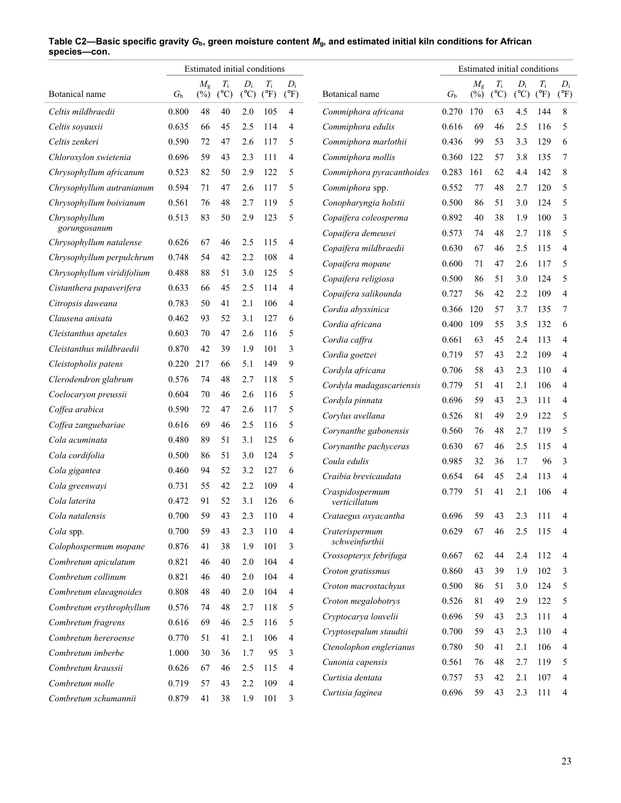|                               | Estimated initial conditions |                       |                              | Estimated initial conditions |                              |                        |                                             |                |                       |                              |                          |                              |                        |
|-------------------------------|------------------------------|-----------------------|------------------------------|------------------------------|------------------------------|------------------------|---------------------------------------------|----------------|-----------------------|------------------------------|--------------------------|------------------------------|------------------------|
| Botanical name                | $G_{\rm b}$                  | $M_{\rm g}$<br>$(\%)$ | $T_{\rm i}$<br>$(^{\circ}C)$ | $D_i$<br>$(^{\circ}C)$       | $T_{\rm i}$<br>$(^{\circ}F)$ | $D_i$<br>$(^{\circ}F)$ | Botanical name                              | G <sub>b</sub> | $M_{\rm g}$<br>$(\%)$ | $T_{\rm i}$<br>$(^{\circ}C)$ | $D_i$<br>$({}^{\circ}C)$ | $T_{\rm i}$<br>$(^{\circ}F)$ | $D_i$<br>$(^{\circ}F)$ |
| Celtis mildbraedii            | 0.800                        | 48                    | 40                           | 2.0                          | 105                          | $\overline{4}$         | Commiphora africana                         | 0.270          | 170                   | 63                           | 4.5                      | 144                          | 8                      |
| Celtis soyauxii               | 0.635                        | 66                    | 45                           | 2.5                          | 114                          | $\overline{4}$         | Commiphora edulis                           | 0.616          | 69                    | 46                           | 2.5                      | 116                          | 5                      |
| Celtis zenkeri                | 0.590                        | 72                    | 47                           | 2.6                          | 117                          | 5                      | Commiphora marlothii                        | 0.436          | 99                    | 53                           | 3.3                      | 129                          | 6                      |
| Chloroxylon swietenia         | 0.696                        | 59                    | 43                           | 2.3                          | 111                          | $\overline{4}$         | Commiphora mollis                           | 0.360          | 122                   | 57                           | 3.8                      | 135                          | 7                      |
| Chrysophyllum africanum       | 0.523                        | 82                    | 50                           | 2.9                          | 122                          | 5                      | Commiphora pyracanthoides                   | 0.283          | 161                   | 62                           | 4.4                      | 142                          | 8                      |
| Chrysophyllum autranianum     | 0.594                        | 71                    | 47                           | 2.6                          | 117                          | 5                      | Commiphora spp.                             | 0.552          | 77                    | 48                           | 2.7                      | 120                          | 5                      |
| Chrysophyllum boivianum       | 0.561                        | 76                    | 48                           | 2.7                          | 119                          | 5                      | Conopharyngia holstii                       | 0.500          | 86                    | 51                           | 3.0                      | 124                          | 5                      |
| Chrysophyllum<br>gorungosanum | 0.513                        | 83                    | 50                           | 2.9                          | 123                          | 5                      | Copaifera coleosperma<br>Copaifera demeusei | 0.892<br>0.573 | 40<br>74              | 38<br>48                     | 1.9<br>2.7               | 100<br>118                   | 3<br>5                 |
| Chrysophyllum natalense       | 0.626                        | 67                    | 46                           | 2.5                          | 115                          | 4                      | Copaifera mildbraedii                       | 0.630          | 67                    | 46                           | 2.5                      | 115                          | $\overline{4}$         |
| Chrysophyllum perpulchrum     | 0.748                        | 54                    | 42                           | 2.2                          | 108                          | $\overline{4}$         | Copaifera mopane                            | 0.600          | 71                    | 47                           | 2.6                      | 117                          | 5                      |
| Chrysophyllum viridifolium    | 0.488                        | 88                    | 51                           | 3.0                          | 125                          | 5                      | Copaifera religiosa                         | 0.500          | 86                    | 51                           | 3.0                      | 124                          | 5                      |
| Cistanthera papaverifera      | 0.633                        | 66                    | 45                           | 2.5                          | 114                          | $\overline{4}$         | Copaifera salikounda                        | 0.727          | 56                    | 42                           | 2.2                      | 109                          | $\overline{4}$         |
| Citropsis daweana             | 0.783                        | 50                    | 41                           | 2.1                          | 106                          | $\overline{4}$         | Cordia abyssinica                           | 0.366          | 120                   | 57                           | 3.7                      | 135                          | 7                      |
| Clausena anisata              | 0.462                        | 93                    | 52                           | 3.1                          | 127                          | 6                      | Cordia africana                             | 0.400          | 109                   | 55                           | 3.5                      | 132                          | 6                      |
| Cleistanthus apetales         | 0.603                        | 70                    | 47                           | 2.6                          | 116                          | 5                      | Cordia caffra                               | 0.661          | 63                    | 45                           | 2.4                      | 113                          | $\overline{4}$         |
| Cleistanthus mildbraedii      | 0.870                        | 42                    | 39                           | 1.9                          | 101                          | 3                      | Cordia goetzei                              | 0.719          | 57                    | 43                           | 2.2                      | 109                          | 4                      |
| Cleistopholis patens          | 0.220                        | 217                   | 66                           | 5.1                          | 149                          | 9                      | Cordyla africana                            | 0.706          | 58                    | 43                           | 2.3                      | 110                          | $\overline{4}$         |
| Clerodendron glabrum          | 0.576                        | 74                    | 48                           | 2.7                          | 118                          | 5                      | Cordyla madagascariensis                    | 0.779          | 51                    | 41                           | 2.1                      | 106                          | $\overline{4}$         |
| Coelocaryon preussii          | 0.604                        | 70                    | 46                           | 2.6                          | 116                          | 5                      | Cordyla pinnata                             | 0.696          | 59                    | 43                           | 2.3                      | 111                          | $\overline{4}$         |
| Coffea arabica                | 0.590                        | 72                    | 47                           | 2.6                          | 117                          | 5                      | Corylus avellana                            | 0.526          | 81                    | 49                           | 2.9                      | 122                          | 5                      |
| Coffea zanguebariae           | 0.616                        | 69                    | 46                           | 2.5                          | 116                          | 5                      | Corynanthe gabonensis                       | 0.560          | 76                    | 48                           | 2.7                      | 119                          | 5                      |
| Cola acuminata                | 0.480                        | 89                    | 51                           | 3.1                          | 125                          | 6                      | Corynanthe pachyceras                       | 0.630          | 67                    | 46                           | 2.5                      | 115                          | $\overline{4}$         |
| Cola cordifolia               | 0.500                        | 86                    | 51                           | 3.0                          | 124                          | 5                      | Coula edulis                                | 0.985          | 32                    | 36                           | 1.7                      | 96                           | 3                      |
| Cola gigantea                 | 0.460                        | 94                    | 52                           | 3.2                          | 127                          | 6                      | Craibia brevicaudata                        | 0.654          | 64                    | 45                           | 2.4                      | 113                          | $\overline{4}$         |
| Cola greenwayi                | 0.731                        | 55                    | 42                           | 2.2                          | 109                          | $\overline{4}$         | Craspidospermum                             | 0.779          | 51                    | 41                           | 2.1                      | 106                          | $\overline{4}$         |
| Cola laterita                 | 0.472                        | 91                    | 52                           | 3.1                          | 126                          | 6                      | verticillatum                               |                |                       |                              |                          |                              |                        |
| Cola natalensis               | 0.700                        | 59                    | 43                           | 2.3                          | 110                          | $\overline{4}$         | Crataegus oxyacantha                        | 0.696          | 59                    | 43                           | 2.3                      | 111                          | 4                      |
| Cola spp.                     | 0.700                        | 59                    | 43                           | 2.3                          | 110                          | 4                      | Craterispermum                              | 0.629          | 67                    | 46                           | 2.5                      | 115                          | 4                      |
| Colophospermum mopane         | 0.876                        | 41                    | 38                           | 1.9                          | 101                          | 3                      | schweinfurthii                              |                |                       |                              |                          |                              |                        |
| Combretum apiculatum          | 0.821                        | 46                    | 40                           | 2.0                          | 104                          | $\overline{4}$         | Crossopteryx febrifuga                      | 0.667          | 62                    | 44                           | 2.4                      | 112                          | 4                      |
| Combretum collinum            | 0.821                        | 46                    | 40                           | 2.0                          | 104                          | $\overline{4}$         | Croton gratissmus                           | 0.860          | 43                    | 39                           | 1.9                      | 102                          | 3                      |
| Combretum elaeagnoides        | 0.808                        | 48                    | 40                           | 2.0                          | 104                          | $\overline{4}$         | Croton macrostachyus                        | 0.500          | 86                    | 51                           | 3.0                      | 124                          | 5                      |
| Combretum erythrophyllum      | 0.576                        | 74                    | 48                           | 2.7                          | 118                          | 5                      | Croton megalobotrys                         | 0.526          | 81                    | 49                           | 2.9                      | 122                          | 5                      |
| Combretum fragrens            | 0.616                        | 69                    | 46                           | 2.5                          | 116                          | 5                      | Cryptocarya louvelii                        | 0.696          | 59                    | 43                           | 2.3                      | 111                          | 4                      |
| Combretum hereroense          | 0.770                        | 51                    | 41                           | 2.1                          | 106                          | $\overline{4}$         | Cryptosepalum staudtii                      | 0.700          | 59                    | 43                           | 2.3                      | 110                          | 4                      |
| Combretum imberbe             | 1.000                        | 30                    | 36                           | 1.7                          | 95                           | 3                      | Ctenolophon englerianus                     | 0.780          | 50                    | 41                           | 2.1                      | 106                          | 4                      |
| Combretum kraussii            | 0.626                        | 67                    | 46                           | 2.5                          | 115                          | 4                      | Cunonia capensis                            | 0.561          | 76                    | 48                           | 2.7                      | 119                          | 5                      |
| Combretum molle               | 0.719                        | 57                    | 43                           | 2.2                          | 109                          | 4                      | Curtisia dentata                            | 0.757          | 53                    | 42                           | 2.1                      | 107                          | 4                      |
| Combretum schumannii          | 0.879                        | 41                    | 38                           | 1.9                          | 101                          | 3                      | Curtisia faginea                            | 0.696          | 59                    | 43                           | 2.3                      | 111                          | 4                      |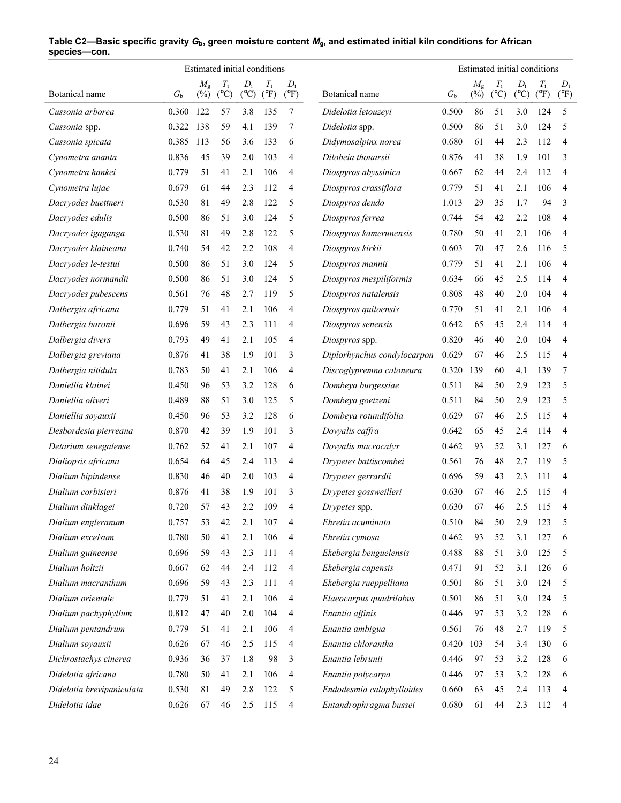|                           | Estimated initial conditions |                       |                              |                        |                              |                        | Estimated initial conditions |             |                       |                              |                        |                              |                        |
|---------------------------|------------------------------|-----------------------|------------------------------|------------------------|------------------------------|------------------------|------------------------------|-------------|-----------------------|------------------------------|------------------------|------------------------------|------------------------|
| Botanical name            | $G_{h}$                      | $M_{\rm g}$<br>$(\%)$ | $T_{\rm i}$<br>$(^{\circ}C)$ | $D_i$<br>$(^{\circ}C)$ | $T_{\rm i}$<br>$(^{\circ}F)$ | $D_i$<br>$(^{\circ}F)$ | Botanical name               | $G_{\rm b}$ | $M_{\rm g}$<br>$(\%)$ | $T_{\rm i}$<br>$(^{\circ}C)$ | $D_i$<br>$(^{\circ}C)$ | $T_{\rm i}$<br>$(^{\circ}F)$ | $D_i$<br>$(^{\circ}F)$ |
| Cussonia arborea          | 0.360                        | 122                   | 57                           | 3.8                    | 135                          | 7                      | Didelotia letouzeyi          | 0.500       | 86                    | 51                           | 3.0                    | 124                          | 5                      |
| Cussonia spp.             | 0.322                        | 138                   | 59                           | 4.1                    | 139                          | 7                      | Didelotia spp.               | 0.500       | 86                    | 51                           | 3.0                    | 124                          | 5                      |
| Cussonia spicata          | 0.385                        | 113                   | 56                           | 3.6                    | 133                          | 6                      | Didymosalpinx norea          | 0.680       | 61                    | 44                           | 2.3                    | 112                          | $\overline{4}$         |
| Cynometra ananta          | 0.836                        | 45                    | 39                           | 2.0                    | 103                          | $\overline{4}$         | Dilobeia thouarsii           | 0.876       | 41                    | 38                           | 1.9                    | 101                          | 3                      |
| Cynometra hankei          | 0.779                        | 51                    | 41                           | 2.1                    | 106                          | 4                      | Diospyros abyssinica         | 0.667       | 62                    | 44                           | 2.4                    | 112                          | 4                      |
| Cynometra lujae           | 0.679                        | 61                    | 44                           | 2.3                    | 112                          | $\overline{4}$         | Diospyros crassiflora        | 0.779       | 51                    | 41                           | 2.1                    | 106                          | 4                      |
| Dacryodes buettneri       | 0.530                        | 81                    | 49                           | 2.8                    | 122                          | 5                      | Diospyros dendo              | 1.013       | 29                    | 35                           | 1.7                    | 94                           | 3                      |
| Dacryodes edulis          | 0.500                        | 86                    | 51                           | 3.0                    | 124                          | 5                      | Diospyros ferrea             | 0.744       | 54                    | 42                           | 2.2                    | 108                          | $\overline{4}$         |
| Dacryodes igaganga        | 0.530                        | 81                    | 49                           | 2.8                    | 122                          | 5                      | Diospyros kamerunensis       | 0.780       | 50                    | 41                           | 2.1                    | 106                          | 4                      |
| Dacryodes klaineana       | 0.740                        | 54                    | 42                           | 2.2                    | 108                          | 4                      | Diospyros kirkii             | 0.603       | 70                    | 47                           | 2.6                    | 116                          | 5                      |
| Dacryodes le-testui       | 0.500                        | 86                    | 51                           | 3.0                    | 124                          | 5                      | Diospyros mannii             | 0.779       | 51                    | 41                           | 2.1                    | 106                          | 4                      |
| Dacryodes normandii       | 0.500                        | 86                    | 51                           | 3.0                    | 124                          | 5                      | Diospyros mespiliformis      | 0.634       | 66                    | 45                           | 2.5                    | 114                          | 4                      |
| Dacryodes pubescens       | 0.561                        | 76                    | 48                           | 2.7                    | 119                          | 5                      | Diospyros natalensis         | 0.808       | 48                    | 40                           | 2.0                    | 104                          | 4                      |
| Dalbergia africana        | 0.779                        | 51                    | 41                           | 2.1                    | 106                          | $\overline{4}$         | Diospyros quiloensis         | 0.770       | 51                    | 41                           | 2.1                    | 106                          | 4                      |
| Dalbergia baronii         | 0.696                        | 59                    | 43                           | 2.3                    | 111                          | 4                      | Diospyros senensis           | 0.642       | 65                    | 45                           | 2.4                    | 114                          | 4                      |
| Dalbergia divers          | 0.793                        | 49                    | 41                           | 2.1                    | 105                          | $\overline{4}$         | Diospyros spp.               | 0.820       | 46                    | 40                           | 2.0                    | 104                          | 4                      |
| Dalbergia greviana        | 0.876                        | 41                    | 38                           | 1.9                    | 101                          | 3                      | Diplorhynchus condylocarpon  | 0.629       | 67                    | 46                           | 2.5                    | 115                          | 4                      |
| Dalbergia nitidula        | 0.783                        | 50                    | 41                           | 2.1                    | 106                          | $\overline{4}$         | Discoglypremna caloneura     | 0.320       | 139                   | 60                           | 4.1                    | 139                          | 7                      |
| Daniellia klainei         | 0.450                        | 96                    | 53                           | 3.2                    | 128                          | 6                      | Dombeya burgessiae           | 0.511       | 84                    | 50                           | 2.9                    | 123                          | 5                      |
| Daniellia oliveri         | 0.489                        | 88                    | 51                           | 3.0                    | 125                          | 5                      | Dombeya goetzeni             | 0.511       | 84                    | 50                           | 2.9                    | 123                          | 5                      |
| Daniellia soyauxii        | 0.450                        | 96                    | 53                           | 3.2                    | 128                          | 6                      | Dombeya rotundifolia         | 0.629       | 67                    | 46                           | 2.5                    | 115                          | 4                      |
| Desbordesia pierreana     | 0.870                        | 42                    | 39                           | 1.9                    | 101                          | 3                      | Dovyalis caffra              | 0.642       | 65                    | 45                           | 2.4                    | 114                          | 4                      |
| Detarium senegalense      | 0.762                        | 52                    | 41                           | 2.1                    | 107                          | 4                      | Dovyalis macrocalyx          | 0.462       | 93                    | 52                           | 3.1                    | 127                          | 6                      |
| Dialiopsis africana       | 0.654                        | 64                    | 45                           | 2.4                    | 113                          | $\overline{4}$         | Drypetes battiscombei        | 0.561       | 76                    | 48                           | 2.7                    | 119                          | 5                      |
| Dialium bipindense        | 0.830                        | 46                    | 40                           | 2.0                    | 103                          | 4                      | Drypetes gerrardii           | 0.696       | 59                    | 43                           | 2.3                    | 111                          | 4                      |
| Dialium corbisieri        | 0.876                        | 41                    | 38                           | 1.9                    | 101                          | 3                      | Drypetes gossweilleri        | 0.630       | 67                    | 46                           | 2.5                    | 115                          | 4                      |
| Dialium dinklagei         | 0.720                        | 57                    | 43                           | 2.2                    | 109                          | $\overline{4}$         | Drypetes spp.                | 0.630       | 67                    | 46                           | 2.5                    | 115                          | 4                      |
| Dialium engleranum        | 0.757                        | 53                    | 42                           | 2.1                    | 107                          | 4                      | Ehretia acuminata            | 0.510       | 84                    | 50                           | 2.9                    | 123                          | 5                      |
| Dialium excelsum          | 0.780                        | 50                    | 41                           | 2.1                    | 106                          | 4                      | Ehretia cymosa               | 0.462       | 93                    | 52                           | 3.1                    | 127                          | 6                      |
| Dialium guineense         | 0.696                        | 59                    | 43                           | 2.3                    | 111                          | 4                      | Ekebergia benguelensis       | 0.488       | 88                    | 51                           | 3.0                    | 125                          | 5                      |
| Dialium holtzii           | 0.667                        | 62                    | 44                           | 2.4                    | 112                          | 4                      | Ekebergia capensis           | 0.471       | 91                    | 52                           | 3.1                    | 126                          | 6                      |
| Dialium macranthum        | 0.696                        | 59                    | 43                           | 2.3                    | 111                          | 4                      | Ekebergia rueppelliana       | 0.501       | 86                    | 51                           | 3.0                    | 124                          | 5                      |
| Dialium orientale         | 0.779                        | 51                    | 41                           | 2.1                    | 106                          | 4                      | Elaeocarpus quadrilobus      | 0.501       | 86                    | 51                           | 3.0                    | 124                          | 5                      |
| Dialium pachyphyllum      | 0.812                        | 47                    | 40                           | 2.0                    | 104                          | 4                      | Enantia affinis              | 0.446       | 97                    | 53                           | 3.2                    | 128                          | 6                      |
| Dialium pentandrum        | 0.779                        | 51                    | 41                           | 2.1                    | 106                          | 4                      | Enantia ambigua              | 0.561       | 76                    | 48                           | 2.7                    | 119                          | 5                      |
| Dialium soyauxii          | 0.626                        | 67                    | 46                           | 2.5                    | 115                          | 4                      | Enantia chlorantha           | 0.420       | 103                   | 54                           | 3.4                    | 130                          | 6                      |
| Dichrostachys cinerea     | 0.936                        | 36                    | 37                           | 1.8                    | 98                           | 3                      | Enantia lebrunii             | 0.446       | 97                    | 53                           | 3.2                    | 128                          | 6                      |
| Didelotia africana        | 0.780                        | 50                    | 41                           | 2.1                    | 106                          | 4                      | Enantia polycarpa            | 0.446       | 97                    | 53                           | 3.2                    | 128                          | 6                      |
| Didelotia brevipaniculata | 0.530                        | 81                    | 49                           | 2.8                    | 122                          | 5                      | Endodesmia calophylloides    | 0.660       | 63                    | 45                           | 2.4                    | 113                          | 4                      |
| Didelotia idae            | 0.626                        | 67                    | 46                           | 2.5                    | 115                          | $\overline{4}$         | Entandrophragma bussei       | 0.680       | 61                    | 44                           | 2.3                    | 112                          | 4                      |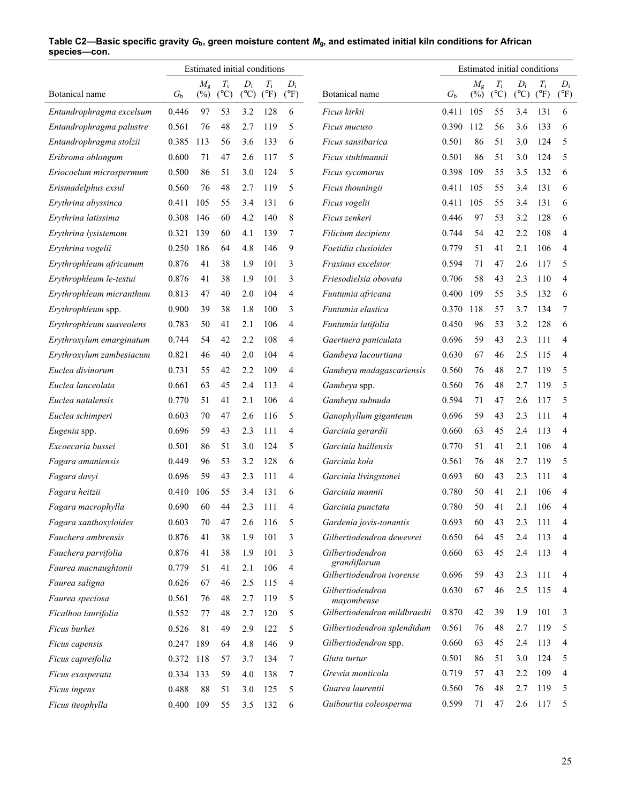|                          |             |                       | Estimated initial conditions |                          |                              |                        |                                           |             |                       |                              |                          | Estimated initial conditions |                        |
|--------------------------|-------------|-----------------------|------------------------------|--------------------------|------------------------------|------------------------|-------------------------------------------|-------------|-----------------------|------------------------------|--------------------------|------------------------------|------------------------|
| Botanical name           | $G_{\rm b}$ | $M_{\rm g}$<br>$(\%)$ | $T_{\rm i}$<br>$(^{\circ}C)$ | $D_i$<br>$({}^{\circ}C)$ | $T_{\rm i}$<br>$(^{\circ}F)$ | $D_i$<br>$(^{\circ}F)$ | Botanical name                            | $G_{\rm b}$ | $M_{\rm g}$<br>$(\%)$ | $T_{\rm i}$<br>$(^{\circ}C)$ | $D_i$<br>$({}^{\circ}C)$ | $T_{\rm i}$<br>$(^{\circ}F)$ | $D_i$<br>$(^{\circ}F)$ |
| Entandrophragma excelsum | 0.446       | 97                    | 53                           | 3.2                      | 128                          | 6                      | Ficus kirkii                              | 0.411       | 105                   | 55                           | 3.4                      | 131                          | 6                      |
| Entandrophragma palustre | 0.561       | 76                    | 48                           | 2.7                      | 119                          | 5                      | Ficus mucuso                              | 0.390       | 112                   | 56                           | 3.6                      | 133                          | 6                      |
| Entandrophragma stolzii  | 0.385       | 113                   | 56                           | 3.6                      | 133                          | 6                      | Ficus sansibarica                         | 0.501       | 86                    | 51                           | 3.0                      | 124                          | 5                      |
| Eribroma oblongum        | 0.600       | 71                    | 47                           | 2.6                      | 117                          | 5                      | Ficus stuhlmannii                         | 0.501       | 86                    | 51                           | 3.0                      | 124                          | 5                      |
| Eriocoelum microspermum  | 0.500       | 86                    | 51                           | 3.0                      | 124                          | 5                      | Ficus sycomorus                           | 0.398       | 109                   | 55                           | 3.5                      | 132                          | 6                      |
| Erismadelphus exsul      | 0.560       | 76                    | 48                           | 2.7                      | 119                          | 5                      | Ficus thonningii                          | 0.411       | 105                   | 55                           | 3.4                      | 131                          | 6                      |
| Erythrina abyssinca      | 0.411       | 105                   | 55                           | 3.4                      | 131                          | 6                      | Ficus vogelii                             | 0.411       | 105                   | 55                           | 3.4                      | 131                          | 6                      |
| Erythrina latissima      | 0.308       | 146                   | 60                           | 4.2                      | 140                          | 8                      | Ficus zenkeri                             | 0.446       | 97                    | 53                           | 3.2                      | 128                          | 6                      |
| Erythrina lysistemom     | 0.321       | 139                   | 60                           | 4.1                      | 139                          | 7                      | Filicium decipiens                        | 0.744       | 54                    | 42                           | 2.2                      | 108                          | 4                      |
| Erythrina vogelii        | 0.250       | 186                   | 64                           | 4.8                      | 146                          | 9                      | Foetidia clusioides                       | 0.779       | 51                    | 41                           | 2.1                      | 106                          | 4                      |
| Erythrophleum africanum  | 0.876       | 41                    | 38                           | 1.9                      | 101                          | 3                      | Fraxinus excelsior                        | 0.594       | 71                    | 47                           | 2.6                      | 117                          | 5                      |
| Erythrophleum le-testui  | 0.876       | 41                    | 38                           | 1.9                      | 101                          | 3                      | Friesodielsia obovata                     | 0.706       | 58                    | 43                           | 2.3                      | 110                          | 4                      |
| Erythrophleum micranthum | 0.813       | 47                    | 40                           | 2.0                      | 104                          | 4                      | Funtumia africana                         | 0.400       | 109                   | 55                           | 3.5                      | 132                          | 6                      |
| Erythrophleum spp.       | 0.900       | 39                    | 38                           | 1.8                      | 100                          | 3                      | Funtumia elastica                         | 0.370       | 118                   | 57                           | 3.7                      | 134                          | 7                      |
| Erythrophleum suaveolens | 0.783       | 50                    | 41                           | 2.1                      | 106                          | 4                      | Funtumia latifolia                        | 0.450       | 96                    | 53                           | 3.2                      | 128                          | 6                      |
| Erythroxylum emarginatum | 0.744       | 54                    | 42                           | 2.2                      | 108                          | 4                      | Gaertnera paniculata                      | 0.696       | 59                    | 43                           | 2.3                      | 111                          | 4                      |
| Erythroxylum zambesiacum | 0.821       | 46                    | 40                           | 2.0                      | 104                          | 4                      | Gambeya lacourtiana                       | 0.630       | 67                    | 46                           | 2.5                      | 115                          | 4                      |
| Euclea divinorum         | 0.731       | 55                    | 42                           | 2.2                      | 109                          | 4                      | Gambeya madagascariensis                  | 0.560       | 76                    | 48                           | 2.7                      | 119                          | 5                      |
| Euclea lanceolata        | 0.661       | 63                    | 45                           | 2.4                      | 113                          | 4                      | Gambeya spp.                              | 0.560       | 76                    | 48                           | 2.7                      | 119                          | 5                      |
| Euclea natalensis        | 0.770       | 51                    | 41                           | 2.1                      | 106                          | 4                      | Gambeya subnuda                           | 0.594       | 71                    | 47                           | 2.6                      | 117                          | 5                      |
| Euclea schimperi         | 0.603       | 70                    | 47                           | 2.6                      | 116                          | 5                      | Ganophyllum giganteum                     | 0.696       | 59                    | 43                           | 2.3                      | 111                          | 4                      |
| Eugenia spp.             | 0.696       | 59                    | 43                           | 2.3                      | 111                          | 4                      | Garcinia gerardii                         | 0.660       | 63                    | 45                           | 2.4                      | 113                          | 4                      |
| Excoecaria bussei        | 0.501       | 86                    | 51                           | 3.0                      | 124                          | 5                      | Garcinia huillensis                       | 0.770       | 51                    | 41                           | 2.1                      | 106                          | 4                      |
| Fagara amaniensis        | 0.449       | 96                    | 53                           | 3.2                      | 128                          | 6                      | Garcinia kola                             | 0.561       | 76                    | 48                           | 2.7                      | 119                          | 5                      |
| Fagara davyi             | 0.696       | 59                    | 43                           | 2.3                      | 111                          | 4                      | Garcinia livingstonei                     | 0.693       | 60                    | 43                           | 2.3                      | 111                          | 4                      |
| Fagara heitzii           | 0.410       | 106                   | 55                           | 3.4                      | 131                          | 6                      | Garcinia mannii                           | 0.780       | 50                    | 41                           | 2.1                      | 106                          | 4                      |
| Fagara macrophylla       | 0.690       | 60                    | 44                           | 2.3                      | 111                          | 4                      | Garcinia punctata                         | 0.780       | 50                    | 41                           | 2.1                      | 106                          | 4                      |
| Fagara xanthoxyloides    | 0.603       | 70                    | 47                           | 2.6                      | 116                          | 5                      | Gardenia jovis-tonantis                   | 0.693       | 60                    | 43                           | 2.3                      | 111                          | 4                      |
| Fauchera ambrensis       | 0.876       | 41                    | 38                           | 1.9                      | 101                          | 3                      | Gilbertiodendron dewevrei                 | 0.650       | 64                    | 45                           | 2.4                      | 113                          | 4                      |
| Fauchera parvifolia      | 0.876       | 41                    | 38                           | 1.9                      | 101                          | 3                      | Gilbertiodendron                          | 0.660       | 63                    | 45                           | 2.4                      | 113                          | 4                      |
| Faurea macnaughtonii     | 0.779       | 51                    | 41                           | 2.1                      | 106                          | 4                      | grandiflorum<br>Gilbertiodendron ivorense |             | 59                    | 43                           | 2.3                      |                              | 4                      |
| Faurea saligna           | 0.626       | 67                    | 46                           | 2.5                      | 115                          | 4                      | Gilbertiodendron                          | 0.696       | 67                    |                              | 2.5                      | 111                          |                        |
| Faurea speciosa          | 0.561       | 76                    | 48                           | 2.7                      | 119                          | 5                      | mayombense                                | 0.630       |                       | 46                           |                          | 115                          | 4                      |
| Ficalhoa laurifolia      | 0.552       | 77                    | 48                           | 2.7                      | 120                          | 5                      | Gilbertiodendron mildbraedii              | 0.870       | 42                    | 39                           | 1.9                      | 101                          | 3                      |
| Ficus burkei             | 0.526       | 81                    | 49                           | 2.9                      | 122                          | 5                      | Gilbertiodendron splendidum               | 0.561       | 76                    | 48                           | 2.7                      | 119                          | 5                      |
| Ficus capensis           | 0.247       | 189                   | 64                           | 4.8                      | 146                          | 9                      | Gilbertiodendron spp.                     | 0.660       | 63                    | 45                           | 2.4                      | 113                          | 4                      |
| Ficus capreifolia        | 0.372 118   |                       | 57                           | 3.7                      | 134                          | 7                      | Gluta turtur                              | 0.501       | 86                    | 51                           | 3.0                      | 124                          | 5                      |
| Ficus exasperata         | 0.334 133   |                       | 59                           | 4.0                      | 138                          | 7                      | Grewia monticola                          | 0.719       | 57                    | 43                           | 2.2                      | 109                          | 4                      |
| Ficus ingens             | 0.488       | 88                    | 51                           | 3.0                      | 125                          | 5                      | Guarea laurentii                          | 0.560       | 76                    | 48                           | 2.7                      | 119                          | 5                      |
| Ficus iteophylla         | 0.400 109   |                       | 55                           | 3.5                      | 132                          | 6                      | Guibourtia coleosperma                    | 0.599       | 71                    | 47                           | 2.6                      | 117                          | 5                      |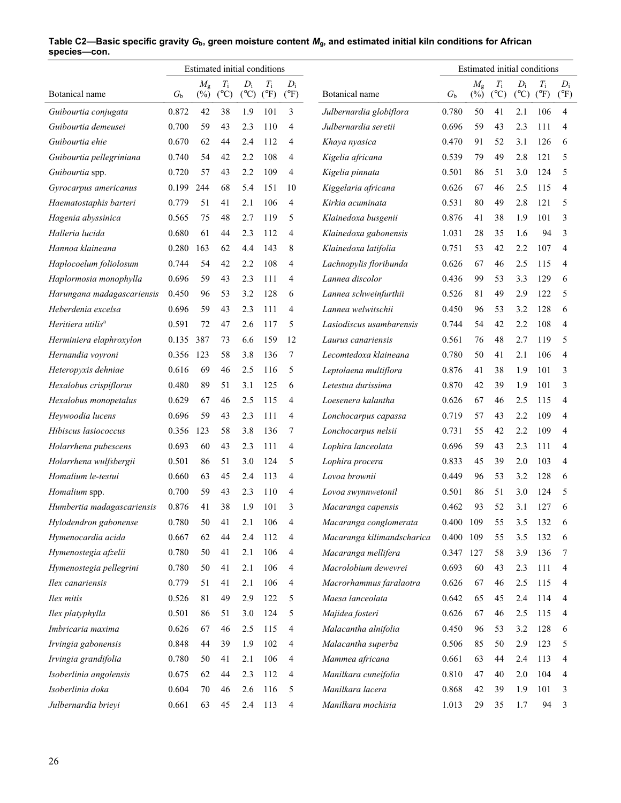|                               |             |                       | Estimated initial conditions |                          |                              |                        |                            |             |                       | Estimated initial conditions |                        |                              |                         |
|-------------------------------|-------------|-----------------------|------------------------------|--------------------------|------------------------------|------------------------|----------------------------|-------------|-----------------------|------------------------------|------------------------|------------------------------|-------------------------|
| Botanical name                | $G_{\rm b}$ | $M_{\rm g}$<br>$(\%)$ | $T_{\rm i}$<br>$(^{\circ}C)$ | $D_i$<br>$({}^{\circ}C)$ | $T_{\rm i}$<br>$(^{\circ}F)$ | $D_i$<br>$(^{\circ}F)$ | Botanical name             | $G_{\rm b}$ | $M_{\rm g}$<br>$(\%)$ | $T_{\rm i}$<br>$(^{\circ}C)$ | $D_i$<br>$(^{\circ}C)$ | $T_{\rm i}$<br>$(^{\circ}F)$ | $D_i$<br>$(^{\circ}F)$  |
| Guibourtia conjugata          | 0.872       | 42                    | 38                           | 1.9                      | 101                          | 3                      | Julbernardia globiflora    | 0.780       | 50                    | 41                           | 2.1                    | 106                          | $\overline{4}$          |
| Guibourtia demeusei           | 0.700       | 59                    | 43                           | 2.3                      | 110                          | $\overline{4}$         | Julbernardia seretii       | 0.696       | 59                    | 43                           | 2.3                    | 111                          | $\overline{4}$          |
| Guibourtia ehie               | 0.670       | 62                    | 44                           | 2.4                      | 112                          | 4                      | Khaya nyasica              | 0.470       | 91                    | 52                           | 3.1                    | 126                          | 6                       |
| Guibourtia pellegriniana      | 0.740       | 54                    | 42                           | 2.2                      | 108                          | 4                      | Kigelia africana           | 0.539       | 79                    | 49                           | 2.8                    | 121                          | 5                       |
| Guibourtia spp.               | 0.720       | 57                    | 43                           | 2.2                      | 109                          | $\overline{4}$         | Kigelia pinnata            | 0.501       | 86                    | 51                           | 3.0                    | 124                          | 5                       |
| Gyrocarpus americanus         | 0.199       | 244                   | 68                           | 5.4                      | 151                          | 10                     | Kiggelaria africana        | 0.626       | 67                    | 46                           | 2.5                    | 115                          | $\overline{4}$          |
| Haematostaphis barteri        | 0.779       | 51                    | 41                           | 2.1                      | 106                          | 4                      | Kirkia acuminata           | 0.531       | 80                    | 49                           | 2.8                    | 121                          | 5                       |
| Hagenia abyssinica            | 0.565       | 75                    | 48                           | 2.7                      | 119                          | 5                      | Klainedoxa busgenii        | 0.876       | 41                    | 38                           | 1.9                    | 101                          | 3                       |
| Halleria lucida               | 0.680       | 61                    | 44                           | 2.3                      | 112                          | 4                      | Klainedoxa gabonensis      | 1.031       | 28                    | 35                           | 1.6                    | 94                           | 3                       |
| Hannoa klaineana              | 0.280       | 163                   | 62                           | 4.4                      | 143                          | 8                      | Klainedoxa latifolia       | 0.751       | 53                    | 42                           | 2.2                    | 107                          | $\overline{4}$          |
| Haplocoelum foliolosum        | 0.744       | 54                    | 42                           | 2.2                      | 108                          | 4                      | Lachnopylis floribunda     | 0.626       | 67                    | 46                           | 2.5                    | 115                          | $\overline{4}$          |
| Haplormosia monophylla        | 0.696       | 59                    | 43                           | 2.3                      | 111                          | $\overline{4}$         | Lannea discolor            | 0.436       | 99                    | 53                           | 3.3                    | 129                          | 6                       |
| Harungana madagascariensis    | 0.450       | 96                    | 53                           | 3.2                      | 128                          | 6                      | Lannea schweinfurthii      | 0.526       | 81                    | 49                           | 2.9                    | 122                          | 5                       |
| Heberdenia excelsa            | 0.696       | 59                    | 43                           | 2.3                      | 111                          | 4                      | Lannea welwitschii         | 0.450       | 96                    | 53                           | 3.2                    | 128                          | 6                       |
| Heritiera utilis <sup>a</sup> | 0.591       | 72                    | 47                           | 2.6                      | 117                          | 5                      | Lasiodiscus usambarensis   | 0.744       | 54                    | 42                           | 2.2                    | 108                          | $\overline{4}$          |
| Herminiera elaphroxylon       | 0.135       | 387                   | 73                           | 6.6                      | 159                          | 12                     | Laurus canariensis         | 0.561       | 76                    | 48                           | 2.7                    | 119                          | 5                       |
| Hernandia voyroni             | 0.356       | 123                   | 58                           | 3.8                      | 136                          | 7                      | Lecomtedoxa klaineana      | 0.780       | 50                    | 41                           | 2.1                    | 106                          | $\overline{4}$          |
| Heteropyxis dehniae           | 0.616       | 69                    | 46                           | 2.5                      | 116                          | 5                      | Leptolaena multiflora      | 0.876       | 41                    | 38                           | 1.9                    | 101                          | 3                       |
| Hexalobus crispiflorus        | 0.480       | 89                    | 51                           | 3.1                      | 125                          | 6                      | Letestua durissima         | 0.870       | 42                    | 39                           | 1.9                    | 101                          | 3                       |
| Hexalobus monopetalus         | 0.629       | 67                    | 46                           | 2.5                      | 115                          | $\overline{4}$         | Loesenera kalantha         | 0.626       | 67                    | 46                           | 2.5                    | 115                          | $\overline{4}$          |
| Heywoodia lucens              | 0.696       | 59                    | 43                           | 2.3                      | 111                          | 4                      | Lonchocarpus capassa       | 0.719       | 57                    | 43                           | 2.2                    | 109                          | $\overline{4}$          |
| Hibiscus lasiococcus          | 0.356       | 123                   | 58                           | 3.8                      | 136                          | 7                      | Lonchocarpus nelsii        | 0.731       | 55                    | 42                           | 2.2                    | 109                          | $\overline{4}$          |
| Holarrhena pubescens          | 0.693       | 60                    | 43                           | 2.3                      | 111                          | 4                      | Lophira lanceolata         | 0.696       | 59                    | 43                           | 2.3                    | 111                          | $\overline{4}$          |
| Holarrhena wulfsbergii        | 0.501       | 86                    | 51                           | 3.0                      | 124                          | 5                      | Lophira procera            | 0.833       | 45                    | 39                           | 2.0                    | 103                          | $\overline{4}$          |
| Homalium le-testui            | 0.660       | 63                    | 45                           | 2.4                      | 113                          | 4                      | Lovoa brownii              | 0.449       | 96                    | 53                           | 3.2                    | 128                          | 6                       |
| Homalium spp.                 | 0.700       | 59                    | 43                           | 2.3                      | 110                          | $\overline{4}$         | Lovoa swynnwetonil         | 0.501       | 86                    | 51                           | 3.0                    | 124                          | 5                       |
| Humbertia madagascariensis    | 0.876       | 41                    | 38                           | 1.9                      | 101                          | 3                      | Macaranga capensis         | 0.462       | 93                    | 52                           | 3.1                    | 127                          | 6                       |
| Hylodendron gabonense         | 0.780       | 50                    | 41                           | 2.1                      | 106                          | 4                      | Macaranga conglomerata     | 0.400       | - 109                 | 55                           | 3.5                    | 132                          | 6                       |
| Hymenocardia acida            | 0.667       | 62                    | 44                           | 2.4                      | 112                          | 4                      | Macaranga kilimandscharica | 0.400       | 109                   | 55                           | 3.5                    | 132                          | 6                       |
| Hymenostegia afzelii          | 0.780       | 50                    | 41                           | 2.1                      | 106                          | 4                      | Macaranga mellifera        | 0.347 127   |                       | 58                           | 3.9                    | 136                          | 7                       |
| Hymenostegia pellegrini       | 0.780       | 50                    | 41                           | 2.1                      | 106                          | 4                      | Macrolobium dewevrei       | 0.693       | 60                    | 43                           | 2.3                    | 111                          | 4                       |
| Ilex canariensis              | 0.779       | 51                    | 41                           | 2.1                      | 106                          | 4                      | Macrorhammus faralaotra    | 0.626       | 67                    | 46                           | 2.5                    | 115                          | 4                       |
| Ilex mitis                    | 0.526       | 81                    | 49                           | 2.9                      | 122                          | 5                      | Maesa lanceolata           | 0.642       | 65                    | 45                           | 2.4                    | 114                          | 4                       |
| Ilex platyphylla              | 0.501       | 86                    | 51                           | 3.0                      | 124                          | 5                      | Majidea fosteri            | 0.626       | 67                    | 46                           | 2.5                    | 115                          | 4                       |
| Imbricaria maxima             | 0.626       | 67                    | 46                           | 2.5                      | 115                          | 4                      | Malacantha alnifolia       | 0.450       | 96                    | 53                           | 3.2                    | 128                          | 6                       |
| Irvingia gabonensis           | 0.848       | 44                    | 39                           | 1.9                      | 102                          | 4                      | Malacantha superba         | 0.506       | 85                    | 50                           | 2.9                    | 123                          | 5                       |
| Irvingia grandifolia          | 0.780       | 50                    | 41                           | 2.1                      | 106                          | 4                      | Mammea africana            | 0.661       | 63                    | 44                           | 2.4                    | 113                          | 4                       |
| Isoberlinia angolensis        | 0.675       | 62                    | 44                           | 2.3                      | 112                          | 4                      | Manilkara cuneifolia       | 0.810       | 47                    | 40                           | 2.0                    | 104                          | 4                       |
| Isoberlinia doka              | 0.604       | 70                    | 46                           | 2.6                      | 116                          | 5                      | Manilkara lacera           | 0.868       | 42                    | 39                           | 1.9                    | 101                          | 3                       |
| Julbernardia brieyi           | 0.661       | 63                    | 45                           | 2.4                      | 113                          | 4                      | Manilkara mochisia         | 1.013       | 29                    | 35                           | 1.7                    | 94                           | $\overline{\mathbf{3}}$ |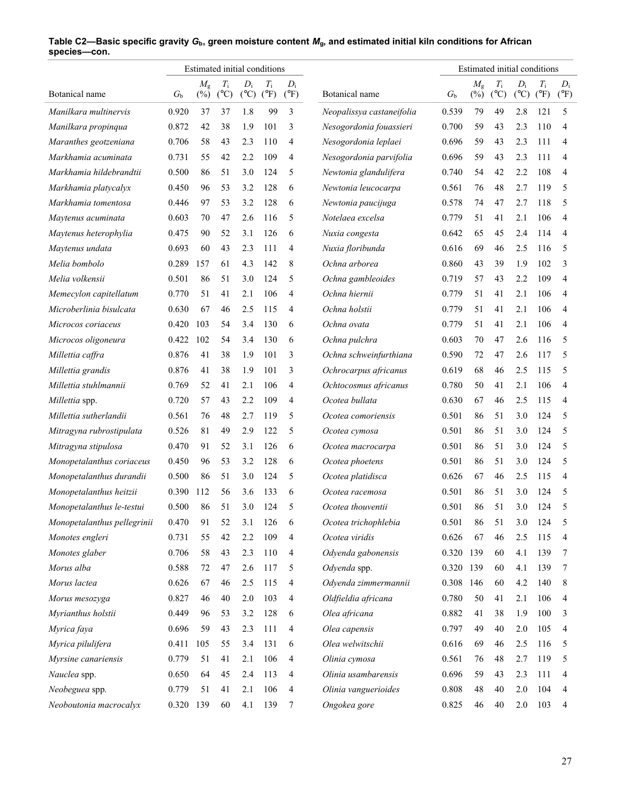|                                             |             |                       | Estimated initial conditions |                          |                              |                        |                           |             |                                | Estimated initial conditions |                          |                              |                        |
|---------------------------------------------|-------------|-----------------------|------------------------------|--------------------------|------------------------------|------------------------|---------------------------|-------------|--------------------------------|------------------------------|--------------------------|------------------------------|------------------------|
| Botanical name                              | $G_{\rm b}$ | $M_{\rm g}$<br>$(\%)$ | $T_{\rm i}$<br>$(^{\circ}C)$ | $D_i$<br>$({}^{\circ}C)$ | $T_{\rm i}$<br>$(^{\circ}F)$ | $D_i$<br>$(^{\circ}F)$ | Botanical name            | $G_{\rm b}$ | $M_{\rm g}$<br>$(\frac{6}{6})$ | $T_{\rm i}$<br>(C)           | $D_i$<br>$({}^{\circ}C)$ | $T_{\rm i}$<br>$(^{\circ}F)$ | $D_i$<br>$(^{\circ}F)$ |
| Manilkara multinervis                       | 0.920       | 37                    | 37                           | 1.8                      | 99                           | 3                      | Neopalissya castaneifolia | 0.539       | 79                             | 49                           | 2.8                      | 121                          | 5                      |
| Manilkara propinqua                         | 0.872       | 42                    | 38                           | 1.9                      | 101                          | 3                      | Nesogordonia fouassieri   | 0.700       | 59                             | 43                           | 2.3                      | 110                          | 4                      |
| Maranthes geotzeniana                       | 0.706       | 58                    | 43                           | 2.3                      | 110                          | 4                      | Nesogordonia leplaei      | 0.696       | 59                             | 43                           | 2.3                      | 111                          | 4                      |
| Markhamia acuminata                         | 0.731       | 55                    | 42                           | 2.2                      | 109                          | 4                      | Nesogordonia parvifolia   | 0.696       | 59                             | 43                           | 2.3                      | 111                          | 4                      |
| Markhamia hildebrandtii                     | 0.500       | 86                    | 51                           | 3.0                      | 124                          | 5                      |                           | 0.740       | 54                             | 42                           | 2.2                      | 108                          | 4                      |
|                                             | 0.450       | 96                    | 53                           | 3.2                      | 128                          | 6                      | Newtonia glandulifera     | 0.561       | 76                             |                              | 2.7                      | 119                          | 5                      |
| Markhamia platycalyx<br>Markhamia tomentosa | 0.446       | 97                    | 53                           | 3.2                      | 128                          |                        | Newtonia leucocarpa       |             | 74                             | 48<br>47                     | 2.7                      | 118                          | 5                      |
|                                             |             |                       |                              |                          |                              | 6                      | Newtonia paucijuga        | 0.578       |                                |                              |                          |                              |                        |
| Maytenus acuminata                          | 0.603       | 70                    | 47                           | 2.6                      | 116                          | 5                      | Notelaea excelsa          | 0.779       | 51                             | 41                           | 2.1                      | 106                          | 4                      |
| Maytenus heterophylia                       | 0.475       | 90                    | 52                           | 3.1                      | 126                          | 6                      | Nuxia congesta            | 0.642       | 65                             | 45                           | 2.4                      | 114                          | 4                      |
| Maytenus undata                             | 0.693       | 60                    | 43                           | 2.3                      | 111                          | 4                      | Nuxia floribunda          | 0.616       | 69                             | 46                           | 2.5                      | 116                          | 5                      |
| Melia bombolo                               | 0.289       | 157                   | 61                           | 4.3                      | 142                          | 8                      | Ochna arborea             | 0.860       | 43                             | 39                           | 1.9                      | 102                          | 3                      |
| Melia volkensii                             | 0.501       | 86                    | 51                           | 3.0                      | 124                          | 5                      | Ochna gambleoides         | 0.719       | 57                             | 43                           | 2.2                      | 109                          | 4                      |
| Memecylon capitellatum                      | 0.770       | 51                    | 41                           | 2.1                      | 106                          | 4                      | Ochna hiernii             | 0.779       | 51                             | 41                           | 2.1                      | 106                          | 4                      |
| Microberlinia bisulcata                     | 0.630       | 67                    | 46                           | 2.5                      | 115                          | 4                      | Ochna holstii             | 0.779       | 51                             | 41                           | 2.1                      | 106                          | 4                      |
| Microcos coriaceus                          | 0.420       | 103                   | 54                           | 3.4                      | 130                          | 6                      | Ochna ovata               | 0.779       | 51                             | 41                           | 2.1                      | 106                          | 4                      |
| Microcos oligoneura                         | 0.422       | 102                   | 54                           | 3.4                      | 130                          | 6                      | Ochna pulchra             | 0.603       | 70                             | 47                           | 2.6                      | 116                          | 5                      |
| Millettia caffra                            | 0.876       | 41                    | 38                           | 1.9                      | 101                          | 3                      | Ochna schweinfurthiana    | 0.590       | 72                             | 47                           | 2.6                      | 117                          | 5                      |
| Millettia grandis                           | 0.876       | 41                    | 38                           | 1.9                      | 101                          | 3                      | Ochrocarpus africanus     | 0.619       | 68                             | 46                           | 2.5                      | 115                          | 5                      |
| Millettia stuhlmannii                       | 0.769       | 52                    | 41                           | 2.1                      | 106                          | 4                      | Ochtocosmus africanus     | 0.780       | 50                             | 41                           | 2.1                      | 106                          | $\overline{4}$         |
| Millettia spp.                              | 0.720       | 57                    | 43                           | 2.2                      | 109                          | 4                      | Ocotea bullata            | 0.630       | 67                             | 46                           | 2.5                      | 115                          | 4                      |
| Millettia sutherlandii                      | 0.561       | 76                    | 48                           | 2.7                      | 119                          | 5                      | Ocotea comoriensis        | 0.501       | 86                             | 51                           | 3.0                      | 124                          | 5                      |
| Mitragyna rubrostipulata                    | 0.526       | 81                    | 49                           | 2.9                      | 122                          | 5                      | Ocotea cymosa             | 0.501       | 86                             | 51                           | 3.0                      | 124                          | 5                      |
| Mitragyna stipulosa                         | 0.470       | 91                    | 52                           | 3.1                      | 126                          | 6                      | Ocotea macrocarpa         | 0.501       | 86                             | 51                           | 3.0                      | 124                          | 5                      |
| Monopetalanthus coriaceus                   | 0.450       | 96                    | 53                           | 3.2                      | 128                          | 6                      | Ocotea phoetens           | 0.501       | 86                             | 51                           | 3.0                      | 124                          | 5                      |
| Monopetalanthus durandii                    | 0.500       | 86                    | 51                           | 3.0                      | 124                          | 5                      | Ocotea platidisca         | 0.626       | 67                             | 46                           | 2.5                      | 115                          | 4                      |
| Monopetalanthus heitzii                     | 0.390       | 112                   | 56                           | 3.6                      | 133                          | 6                      | Ocotea racemosa           | 0.501       | 86                             | 51                           | 3.0                      | 124                          | 5                      |
| Monopetalanthus le-testui                   | 0.500       | 86                    | 51                           | 3.0                      | 124                          | 5                      | Ocotea thouventii         | 0.501       | 86                             | 51                           | 3.0                      | 124                          | 5                      |
| Monopetalanthus pellegrinii                 | 0.470       | 91                    | 52                           | 3.1                      | 126                          | 6                      | Ocotea trichophlebia      | 0.501       | 86                             | 51                           | 3.0                      | 124                          | 5                      |
| Monotes engleri                             | 0.731       | 55                    | 42                           | 2.2                      | 109                          | 4                      | Ocotea viridis            | 0.626       | 67                             | 46                           | 2.5                      | 115                          | 4                      |
| Monotes glaber                              | 0.706       | 58                    | 43                           | 2.3                      | 110                          | 4                      | Odyenda gabonensis        | 0.320       | 139                            | 60                           | 4.1                      | 139                          | 7                      |
| Morus alba                                  | 0.588       | $72\,$                | 47                           | 2.6                      | 117                          | 5                      | Odyenda spp.              | 0.320       | 139                            | 60                           | 4.1                      | 139                          | 7                      |
| Morus lactea                                | 0.626       | 67                    | 46                           | 2.5                      | 115                          | 4                      | Odyenda zimmermannii      | 0.308       | 146                            | 60                           | 4.2                      | 140                          | 8                      |
| Morus mesozyga                              | 0.827       | 46                    | 40                           | 2.0                      | 103                          | 4                      | Oldfieldia africana       | 0.780       | 50                             | 41                           | 2.1                      | 106                          | 4                      |
| Myrianthus holstii                          | 0.449       | 96                    | 53                           | 3.2                      | 128                          | 6                      | Olea africana             | 0.882       | 41                             | 38                           | 1.9                      | 100                          | 3                      |
| Myrica faya                                 | 0.696       | 59                    | 43                           | 2.3                      | 111                          | 4                      | Olea capensis             | 0.797       | 49                             | 40                           | 2.0                      | 105                          | 4                      |
| Myrica pilulifera                           | 0.411       | 105                   | 55                           | 3.4                      | 131                          | 6                      | Olea welwitschii          | 0.616       | 69                             | 46                           | 2.5                      | 116                          | 5                      |
| Myrsine canariensis                         | 0.779       | 51                    | 41                           | 2.1                      | 106                          | 4                      | Olinia cymosa             | 0.561       | 76                             | 48                           | 2.7                      | 119                          | 5                      |
| Nauclea spp.                                | 0.650       | 64                    | 45                           | 2.4                      | 113                          | 4                      | Olinia usambarensis       | 0.696       | 59                             | 43                           | 2.3                      | 111                          | 4                      |
| Neobeguea spp.                              | 0.779       | 51                    | 41                           | 2.1                      | 106                          | 4                      | Olinia vanguerioides      | 0.808       | 48                             | 40                           | 2.0                      | 104                          | 4                      |
| Neoboutonia macrocalyx                      | 0.320 139   |                       | 60                           | 4.1                      | 139                          | 7                      | Ongokea gore              | 0.825       | 46                             | 40                           | 2.0                      | 103                          | 4                      |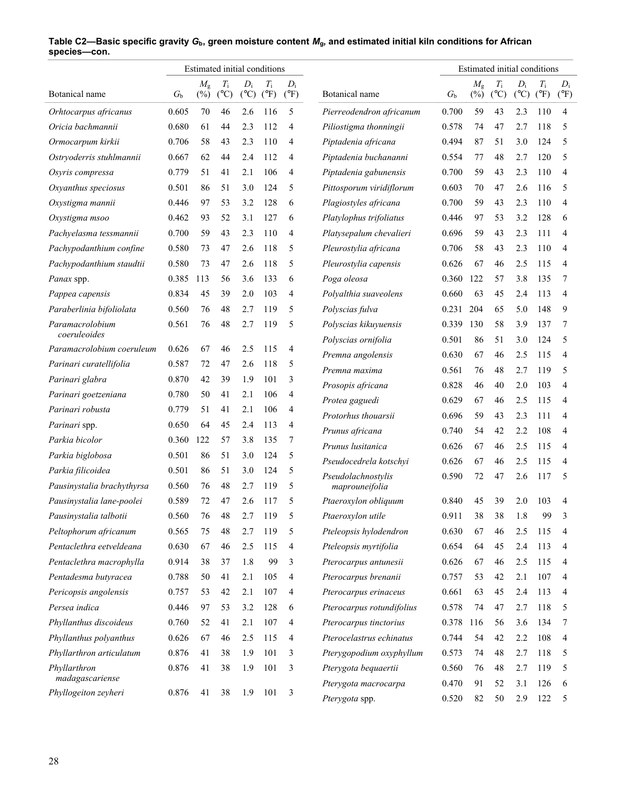|                                 |             |                       | Estimated initial conditions |                          |                              |                        |                                      |         |                       |                              | Estimated initial conditions |                              |                        |
|---------------------------------|-------------|-----------------------|------------------------------|--------------------------|------------------------------|------------------------|--------------------------------------|---------|-----------------------|------------------------------|------------------------------|------------------------------|------------------------|
| Botanical name                  | $G_{\rm b}$ | $M_{\rm g}$<br>$(\%)$ | $T_{\rm i}$<br>$(^{\circ}C)$ | $D_i$<br>$({}^{\circ}C)$ | $T_{\rm i}$<br>$(^{\circ}F)$ | $D_i$<br>$(^{\circ}F)$ | Botanical name                       | $G_{h}$ | $M_{\rm g}$<br>$(\%)$ | $T_{\rm i}$<br>$(^{\circ}C)$ | $D_i$<br>$(^{\circ}C)$       | $T_{\rm i}$<br>$(^{\circ}F)$ | $D_i$<br>$(^{\circ}F)$ |
| Orhtocarpus africanus           | 0.605       | 70                    | 46                           | 2.6                      | 116                          | 5                      | Pierreodendron africanum             | 0.700   | 59                    | 43                           | 2.3                          | 110                          | $\overline{4}$         |
| Oricia bachmannii               | 0.680       | 61                    | 44                           | 2.3                      | 112                          | 4                      | Piliostigma thonningii               | 0.578   | 74                    | 47                           | 2.7                          | 118                          | 5                      |
| Ormocarpum kirkii               | 0.706       | 58                    | 43                           | 2.3                      | 110                          | 4                      | Piptadenia africana                  | 0.494   | 87                    | 51                           | 3.0                          | 124                          | 5                      |
| Ostryoderris stuhlmannii        | 0.667       | 62                    | 44                           | 2.4                      | 112                          | $\overline{4}$         | Piptadenia buchananni                | 0.554   | 77                    | 48                           | 2.7                          | 120                          | 5                      |
| Osyris compressa                | 0.779       | 51                    | 41                           | 2.1                      | 106                          | 4                      | Piptadenia gabunensis                | 0.700   | 59                    | 43                           | 2.3                          | 110                          | $\overline{4}$         |
| Oxyanthus speciosus             | 0.501       | 86                    | 51                           | 3.0                      | 124                          | 5                      | Pittosporum viridiflorum             | 0.603   | 70                    | 47                           | 2.6                          | 116                          | 5                      |
| Oxystigma mannii                | 0.446       | 97                    | 53                           | 3.2                      | 128                          | 6                      | Plagiostyles africana                | 0.700   | 59                    | 43                           | 2.3                          | 110                          | $\overline{4}$         |
| Oxystigma msoo                  | 0.462       | 93                    | 52                           | 3.1                      | 127                          | 6                      | Platylophus trifoliatus              | 0.446   | 97                    | 53                           | 3.2                          | 128                          | 6                      |
| Pachyelasma tessmannii          | 0.700       | 59                    | 43                           | 2.3                      | 110                          | 4                      | Platysepalum chevalieri              | 0.696   | 59                    | 43                           | 2.3                          | 111                          | 4                      |
| Pachypodanthium confine         | 0.580       | 73                    | 47                           | 2.6                      | 118                          | 5                      | Pleurostylia africana                | 0.706   | 58                    | 43                           | 2.3                          | 110                          | 4                      |
| Pachypodanthium staudtii        | 0.580       | 73                    | 47                           | 2.6                      | 118                          | 5                      | Pleurostylia capensis                | 0.626   | 67                    | 46                           | 2.5                          | 115                          | 4                      |
| Panax spp.                      | 0.385       | 113                   | 56                           | 3.6                      | 133                          | 6                      | Poga oleosa                          | 0.360   | 122                   | 57                           | 3.8                          | 135                          | 7                      |
| Pappea capensis                 | 0.834       | 45                    | 39                           | 2.0                      | 103                          | 4                      | Polyalthia suaveolens                | 0.660   | 63                    | 45                           | 2.4                          | 113                          | $\overline{4}$         |
| Paraberlinia bifoliolata        | 0.560       | 76                    | 48                           | 2.7                      | 119                          | 5                      | Polyscias fulva                      | 0.231   | 204                   | 65                           | 5.0                          | 148                          | 9                      |
| Paramacrolobium<br>coeruleoides | 0.561       | 76                    | 48                           | 2.7                      | 119                          | 5                      | Polyscias kikuyuensis                | 0.339   | 130                   | 58                           | 3.9                          | 137                          | $\tau$                 |
| Paramacrolobium coeruleum       | 0.626       | 67                    | 46                           | 2.5                      | 115                          | $\overline{4}$         | Polyscias ornifolia                  | 0.501   | 86                    | 51                           | 3.0                          | 124                          | 5                      |
| Parinari curatellifolia         | 0.587       | 72                    | 47                           | 2.6                      | 118                          | 5                      | Premna angolensis                    | 0.630   | 67                    | 46                           | 2.5                          | 115                          | $\overline{4}$         |
| Parinari glabra                 | 0.870       | 42                    | 39                           | 1.9                      | 101                          | 3                      | Premna maxima                        | 0.561   | 76                    | 48                           | 2.7                          | 119                          | 5                      |
| Parinari goetzeniana            | 0.780       | 50                    | 41                           | 2.1                      | 106                          | $\overline{4}$         | Prosopis africana                    | 0.828   | 46                    | 40                           | 2.0                          | 103                          | $\overline{4}$         |
| Parinari robusta                | 0.779       | 51                    | 41                           | 2.1                      | 106                          | 4                      | Protea gaguedi                       | 0.629   | 67                    | 46                           | 2.5                          | 115                          | 4                      |
| Parinari spp.                   | 0.650       | 64                    | 45                           | 2.4                      | 113                          | 4                      | Protorhus thouarsii                  | 0.696   | 59                    | 43                           | 2.3                          | 111                          | 4                      |
| Parkia bicolor                  | 0.360       | 122                   | 57                           | 3.8                      | 135                          | 7                      | Prunus africana                      | 0.740   | 54                    | 42                           | 2.2                          | 108                          | 4                      |
| Parkia biglobosa                | 0.501       | 86                    | 51                           | 3.0                      | 124                          | 5                      | Prunus lusitanica                    | 0.626   | 67                    | 46                           | 2.5                          | 115                          | 4                      |
| Parkia filicoidea               | 0.501       | 86                    | 51                           | 3.0                      | 124                          | 5                      | Pseudocedrela kotschyi               | 0.626   | 67                    | 46                           | 2.5                          | 115                          | $\overline{4}$         |
| Pausinystalia brachythyrsa      | 0.560       | 76                    | 48                           | 2.7                      | 119                          | 5                      | Pseudolachnostylis<br>maprouneifolia | 0.590   | 72                    | 47                           | 2.6                          | 117                          | 5                      |
| Pausinystalia lane-poolei       | 0.589       | 72                    | 47                           | 2.6                      | 117                          | 5                      | Ptaeroxylon obliquum                 | 0.840   | 45                    | 39                           | 2.0                          | 103                          | 4                      |
| Pausinystalia talbotii          | 0.560       | 76                    | 48                           | 2.7                      | 119                          |                        | Ptaeroxylon utile                    | 0.911   | 38                    | 38                           | 1.8                          | 99                           | 3                      |
| Peltophorum africanum           | 0.565       | 75                    | 48                           | 2.7                      | 119                          | 5                      | Pteleopsis hylodendron               | 0.630   | 67                    | 46                           | 2.5                          | 115                          | 4                      |
| Pentaclethra eetveldeana        | 0.630       | 67                    | 46                           | 2.5                      | 115                          | 4                      | Pteleopsis myrtifolia                | 0.654   | 64                    | 45                           | 2.4                          | 113                          | 4                      |
| Pentaclethra macrophylla        | 0.914       | 38                    | 37                           | 1.8                      | 99                           | 3                      | Pterocarpus antunesii                | 0.626   | 67                    | 46                           | 2.5                          | 115                          | 4                      |
| Pentadesma butyracea            | 0.788       | 50                    | 41                           | 2.1                      | 105                          | 4                      | Pterocarpus brenanii                 | 0.757   | 53                    | 42                           | 2.1                          | 107                          | 4                      |
| Pericopsis angolensis           | 0.757       | 53                    | 42                           | 2.1                      | 107                          | 4                      | Pterocarpus erinaceus                | 0.661   | 63                    | 45                           | 2.4                          | 113                          | 4                      |
| Persea indica                   | 0.446       | 97                    | 53                           | 3.2                      | 128                          | 6                      | Pterocarpus rotundifolius            | 0.578   | 74                    | 47                           | 2.7                          | 118                          | 5                      |
| Phyllanthus discoideus          | 0.760       | 52                    | 41                           | 2.1                      | 107                          | $\overline{4}$         | Pterocarpus tinctorius               | 0.378   | 116                   | 56                           | 3.6                          | 134                          | 7                      |
| Phyllanthus polyanthus          | 0.626       | 67                    | 46                           | 2.5                      | 115                          | 4                      | Pterocelastrus echinatus             | 0.744   | 54                    | 42                           | 2.2                          | 108                          | 4                      |
| Phyllarthron articulatum        | 0.876       | 41                    | 38                           | 1.9                      | 101                          | 3                      | Pterygopodium oxyphyllum             | 0.573   | 74                    | 48                           | 2.7                          | 118                          | 5                      |
| Phyllarthron<br>madagascariense | 0.876       | 41                    | 38                           | 1.9                      | 101                          | 3                      | Pterygota bequaertii                 | 0.560   | 76                    | 48                           | 2.7                          | 119                          | 5                      |
| Phyllogeiton zeyheri            | 0.876       | 41                    | 38                           | 1.9                      | 101                          | 3                      | Pterygota macrocarpa                 | 0.470   | 91                    | 52                           | 3.1                          | 126                          | 6                      |
|                                 |             |                       |                              |                          |                              |                        | Pterygota spp.                       | 0.520   | 82                    | 50                           | 2.9                          | 122                          | 5                      |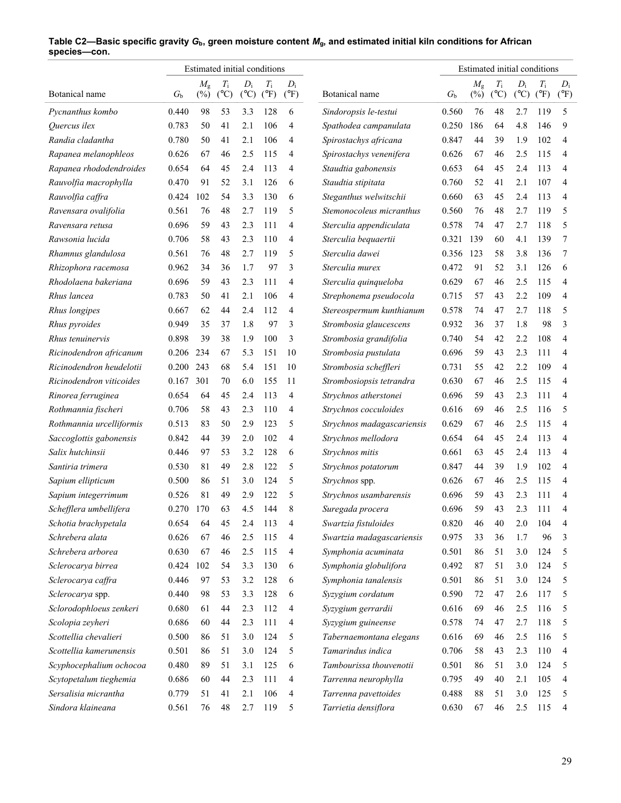|                          |             |                       | Estimated initial conditions |                        |                              |                        |                            |             |                       |                     |                        | Estimated initial conditions |                        |
|--------------------------|-------------|-----------------------|------------------------------|------------------------|------------------------------|------------------------|----------------------------|-------------|-----------------------|---------------------|------------------------|------------------------------|------------------------|
| Botanical name           | $G_{\rm b}$ | $M_{\rm g}$<br>$(\%)$ | $T_{\rm i}$<br>$(^{\circ}C)$ | $D_i$<br>$(^{\circ}C)$ | $T_{\rm i}$<br>$(^{\circ}F)$ | $D_i$<br>$(^{\circ}F)$ | Botanical name             | $G_{\rm b}$ | $M_{\rm g}$<br>$(\%)$ | Ti<br>$(^{\circ}C)$ | $D_i$<br>$(^{\circ}C)$ | $T_{\rm i}$<br>$(^{\circ}F)$ | $D_i$<br>$(^{\circ}F)$ |
| Pycnanthus kombo         | 0.440       | 98                    | 53                           | 3.3                    | 128                          | 6                      | Sindoropsis le-testui      | 0.560       | 76                    | 48                  | 2.7                    | 119                          | 5                      |
| Quercus ilex             | 0.783       | 50                    | 41                           | 2.1                    | 106                          | 4                      | Spathodea campanulata      | 0.250       | 186                   | 64                  | 4.8                    | 146                          | 9                      |
| Randia cladantha         | 0.780       | 50                    | 41                           | 2.1                    | 106                          | 4                      | Spirostachys africana      | 0.847       | 44                    | 39                  | 1.9                    | 102                          | $\overline{4}$         |
| Rapanea melanophleos     | 0.626       | 67                    | 46                           | 2.5                    | 115                          | 4                      | Spirostachys venenifera    | 0.626       | 67                    | 46                  | 2.5                    | 115                          | 4                      |
| Rapanea rhododendroides  | 0.654       | 64                    | 45                           | 2.4                    | 113                          | 4                      | Staudtia gabonensis        | 0.653       | 64                    | 45                  | 2.4                    | 113                          | $\overline{4}$         |
| Rauvolfia macrophylla    | 0.470       | 91                    | 52                           | 3.1                    | 126                          | 6                      | Staudtia stipitata         | 0.760       | 52                    | 41                  | 2.1                    | 107                          | $\overline{4}$         |
| Rauvolfia caffra         | 0.424       | 102                   | 54                           | 3.3                    | 130                          | 6                      | Steganthus welwitschii     | 0.660       | 63                    | 45                  | 2.4                    | 113                          | 4                      |
| Ravensara ovalifolia     | 0.561       | 76                    | 48                           | 2.7                    | 119                          | 5                      | Stemonocoleus micranthus   | 0.560       | 76                    | 48                  | 2.7                    | 119                          | 5                      |
| Ravensara retusa         | 0.696       | 59                    | 43                           | 2.3                    | 111                          | 4                      | Sterculia appendiculata    | 0.578       | 74                    | 47                  | 2.7                    | 118                          | 5                      |
| Rawsonia lucida          | 0.706       | 58                    | 43                           | 2.3                    | 110                          | 4                      | Sterculia bequaertii       | 0.321       | 139                   | 60                  | 4.1                    | 139                          | 7                      |
| Rhamnus glandulosa       | 0.561       | 76                    | 48                           | 2.7                    | 119                          | 5                      | Sterculia dawei            | 0.356       | 123                   | 58                  | 3.8                    | 136                          | 7                      |
| Rhizophora racemosa      | 0.962       | 34                    | 36                           | 1.7                    | 97                           | 3                      | Sterculia murex            | 0.472       | 91                    | 52                  | 3.1                    | 126                          | 6                      |
| Rhodolaena bakeriana     | 0.696       | 59                    | 43                           | 2.3                    | 111                          | 4                      | Sterculia quinqueloba      | 0.629       | 67                    | 46                  | 2.5                    | 115                          | 4                      |
| Rhus lancea              | 0.783       | 50                    | 41                           | 2.1                    | 106                          | 4                      | Strephonema pseudocola     | 0.715       | 57                    | 43                  | 2.2                    | 109                          | $\overline{4}$         |
| Rhus longipes            | 0.667       | 62                    | 44                           | 2.4                    | 112                          | 4                      | Stereospermum kunthianum   | 0.578       | 74                    | 47                  | 2.7                    | 118                          | 5                      |
| Rhus pyroides            | 0.949       | 35                    | 37                           | 1.8                    | 97                           | 3                      | Strombosia glaucescens     | 0.932       | 36                    | 37                  | 1.8                    | 98                           | 3                      |
| Rhus tenuinervis         | 0.898       | 39                    | 38                           | 1.9                    | 100                          | 3                      | Strombosia grandifolia     | 0.740       | 54                    | 42                  | 2.2                    | 108                          | $\overline{4}$         |
| Ricinodendron africanum  | 0.206       | 234                   | 67                           | 5.3                    | 151                          | 10                     | Strombosia pustulata       | 0.696       | 59                    | 43                  | 2.3                    | 111                          | $\overline{4}$         |
| Ricinodendron heudelotii | 0.200       | 243                   | 68                           | 5.4                    | 151                          | 10                     | Strombosia scheffleri      | 0.731       | 55                    | 42                  | 2.2                    | 109                          | $\overline{4}$         |
| Ricinodendron viticoides | 0.167       | 301                   | 70                           | 6.0                    | 155                          | 11                     | Strombosiopsis tetrandra   | 0.630       | 67                    | 46                  | 2.5                    | 115                          | $\overline{4}$         |
| Rinorea ferruginea       | 0.654       | 64                    | 45                           | 2.4                    | 113                          | 4                      | Strychnos atherstonei      | 0.696       | 59                    | 43                  | 2.3                    | 111                          | $\overline{4}$         |
| Rothmannia fischeri      | 0.706       | 58                    | 43                           | 2.3                    | 110                          | 4                      | Strychnos cocculoides      | 0.616       | 69                    | 46                  | 2.5                    | 116                          | 5                      |
| Rothmannia urcelliformis | 0.513       | 83                    | 50                           | 2.9                    | 123                          | 5                      | Strychnos madagascariensis | 0.629       | 67                    | 46                  | 2.5                    | 115                          | $\overline{4}$         |
| Saccoglottis gabonensis  | 0.842       | 44                    | 39                           | 2.0                    | 102                          | 4                      | Strychnos mellodora        | 0.654       | 64                    | 45                  | 2.4                    | 113                          | 4                      |
| Salix hutchinsii         | 0.446       | 97                    | 53                           | 3.2                    | 128                          | 6                      | Strychnos mitis            | 0.661       | 63                    | 45                  | 2.4                    | 113                          | 4                      |
| Santiria trimera         | 0.530       | 81                    | 49                           | 2.8                    | 122                          | 5                      | Strychnos potatorum        | 0.847       | 44                    | 39                  | 1.9                    | 102                          | 4                      |
| Sapium ellipticum        | 0.500       | 86                    | 51                           | 3.0                    | 124                          | 5                      | Strychnos spp.             | 0.626       | 67                    | 46                  | 2.5                    | 115                          | $\overline{4}$         |
| Sapium integerrimum      | 0.526       | 81                    | 49                           | 2.9                    | 122                          | 5                      | Strychnos usambarensis     | 0.696       | 59                    | 43                  | 2.3                    | 111                          | 4                      |
| Schefflera umbellifera   | 0.270       | 170                   | 63                           | 4.5                    | 144                          | 8                      | Suregada procera           | 0.696       | 59                    | 43                  | 2.3                    | 111                          | 4                      |
| Schotia brachypetala     | 0.654       | 64                    | 45                           | 2.4                    | 113                          | 4                      | Swartzia fistuloides       | 0.820       | 46                    | 40                  | 2.0                    | 104                          | 4                      |
| Schrebera alata          | 0.626       | 67                    | 46                           | 2.5                    | 115                          | 4                      | Swartzia madagascariensis  | 0.975       | 33                    | 36                  | 1.7                    | 96                           | 3                      |
| Schrebera arborea        | 0.630       | 67                    | 46                           | 2.5                    | 115                          | 4                      | Symphonia acuminata        | 0.501       | 86                    | 51                  | 3.0                    | 124                          | 5                      |
| Sclerocarya birrea       | 0.424       | 102                   | 54                           | 3.3                    | 130                          | 6                      | Symphonia globulifora      | 0.492       | 87                    | 51                  | 3.0                    | 124                          | 5                      |
| Sclerocarya caffra       | 0.446       | 97                    | 53                           | 3.2                    | 128                          | 6                      | Symphonia tanalensis       | 0.501       | 86                    | 51                  | 3.0                    | 124                          | 5                      |
| Sclerocarya spp.         | 0.440       | 98                    | 53                           | 3.3                    | 128                          | 6                      | Syzygium cordatum          | 0.590       | 72                    | 47                  | 2.6                    | 117                          | 5                      |
| Sclorodophloeus zenkeri  | 0.680       | 61                    | 44                           | 2.3                    | 112                          | 4                      | Syzygium gerrardii         | 0.616       | 69                    | 46                  | 2.5                    | 116                          | 5                      |
| Scolopia zeyheri         | 0.686       | 60                    | 44                           | 2.3                    | 111                          | 4                      | Syzygium guineense         | 0.578       | 74                    | 47                  | 2.7                    | 118                          | 5                      |
| Scottellia chevalieri    | 0.500       | 86                    | 51                           | 3.0                    | 124                          | 5                      | Tabernaemontana elegans    | 0.616       | 69                    | 46                  | 2.5                    | 116                          | 5                      |
| Scottellia kamerunensis  | 0.501       | 86                    | 51                           | 3.0                    | 124                          | 5                      | Tamarindus indica          | 0.706       | 58                    | 43                  | 2.3                    | 110                          | 4                      |
| Scyphocephalium ochocoa  | 0.480       | 89                    | 51                           | 3.1                    | 125                          | 6                      | Tambourissa thouvenotii    | 0.501       | 86                    | 51                  | 3.0                    | 124                          | 5                      |
| Scytopetalum tieghemia   | 0.686       | 60                    | 44                           | 2.3                    | 111                          | 4                      | Tarrenna neurophylla       | 0.795       | 49                    | 40                  | 2.1                    | 105                          | 4                      |
| Sersalisia micrantha     | 0.779       | 51                    | 41                           | 2.1                    | 106                          | 4                      | Tarrenna pavettoides       | 0.488       | 88                    | 51                  | 3.0                    | 125                          | 5                      |
| Sindora klaineana        | 0.561       | 76                    | 48                           | 2.7                    | 119                          | 5                      | Tarrietia densiflora       | 0.630       | 67                    | 46                  | 2.5                    | 115                          | 4                      |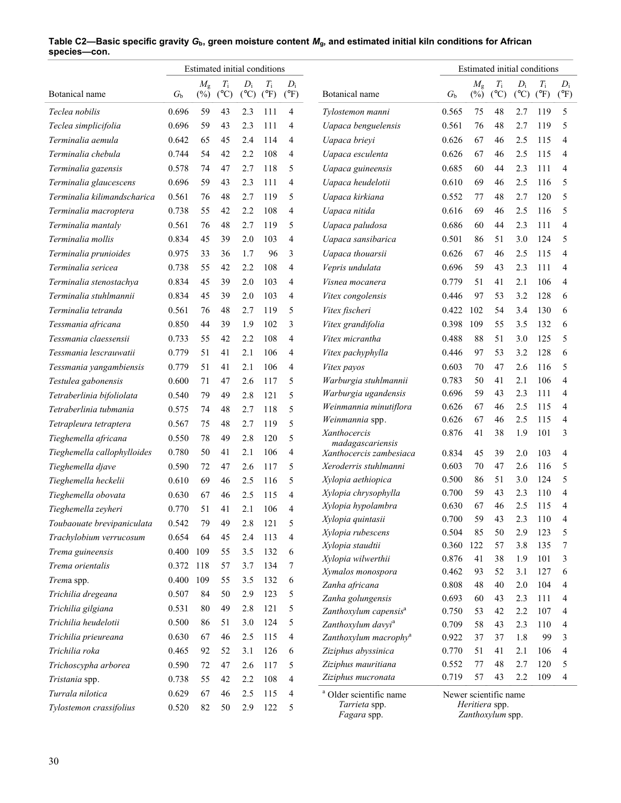|                             |         |                       | Estimated initial conditions |                        |                              |                        |                                             |                       |                       | Estimated initial conditions |                        |                              |                          |
|-----------------------------|---------|-----------------------|------------------------------|------------------------|------------------------------|------------------------|---------------------------------------------|-----------------------|-----------------------|------------------------------|------------------------|------------------------------|--------------------------|
| Botanical name              | $G_{h}$ | $M_{\rm g}$<br>$(\%)$ | $T_{\rm i}$<br>$(^{\circ}C)$ | $D_i$<br>$(^{\circ}C)$ | $T_{\rm i}$<br>$(^{\circ}F)$ | $D_i$<br>$(^{\circ}F)$ | Botanical name                              | $G_{\rm b}$           | $M_{\rm g}$<br>$(\%)$ | $T_{\rm i}$<br>$(^{\circ}C)$ | $D_i$<br>$(^{\circ}C)$ | $T_{\rm i}$<br>$(^{\circ}F)$ | $D_i$<br>$(^{\circ}F)$   |
| Teclea nobilis              | 0.696   | 59                    | 43                           | 2.3                    | 111                          | $\overline{4}$         | Tylostemon manni                            | 0.565                 | 75                    | 48                           | 2.7                    | 119                          | 5                        |
| Teclea simplicifolia        | 0.696   | 59                    | 43                           | 2.3                    | 111                          | 4                      | Uapaca benguelensis                         | 0.561                 | 76                    | 48                           | 2.7                    | 119                          | 5                        |
| Terminalia aemula           | 0.642   | 65                    | 45                           | 2.4                    | 114                          | 4                      | Uapaca brieyi                               | 0.626                 | 67                    | 46                           | 2.5                    | 115                          | $\overline{4}$           |
| Terminalia chebula          | 0.744   | 54                    | 42                           | 2.2                    | 108                          | 4                      | Uapaca esculenta                            | 0.626                 | 67                    | 46                           | 2.5                    | 115                          | $\overline{4}$           |
| Terminalia gazensis         | 0.578   | 74                    | 47                           | 2.7                    | 118                          | 5                      | Uapaca guineensis                           | 0.685                 | 60                    | 44                           | 2.3                    | 111                          | 4                        |
| Terminalia glaucescens      | 0.696   | 59                    | 43                           | 2.3                    | 111                          | $\overline{4}$         | Uapaca heudelotii                           | 0.610                 | 69                    | 46                           | 2.5                    | 116                          | 5                        |
| Terminalia kilimandscharica | 0.561   | 76                    | 48                           | 2.7                    | 119                          | 5                      | Uapaca kirkiana                             | 0.552                 | 77                    | 48                           | 2.7                    | 120                          | 5                        |
| Terminalia macroptera       | 0.738   | 55                    | 42                           | 2.2                    | 108                          | 4                      | Uapaca nitida                               | 0.616                 | 69                    | 46                           | 2.5                    | 116                          | 5                        |
| Terminalia mantaly          | 0.561   | 76                    | 48                           | 2.7                    | 119                          | 5                      | Uapaca paludosa                             | 0.686                 | 60                    | 44                           | 2.3                    | 111                          | $\overline{4}$           |
| Terminalia mollis           | 0.834   | 45                    | 39                           | 2.0                    | 103                          | 4                      | Uapaca sansibarica                          | 0.501                 | 86                    | 51                           | 3.0                    | 124                          | 5                        |
| Terminalia prunioides       | 0.975   | 33                    | 36                           | 1.7                    | 96                           | 3                      | Uapaca thouarsii                            | 0.626                 | 67                    | 46                           | 2.5                    | 115                          | 4                        |
| Terminalia sericea          | 0.738   | 55                    | 42                           | 2.2                    | 108                          | $\overline{4}$         | Vepris undulata                             | 0.696                 | 59                    | 43                           | 2.3                    | 111                          | 4                        |
| Terminalia stenostachya     | 0.834   | 45                    | 39                           | 2.0                    | 103                          | 4                      | Visnea mocanera                             | 0.779                 | 51                    | 41                           | 2.1                    | 106                          | $\overline{4}$           |
| Terminalia stuhlmannii      | 0.834   | 45                    | 39                           | 2.0                    | 103                          | 4                      | Vitex congolensis                           | 0.446                 | 97                    | 53                           | 3.2                    | 128                          | 6                        |
| Terminalia tetranda         | 0.561   | 76                    | 48                           | 2.7                    | 119                          | 5                      | Vitex fischeri                              | 0.422                 | 102                   | 54                           | 3.4                    | 130                          | 6                        |
| Tessmania africana          | 0.850   | 44                    | 39                           | 1.9                    | 102                          | 3                      | Vitex grandifolia                           | 0.398                 | 109                   | 55                           | 3.5                    | 132                          | 6                        |
| Tessmania claessensii       | 0.733   | 55                    | 42                           | 2.2                    | 108                          | $\overline{4}$         | Vitex micrantha                             | 0.488                 | 88                    | 51                           | 3.0                    | 125                          | 5                        |
| Tessmania lescrauwatii      | 0.779   | 51                    | 41                           | 2.1                    | 106                          | $\overline{4}$         | Vitex pachyphylla                           | 0.446                 | 97                    | 53                           | 3.2                    | 128                          | 6                        |
| Tessmania yangambiensis     | 0.779   | 51                    | 41                           | 2.1                    | 106                          | 4                      | Vitex payos                                 | 0.603                 | 70                    | 47                           | 2.6                    | 116                          | 5                        |
| Testulea gabonensis         | 0.600   | 71                    | 47                           | 2.6                    | 117                          | 5                      | Warburgia stuhlmannii                       | 0.783                 | 50                    | 41                           | 2.1                    | 106                          | $\overline{4}$           |
| Tetraberlinia bifoliolata   | 0.540   | 79                    | 49                           | 2.8                    | 121                          | 5                      | Warburgia ugandensis                        | 0.696                 | 59                    | 43                           | 2.3                    | 111                          | $\overline{4}$           |
| Tetraberlinia tubmania      | 0.575   | 74                    | 48                           | 2.7                    | 118                          | 5                      | Weinmannia minutiflora                      | 0.626                 | 67                    | 46                           | 2.5                    | 115                          | $\overline{4}$           |
| Tetrapleura tetraptera      | 0.567   | 75                    | 48                           | 2.7                    | 119                          | 5                      | Weinmannia spp.                             | 0.626                 | 67                    | 46                           | 2.5                    | 115                          | $\overline{4}$           |
| Tieghemella africana        | 0.550   | 78                    | 49                           | 2.8                    | 120                          | 5                      | Xanthocercis                                | 0.876                 | 41                    | 38                           | 1.9                    | 101                          | 3                        |
| Tieghemella callophylloides | 0.780   | 50                    | 41                           | 2.1                    | 106                          | 4                      | madagascariensis<br>Xanthocercis zambesiaca | 0.834                 | 45                    | 39                           | 2.0                    | 103                          | $\overline{4}$           |
| Tieghemella djave           | 0.590   | 72                    | 47                           | 2.6                    | 117                          | 5                      | Xeroderris stuhlmanni                       | 0.603                 | 70                    | 47                           | 2.6                    | 116                          | 5                        |
| Tieghemella heckelii        | 0.610   | 69                    | 46                           | 2.5                    | 116                          | 5                      | Xylopia aethiopica                          | 0.500                 | 86                    | 51                           | 3.0                    | 124                          | 5                        |
| Tieghemella obovata         | 0.630   | 67                    | 46                           | 2.5                    | 115                          | $\overline{4}$         | Xylopia chrysophylla                        | 0.700                 | 59                    | 43                           | 2.3                    | 110                          | $\overline{4}$           |
| Tieghemella zeyheri         | 0.770   | 51                    | 41                           | 2.1                    | 106                          | $\overline{4}$         | Xylopia hypolambra                          | 0.630                 | 67                    | 46                           | 2.5                    | 115                          | $\overline{4}$           |
| Toubaouate brevipaniculata  | 0.542   | 79                    | 49                           | 2.8                    | 121                          | 5                      | Xylopia quintasii                           | 0.700                 | 59                    | 43                           | 2.3                    | 110                          | $\overline{\mathcal{A}}$ |
| Trachylobium verrucosum     | 0.654   | 64                    | 45                           | 2.4                    | 113                          | 4                      | Xylopia rubescens                           | 0.504                 | 85                    | 50                           | 2.9                    | 123                          | 5                        |
| Trema guineensis            | 0.400   | 109                   | 55                           | 3.5                    | 132                          | 6                      | Xylopia staudtii                            | 0.360                 | 122                   | 57                           | 3.8                    | 135                          | 7                        |
| Trema orientalis            | 0.372   | 118                   | 57                           | 3.7                    | 134                          | 7                      | Xylopia wilwerthii                          | 0.876                 | 41                    | 38                           | 1.9                    | 101                          | 3                        |
| Trema spp.                  | 0.400   | 109                   | 55                           | 3.5                    | 132                          | 6                      | Xymalos monospora                           | 0.462                 | 93                    | 52                           | 3.1                    | 127                          | 6                        |
| Trichilia dregeana          | 0.507   | 84                    | 50                           | 2.9                    | 123                          | 5                      | Zanha africana<br>Zanha golungensis         | 0.808<br>0.693        | 48<br>60              | 40<br>43                     | 2.0<br>2.3             | 104<br>111                   | 4<br>4                   |
| Trichilia gilgiana          | 0.531   | 80                    | 49                           | 2.8                    | 121                          | 5                      | Zanthoxylum capensis <sup>a</sup>           | 0.750                 | 53                    | 42                           | 2.2                    | 107                          | 4                        |
| Trichilia heudelotii        | 0.500   | 86                    | 51                           | 3.0                    | 124                          | 5                      | Zanthoxylum davyi <sup>a</sup>              | 0.709                 | 58                    | 43                           | 2.3                    | 110                          | 4                        |
| Trichilia prieureana        | 0.630   | 67                    | 46                           | 2.5                    | 115                          | 4                      | Zanthoxylum macrophy <sup>a</sup>           | 0.922                 | 37                    | 37                           | 1.8                    | 99                           | 3                        |
| Trichilia roka              | 0.465   | 92                    | 52                           | 3.1                    | 126                          | 6                      | Ziziphus abyssinica                         | 0.770                 | 51                    | 41                           | 2.1                    | 106                          | 4                        |
| Trichoscypha arborea        | 0.590   | 72                    | 47                           | 2.6                    | 117                          | 5                      | Ziziphus mauritiana                         | 0.552                 | 77                    | 48                           | 2.7                    | 120                          | 5                        |
| Tristania spp.              | 0.738   | 55                    | 42                           | 2.2                    | 108                          | 4                      | Ziziphus mucronata                          | 0.719                 | 57                    | 43                           | 2.2                    | 109                          | $\overline{\mathcal{L}}$ |
| Turrala nilotica            | 0.629   | 67                    | 46                           | 2.5                    | 115                          | 4                      | <sup>a</sup> Older scientific name          | Newer scientific name |                       |                              |                        |                              |                          |
| Tylostemon crassifolius     | 0.520   | 82                    | 50                           | 2.9                    | 122                          | 5                      | Tarrieta spp.                               |                       | Heritiera spp.        |                              |                        |                              |                          |

*Tarrieta* spp. *Heritiera* spp.

*<i>Zanthoxylum* spp.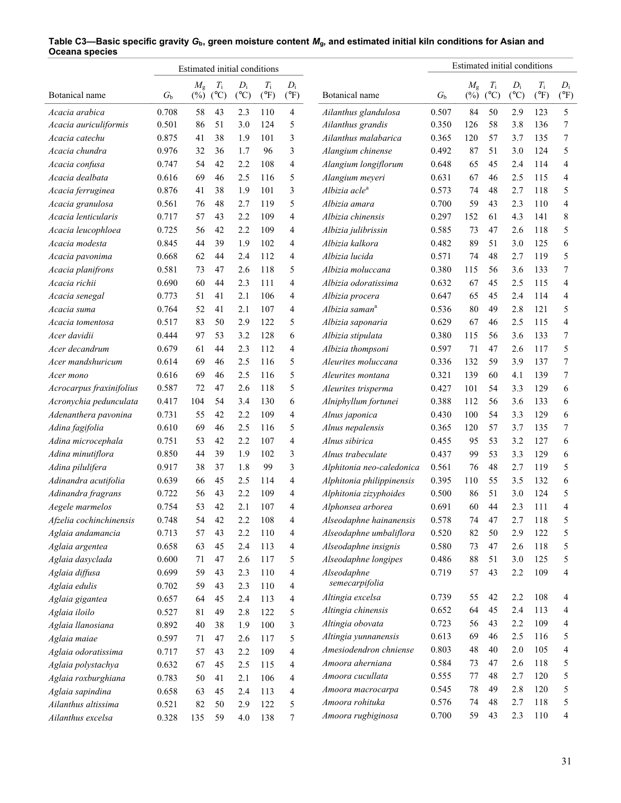|                                  |             | Estimated initial conditions |               |                 |               |               |                            |             |             |               | Estimated initial conditions |               |                |
|----------------------------------|-------------|------------------------------|---------------|-----------------|---------------|---------------|----------------------------|-------------|-------------|---------------|------------------------------|---------------|----------------|
|                                  |             | $M_{\rm g}$                  | $T_{\rm i}$   | $D_i$           | $T_{\rm i}$   | $D_i$         |                            |             | $M_{\rm g}$ | $T_{\rm i}$   | $D_i$                        | $T_{\rm i}$   | $D_i$          |
| Botanical name                   | $G_{\rm b}$ | $(\%)$                       | $(^{\circ}C)$ | $({}^{\circ}C)$ | $(^{\circ}F)$ | $(^{\circ}F)$ | Botanical name             | $G_{\rm b}$ | $(\%)$      | $(^{\circ}C)$ | $(^{\circ}C)$                | $(^{\circ}F)$ | $(^{\circ}F)$  |
| Acacia arabica                   | 0.708       | 58                           | 43            | 2.3             | 110           | 4             | Ailanthus glandulosa       | 0.507       | 84          | 50            | 2.9                          | 123           | 5              |
| Acacia auriculiformis            | 0.501       | 86                           | 51            | 3.0             | 124           | 5             | Ailanthus grandis          | 0.350       | 126         | 58            | 3.8                          | 136           | 7              |
| Acacia catechu                   | 0.875       | 41                           | 38            | 1.9             | 101           | 3             | Ailanthus malabarica       | 0.365       | 120         | 57            | 3.7                          | 135           | 7              |
| Acacia chundra                   | 0.976       | 32                           | 36            | 1.7             | 96            | 3             | Alangium chinense          | 0.492       | 87          | 51            | 3.0                          | 124           | 5              |
| Acacia confusa                   | 0.747       | 54                           | 42            | 2.2             | 108           | 4             | Alangium longiflorum       | 0.648       | 65          | 45            | 2.4                          | 114           | 4              |
| Acacia dealbata                  | 0.616       | 69                           | 46            | 2.5             | 116           | 5             | Alangium meyeri            | 0.631       | 67          | 46            | 2.5                          | 115           | $\overline{4}$ |
| Acacia ferruginea                | 0.876       | 41                           | 38            | 1.9             | 101           | 3             | Albizia acle <sup>a</sup>  | 0.573       | 74          | 48            | 2.7                          | 118           | 5              |
| Acacia granulosa                 | 0.561       | 76                           | 48            | 2.7             | 119           | 5             | Albizia amara              | 0.700       | 59          | 43            | 2.3                          | 110           | 4              |
| Acacia lenticularis              | 0.717       | 57                           | 43            | 2.2             | 109           | 4             | Albizia chinensis          | 0.297       | 152         | 61            | 4.3                          | 141           | 8              |
| Acacia leucophloea               | 0.725       | 56                           | 42            | 2.2             | 109           | 4             | Albizia julibrissin        | 0.585       | 73          | 47            | 2.6                          | 118           | 5              |
| Acacia modesta                   | 0.845       | 44                           | 39            | 1.9             | 102           | 4             | Albizia kalkora            | 0.482       | 89          | 51            | 3.0                          | 125           | 6              |
| Acacia pavonima                  | 0.668       | 62                           | 44            | 2.4             | 112           | 4             | Albizia lucida             | 0.571       | 74          | 48            | 2.7                          | 119           | 5              |
| Acacia planifrons                | 0.581       | 73                           | 47            | 2.6             | 118           | 5             | Albizia moluccana          | 0.380       | 115         | 56            | 3.6                          | 133           | 7              |
| Acacia richii                    | 0.690       | 60                           | 44            | 2.3             | 111           | 4             | Albizia odoratissima       | 0.632       | 67          | 45            | 2.5                          | 115           | 4              |
| Acacia senegal                   | 0.773       | 51                           | 41            | 2.1             | 106           | 4             | Albizia procera            | 0.647       | 65          | 45            | 2.4                          | 114           | $\overline{4}$ |
| Acacia suma                      | 0.764       | 52                           | 41            | 2.1             | 107           | 4             | Albizia saman <sup>a</sup> | 0.536       | 80          | 49            | 2.8                          | 121           | 5              |
| Acacia tomentosa                 | 0.517       | 83                           | 50            | 2.9             | 122           | 5             | Albizia saponaria          | 0.629       | 67          | 46            | 2.5                          | 115           | 4              |
| Acer davidii                     | 0.444       | 97                           | 53            | 3.2             | 128           | 6             | Albizia stipulata          | 0.380       | 115         | 56            | 3.6                          | 133           | 7              |
| Acer decandrum                   | 0.679       | 61                           | 44            | 2.3             | 112           | 4             | Albizia thompsoni          | 0.597       | 71          | 47            | 2.6                          | 117           | 5              |
| Acer mandshuricum                | 0.614       | 69                           | 46            | 2.5             | 116           | 5             | Aleurites moluccana        | 0.336       | 132         | 59            | 3.9                          | 137           | 7              |
| Acer mono                        | 0.616       | 69                           | 46            | 2.5             | 116           | 5             | Aleurites montana          | 0.321       | 139         | 60            | 4.1                          | 139           | 7              |
| Acrocarpus fraxinifolius         | 0.587       | 72                           | 47            | 2.6             | 118           | 5             | Aleurites trisperma        | 0.427       | 101         | 54            | 3.3                          | 129           | 6              |
| Acronychia pedunculata           | 0.417       | 104                          | 54            | 3.4             | 130           | 6             | Alniphyllum fortunei       | 0.388       | 112         | 56            | 3.6                          | 133           | 6              |
| Adenanthera pavonina             | 0.731       | 55                           | 42            | 2.2             | 109           | 4             | Alnus japonica             | 0.430       | 100         | 54            | 3.3                          | 129           | 6              |
| Adina fagifolia                  | 0.610       | 69                           | 46            | 2.5             | 116           | 5             | Alnus nepalensis           | 0.365       | 120         | 57            | 3.7                          | 135           | 7              |
| Adina microcephala               | 0.751       | 53                           | 42            | 2.2             | 107           | 4             | Alnus sibirica             | 0.455       | 95          | 53            | 3.2                          | 127           | 6              |
| Adina minutiflora                | 0.850       | 44                           | 39            | 1.9             | 102           | 3             | Alnus trabeculate          | 0.437       | 99          | 53            | 3.3                          | 129           | 6              |
| Adina pilulifera                 | 0.917       | 38                           | 37            | 1.8             | 99            | 3             | Alphitonia neo-caledonica  | 0.561       | 76          | 48            | 2.7                          | 119           | 5              |
| Adinandra acutifolia             | 0.639       | 66                           | 45            | 2.5             | 114           | 4             | Alphitonia philippinensis  | 0.395       | 110         | 55            | 3.5                          | 132           | 6              |
| Adinandra fragrans               | 0.722       | 56                           | 43            | 2.2             | 109           | 4             | Alphitonia zizyphoides     | 0.500       | 86          | 51            | 3.0                          | 124           | 5              |
| Aegele marmelos                  | 0.754       | 53                           | 42            | 2.1             | 107           | 4             | Alphonsea arborea          | 0.691       | 60          | 44            | 2.3                          | 111           | 4              |
| Afzelia cochinchinensis          | 0.748       | 54                           | 42            | 2.2             | 108           | 4             | Alseodaphne hainanensis    | 0.578       | 74          | 47            | 2.7                          | 118           | 5              |
| Aglaia andamancia                | 0.713       | 57                           | 43            | 2.2             | 110           | 4             | Alseodaphne umbaliflora    | 0.520       | 82          | 50            | 2.9                          | 122           | 5              |
| Aglaia argentea                  | 0.658       | 63                           | 45            | 2.4             | 113           | 4             | Alseodaphne insignis       | 0.580       | 73          | 47            | 2.6                          | 118           | 5              |
| Aglaia dasyclada                 | 0.600       | 71                           | 47            | 2.6             | 117           | 5             | Alseodaphne longipes       | 0.486       | 88          | 51            | 3.0                          | 125           | 5              |
| Aglaia diffusa                   | 0.699       | 59                           | 43            | 2.3             | 110           | 4             | Alseodaphne                | 0.719       | 57          | 43            | 2.2                          | 109           | 4              |
| Aglaia edulis                    | 0.702       | 59                           | 43            | 2.3             | 110           | 4             | semecarpifolia             |             |             |               |                              |               |                |
|                                  | 0.657       | 64                           | 45            | 2.4             | 113           | 4             | Altingia excelsa           | 0.739       | 55          | 42            | 2.2                          | 108           | 4              |
| Aglaia gigantea<br>Aglaia iloilo | 0.527       | 81                           | 49            | 2.8             | 122           | 5             | Altingia chinensis         | 0.652       | 64          | 45            | 2.4                          | 113           | 4              |
|                                  |             |                              | 38            |                 | 100           |               | Altingia obovata           | 0.723       | 56          | 43            | 2.2                          | 109           | 4              |
| Aglaia llanosiana                | 0.892       | 40                           |               | 1.9             |               | 3             | Altingia yunnanensis       | 0.613       | 69          | 46            | 2.5                          | 116           | 5              |
| Aglaia maiae                     | 0.597       | 71                           | 47            | 2.6             | 117           | 5             | Amesiodendron chniense     | 0.803       | 48          | 40            | 2.0                          | 105           | 4              |
| Aglaia odoratissima              | 0.717       | 57                           | 43            | 2.2             | 109           | 4             | Amoora aherniana           | 0.584       | 73          | 47            | 2.6                          | 118           | 5              |
| Aglaia polystachya               | 0.632       | 67                           | 45            | 2.5             | 115           | 4             | Amoora cucullata           | 0.555       | 77          | 48            | 2.7                          | 120           | 5              |
| Aglaia roxburghiana              | 0.783       | 50                           | 41            | 2.1             | 106           | 4             | Amoora macrocarpa          | 0.545       | 78          | 49            | 2.8                          | 120           | 5              |
| Aglaia sapindina                 | 0.658       | 63                           | 45            | 2.4             | 113           | 4             | Amoora rohituka            | 0.576       | 74          | 48            | 2.7                          | 118           | 5              |
| Ailanthus altissima              | 0.521       | 82                           | 50            | 2.9             | 122           | 5             | Amoora rugbiginosa         | 0.700       | 59          | 43            | 2.3                          | 110           | 4              |
| Ailanthus excelsa                | 0.328       | 135                          | 59            | 4.0             | 138           | 7             |                            |             |             |               |                              |               |                |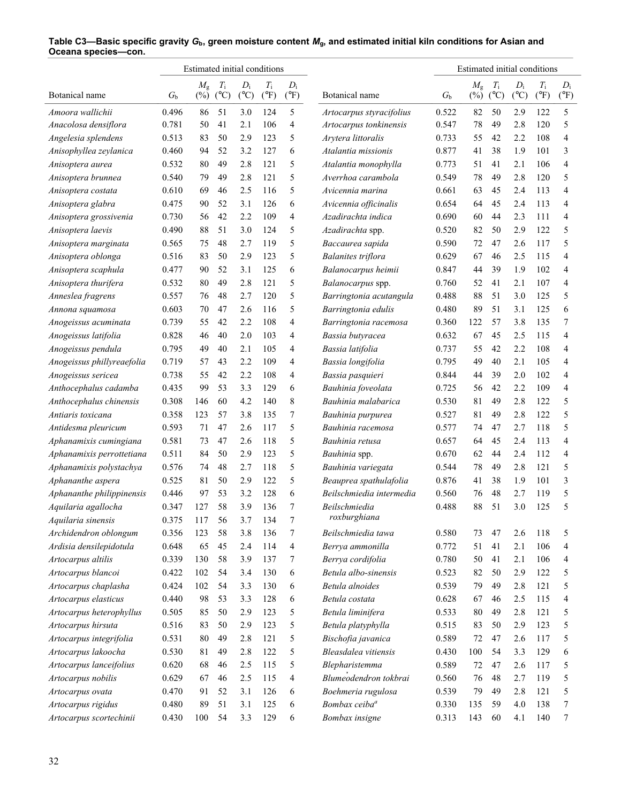|                                               |             | Estimated initial conditions |                              |                        |                              |                        |                                          |                  | Estimated initial conditions |                              |                        |                              |                        |
|-----------------------------------------------|-------------|------------------------------|------------------------------|------------------------|------------------------------|------------------------|------------------------------------------|------------------|------------------------------|------------------------------|------------------------|------------------------------|------------------------|
| Botanical name                                | $G_{\rm b}$ | $M_{\rm g}$<br>$(\%)$        | $T_{\rm i}$<br>$(^{\circ}C)$ | $D_i$<br>$(^{\circ}C)$ | $T_{\rm i}$<br>$(^{\circ}F)$ | $D_i$<br>$(^{\circ}F)$ | Botanical name                           | $G_{\mathrm{b}}$ | $M_{\rm g}$<br>$(\%)$        | $T_{\rm i}$<br>$(^{\circ}C)$ | $D_i$<br>$(^{\circ}C)$ | $T_{\rm i}$<br>$(^{\circ}F)$ | $D_i$<br>$(^{\circ}F)$ |
| Amoora wallichii                              | 0.496       | 86                           | 51                           | 3.0                    | 124                          | 5                      | Artocarpus styracifolius                 | 0.522            | 82                           | 50                           | 2.9                    | 122                          | 5                      |
| Anacolosa densiflora                          | 0.781       | 50                           | 41                           | 2.1                    | 106                          | 4                      | Artocarpus tonkinensis                   | 0.547            | 78                           | 49                           | 2.8                    | 120                          | 5                      |
| Angelesia splendens                           | 0.513       | 83                           | 50                           | 2.9                    | 123                          | 5                      | Arytera littoralis                       | 0.733            | 55                           | 42                           | 2.2                    | 108                          | 4                      |
| Anisophyllea zeylanica                        | 0.460       | 94                           | 52                           | 3.2                    | 127                          | 6                      | Atalantia missionis                      | 0.877            | 41                           | 38                           | 1.9                    | 101                          | 3                      |
| Anisoptera aurea                              | 0.532       | 80                           | 49                           | 2.8                    | 121                          | 5                      | Atalantia monophylla                     | 0.773            | 51                           | 41                           | 2.1                    | 106                          | 4                      |
| Anisoptera brunnea                            | 0.540       | 79                           | 49                           | 2.8                    | 121                          | 5                      | Averrhoa carambola                       | 0.549            | 78                           | 49                           | 2.8                    | 120                          | 5                      |
| Anisoptera costata                            | 0.610       | 69                           | 46                           | 2.5                    | 116                          | 5                      | Avicennia marina                         | 0.661            | 63                           | 45                           | 2.4                    | 113                          | 4                      |
| Anisoptera glabra                             | 0.475       | 90                           | 52                           | 3.1                    | 126                          | 6                      | Avicennia officinalis                    | 0.654            | 64                           | 45                           | 2.4                    | 113                          | 4                      |
| Anisoptera grossivenia                        | 0.730       | 56                           | 42                           | 2.2                    | 109                          | 4                      | Azadirachta indica                       | 0.690            | 60                           | 44                           | 2.3                    | 111                          | 4                      |
| Anisoptera laevis                             | 0.490       | 88                           | 51                           | 3.0                    | 124                          | 5                      | Azadirachta spp.                         | 0.520            | 82                           | 50                           | 2.9                    | 122                          | 5                      |
| Anisoptera marginata                          | 0.565       | 75                           | 48                           | 2.7                    | 119                          | 5                      | Baccaurea sapida                         | 0.590            | 72                           | 47                           | 2.6                    | 117                          | 5                      |
| Anisoptera oblonga                            | 0.516       | 83                           | 50                           | 2.9                    | 123                          | 5                      | <b>Balanites triflora</b>                | 0.629            | 67                           | 46                           | 2.5                    | 115                          | 4                      |
| Anisoptera scaphula                           | 0.477       | 90                           | 52                           | 3.1                    | 125                          | 6                      | Balanocarpus heimii                      | 0.847            | 44                           | 39                           | 1.9                    | 102                          | 4                      |
| Anisoptera thurifera                          | 0.532       | 80                           | 49                           | 2.8                    | 121                          | 5                      | Balanocarpus spp.                        | 0.760            | 52                           | 41                           | 2.1                    | 107                          | 4                      |
| Anneslea fragrens                             | 0.557       | 76                           | 48                           | 2.7                    | 120                          | 5                      | Barringtonia acutangula                  | 0.488            | 88                           | 51                           | 3.0                    | 125                          | 5                      |
| Annona squamosa                               | 0.603       | 70                           | 47                           | 2.6                    | 116                          | 5                      | Barringtonia edulis                      | 0.480            | 89                           | 51                           | 3.1                    | 125                          | 6                      |
| Anogeissus acuminata                          | 0.739       | 55                           | 42                           | 2.2                    | 108                          | 4                      | Barringtonia racemosa                    | 0.360            | 122                          | 57                           | 3.8                    | 135                          | 7                      |
| Anogeissus latifolia                          | 0.828       | 46                           | 40                           | 2.0                    | 103                          | 4                      | Bassia butyracea                         | 0.632            | 67                           | 45                           | 2.5                    | 115                          | 4                      |
| Anogeissus pendula                            | 0.795       | 49                           | 40                           | 2.1                    | 105                          | 4                      | Bassia latifolia                         | 0.737            | 55                           | 42                           | 2.2                    | 108                          | 4                      |
| Anogeissus phillyreaefolia                    | 0.719       | 57                           | 43                           | 2.2                    | 109                          | 4                      | Bassia longifolia                        | 0.795            | 49                           | 40                           | 2.1                    | 105                          | 4                      |
| Anogeissus sericea                            | 0.738       | 55                           | 42                           | 2.2                    | 108                          | 4                      | Bassia pasquieri                         | 0.844            | 44                           | 39                           | 2.0                    | 102                          | 4                      |
| Anthocephalus cadamba                         | 0.435       | 99                           | 53                           | 3.3                    | 129                          | 6                      | Bauhinia foveolata                       | 0.725            | 56                           | 42                           | 2.2                    | 109                          | 4                      |
| Anthocephalus chinensis                       | 0.308       | 146                          | 60                           | 4.2                    | 140                          | 8                      | Bauhinia malabarica                      | 0.530            | 81                           | 49                           | 2.8                    | 122                          | 5                      |
| Antiaris toxicana                             | 0.358       | 123                          | 57                           | 3.8                    | 135                          | 7                      | Bauhinia purpurea                        | 0.527            | 81                           | 49                           | 2.8                    | 122                          | 5                      |
| Antidesma pleuricum                           | 0.593       | 71                           | 47                           | 2.6                    | 117                          | 5                      | Bauhinia racemosa                        | 0.577            | 74                           | 47                           | 2.7                    | 118                          | 5                      |
| Aphanamixis cumingiana                        | 0.581       | 73                           | 47                           | 2.6                    | 118                          | 5                      | Bauhinia retusa                          | 0.657            | 64                           | 45                           | 2.4                    | 113                          | 4                      |
| Aphanamixis perrottetiana                     | 0.511       | 84                           | 50                           | 2.9                    | 123                          | 5                      | Bauhinia spp.                            | 0.670            | 62                           | 44                           | 2.4                    | 112                          | 4                      |
| Aphanamixis polystachya                       | 0.576       | 74                           | 48                           | 2.7                    | 118                          | 5                      | Bauhinia variegata                       | 0.544            | 78                           | 49                           | 2.8                    | 121                          | 5                      |
| Aphananthe aspera                             | 0.525       | 81                           | 50                           | 2.9                    | 122                          | 5                      | Beauprea spathulafolia                   | 0.876            | 41                           | 38                           | 1.9                    | 101                          | 3                      |
| Aphananthe philippinensis                     | 0.446       | 97                           | 53                           | 3.2                    | 128                          | 6                      | Beilschmiedia intermedia                 | 0.560            | 76                           | 48                           | 2.7                    | 119                          | 5                      |
| Aquilaria agallocha                           | 0.347       | 127                          | 58                           | 3.9                    | 136                          | 7                      | Beilschmiedia                            | 0.488            | 88                           | 51                           | 3.0                    | 125                          | 5                      |
| Aquilaria sinensis                            | 0.375       | 117                          | 56                           | 3.7                    | 134                          | 7                      | roxburghiana                             |                  |                              |                              |                        |                              |                        |
| Archidendron oblongum                         | 0.356       | 123                          | 58                           | 3.8                    | 136                          | 7                      | Beilschmiedia tawa                       | 0.580            | 73                           | 47                           | 2.6                    | 118                          | 5                      |
| Ardisia densilepidotula                       | 0.648       | 65                           | 45                           | 2.4                    | 114                          | 4                      | Berrya ammonilla                         | 0.772            | 51                           | 41                           | 2.1                    | 106                          | 4                      |
| Artocarpus altilis                            | 0.339       | 130                          | 58                           | 3.9                    | 137                          | 7                      | Berrya cordifolia                        | 0.780            | 50                           | 41                           | 2.1                    | 106                          | 4                      |
| Artocarpus blancoi                            | 0.422       | 102                          | 54                           | 3.4                    | 130                          | 6                      | Betula albo-sinensis                     | 0.523            | 82                           | 50                           | 2.9                    | 122                          | 5                      |
| Artocarpus chaplasha                          | 0.424       | 102                          | 54                           | 3.3                    | 130                          | 6                      | Betula alnoides                          | 0.539            | 79                           | 49                           | 2.8                    | 121                          | 5                      |
| Artocarpus elasticus                          | 0.440       | 98                           | 53                           | 3.3                    | 128                          | 6                      | Betula costata                           | 0.628            | 67                           | 46                           | 2.5                    | 115                          | 4                      |
|                                               | 0.505       | 85                           | 50                           | 2.9                    | 123                          | 5                      | Betula liminifera                        | 0.533            | 80                           | 49                           | 2.8                    | 121                          | 5                      |
| Artocarpus heterophyllus                      |             |                              |                              |                        |                              |                        |                                          |                  |                              |                              |                        |                              |                        |
| Artocarpus hirsuta<br>Artocarpus integrifolia | 0.516       | 83<br>$80\,$                 | 50<br>49                     | 2.9                    | 123<br>121                   | 5                      | Betula platyphylla<br>Bischofia javanica | 0.515<br>0.589   | 83<br>72                     | 50<br>47                     | 2.9                    | 123                          | 5<br>5                 |
|                                               | 0.531       |                              |                              | 2.8                    |                              | 5                      |                                          |                  |                              |                              | 2.6                    | 117                          |                        |
| Artocarpus lakoocha                           | 0.530       | 81                           | 49                           | 2.8                    | 122                          | 5                      | Bleasdalea vitiensis                     | 0.430            | 100                          | 54                           | 3.3                    | 129                          | 6                      |
| Artocarpus lanceifolius                       | 0.620       | 68                           | 46                           | 2.5                    | 115                          | 5                      | Blepharistemma                           | 0.589            | 72                           | 47                           | 2.6                    | 117                          | 5                      |
| Artocarpus nobilis                            | 0.629       | 67                           | 46                           | 2.5                    | 115                          | 4                      | Blumeodendron tokbrai                    | 0.560            | 76                           | 48                           | 2.7                    | 119                          | 5                      |
| Artocarpus ovata                              | 0.470       | 91                           | 52                           | 3.1                    | 126                          | 6                      | Boehmeria rugulosa                       | 0.539            | 79                           | 49                           | 2.8                    | 121                          | 5                      |
| Artocarpus rigidus                            | 0.480       | 89                           | 51                           | 3.1                    | 125                          | 6                      | Bombax ceiba <sup>a</sup>                | 0.330            | 135                          | 59                           | 4.0                    | 138                          | 7                      |
| Artocarpus scortechinii                       | 0.430       | 100                          | 54                           | 3.3                    | 129                          | 6                      | Bombax insigne                           | 0.313            | 143                          | 60                           | 4.1                    | 140                          | 7                      |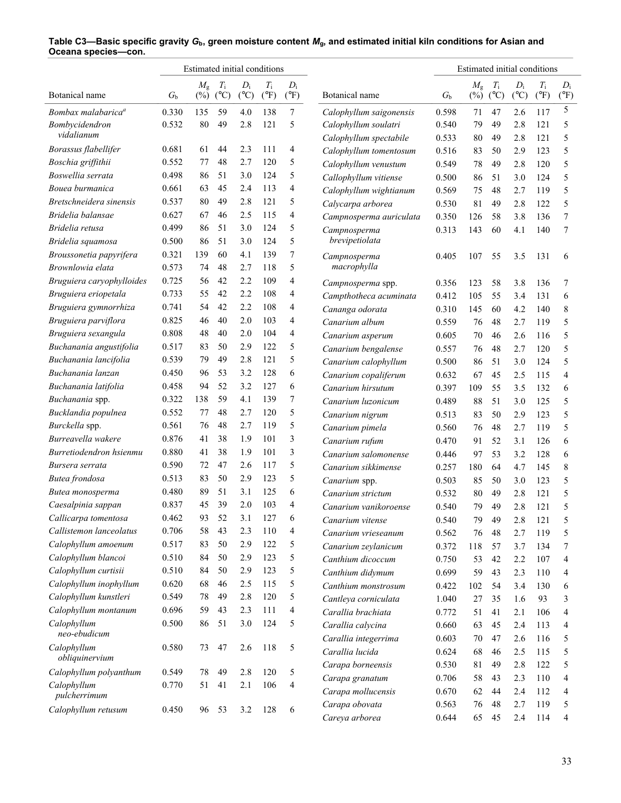|                                |             | Estimated initial conditions |                              |                        |                              |                        |                         |             | Estimated initial conditions |                              |                        |                              |                        |
|--------------------------------|-------------|------------------------------|------------------------------|------------------------|------------------------------|------------------------|-------------------------|-------------|------------------------------|------------------------------|------------------------|------------------------------|------------------------|
| Botanical name                 | $G_{\rm b}$ | $M_{\rm g}$<br>$(\%)$        | $T_{\rm i}$<br>$(^{\circ}C)$ | $D_i$<br>$(^{\circ}C)$ | $T_{\rm i}$<br>$(^{\circ}F)$ | $D_i$<br>$(^{\circ}F)$ | Botanical name          | $G_{\rm b}$ | $M_{\rm g}$<br>$(\%)$        | $T_{\rm i}$<br>$(^{\circ}C)$ | $D_i$<br>$(^{\circ}C)$ | $T_{\rm i}$<br>$(^{\circ}F)$ | $D_i$<br>$(^{\circ}F)$ |
| Bombax malabarica <sup>a</sup> | 0.330       | 135                          | 59                           | 4.0                    | 138                          | 7                      | Calophyllum saigonensis | 0.598       | 71                           | 47                           | 2.6                    | 117                          | 5                      |
| Bombycidendron                 | 0.532       | 80                           | 49                           | 2.8                    | 121                          | 5                      | Calophyllum soulatri    | 0.540       | 79                           | 49                           | 2.8                    | 121                          | 5                      |
| vidalianum                     |             |                              |                              |                        |                              |                        | Calophyllum spectabile  | 0.533       | 80                           | 49                           | 2.8                    | 121                          | 5                      |
| Borassus flabellifer           | 0.681       | 61                           | 44                           | 2.3                    | 111                          | 4                      | Calophyllum tomentosum  | 0.516       | 83                           | 50                           | 2.9                    | 123                          | 5                      |
| Boschia griffithii             | 0.552       | 77                           | 48                           | 2.7                    | 120                          | 5                      | Calophyllum venustum    | 0.549       | 78                           | 49                           | 2.8                    | 120                          | 5                      |
| Boswellia serrata              | 0.498       | 86                           | 51                           | 3.0                    | 124                          | 5                      | Callophyllum vitiense   | 0.500       | 86                           | 51                           | 3.0                    | 124                          | 5                      |
| Bouea burmanica                | 0.661       | 63                           | 45                           | 2.4                    | 113                          | 4                      | Calophyllum wightianum  | 0.569       | 75                           | 48                           | 2.7                    | 119                          | 5                      |
| Bretschneidera sinensis        | 0.537       | 80                           | 49                           | 2.8                    | 121                          | 5                      | Calycarpa arborea       | 0.530       | 81                           | 49                           | 2.8                    | 122                          | 5                      |
| Bridelia balansae              | 0.627       | 67                           | 46                           | 2.5                    | 115                          | 4                      | Campnosperma auriculata | 0.350       | 126                          | 58                           | 3.8                    | 136                          | 7                      |
| Bridelia retusa                | 0.499       | 86                           | 51                           | 3.0                    | 124                          | 5                      | Campnosperma            | 0.313       | 143                          | 60                           | 4.1                    | 140                          | 7                      |
| Bridelia squamosa              | 0.500       | 86                           | 51                           | 3.0                    | 124                          | 5                      | brevipetiolata          |             |                              |                              |                        |                              |                        |
| Broussonetia papyrifera        | 0.321       | 139                          | 60                           | 4.1                    | 139                          | 7                      | Campnosperma            | 0.405       | 107                          | 55                           | 3.5                    | 131                          | 6                      |
| Brownlowia elata               | 0.573       | 74                           | 48                           | 2.7                    | 118                          | 5                      | macrophylla             |             |                              |                              |                        |                              |                        |
| Bruguiera caryophylloides      | 0.725       | 56                           | 42                           | 2.2                    | 109                          | 4                      | Campnosperma spp.       | 0.356       | 123                          | 58                           | 3.8                    | 136                          | 7                      |
| Bruguiera eriopetala           | 0.733       | 55                           | 42                           | 2.2                    | 108                          | 4                      | Campthotheca acuminata  | 0.412       | 105                          | 55                           | 3.4                    | 131                          | 6                      |
| Bruguiera gymnorrhiza          | 0.741       | 54                           | 42                           | 2.2                    | 108                          | 4                      | Cananga odorata         | 0.310       | 145                          | 60                           | 4.2                    | 140                          | 8                      |
| Bruguiera parviflora           | 0.825       | 46                           | 40                           | 2.0                    | 103                          | 4                      | Canarium album          | 0.559       | 76                           | 48                           | 2.7                    | 119                          | 5                      |
| Bruguiera sexangula            | 0.808       | 48                           | 40                           | 2.0                    | 104                          | 4                      | Canarium asperum        | 0.605       | 70                           | 46                           | 2.6                    | 116                          | 5                      |
| Buchanania angustifolia        | 0.517       | 83                           | 50                           | 2.9                    | 122                          | 5                      | Canarium bengalense     | 0.557       | 76                           | 48                           | 2.7                    | 120                          | 5                      |
| Buchanania lancifolia          | 0.539       | 79                           | 49                           | 2.8                    | 121                          | 5                      | Canarium calophyllum    | 0.500       | 86                           | 51                           | 3.0                    | 124                          | 5                      |
| Buchanania lanzan              | 0.450       | 96                           | 53                           | 3.2                    | 128                          | 6                      | Canarium copaliferum    | 0.632       | 67                           | 45                           | 2.5                    | 115                          | 4                      |
| Buchanania latifolia           | 0.458       | 94                           | 52                           | 3.2                    | 127                          | 6                      | Canarium hirsutum       | 0.397       | 109                          | 55                           | 3.5                    | 132                          | 6                      |
| Buchanania spp.                | 0.322       | 138                          | 59                           | 4.1                    | 139                          | 7                      | Canarium luzonicum      | 0.489       | 88                           | 51                           | 3.0                    | 125                          | 5                      |
| Bucklandia populnea            | 0.552       | 77                           | 48                           | 2.7                    | 120                          | 5                      | Canarium nigrum         | 0.513       | 83                           | 50                           | 2.9                    | 123                          | 5                      |
| Burckella spp.                 | 0.561       | 76                           | 48                           | 2.7                    | 119                          | 5                      | Canarium pimela         | 0.560       | 76                           | 48                           | 2.7                    | 119                          | 5                      |
| Burreavella wakere             | 0.876       | 41                           | 38                           | 1.9                    | 101                          | 3                      | Canarium rufum          | 0.470       | 91                           | 52                           | 3.1                    | 126                          | 6                      |
| Burretiodendron hsienmu        | 0.880       | 41                           | 38                           | 1.9                    | 101                          | 3                      | Canarium salomonense    | 0.446       | 97                           | 53                           | 3.2                    | 128                          | 6                      |
| Bursera serrata                | 0.590       | 72                           | 47                           | 2.6                    | 117                          | 5                      | Canarium sikkimense     | 0.257       | 180                          | 64                           | 4.7                    | 145                          | 8                      |
| Butea frondosa                 | 0.513       | 83                           | 50                           | 2.9                    | 123                          | 5                      | Canarium spp.           | 0.503       | 85                           | 50                           | 3.0                    | 123                          | 5                      |
| Butea monosperma               | 0.480       | 89                           | 51                           | 3.1                    | 125                          | 6                      | Canarium strictum       | 0.532       | 80                           | 49                           | 2.8                    | 121                          | 5                      |
| Caesalpinia sappan             | 0.837       | 45                           | 39                           | 2.0                    | 103                          | 4                      | Canarium vanikoroense   | 0.540       | 79                           | 49                           | 2.8                    | 121                          | 5                      |
| Callicarpa tomentosa           | 0.462       | 93                           | 52                           | 3.1                    | 127                          | 6                      | Canarium vitense        | 0.540       | 79                           | 49                           | 2.8                    | 121                          | 5                      |
| Callistemon lanceolatus        | 0.706       | 58                           | 43                           | 2.3                    | 110                          | 4                      | Canarium vrieseanum     | 0.562       | 76                           | 48                           | 2.7                    | 119                          | 5                      |
| Calophyllum amoenum            | 0.517       | 83                           | 50                           | 2.9                    | 122                          | 5                      | Canarium zeylanicum     | 0.372       | 118                          | 57                           | 3.7                    | 134                          | 7                      |
| Calophyllum blancoi            | 0.510       | 84                           | 50                           | 2.9                    | 123                          | 5                      | Canthium dicoccum       | 0.750       | 53                           | 42                           | 2.2                    | 107                          | 4                      |
| Calophyllum curtisii           | 0.510       | 84                           | 50                           | 2.9                    | 123                          | 5                      | Canthium didymum        | 0.699       | 59                           | 43                           | 2.3                    | 110                          | 4                      |
| Calophyllum inophyllum         | 0.620       | 68                           | 46                           | 2.5                    | 115                          | 5                      | Canthium monstrosum     | 0.422       | 102                          | 54                           | 3.4                    | 130                          | 6                      |
| Calophyllum kunstleri          | 0.549       | 78                           | 49                           | 2.8                    | 120                          | 5                      | Cantleya corniculata    | 1.040       | 27                           | 35                           | 1.6                    | 93                           | 3                      |
| Calophyllum montanum           | 0.696       | 59                           | 43                           | 2.3                    | 111                          | $\overline{4}$         | Carallia brachiata      | 0.772       | 51                           | 41                           | 2.1                    | 106                          | 4                      |
| Calophyllum                    | 0.500       | 86                           | 51                           | 3.0                    | 124                          | 5                      | Carallia calycina       | 0.660       | 63                           | 45                           | 2.4                    | 113                          | 4                      |
| neo-ebudicum                   |             |                              |                              |                        |                              |                        | Carallia integerrima    | 0.603       | 70                           | 47                           | 2.6                    | 116                          | 5                      |
| Calophyllum                    | 0.580       | 73                           | 47                           | 2.6                    | 118                          | 5                      | Carallia lucida         | 0.624       | 68                           | 46                           | 2.5                    | 115                          | 5                      |
| obliquinervium                 |             |                              |                              |                        |                              |                        | Carapa borneensis       | 0.530       | 81                           | 49                           | 2.8                    | 122                          | 5                      |
| Calophyllum polyanthum         | 0.549       | 78                           | 49                           | 2.8                    | 120                          | 5                      | Carapa granatum         | 0.706       | 58                           | 43                           | 2.3                    | 110                          | 4                      |
| Calophyllum                    | 0.770       | 51                           | 41                           | 2.1                    | 106                          | $\overline{4}$         | Carapa mollucensis      | 0.670       | 62                           | 44                           | 2.4                    | 112                          | 4                      |
| pulcherrimum                   |             |                              |                              |                        |                              |                        | Carapa obovata          | 0.563       | 76                           | 48                           | 2.7                    | 119                          | 5                      |
| Calophyllum retusum            | 0.450       | 96                           | 53                           | 3.2                    | 128                          | 6                      | Careya arborea          | 0.644       | 65                           | 45                           | 2.4                    | 114                          | 4                      |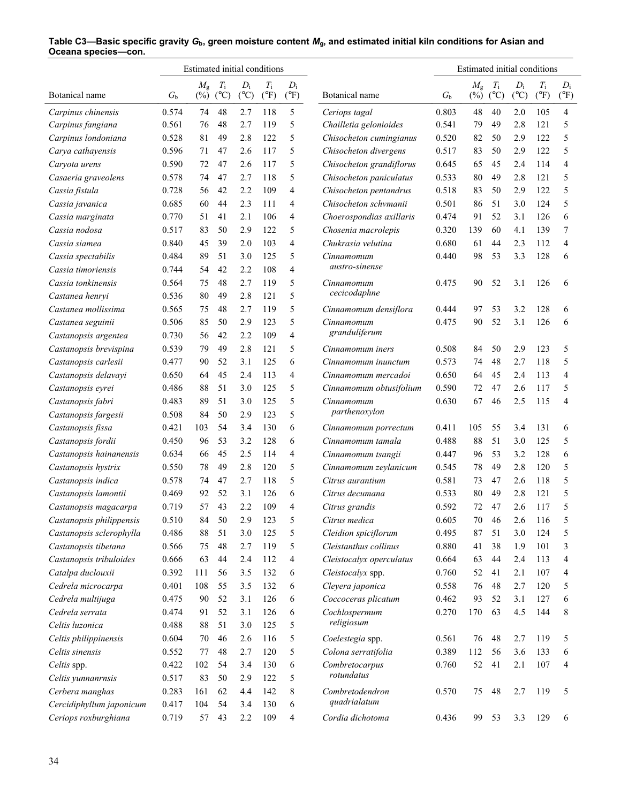|                          |             | Estimated initial conditions |               |               |               |               |                          |             | Estimated initial conditions |               |               |               |                |
|--------------------------|-------------|------------------------------|---------------|---------------|---------------|---------------|--------------------------|-------------|------------------------------|---------------|---------------|---------------|----------------|
|                          |             | $M_{\rm g}$                  | $T_{\rm i}$   | $D_i$         | $T_{\rm i}$   | $D_i$         |                          |             | $M_{\rm g}$                  | $T_{\rm i}$   | $D_i$         | $T_{\rm i}$   | $D_i$          |
| Botanical name           | $G_{\rm b}$ | $(\%)$                       | $(^{\circ}C)$ | $(^{\circ}C)$ | $(^{\circ}F)$ | $(^{\circ}F)$ | Botanical name           | $G_{\rm b}$ | $(\%)$                       | $(^{\circ}C)$ | $(^{\circ}C)$ | $(^{\circ}F)$ | $(^{\circ}F)$  |
| Carpinus chinensis       | 0.574       | 74                           | 48            | 2.7           | 118           | 5             | Ceriops tagal            | 0.803       | 48                           | 40            | 2.0           | 105           | 4              |
| Carpinus fangiana        | 0.561       | 76                           | 48            | 2.7           | 119           | 5             | Chailletia gelonioides   | 0.541       | 79                           | 49            | 2.8           | 121           | 5              |
| Carpinus londoniana      | 0.528       | 81                           | 49            | 2.8           | 122           | 5             | Chisocheton cumingianus  | 0.520       | 82                           | 50            | 2.9           | 122           | 5              |
| Carya cathayensis        | 0.596       | 71                           | 47            | 2.6           | 117           | 5             | Chisocheton divergens    | 0.517       | 83                           | 50            | 2.9           | 122           | 5              |
| Caryota urens            | 0.590       | 72                           | 47            | 2.6           | 117           | 5             | Chisocheton grandiflorus | 0.645       | 65                           | 45            | 2.4           | 114           | $\overline{4}$ |
| Casaeria graveolens      | 0.578       | 74                           | 47            | 2.7           | 118           | 5             | Chisocheton paniculatus  | 0.533       | 80                           | 49            | 2.8           | 121           | 5              |
| Cassia fistula           | 0.728       | 56                           | 42            | 2.2           | 109           | 4             | Chisocheton pentandrus   | 0.518       | 83                           | 50            | 2.9           | 122           | 5              |
| Cassia javanica          | 0.685       | 60                           | 44            | 2.3           | 111           | 4             | Chisocheton schvmanii    | 0.501       | 86                           | 51            | 3.0           | 124           | 5              |
| Cassia marginata         | 0.770       | 51                           | 41            | 2.1           | 106           | 4             | Choerospondias axillaris | 0.474       | 91                           | 52            | 3.1           | 126           | 6              |
| Cassia nodosa            | 0.517       | 83                           | 50            | 2.9           | 122           | 5             | Chosenia macrolepis      | 0.320       | 139                          | 60            | 4.1           | 139           | 7              |
| Cassia siamea            | 0.840       | 45                           | 39            | 2.0           | 103           | 4             | Chukrasia velutina       | 0.680       | 61                           | 44            | 2.3           | 112           | 4              |
| Cassia spectabilis       | 0.484       | 89                           | 51            | 3.0           | 125           | 5             | Cinnamomum               | 0.440       | 98                           | 53            | 3.3           | 128           | 6              |
| Cassia timoriensis       | 0.744       | 54                           | 42            | 2.2           | 108           | 4             | austro-sinense           |             |                              |               |               |               |                |
| Cassia tonkinensis       | 0.564       | 75                           | 48            | 2.7           | 119           | 5             | Cinnamomum               | 0.475       | 90                           | 52            | 3.1           | 126           | 6              |
| Castanea henryi          | 0.536       | 80                           | 49            | 2.8           | 121           | 5             | cecicodaphne             |             |                              |               |               |               |                |
| Castanea mollissima      | 0.565       | 75                           | 48            | 2.7           | 119           | 5             | Cinnamomum densiflora    | 0.444       | 97                           | 53            | 3.2           | 128           | 6              |
| Castanea seguinii        | 0.506       | 85                           | 50            | 2.9           | 123           | 5             | Cinnamomum               | 0.475       | 90                           | 52            | 3.1           | 126           | 6              |
| Castanopsis argentea     | 0.730       | 56                           | 42            | 2.2           | 109           | 4             | granduliferum            |             |                              |               |               |               |                |
| Castanopsis brevispina   | 0.539       | 79                           | 49            | 2.8           | 121           | 5             | Cinnamomum iners         | 0.508       | 84                           | 50            | 2.9           | 123           | 5              |
| Castanopsis carlesii     | 0.477       | 90                           | 52            | 3.1           | 125           | 6             | Cinnamomum inunctum      | 0.573       | 74                           | 48            | 2.7           | 118           | 5              |
| Castanopsis delavayi     | 0.650       | 64                           | 45            | 2.4           | 113           | 4             | Cinnamomum mercadoi      | 0.650       | 64                           | 45            | 2.4           | 113           | 4              |
| Castanopsis eyrei        | 0.486       | 88                           | 51            | 3.0           | 125           | 5             | Cinnamomum obtusifolium  | 0.590       | 72                           | 47            | 2.6           | 117           | 5              |
| Castanopsis fabri        | 0.483       | 89                           | 51            | 3.0           | 125           | 5             | Cinnamomum               | 0.630       | 67                           | 46            | 2.5           | 115           | 4              |
| Castanopsis fargesii     | 0.508       | 84                           | 50            | 2.9           | 123           | 5             | parthenoxylon            |             |                              |               |               |               |                |
| Castanopsis fissa        | 0.421       | 103                          | 54            | 3.4           | 130           | 6             | Cinnamomum porrectum     | 0.411       | 105                          | 55            | 3.4           | 131           | 6              |
| Castanopsis fordii       | 0.450       | 96                           | 53            | 3.2           | 128           | 6             | Cinnamomum tamala        | 0.488       | 88                           | 51            | 3.0           | 125           | 5              |
| Castanopsis hainanensis  | 0.634       | 66                           | 45            | 2.5           | 114           | 4             | Cinnamomum tsangii       | 0.447       | 96                           | 53            | 3.2           | 128           | 6              |
| Castanopsis hystrix      | 0.550       | 78                           | 49            | 2.8           | 120           | 5             | Cinnamomum zeylanicum    | 0.545       | 78                           | 49            | 2.8           | 120           | 5              |
| Castanopsis indica       | 0.578       | 74                           | 47            | 2.7           | 118           | 5             | Citrus aurantium         | 0.581       | 73                           | 47            | 2.6           | 118           | 5              |
| Castanopsis lamontii     | 0.469       | 92                           | 52            | 3.1           | 126           | 6             | Citrus decumana          | 0.533       | 80                           | 49            | 2.8           | 121           | 5              |
| Castanopsis magacarpa    | 0.719       | 57                           | 43            | 2.2           | 109           | 4             | Citrus grandis           | 0.592       | 72                           | 47            | 2.6           | 117           | 5              |
| Castanopsis philippensis | 0.510       | 84                           | 50            | 2.9           | 123           | 5             | Citrus medica            | 0.605       | 70                           | 46            | 2.6           | 116           | 5              |
| Castanopsis sclerophylla | 0.486       | $88\,$                       | 51            | 3.0           | 125           | 5             | Cleidion spiciflorum     | 0.495       | 87                           | 51            | 3.0           | 124           | 5              |
| Castanopsis tibetana     | 0.566       | 75                           | $48\,$        | 2.7           | 119           | 5             | Cleistanthus collinus    | 0.880       | 41                           | 38            | 1.9           | 101           | 3              |
| Castanopsis tribuloides  | 0.666       | 63                           | 44            | 2.4           | 112           | 4             | Cleistocalyx operculatus | 0.664       | 63                           | 44            | 2.4           | 113           | 4              |
| Catalpa duclouxii        | 0.392       | 111                          | 56            | 3.5           | 132           | 6             | Cleistocalyx spp.        | 0.760       | 52                           | 41            | 2.1           | 107           | 4              |
| Cedrela microcarpa       | 0.401       | 108                          | 55            | 3.5           | 132           | 6             | Cleyera japonica         | 0.558       | 76                           | 48            | 2.7           | 120           | 5              |
| Cedrela multijuga        | 0.475       | 90                           | 52            | 3.1           | 126           | 6             | Coccoceras plicatum      | 0.462       | 93                           | 52            | 3.1           | 127           | 6              |
| Cedrela serrata          | 0.474       | 91                           | 52            | 3.1           | 126           | 6             | Cochlospermum            | 0.270       | 170                          | 63            | 4.5           | 144           | 8              |
| Celtis luzonica          | 0.488       | 88                           | 51            | 3.0           | 125           | 5             | religiosum               |             |                              |               |               |               |                |
| Celtis philippinensis    | 0.604       | 70                           | 46            | 2.6           | 116           | 5             | Coelestegia spp.         | 0.561       | 76                           | 48            | 2.7           | 119           | 5              |
| Celtis sinensis          | 0.552       | 77                           | $48\,$        | 2.7           | 120           | 5             | Colona serratifolia      | 0.389       | 112                          | 56            | 3.6           | 133           | 6              |
| Celtis spp.              | 0.422       | 102                          | 54            | 3.4           | 130           | 6             | Combretocarpus           | 0.760       | 52                           | 41            | 2.1           | 107           | 4              |
| Celtis yunnanrnsis       | 0.517       | 83                           | 50            | 2.9           | 122           | 5             | rotundatus               |             |                              |               |               |               |                |
| Cerbera manghas          | 0.283       | 161                          | 62            | 4.4           | 142           | 8             | Combretodendron          | 0.570       | 75                           | 48            | 2.7           | 119           | 5              |
| Cercidiphyllum japonicum | 0.417       | 104                          | 54            | 3.4           | 130           | 6             | quadrialatum             |             |                              |               |               |               |                |
| Ceriops roxburghiana     | 0.719       | 57                           | 43            | 2.2           | 109           | 4             | Cordia dichotoma         | 0.436       | 99                           | 53            | 3.3           | 129           | 6              |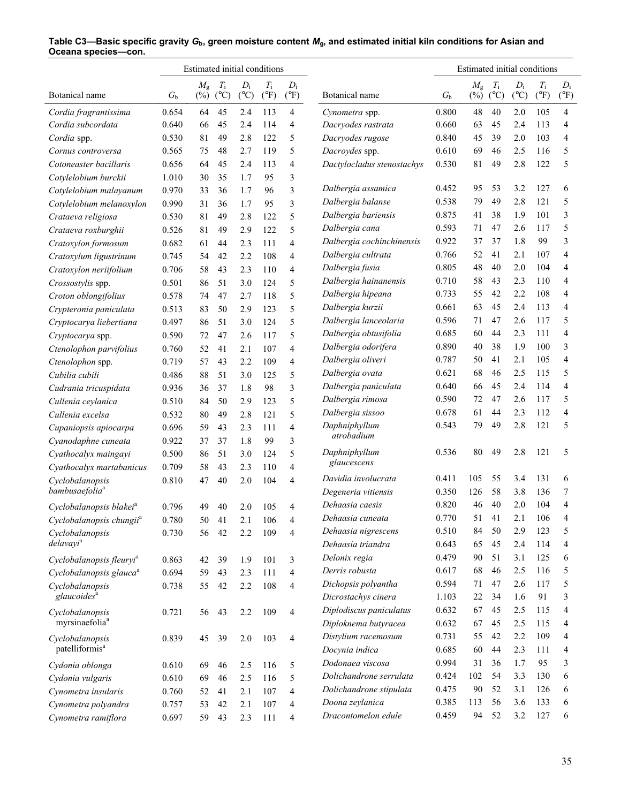|                                      |             |             |               | Estimated initial conditions |               |                |                            |             | Estimated initial conditions |               |               |               |                |
|--------------------------------------|-------------|-------------|---------------|------------------------------|---------------|----------------|----------------------------|-------------|------------------------------|---------------|---------------|---------------|----------------|
|                                      |             | $M_{\rm g}$ | $T_{\rm i}$   | $D_i$                        | $T_{\rm i}$   | $D_i$          |                            |             | $M_{\rm g}$                  | $T_{\rm i}$   | $D_i$         | $T_{\rm i}$   | $D_i$          |
| Botanical name                       | $G_{\rm b}$ | $(\%)$      | $(^{\circ}C)$ | $({}^{\circ}C)$              | $(^{\circ}F)$ | $(^{\circ}F)$  | Botanical name             | $G_{\rm b}$ | $(\%)$                       | $(^{\circ}C)$ | $(^{\circ}C)$ | $(^{\circ}F)$ | $(^{\circ}F)$  |
| Cordia fragrantissima                | 0.654       | 64          | 45            | 2.4                          | 113           | 4              | Cynometra spp.             | 0.800       | 48                           | 40            | 2.0           | 105           | 4              |
| Cordia subcordata                    | 0.640       | 66          | 45            | 2.4                          | 114           | 4              | Dacryodes rastrata         | 0.660       | 63                           | 45            | 2.4           | 113           | 4              |
| Cordia spp.                          | 0.530       | 81          | 49            | 2.8                          | 122           | 5              | Dacryodes rugose           | 0.840       | 45                           | 39            | 2.0           | 103           | 4              |
| Cornus controversa                   | 0.565       | 75          | 48            | 2.7                          | 119           | 5              | Dacroydes spp.             | 0.610       | 69                           | 46            | 2.5           | 116           | 5              |
| Cotoneaster bacillaris               | 0.656       | 64          | 45            | 2.4                          | 113           | 4              | Dactylocladus stenostachys | 0.530       | 81                           | 49            | 2.8           | 122           | 5              |
| Cotylelobium burckii                 | 1.010       | 30          | 35            | 1.7                          | 95            | 3              |                            |             |                              |               |               |               |                |
| Cotylelobium malayanum               | 0.970       | 33          | 36            | 1.7                          | 96            | 3              | Dalbergia assamica         | 0.452       | 95                           | 53            | 3.2           | 127           | 6              |
| Cotylelobium melanoxylon             | 0.990       | 31          | 36            | 1.7                          | 95            | 3              | Dalbergia balanse          | 0.538       | 79                           | 49            | 2.8           | 121           | 5              |
| Crataeva religiosa                   | 0.530       | 81          | 49            | 2.8                          | 122           | 5              | Dalbergia bariensis        | 0.875       | 41                           | 38            | 1.9           | 101           | 3              |
| Crataeva roxburghii                  | 0.526       | 81          | 49            | 2.9                          | 122           | 5              | Dalbergia cana             | 0.593       | 71                           | 47            | 2.6           | 117           | 5              |
| Cratoxylon formosum                  | 0.682       | 61          | 44            | 2.3                          | 111           | 4              | Dalbergia cochinchinensis  | 0.922       | 37                           | 37            | 1.8           | 99            | 3              |
| Cratoxylum ligustrinum               | 0.745       | 54          | 42            | 2.2                          | 108           | $\overline{4}$ | Dalbergia cultrata         | 0.766       | 52                           | 41            | 2.1           | 107           | 4              |
| Cratoxylon neriifolium               | 0.706       | 58          | 43            | 2.3                          | 110           | 4              | Dalbergia fusia            | 0.805       | 48                           | 40            | 2.0           | 104           | 4              |
| Crossostylis spp.                    | 0.501       | 86          | 51            | 3.0                          | 124           | 5              | Dalbergia hainanensis      | 0.710       | 58                           | 43            | 2.3           | 110           | 4              |
| Croton oblongifolius                 | 0.578       | 74          | 47            | 2.7                          | 118           | 5              | Dalbergia hipeana          | 0.733       | 55                           | 42            | 2.2           | 108           | 4              |
| Crypteronia paniculata               | 0.513       | 83          | 50            | 2.9                          | 123           | 5              | Dalbergia kurzii           | 0.661       | 63                           | 45            | 2.4           | 113           | 4              |
| Cryptocarya liebertiana              | 0.497       | 86          | 51            | 3.0                          | 124           | 5              | Dalbergia lanceolaria      | 0.596       | 71                           | 47            | 2.6           | 117           | 5              |
| Cryptocarya spp.                     | 0.590       | 72          | 47            | 2.6                          | 117           | 5              | Dalbergia obtusifolia      | 0.685       | 60                           | 44            | 2.3           | 111           | 4              |
| Ctenolophon parvifolius              | 0.760       | 52          | 41            | 2.1                          | 107           | 4              | Dalbergia odorifera        | 0.890       | 40                           | 38            | 1.9           | 100           | 3              |
| Ctenolophon spp.                     | 0.719       | 57          | 43            | 2.2                          | 109           | 4              | Dalbergia oliveri          | 0.787       | 50                           | 41            | 2.1           | 105           | $\overline{4}$ |
| Cubilia cubili                       | 0.486       | 88          | 51            | 3.0                          | 125           | 5              | Dalbergia ovata            | 0.621       | 68                           | 46            | 2.5           | 115           | 5              |
| Cudrania tricuspidata                | 0.936       | 36          | 37            | 1.8                          | 98            | 3              | Dalbergia paniculata       | 0.640       | 66                           | 45            | 2.4           | 114           | 4              |
| Cullenia ceylanica                   | 0.510       | 84          | 50            | 2.9                          | 123           | 5              | Dalbergia rimosa           | 0.590       | 72                           | 47            | 2.6           | 117           | 5              |
| Cullenia excelsa                     | 0.532       | 80          | 49            | 2.8                          | 121           | 5              | Dalbergia sissoo           | 0.678       | 61                           | 44            | 2.3           | 112           | 4              |
| Cupaniopsis apiocarpa                | 0.696       | 59          | 43            | 2.3                          | 111           | 4              | Daphniphyllum              | 0.543       | 79                           | 49            | 2.8           | 121           | 5              |
| Cyanodaphne cuneata                  | 0.922       | 37          | 37            | 1.8                          | 99            | 3              | atrobadium                 |             |                              |               |               |               |                |
| Cyathocalyx maingayi                 | 0.500       | 86          | 51            | 3.0                          | 124           | 5              | Daphniphyllum              | 0.536       | 80                           | 49            | 2.8           | 121           | 5              |
| Cyathocalyx martabanicus             | 0.709       | 58          | 43            | 2.3                          | 110           | 4              | glaucescens                |             |                              |               |               |               |                |
| Cyclobalanopsis                      | 0.810       | 47          | 40            | 2.0                          | 104           | $\overline{4}$ | Davidia involucrata        | 0.411       | 105                          | 55            | 3.4           | 131           | 6              |
| bambusaefolia <sup>a</sup>           |             |             |               |                              |               |                | Degeneria vitiensis        | 0.350       | 126                          | 58            | 3.8           | 136           | 7              |
| Cyclobalanopsis blakei <sup>a</sup>  | 0.796       | 49          | 40            | 2.0                          | 105           | 4              | Dehaasia caesis            | 0.820       | 46                           | 40            | 2.0           | 104           | 4              |
| Cyclobalanopsis chungii <sup>a</sup> | 0.780       | 50          | 41            | 2.1                          | 106           | 4              | Dehaasia cuneata           | 0.770       | 51                           | 41            | 2.1           | 106           | 4              |
| Cyclobalanopsis                      | 0.730       | 56          | 42            | 2.2                          | 109           | $\overline{4}$ | Dehaasia nigrescens        | 0.510       | 84                           | 50            | 2.9           | 123           | 5              |
| delavayi <sup>a</sup>                |             |             |               |                              |               |                | Dehaasia triandra          | 0.643       | 65                           | 45            | 2.4           | 114           | 4              |
| Cyclobalanopsis fleuryi <sup>a</sup> | 0.863       | 42          | 39            | 1.9                          | 101           | 3              | Delonix regia              | 0.479       | 90                           | 51            | 3.1           | 125           | 6              |
| Cyclobalanopsis glauca <sup>a</sup>  | 0.694       | 59          | 43            | 2.3                          | 111           | $\overline{4}$ | Derris robusta             | 0.617       | 68                           | 46            | 2.5           | 116           | 5              |
| Cyclobalanopsis                      | 0.738       | 55          | 42            | 2.2                          | 108           | 4              | Dichopsis polyantha        | 0.594       | 71                           | 47            | 2.6           | 117           | 5              |
| glaucoides <sup>a</sup>              |             |             |               |                              |               |                | Dicrostachys cinera        | 1.103       | 22                           | 34            | 1.6           | 91            | 3              |
| Cyclobalanopsis                      | 0.721       | 56          | 43            | 2.2                          | 109           | $\overline{4}$ | Diplodiscus paniculatus    | 0.632       | 67                           | 45            | 2.5           | 115           | 4              |
| myrsinaefolia <sup>a</sup>           |             |             |               |                              |               |                | Diploknema butyracea       | 0.632       | 67                           | 45            | 2.5           | 115           | 4              |
| Cyclobalanopsis                      | 0.839       | 45          | 39            | 2.0                          | 103           | $\overline{4}$ | Distylium racemosum        | 0.731       | 55                           | 42            | 2.2           | 109           | 4              |
| patelliformis <sup>a</sup>           |             |             |               |                              |               |                | Docynia indica             | 0.685       | 60                           | 44            | 2.3           | 111           | 4              |
| Cydonia oblonga                      | 0.610       | 69          | 46            | 2.5                          | 116           | 5              | Dodonaea viscosa           | 0.994       | 31                           | 36            | 1.7           | 95            | 3              |
|                                      | 0.610       |             | 46            |                              | 116           | 5              | Dolichandrone serrulata    | 0.424       | 102                          | 54            | 3.3           | 130           | 6              |
| Cydonia vulgaris                     |             | 69          |               | 2.5                          |               |                | Dolichandrone stipulata    | 0.475       | 90                           | 52            | 3.1           | 126           | 6              |
| Cynometra insularis                  | 0.760       | 52          | 41            | 2.1                          | 107           | 4              | Doona zeylanica            | 0.385       | 113                          | 56            | 3.6           | 133           | 6              |
| Cynometra polyandra                  | 0.757       | 53          | 42            | 2.1                          | 107           | 4              | Dracontomelon edule        | 0.459       | 94                           | 52            | 3.2           | 127           | 6              |
| Cynometra ramiflora                  | 0.697       | 59          | 43            | 2.3                          | 111           | 4              |                            |             |                              |               |               |               |                |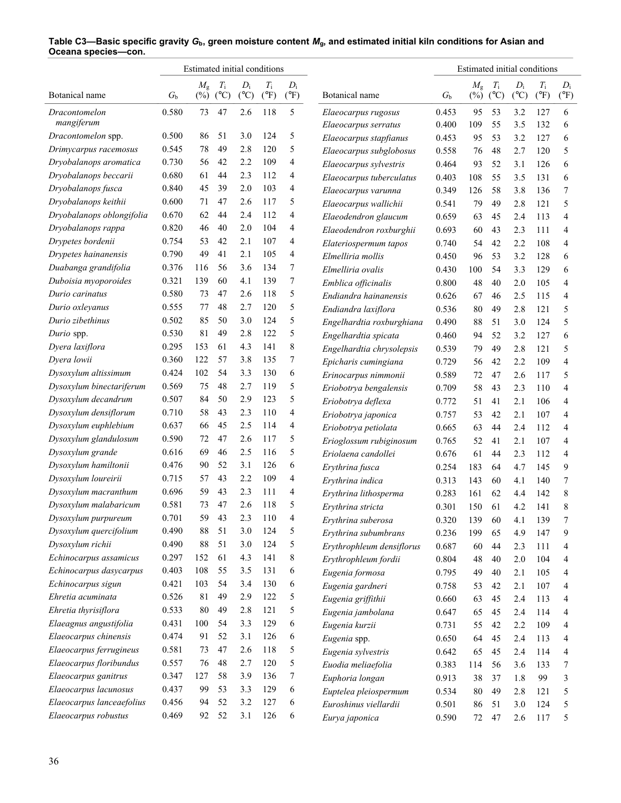|                                    |                | Estimated initial conditions |               |               |               |               |                                             |                | Estimated initial conditions |               |               |               |               |
|------------------------------------|----------------|------------------------------|---------------|---------------|---------------|---------------|---------------------------------------------|----------------|------------------------------|---------------|---------------|---------------|---------------|
|                                    |                | $M_{\rm g}$                  | $T_{\rm i}$   | $D_i$         | $T_{\rm i}$   | $D_i$         |                                             |                | $M_{\rm g}$                  | $T_{\rm i}$   | $D_i$         | $T_{\rm i}$   | $D_i$         |
| Botanical name                     | G <sub>b</sub> | $(\%)$                       | $(^{\circ}C)$ | $(^{\circ}C)$ | $(^{\circ}F)$ | $(^{\circ}F)$ | Botanical name                              | $G_{\rm b}$    | $(\%)$                       | $(^{\circ}C)$ | $(^{\circ}C)$ | $(^{\circ}F)$ | $(^{\circ}F)$ |
| <b>Dracontomelon</b><br>mangiferum | 0.580          | 73                           | 47            | 2.6           | 118           | 5             | Elaeocarpus rugosus<br>Elaeocarpus serratus | 0.453<br>0.400 | 95<br>109                    | 53<br>55      | 3.2<br>3.5    | 127<br>132    | 6<br>6        |
| Dracontomelon spp.                 | 0.500          | 86                           | 51            | 3.0           | 124           | 5             | Elaeocarpus stapfianus                      | 0.453          | 95                           | 53            | 3.2           | 127           | 6             |
| Drimycarpus racemosus              | 0.545          | 78                           | 49            | 2.8           | 120           | 5             | Elaeocarpus subglobosus                     | 0.558          | 76                           | 48            | 2.7           | 120           | 5             |
| Dryobalanops aromatica             | 0.730          | 56                           | 42            | 2.2           | 109           | 4             | Elaeocarpus sylvestris                      | 0.464          | 93                           | 52            | 3.1           | 126           | 6             |
| Dryobalanops beccarii              | 0.680          | 61                           | 44            | 2.3           | 112           | 4             | Elaeocarpus tuberculatus                    | 0.403          | 108                          | 55            | 3.5           | 131           | 6             |
| Dryobalanops fusca                 | 0.840          | 45                           | 39            | 2.0           | 103           | 4             | Elaeocarpus varunna                         | 0.349          | 126                          | 58            | 3.8           | 136           | 7             |
| Dryobalanops keithii               | 0.600          | 71                           | 47            | 2.6           | 117           | 5             | Elaeocarpus wallichii                       | 0.541          | 79                           | 49            | 2.8           | 121           | 5             |
| Dryobalanops oblongifolia          | 0.670          | 62                           | 44            | 2.4           | 112           | 4             | Elaeodendron glaucum                        | 0.659          | 63                           | 45            | 2.4           | 113           | 4             |
| Dryobalanops rappa                 | 0.820          | 46                           | 40            | 2.0           | 104           | 4             | Elaeodendron roxburghii                     | 0.693          | 60                           | 43            | 2.3           | 111           | 4             |
| Drypetes bordenii                  | 0.754          | 53                           | 42            | 2.1           | 107           | 4             | Elateriospermum tapos                       | 0.740          | 54                           | 42            | 2.2           | 108           | 4             |
| Drypetes hainanensis               | 0.790          | 49                           | 41            | 2.1           | 105           | 4             | Elmelliria mollis                           | 0.450          | 96                           | 53            | 3.2           | 128           | 6             |
| Duabanga grandifolia               | 0.376          | 116                          | 56            | 3.6           | 134           | 7             | Elmelliria ovalis                           | 0.430          | 100                          | 54            | 3.3           | 129           | 6             |
| Duboisia myoporoides               | 0.321          | 139                          | 60            | 4.1           | 139           | 7             | Emblica officinalis                         | 0.800          | 48                           | 40            | 2.0           | 105           | 4             |
| Durio carinatus                    | 0.580          | 73                           | 47            | 2.6           | 118           | 5             | Endiandra hainanensis                       | 0.626          | 67                           | 46            | 2.5           | 115           | 4             |
| Durio oxleyanus                    | 0.555          | 77                           | 48            | 2.7           | 120           | 5             | Endiandra laxiflora                         | 0.536          | 80                           | 49            | 2.8           | 121           | 5             |
| Durio zibethinus                   | 0.502          | 85                           | 50            | 3.0           | 124           | 5             | Engelhardtia roxburghiana                   | 0.490          | 88                           | 51            | 3.0           | 124           | 5             |
| Durio spp.                         | 0.530          | 81                           | 49            | 2.8           | 122           | 5             | Engelhardtia spicata                        | 0.460          | 94                           | 52            | 3.2           | 127           | 6             |
| Dyera laxiflora                    | 0.295          | 153                          | 61            | 4.3           | 141           | 8             | Engelhardtia chrysolepsis                   | 0.539          | 79                           | 49            | 2.8           | 121           | 5             |
| Dyera lowii                        | 0.360          | 122                          | 57            | 3.8           | 135           | 7             | Epicharis cumingiana                        | 0.729          | 56                           | 42            | 2.2           | 109           | 4             |
| Dysoxylum altissimum               | 0.424          | 102                          | 54            | 3.3           | 130           | 6             | Erinocarpus nimmonii                        | 0.589          | 72                           | 47            | 2.6           | 117           | 5             |
| Dysoxylum binectariferum           | 0.569          | 75                           | 48            | 2.7           | 119           | 5             | Eriobotrya bengalensis                      | 0.709          | 58                           | 43            | 2.3           | 110           | 4             |
| Dysoxylum decandrum                | 0.507          | 84                           | 50            | 2.9           | 123           | 5             | Eriobotrya deflexa                          | 0.772          | 51                           | 41            | 2.1           | 106           | 4             |
| Dysoxylum densiflorum              | 0.710          | 58                           | 43            | 2.3           | 110           | 4             | Eriobotrya japonica                         | 0.757          | 53                           | 42            | 2.1           | 107           | 4             |
| Dysoxylum euphlebium               | 0.637          | 66                           | 45            | 2.5           | 114           | 4             | Eriobotrya petiolata                        | 0.665          | 63                           | 44            | 2.4           | 112           | 4             |
| Dysoxylum glandulosum              | 0.590          | 72                           | 47            | 2.6           | 117           | 5             | Erioglossum rubiginosum                     | 0.765          | 52                           | 41            | 2.1           | 107           | 4             |
| Dysoxylum grande                   | 0.616          | 69                           | 46            | 2.5           | 116           | 5             | Eriolaena candollei                         | 0.676          | 61                           | 44            | 2.3           | 112           | 4             |
| Dysoxylum hamiltonii               | 0.476          | 90                           | 52            | 3.1           | 126           | 6             | Erythrina fusca                             | 0.254          | 183                          | 64            | 4.7           | 145           | 9             |
| Dysoxylum loureirii                | 0.715          | 57                           | 43            | 2.2           | 109           | 4             | Erythrina indica                            | 0.313          | 143                          | 60            | 4.1           | 140           | 7             |
| Dysoxylum macranthum               | 0.696          | 59                           | 43            | 2.3           | 111           | 4             | Erythrina lithosperma                       | 0.283          | 161                          | 62            | 4.4           | 142           | 8             |
| Dysoxylum malabaricum              | 0.581          | 73                           | 47            | 2.6           | 118           | 5             | Erythrina stricta                           | 0.301          | 150                          | 61            | 4.2           | 141           | 8             |
| Dysoxylum purpureum                | 0.701          | 59                           | 43            | 2.3           | 110           | 4             | Erythrina suberosa                          | 0.320          | 139                          | 60            | 4.1           | 139           | 7             |
| Dysoxylum quercifolium             | 0.490          | $88\,$                       | 51            | 3.0           | 124           | 5             | Erythrina subumbrans                        | 0.236          | 199                          | 65            | 4.9           | 147           | 9             |
| Dysoxylum richii                   | 0.490          | $88\,$                       | 51            | 3.0           | 124           | 5             | Erythrophleum densiflorus                   | 0.687          | 60                           | 44            | 2.3           | 111           | 4             |
| Echinocarpus assamicus             | 0.297          | 152                          | 61            | 4.3           | 141           | 8             | Erythrophleum fordii                        | 0.804          | 48                           | 40            | 2.0           | 104           | 4             |
| Echinocarpus dasycarpus            | 0.403          | 108                          | 55            | 3.5           | 131           | 6             | Eugenia formosa                             | 0.795          | 49                           | 40            | 2.1           | 105           | 4             |
| Echinocarpus sigun                 | 0.421          | 103                          | 54            | 3.4           | 130           | 6             | Eugenia gardneri                            | 0.758          | 53                           | 42            | 2.1           | 107           | 4             |
| Ehretia acuminata                  | 0.526          | 81                           | 49            | 2.9           | 122           | 5             | Eugenia griffithii                          | 0.660          | 63                           | 45            | 2.4           | 113           | 4             |
| Ehretia thyrisiflora               | 0.533          | 80                           | 49            | 2.8           | 121           | 5             | Eugenia jambolana                           | 0.647          | 65                           | 45            | 2.4           | 114           | 4             |
| Elaeagnus angustifolia             | 0.431          | 100                          | 54            | 3.3           | 129           | 6             | Eugenia kurzii                              | 0.731          | 55                           | 42            | 2.2           | 109           | 4             |
| Elaeocarpus chinensis              | 0.474          | 91                           | 52            | 3.1           | 126           | 6             | Eugenia spp.                                | 0.650          | 64                           | 45            | 2.4           | 113           | 4             |
| Elaeocarpus ferrugineus            | 0.581          | 73                           | 47            | 2.6           | 118           | 5             | Eugenia sylvestris                          | 0.642          | 65                           | 45            | 2.4           | 114           | 4             |
| Elaeocarpus floribundus            | 0.557          | 76                           | $48\,$        | 2.7           | 120           | 5             | Euodia meliaefolia                          | 0.383          | 114                          | 56            | 3.6           | 133           | 7             |
| Elaeocarpus ganitrus               | 0.347          | 127                          | 58            | 3.9           | 136           | 7             | Euphoria longan                             | 0.913          | 38                           | 37            | 1.8           | 99            | 3             |
| Elaeocarpus lacunosus              | 0.437          | 99                           | 53            | 3.3           | 129           | 6             | Euptelea pleiospermum                       | 0.534          | 80                           | 49            | 2.8           | 121           | 5             |
| Elaeocarpus lanceaefolius          | 0.456          | 94                           | 52            | 3.2           | 127           | 6             | Euroshinus viellardii                       | 0.501          | 86                           | 51            | 3.0           | 124           | 5             |
| Elaeocarpus robustus               | 0.469          | 92                           | 52            | 3.1           | 126           | 6             | Eurya japonica                              | 0.590          | 72                           | 47            | 2.6           | 117           | 5             |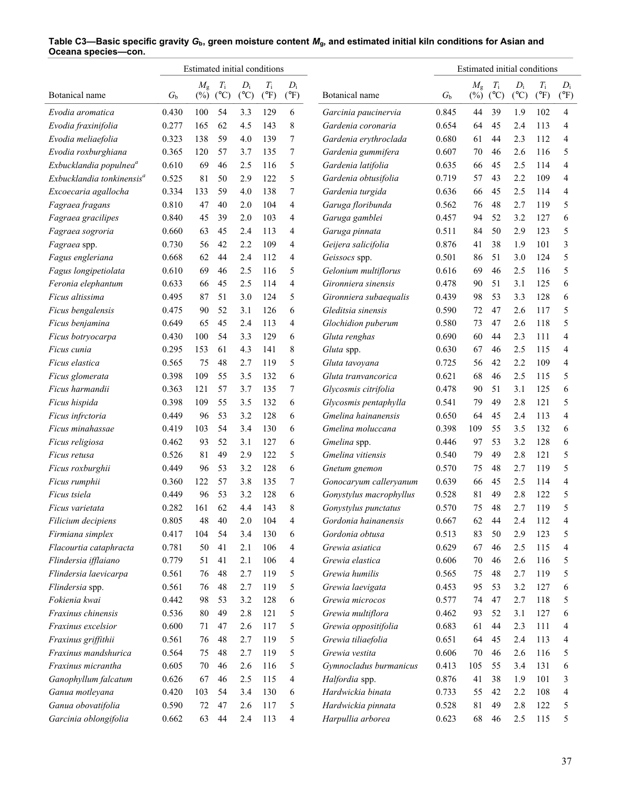|                                       |         | Estimated initial conditions |                |               |                              |                        |                                     |             | Estimated initial conditions |                              |               |               |               |
|---------------------------------------|---------|------------------------------|----------------|---------------|------------------------------|------------------------|-------------------------------------|-------------|------------------------------|------------------------------|---------------|---------------|---------------|
| Botanical name                        |         | $M_{\rm g}$<br>$(\%)$        | $T_{\rm i}$    | $D_i$         | $T_{\rm i}$<br>$(^{\circ}F)$ | $D_i$<br>$(^{\circ}F)$ | Botanical name                      |             | $M_{\rm g}$<br>$(\%)$        | $T_{\rm i}$<br>$(^{\circ}C)$ | $D_i$         | $T_{\rm i}$   | $D_i$         |
|                                       | $G_{b}$ |                              | $(C^{\circ}C)$ | $(^{\circ}C)$ |                              |                        |                                     | $G_{\rm b}$ |                              |                              | $(^{\circ}C)$ | $(^{\circ}F)$ | $(^{\circ}F)$ |
| Evodia aromatica                      | 0.430   | 100                          | 54             | 3.3           | 129                          | 6                      | Garcinia paucinervia                | 0.845       | 44                           | 39                           | 1.9           | 102           | 4             |
| Evodia fraxinifolia                   | 0.277   | 165                          | 62             | 4.5           | 143                          | 8                      | Gardenia coronaria                  | 0.654       | 64                           | 45                           | 2.4           | 113           | 4             |
| Evodia meliaefolia                    | 0.323   | 138                          | 59             | 4.0           | 139                          | 7                      | Gardenia erythroclada               | 0.680       | 61                           | 44                           | 2.3           | 112           | 4             |
| Evodia roxburghiana                   | 0.365   | 120                          | 57             | 3.7           | 135                          | 7                      | Gardenia gummifera                  | 0.607       | 70                           | 46                           | 2.6           | 116           | 5             |
| Exbucklandia populnea <sup>a</sup>    | 0.610   | 69                           | 46             | 2.5           | 116                          | 5                      | Gardenia latifolia                  | 0.635       | 66                           | 45                           | 2.5           | 114           | 4             |
| Exbucklandia tonkinensis <sup>a</sup> | 0.525   | 81                           | 50             | 2.9           | 122                          | 5                      | Gardenia obtusifolia                | 0.719       | 57                           | 43                           | 2.2           | 109           | 4             |
| Excoecaria agallocha                  | 0.334   | 133                          | 59             | 4.0           | 138                          | 7                      | Gardenia turgida                    | 0.636       | 66                           | 45                           | 2.5           | 114           | 4             |
| Fagraea fragans                       | 0.810   | 47                           | 40             | 2.0           | 104                          | 4                      | Garuga floribunda                   | 0.562       | 76                           | 48                           | 2.7           | 119           | 5             |
| Fagraea gracilipes                    | 0.840   | 45                           | 39             | 2.0           | 103                          | 4                      | Garuga gamblei                      | 0.457       | 94                           | 52                           | 3.2           | 127           | 6             |
| Fagraea sogroria                      | 0.660   | 63                           | 45             | 2.4           | 113                          | 4                      | Garuga pinnata                      | 0.511       | 84                           | 50                           | 2.9           | 123           | 5             |
| Fagraea spp.                          | 0.730   | 56                           | 42             | 2.2           | 109                          | 4                      | Geijera salicifolia                 | 0.876       | 41                           | 38                           | 1.9           | 101           | 3             |
| Fagus engleriana                      | 0.668   | 62                           | 44             | 2.4           | 112                          | 4                      | Geissocs spp.                       | 0.501       | 86                           | 51                           | 3.0           | 124           | 5             |
| Fagus longipetiolata                  | 0.610   | 69                           | 46             | 2.5           | 116                          | 5                      | Gelonium multiflorus                | 0.616       | 69                           | 46                           | 2.5           | 116           | 5             |
| Feronia elephantum                    | 0.633   | 66                           | 45             | 2.5           | 114                          | 4                      | Gironniera sinensis                 | 0.478       | 90                           | 51                           | 3.1           | 125           | 6             |
| Ficus altissima                       | 0.495   | 87                           | 51             | 3.0           | 124                          | 5                      | Gironniera subaequalis              | 0.439       | 98                           | 53                           | 3.3           | 128           | 6             |
| Ficus bengalensis                     | 0.475   | 90                           | 52             | 3.1           | 126                          | 6                      | Gleditsia sinensis                  | 0.590       | 72                           | 47                           | 2.6           | 117           | 5             |
| Ficus benjamina                       | 0.649   | 65                           | 45             | 2.4           | 113                          | 4                      | Glochidion puberum                  | 0.580       | 73                           | 47                           | 2.6           | 118           | 5             |
| Ficus botryocarpa                     | 0.430   | 100                          | 54             | 3.3           | 129                          | 6                      | Gluta renghas                       | 0.690       | 60                           | 44                           | 2.3           | 111           | 4             |
| Ficus cunia                           | 0.295   | 153                          | 61             | 4.3           | 141                          | 8                      | Gluta spp.                          | 0.630       | 67                           | 46                           | 2.5           | 115           | 4             |
| Ficus elastica                        | 0.565   | 75                           | 48             | 2.7           | 119                          | 5                      | Gluta tavoyana                      | 0.725       | 56                           | 42                           | 2.2           | 109           | 4             |
| Ficus glomerata                       | 0.398   | 109                          | 55             | 3.5           | 132                          | 6                      | Gluta tranvancorica                 | 0.621       | 68                           | 46                           | 2.5           | 115           | 5             |
| Ficus harmandii                       | 0.363   | 121                          | 57             | 3.7           | 135                          | 7                      | Glycosmis citrifolia                | 0.478       | 90                           | 51                           | 3.1           | 125           | 6             |
| Ficus hispida                         | 0.398   | 109                          | 55             | 3.5           | 132                          | 6                      | Glycosmis pentaphylla               | 0.541       | 79                           | 49                           | 2.8           | 121           | 5             |
| Ficus infrctoria                      | 0.449   | 96                           | 53             | 3.2           | 128                          | 6                      | Gmelina hainanensis                 | 0.650       | 64                           | 45                           | 2.4           | 113           | 4             |
| Ficus minahassae                      | 0.419   | 103                          | 54             | 3.4           | 130                          | 6                      | Gmelina moluccana                   | 0.398       | 109                          | 55                           | 3.5           | 132           | 6             |
| Ficus religiosa                       | 0.462   | 93                           | 52             | 3.1           | 127                          | 6                      | Gmelina spp.                        | 0.446       | 97                           | 53                           | 3.2           | 128           | 6             |
| Ficus retusa                          | 0.526   | 81                           | 49             | 2.9           | 122                          | 5                      | Gmelina vitiensis                   | 0.540       | 79                           | 49                           | 2.8           | 121           | 5             |
| Ficus roxburghii                      | 0.449   | 96                           | 53             | 3.2           | 128                          | 6                      | Gnetum gnemon                       | 0.570       | 75                           | 48                           | 2.7           | 119           | 5             |
| Ficus rumphii                         | 0.360   | 122                          | 57             | 3.8           | 135                          | 7                      | Gonocaryum calleryanum              | 0.639       | 66                           | 45                           | 2.5           | 114           | 4             |
| Ficus tsiela                          | 0.449   | 96                           | 53             | 3.2           | 128                          | 6                      | Gonystylus macrophyllus             | 0.528       | 81                           | 49                           | 2.8           | 122           | 5             |
| Ficus varietata                       | 0.282   | 161                          | 62             | 4.4           | 143                          | 8                      | Gonystylus punctatus                | 0.570       | 75                           | 48                           | 2.7           | 119           | 5             |
| Filicium decipiens                    | 0.805   | 48                           | 40             | $2.0$         | 104                          | 4                      | Gordonia hainanensis                | 0.667       | 62                           | 44                           | 2.4           | 112           | 4             |
| Firmiana simplex                      | 0.417   | 104                          | 54             | 3.4           | 130                          | 6                      | Gordonia obtusa                     | 0.513       | 83                           | 50                           | 2.9           | 123           | 5             |
| Flacourtia cataphracta                | 0.781   | 50                           | 41             | 2.1           | 106                          | 4                      | Grewia asiatica                     | 0.629       | 67                           | 46                           | 2.5           | 115           | 4             |
| Flindersia ifflaiano                  | 0.779   | 51                           | 41             | 2.1           | 106                          | 4                      | Grewia elastica                     | 0.606       | 70                           | 46                           | 2.6           | 116           | 5             |
| Flindersia laevicarpa                 | 0.561   | 76                           | 48             | 2.7           | 119                          | 5                      | Grewia humilis                      | 0.565       | 75                           | 48                           | 2.7           | 119           | 5             |
|                                       |         |                              |                |               |                              |                        |                                     |             |                              | 53                           |               |               |               |
| Flindersia spp.<br>Fokienia kwai      | 0.561   | 76                           | 48<br>53       | 2.7           | 119                          | 5                      | Grewia laevigata<br>Grewia microcos | 0.453       | 95                           | 47                           | 3.2           | 127           | 6<br>5        |
|                                       | 0.442   | 98                           |                | 3.2           | 128                          | 6                      |                                     | 0.577       | 74                           |                              | 2.7           | 118           |               |
| Fraxinus chinensis                    | 0.536   | 80                           | 49             | 2.8           | 121                          | 5                      | Grewia multiflora                   | 0.462       | 93                           | 52                           | 3.1           | 127           | 6             |
| Fraxinus excelsior                    | 0.600   | 71                           | 47             | 2.6           | 117                          | 5                      | Grewia oppositifolia                | 0.683       | 61                           | 44                           | 2.3           | 111           | 4             |
| Fraxinus griffithii                   | 0.561   | 76                           | 48             | 2.7           | 119                          | 5                      | Grewia tiliaefolia                  | 0.651       | 64                           | 45                           | 2.4           | 113           | 4             |
| Fraxinus mandshurica                  | 0.564   | 75                           | 48             | 2.7           | 119                          | 5                      | Grewia vestita                      | 0.606       | 70                           | 46                           | 2.6           | 116           | 5             |
| Fraxinus micrantha                    | 0.605   | 70                           | 46             | 2.6           | 116                          | 5                      | Gymnocladus burmanicus              | 0.413       | 105                          | 55                           | 3.4           | 131           | 6             |
| Ganophyllum falcatum                  | 0.626   | 67                           | 46             | 2.5           | 115                          | 4                      | Halfordia spp.                      | 0.876       | 41                           | 38                           | 1.9           | 101           | 3             |
| Ganua motleyana                       | 0.420   | 103                          | 54             | 3.4           | 130                          | 6                      | Hardwickia binata                   | 0.733       | 55                           | 42                           | 2.2           | 108           | 4             |
| Ganua obovatifolia                    | 0.590   | 72                           | 47             | 2.6           | 117                          | 5                      | Hardwickia pinnata                  | 0.528       | 81                           | 49                           | 2.8           | 122           | 5             |
| Garcinia oblongifolia                 | 0.662   | 63                           | 44             | 2.4           | 113                          | 4                      | Harpullia arborea                   | 0.623       | 68                           | 46                           | 2.5           | 115           | 5             |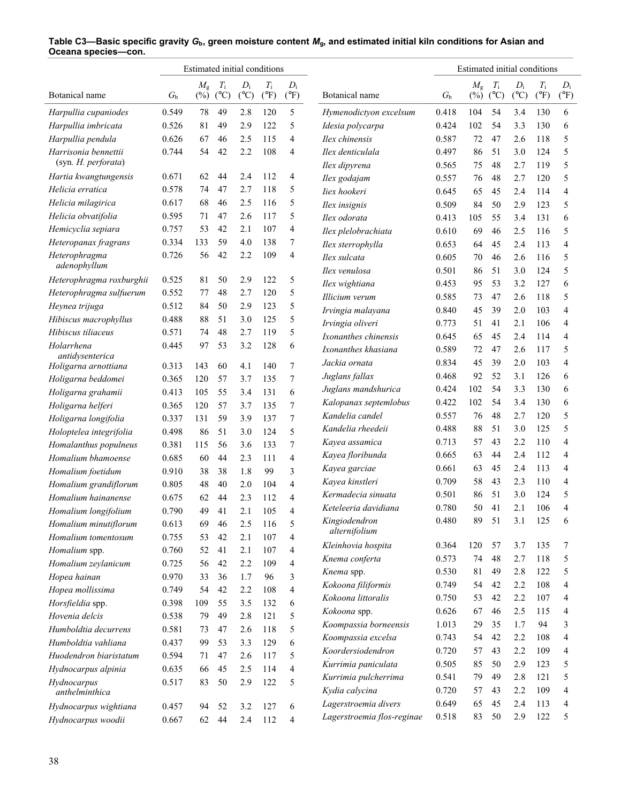|                                             |                | Estimated initial conditions |               |               |               |                |                                   |                | Estimated initial conditions |               |               |               |                |
|---------------------------------------------|----------------|------------------------------|---------------|---------------|---------------|----------------|-----------------------------------|----------------|------------------------------|---------------|---------------|---------------|----------------|
|                                             |                | $M_{\rm g}$                  | $T_{\rm i}$   | $D_i$         | $T_{\rm i}$   | $D_i$          |                                   |                | $M_{\rm g}$                  | $T_{\rm i}$   | $D_i$         | $T_{\rm i}$   | $D_i$          |
| Botanical name                              | G <sub>b</sub> | $(\%)$                       | $(^{\circ}C)$ | $(^{\circ}C)$ | $(^{\circ}F)$ | $(^{\circ}F)$  | Botanical name                    | $G_{\rm b}$    | $(\%)$                       | $(^{\circ}C)$ | $(^{\circ}C)$ | $(^{\circ}F)$ | $(^{\circ}F)$  |
| Harpullia cupaniodes                        | 0.549          | 78                           | 49            | 2.8           | 120           | 5              | Hymenodictyon excelsum            | 0.418          | 104                          | 54            | 3.4           | 130           | 6              |
| Harpullia imbricata                         | 0.526          | 81                           | 49            | 2.9           | 122           | 5              | Idesia polycarpa                  | 0.424          | 102                          | 54            | 3.3           | 130           | 6              |
| Harpullia pendula                           | 0.626          | 67                           | 46            | 2.5           | 115           | 4              | Ilex chinensis                    | 0.587          | 72                           | 47            | 2.6           | 118           | 5              |
| Harrisonia bennettii<br>(syn. H. perforata) | 0.744          | 54                           | 42            | 2.2           | 108           | 4              | Ilex denticulala<br>Ilex dipyrena | 0.497<br>0.565 | 86<br>75                     | 51<br>48      | 3.0<br>2.7    | 124<br>119    | 5<br>5         |
| Hartia kwangtungensis                       | 0.671          | 62                           | 44            | 2.4           | 112           | 4              | Ilex godajam                      | 0.557          | 76                           | 48            | 2.7           | 120           | 5              |
| Helicia erratica                            | 0.578          | 74                           | 47            | 2.7           | 118           | 5              | Iiex hookeri                      | 0.645          | 65                           | 45            | 2.4           | 114           | 4              |
| Helicia milagirica                          | 0.617          | 68                           | 46            | 2.5           | 116           | 5              | Ilex insignis                     | 0.509          | 84                           | 50            | 2.9           | 123           | 5              |
| Helicia obvatifolia                         | 0.595          | 71                           | 47            | 2.6           | 117           | 5              | Ilex odorata                      | 0.413          | 105                          | 55            | 3.4           | 131           | 6              |
| Hemicyclia sepiara                          | 0.757          | 53                           | 42            | 2.1           | 107           | 4              | Ilex plelobrachiata               | 0.610          | 69                           | 46            | 2.5           | 116           | 5              |
| Heteropanax fragrans                        | 0.334          | 133                          | 59            | 4.0           | 138           | 7              | Ilex sterrophylla                 | 0.653          | 64                           | 45            | 2.4           | 113           | 4              |
| Heterophragma<br>adenophyllum               | 0.726          | 56                           | 42            | 2.2           | 109           | 4              | Ilex sulcata                      | 0.605          | 70                           | 46            | 2.6           | 116           | 5              |
|                                             |                |                              |               |               |               |                | Ilex venulosa                     | 0.501          | 86                           | 51            | 3.0           | 124           | 5              |
| Heterophragma roxburghii                    | 0.525          | 81                           | 50            | 2.9           | 122           | 5              | Ilex wightiana                    | 0.453          | 95                           | 53            | 3.2           | 127           | 6              |
| Heterophragma sulfuerum                     | 0.552<br>0.512 | 77                           | 48            | 2.7           | 120           | 5              | Illicium verum                    | 0.585          | 73                           | 47            | 2.6           | 118           | 5              |
| Heynea trijuga                              |                | 84                           | 50<br>51      | 2.9           | 123<br>125    | 5              | Irvingia malayana                 | 0.840          | 45                           | 39            | 2.0           | 103           | $\overline{4}$ |
| Hibiscus macrophyllus                       | 0.488          | 88                           |               | 3.0           |               | 5              | Irvingia oliveri                  | 0.773          | 51                           | 41            | 2.1           | 106           | 4              |
| Hibiscus tiliaceus                          | 0.571          | 74                           | 48            | 2.7           | 119           | 5              | Ixonanthes chinensis              | 0.645          | 65                           | 45            | 2.4           | 114           | 4              |
| Holarrhena<br>antidysenterica               | 0.445          | 97                           | 53            | 3.2           | 128           | 6              | Ixonanthes khasiana               | 0.589          | 72                           | 47            | 2.6           | 117           | 5              |
| Holigarna arnottiana                        | 0.313          | 143                          | 60            | 4.1           | 140           | 7              | Jackia ornata                     | 0.834          | 45                           | 39            | 2.0           | 103           | 4              |
| Holigarna beddomei                          | 0.365          | 120                          | 57            | 3.7           | 135           | 7              | Juglans fallax                    | 0.468          | 92                           | 52            | 3.1           | 126           | 6              |
| Holigarna grahamii                          | 0.413          | 105                          | 55            | 3.4           | 131           | 6              | Juglans mandshurica               | 0.424          | 102                          | 54            | 3.3           | 130           | 6              |
| Holigarna helferi                           | 0.365          | 120                          | 57            | 3.7           | 135           | 7              | Kalopanax septemlobus             | 0.422          | 102                          | 54            | 3.4           | 130           | 6              |
| Holigarna longifolia                        | 0.337          | 131                          | 59            | 3.9           | 137           | 7              | Kandelia candel                   | 0.557          | 76                           | 48            | 2.7           | 120           | 5              |
| Holoptelea integrifolia                     | 0.498          | 86                           | 51            | 3.0           | 124           | 5              | Kandelia rheedeii                 | 0.488          | 88                           | 51            | 3.0           | 125           | 5              |
| Homalanthus populneus                       | 0.381          | 115                          | 56            | 3.6           | 133           | 7              | Kayea assamica                    | 0.713          | 57                           | 43            | 2.2           | 110           | 4              |
| Homalium bhamoense                          | 0.685          | 60                           | 44            | 2.3           | 111           | 4              | Kayea floribunda                  | 0.665          | 63                           | 44            | 2.4           | 112           | 4              |
| Homalium foetidum                           | 0.910          | 38                           | 38            | 1.8           | 99            | 3              | Kayea garciae                     | 0.661          | 63                           | 45            | 2.4           | 113           | 4              |
| Homalium grandiflorum                       | 0.805          | 48                           | 40            | 2.0           | 104           | 4              | Kayea kinstleri                   | 0.709          | 58                           | 43            | 2.3           | 110           | 4              |
| Homalium hainanense                         | 0.675          | 62                           | 44            | 2.3           | 112           | 4              | Kermadecia sinuata                | 0.501          | 86                           | 51            | 3.0           | 124           | 5              |
| Homalium longifolium                        | 0.790          | 49                           | 41            | 2.1           | 105           | 4              | Keteleeria davidiana              | 0.780          | 50                           | 41            | 2.1           | 106           | 4              |
| Homalium minutiflorum                       | 0.613          | 69                           | 46            | 2.5           | 116           | 5              | Kingiodendron                     | 0.480          | 89                           | 51            | 3.1           | 125           | 6              |
| Homalium tomentosum                         | 0.755          | 53                           | 42            | 2.1           | 107           | 4              | alternifolium                     |                |                              |               |               |               |                |
| Homalium spp.                               | 0.760          | 52                           | 41            | 2.1           | 107           | $\overline{4}$ | Kleinhovia hospita                | 0.364          | 120                          | 57            | 3.7           | 135           | 7              |
| Homalium zeylanicum                         | 0.725          | 56                           | 42            | 2.2           | 109           | 4              | Knema conferta                    | 0.573          | 74                           | 48            | 2.7           | 118           | 5              |
| Hopea hainan                                | 0.970          | 33                           | 36            | 1.7           | 96            | 3              | Knema spp.                        | 0.530          | 81                           | 49            | 2.8           | 122           | 5              |
| Hopea mollissima                            | 0.749          | 54                           | 42            | 2.2           | 108           | 4              | Kokoona filiformis                | 0.749          | 54                           | 42            | 2.2           | 108           | 4              |
| Horsfieldia spp.                            | 0.398          | 109                          | 55            | 3.5           | 132           | 6              | Kokoona littoralis                | 0.750          | 53                           | 42            | 2.2           | 107           | 4              |
| Hovenia delcis                              | 0.538          | 79                           | 49            | 2.8           | 121           | 5              | Kokoona spp.                      | 0.626          | 67                           | 46            | 2.5           | 115           | 4              |
| Humboldtia decurrens                        | 0.581          | 73                           | 47            | 2.6           | 118           | 5              | Koompassia borneensis             | 1.013          | 29                           | 35            | 1.7           | 94            | 3              |
| Humboldtia vahliana                         | 0.437          | 99                           | 53            | 3.3           | 129           | 6              | Koompassia excelsa                | 0.743          | 54                           | 42            | 2.2           | 108           | 4              |
| Huodendron biaristatum                      | 0.594          | 71                           | 47            | 2.6           | 117           | 5              | Koordersiodendron                 | 0.720          | 57                           | 43            | 2.2           | 109           | 4              |
| Hydnocarpus alpinia                         | 0.635          | 66                           | 45            | 2.5           | 114           | 4              | Kurrimia paniculata               | 0.505          | 85                           | 50            | 2.9           | 123           | 5              |
| Hydnocarpus                                 | 0.517          | 83                           | 50            | 2.9           | 122           | 5              | Kurrimia pulcherrima              | 0.541<br>0.720 | 79                           | 49<br>43      | 2.8<br>2.2    | 121<br>109    | 5<br>4         |
| anthelminthica                              |                |                              |               |               |               |                | Kydia calycina                    |                | 57                           |               |               |               |                |
| Hydnocarpus wightiana                       | 0.457          | 94                           | 52            | 3.2           | 127           | 6              | Lagerstroemia divers              | 0.649          | 65                           | 45            | 2.4           | 113           | 4              |
| Hydnocarpus woodii                          | 0.667          | 62                           | 44            | 2.4           | 112           | 4              | Lagerstroemia flos-reginae        | 0.518          | 83                           | 50            | 2.9           | 122           | 5              |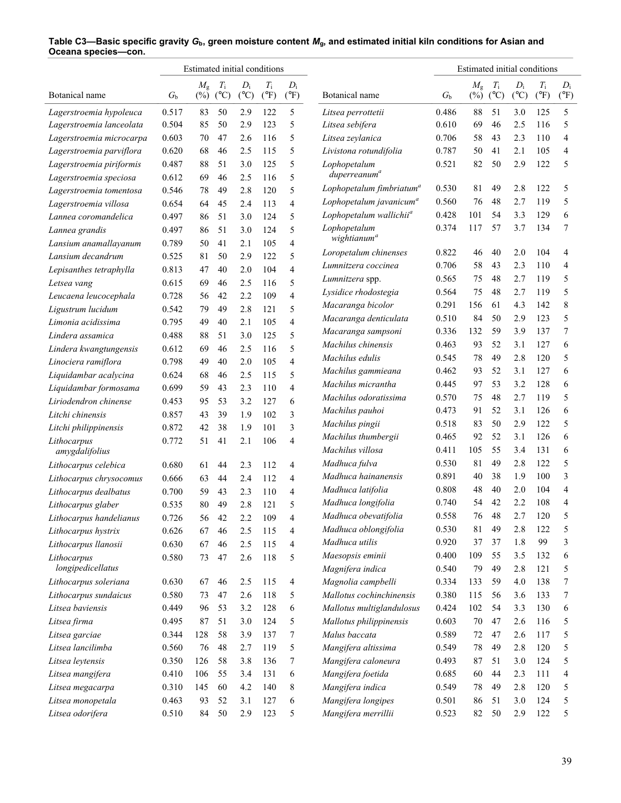|                          |             | Estimated initial conditions |                              |                        |                              |                        |                                      |             | Estimated initial conditions |                              |                        |                              |                        |
|--------------------------|-------------|------------------------------|------------------------------|------------------------|------------------------------|------------------------|--------------------------------------|-------------|------------------------------|------------------------------|------------------------|------------------------------|------------------------|
| Botanical name           | $G_{\rm b}$ | $M_{\rm g}$<br>$(\%)$        | $T_{\rm i}$<br>$(^{\circ}C)$ | $D_i$<br>$(^{\circ}C)$ | $T_{\rm i}$<br>$(^{\circ}F)$ | $D_i$<br>$(^{\circ}F)$ | Botanical name                       | $G_{\rm b}$ | $M_{\rm g}$<br>$(\%)$        | $T_{\rm i}$<br>$(^{\circ}C)$ | $D_i$<br>$(^{\circ}C)$ | $T_{\rm i}$<br>$(^{\circ}F)$ | $D_i$<br>$(^{\circ}F)$ |
| Lagerstroemia hypoleuca  | 0.517       | 83                           | 50                           | 2.9                    | 122                          | 5                      | Litsea perrottetii                   | 0.486       | 88                           | 51                           | 3.0                    | 125                          | 5                      |
| Lagerstroemia lanceolata | 0.504       | 85                           | 50                           | 2.9                    | 123                          | 5                      | Litsea sebifera                      | 0.610       | 69                           | 46                           | 2.5                    | 116                          | 5                      |
| Lagerstroemia microcarpa | 0.603       | 70                           | 47                           | 2.6                    | 116                          | 5                      | Litsea zeylanica                     | 0.706       | 58                           | 43                           | 2.3                    | 110                          | 4                      |
| Lagerstroemia parviflora | 0.620       | 68                           | 46                           | 2.5                    | 115                          | 5                      | Livistona rotundifolia               | 0.787       | 50                           | 41                           | 2.1                    | 105                          | 4                      |
| Lagerstroemia piriformis | 0.487       | 88                           | 51                           | 3.0                    | 125                          | 5                      | Lophopetalum                         | 0.521       | 82                           | 50                           | 2.9                    | 122                          | 5                      |
| Lagerstroemia speciosa   | 0.612       | 69                           | 46                           | 2.5                    | 116                          | 5                      | duperreanum <sup>a</sup>             |             |                              |                              |                        |                              |                        |
| Lagerstroemia tomentosa  | 0.546       | 78                           | 49                           | 2.8                    | 120                          | 5                      | Lophopetalum fimbriatum <sup>a</sup> | 0.530       | 81                           | 49                           | 2.8                    | 122                          | 5                      |
| Lagerstroemia villosa    | 0.654       | 64                           | 45                           | 2.4                    | 113                          | 4                      | Lophopetalum javanicum <sup>a</sup>  | 0.560       | 76                           | 48                           | 2.7                    | 119                          | 5                      |
| Lannea coromandelica     | 0.497       | 86                           | 51                           | 3.0                    | 124                          | 5                      | Lophopetalum wallichii <sup>a</sup>  | 0.428       | 101                          | 54                           | 3.3                    | 129                          | 6                      |
| Lannea grandis           | 0.497       | 86                           | 51                           | 3.0                    | 124                          | 5                      | Lophopetalum                         | 0.374       | 117                          | 57                           | 3.7                    | 134                          | 7                      |
| Lansium anamallayanum    | 0.789       | 50                           | 41                           | 2.1                    | 105                          | 4                      | wightianum <sup>a</sup>              |             |                              |                              |                        |                              |                        |
| Lansium decandrum        | 0.525       | 81                           | 50                           | 2.9                    | 122                          | 5                      | Loropetalum chinenses                | 0.822       | 46                           | 40                           | 2.0                    | 104                          | 4                      |
| Lepisanthes tetraphylla  | 0.813       | 47                           | 40                           | 2.0                    | 104                          | 4                      | Lumnitzera coccinea                  | 0.706       | 58                           | 43                           | 2.3                    | 110                          | 4                      |
| Letsea vang              | 0.615       | 69                           | 46                           | 2.5                    | 116                          | 5                      | Lumnitzera spp.                      | 0.565       | 75                           | 48                           | 2.7                    | 119                          | 5                      |
| Leucaena leucocephala    | 0.728       | 56                           | 42                           | 2.2                    | 109                          | $\overline{4}$         | Lysidice rhodostegia                 | 0.564       | 75                           | 48                           | 2.7                    | 119                          | 5                      |
| Ligustrum lucidum        | 0.542       | 79                           | 49                           | 2.8                    | 121                          | 5                      | Macaranga bicolor                    | 0.291       | 156                          | 61                           | 4.3                    | 142                          | 8                      |
| Limonia acidissima       | 0.795       | 49                           | 40                           | 2.1                    | 105                          | 4                      | Macaranga denticulata                | 0.510       | 84                           | 50                           | 2.9                    | 123                          | 5                      |
| Lindera assamica         | 0.488       | 88                           | 51                           | 3.0                    | 125                          | 5                      | Macaranga sampsoni                   | 0.336       | 132                          | 59                           | 3.9                    | 137                          | 7                      |
| Lindera kwangtungensis   | 0.612       | 69                           | 46                           | 2.5                    | 116                          | 5                      | Machilus chinensis                   | 0.463       | 93                           | 52                           | 3.1                    | 127                          | 6                      |
| Linociera ramiflora      | 0.798       | 49                           | 40                           | 2.0                    | 105                          | 4                      | Machilus edulis                      | 0.545       | 78                           | 49                           | 2.8                    | 120                          | 5                      |
| Liquidambar acalycina    | 0.624       | 68                           | 46                           | 2.5                    | 115                          | 5                      | Machilus gammieana                   | 0.462       | 93                           | 52                           | 3.1                    | 127                          | 6                      |
| Liquidambar formosama    | 0.699       | 59                           | 43                           | 2.3                    | 110                          | 4                      | Machilus micrantha                   | 0.445       | 97                           | 53                           | 3.2                    | 128                          | 6                      |
| Liriodendron chinense    | 0.453       | 95                           | 53                           | 3.2                    | 127                          | 6                      | Machilus odoratissima                | 0.570       | 75                           | 48                           | 2.7                    | 119                          | 5                      |
| Litchi chinensis         | 0.857       | 43                           | 39                           | 1.9                    | 102                          | 3                      | Machilus pauhoi                      | 0.473       | 91                           | 52                           | 3.1                    | 126                          | 6                      |
| Litchi philippinensis    | 0.872       | 42                           | 38                           | 1.9                    | 101                          | 3                      | Machilus pingii                      | 0.518       | 83                           | 50                           | 2.9                    | 122                          | 5                      |
| Lithocarpus              | 0.772       | 51                           | 41                           | 2.1                    | 106                          | 4                      | Machilus thumbergii                  | 0.465       | 92                           | 52                           | 3.1                    | 126                          | 6                      |
| amygdalifolius           |             |                              |                              |                        |                              |                        | Machilus villosa                     | 0.411       | 105                          | 55                           | 3.4                    | 131                          | 6                      |
| Lithocarpus celebica     | 0.680       | 61                           | 44                           | 2.3                    | 112                          | 4                      | Madhuca fulva                        | 0.530       | 81                           | 49                           | 2.8                    | 122                          | 5                      |
| Lithocarpus chrysocomus  | 0.666       | 63                           | 44                           | 2.4                    | 112                          | 4                      | Madhuca hainanensis                  | 0.891       | 40                           | 38                           | 1.9                    | 100                          | 3                      |
| Lithocarpus dealbatus    | 0.700       | 59                           | 43                           | 2.3                    | 110                          | 4                      | Madhuca latifolia                    | 0.808       | 48                           | 40                           | 2.0                    | 104                          | 4                      |
| Lithocarpus glaber       | 0.535       | 80                           | 49                           | 2.8                    | 121                          | 5                      | Madhuca longifolia                   | 0.740       | 54                           | 42                           | 2.2                    | 108                          | 4                      |
| Lithocarpus handelianus  | 0.726       | 56                           | 42                           | 2.2                    | 109                          | 4                      | Madhuca obevatifolia                 | 0.558       | $76\,$                       | $48\,$                       | 2.7                    | 120                          | 5                      |
| Lithocarpus hystrix      | 0.626       | 67                           | 46                           | 2.5                    | 115                          | 4                      | Madhuca oblongifolia                 | 0.530       | 81                           | 49                           | 2.8                    | 122                          | 5                      |
| Lithocarpus llanosii     | 0.630       | 67                           | 46                           | 2.5                    | 115                          | 4                      | Madhuca utilis                       | 0.920       | 37                           | 37                           | 1.8                    | 99                           | 3                      |
| Lithocarpus              | 0.580       | 73                           | 47                           | 2.6                    | 118                          | 5                      | Maesopsis eminii                     | 0.400       | 109                          | 55                           | 3.5                    | 132                          | 6                      |
| longipedicellatus        |             |                              |                              |                        |                              |                        | Magnifera indica                     | 0.540       | 79                           | 49                           | 2.8                    | 121                          | 5                      |
| Lithocarpus soleriana    | 0.630       | 67                           | 46                           | 2.5                    | 115                          | 4                      | Magnolia campbelli                   | 0.334       | 133                          | 59                           | 4.0                    | 138                          | 7                      |
| Lithocarpus sundaicus    | 0.580       | 73                           | 47                           | 2.6                    | 118                          | 5                      | Mallotus cochinchinensis             | 0.380       | 115                          | 56                           | 3.6                    | 133                          | 7                      |
| Litsea baviensis         | 0.449       | 96                           | 53                           | 3.2                    | 128                          | 6                      | Mallotus multiglandulosus            | 0.424       | 102                          | 54                           | 3.3                    | 130                          | 6                      |
| Litsea firma             | 0.495       | 87                           | 51                           | 3.0                    | 124                          | 5                      | Mallotus philippinensis              | 0.603       | 70                           | 47                           | 2.6                    | 116                          | 5                      |
| Litsea garciae           | 0.344       | 128                          | 58                           | 3.9                    | 137                          | 7                      | Malus baccata                        | 0.589       | 72                           | 47                           | 2.6                    | 117                          | 5                      |
| Litsea lancilimba        | 0.560       | 76                           | 48                           | 2.7                    | 119                          | 5                      | Mangifera altissima                  | 0.549       | 78                           | 49                           | 2.8                    | 120                          | 5                      |
| Litsea leytensis         | 0.350       | 126                          | 58                           | 3.8                    | 136                          | 7                      | Mangifera caloneura                  | 0.493       | 87                           | 51                           | 3.0                    | 124                          | 5                      |
| Litsea mangifera         | 0.410       | 106                          | 55                           | 3.4                    | 131                          | 6                      | Mangifera foetida                    | 0.685       | 60                           | 44                           | 2.3                    | 111                          | 4                      |
| Litsea megacarpa         | 0.310       | 145                          | 60                           | 4.2                    | 140                          | 8                      | Mangifera indica                     | 0.549       | 78                           | 49                           | 2.8                    | 120                          | 5                      |
| Litsea monopetala        | 0.463       | 93                           | 52                           | 3.1                    | 127                          | 6                      | Mangifera longipes                   | 0.501       | 86                           | 51                           | 3.0                    | 124                          | 5                      |
| Litsea odorifera         | 0.510       | 84                           | 50                           | 2.9                    | 123                          | 5                      | Mangifera merrillii                  | 0.523       | 82                           | 50                           | 2.9                    | 122                          | 5                      |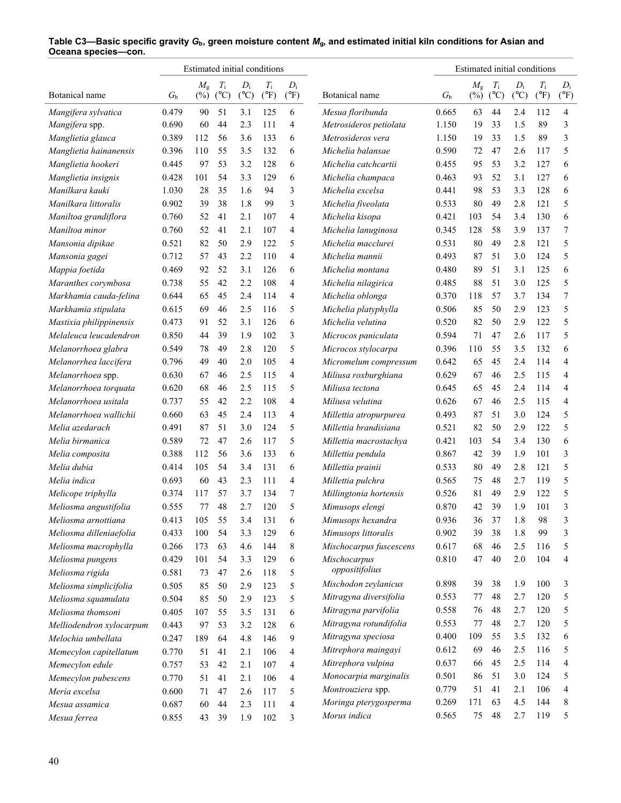|                          |                | Estimated initial conditions |               |               |               |               |                         |                  | Estimated initial conditions |               |                 |               |                |
|--------------------------|----------------|------------------------------|---------------|---------------|---------------|---------------|-------------------------|------------------|------------------------------|---------------|-----------------|---------------|----------------|
|                          |                | $M_{\rm g}$                  | $T_{\rm i}$   | $D_i$         | $T_{\rm i}$   | $D_i$         |                         |                  | $M_{\rm g}$                  | $T_{\rm i}$   | $D_i$           | $T_{\rm i}$   | $D_i$          |
| Botanical name           | G <sub>b</sub> | $(\%)$                       | $(^{\circ}C)$ | $(^{\circ}C)$ | $(^{\circ}F)$ | $(^{\circ}F)$ | Botanical name          | $G_{\mathrm{b}}$ | $(\%)$                       | $(^{\circ}C)$ | $({}^{\circ}C)$ | $(^{\circ}F)$ | $(^{\circ}F)$  |
| Mangifera sylvatica      | 0.479          | 90                           | 51            | 3.1           | 125           | 6             | Mesua floribunda        | 0.665            | 63                           | 44            | 2.4             | 112           | $\overline{4}$ |
| Mangifera spp.           | 0.690          | 60                           | 44            | 2.3           | 111           | 4             | Metrosideros petiolata  | 1.150            | 19                           | 33            | 1.5             | 89            | 3              |
| Manglietia glauca        | 0.389          | 112                          | 56            | 3.6           | 133           | 6             | Metrosideros vera       | 1.150            | 19                           | 33            | 1.5             | 89            | 3              |
| Manglietia hainanensis   | 0.396          | 110                          | 55            | 3.5           | 132           | 6             | Michelia balansae       | 0.590            | 72                           | 47            | 2.6             | 117           | 5              |
| Manglietia hookeri       | 0.445          | 97                           | 53            | 3.2           | 128           | 6             | Michelia catchcartii    | 0.455            | 95                           | 53            | 3.2             | 127           | 6              |
| Manglietia insignis      | 0.428          | 101                          | 54            | 3.3           | 129           | 6             | Michelia champaca       | 0.463            | 93                           | 52            | 3.1             | 127           | 6              |
| Manilkara kauki          | 1.030          | 28                           | 35            | 1.6           | 94            | 3             | Michelia excelsa        | 0.441            | 98                           | 53            | 3.3             | 128           | 6              |
| Manilkara littoralis     | 0.902          | 39                           | 38            | 1.8           | 99            | 3             | Michelia fiveolata      | 0.533            | 80                           | 49            | 2.8             | 121           | 5              |
| Maniltoa grandiflora     | 0.760          | 52                           | 41            | 2.1           | 107           | 4             | Michelia kisopa         | 0.421            | 103                          | 54            | 3.4             | 130           | 6              |
| Maniltoa minor           | 0.760          | 52                           | 41            | 2.1           | 107           | 4             | Michelia lanuginosa     | 0.345            | 128                          | 58            | 3.9             | 137           | 7              |
| Mansonia dipikae         | 0.521          | 82                           | 50            | 2.9           | 122           | 5             | Michelia macclurei      | 0.531            | 80                           | 49            | 2.8             | 121           | 5              |
| Mansonia gagei           | 0.712          | 57                           | 43            | 2.2           | 110           | 4             | Michelia mannii         | 0.493            | 87                           | 51            | 3.0             | 124           | 5              |
| Mappia foetida           | 0.469          | 92                           | 52            | 3.1           | 126           | 6             | Michelia montana        | 0.480            | 89                           | 51            | 3.1             | 125           | 6              |
| Maranthes corymbosa      | 0.738          | 55                           | 42            | 2.2           | 108           | 4             | Michelia nilagirica     | 0.485            | 88                           | 51            | 3.0             | 125           | 5              |
| Markhamia cauda-felina   | 0.644          | 65                           | 45            | 2.4           | 114           | 4             | Michelia oblonga        | 0.370            | 118                          | 57            | 3.7             | 134           | 7              |
| Markhamia stipulata      | 0.615          | 69                           | 46            | 2.5           | 116           | 5             | Michelia platyphylla    | 0.506            | 85                           | 50            | 2.9             | 123           | 5              |
| Mastixia philippinensis  | 0.473          | 91                           | 52            | 3.1           | 126           | 6             | Michelia velutina       | 0.520            | 82                           | 50            | 2.9             | 122           | 5              |
| Melaleuca leucadendron   | 0.850          | 44                           | 39            | 1.9           | 102           | 3             | Microcos paniculata     | 0.594            | 71                           | 47            | 2.6             | 117           | 5              |
| Melanorrhoea glabra      | 0.549          | 78                           | 49            | 2.8           | 120           | 5             | Microcos stylocarpa     | 0.396            | 110                          | 55            | 3.5             | 132           | 6              |
| Melanorrhea laccifera    | 0.796          | 49                           | 40            | 2.0           | 105           | 4             | Micromelum compressum   | 0.642            | 65                           | 45            | 2.4             | 114           | 4              |
| Melanorrhoea spp.        | 0.630          | 67                           | 46            | 2.5           | 115           | 4             | Miliusa roxburghiana    | 0.629            | 67                           | 46            | 2.5             | 115           | 4              |
| Melanorrhoea torquata    | 0.620          | 68                           | 46            | 2.5           | 115           | 5             | Miliusa tectona         | 0.645            | 65                           | 45            | 2.4             | 114           | 4              |
| Melanorrhoea usitala     | 0.737          | 55                           | 42            | 2.2           | 108           | 4             | Miliusa velutina        | 0.626            | 67                           | 46            | 2.5             | 115           | 4              |
| Melanorrhoea wallichii   | 0.660          | 63                           | 45            | 2.4           | 113           | 4             | Millettia atropurpurea  | 0.493            | 87                           | 51            | 3.0             | 124           | 5              |
| Melia azedarach          | 0.491          | 87                           | 51            | 3.0           | 124           | 5             | Millettia brandisiana   | 0.521            | 82                           | 50            | 2.9             | 122           | 5              |
| Melia birmanica          | 0.589          | 72                           | 47            | 2.6           | 117           | 5             | Millettia macrostachya  | 0.421            | 103                          | 54            | 3.4             | 130           | 6              |
| Melia composita          | 0.388          | 112                          | 56            | 3.6           | 133           | 6             | Millettia pendula       | 0.867            | 42                           | 39            | 1.9             | 101           | 3              |
| Melia dubia              | 0.414          | 105                          | 54            | 3.4           | 131           | 6             | Millettia prainii       | 0.533            | 80                           | 49            | 2.8             | 121           | 5              |
| Melia indica             | 0.693          | 60                           | 43            | 2.3           | 111           | 4             | Millettia pulchra       | 0.565            | 75                           | 48            | 2.7             | 119           | 5              |
| Melicope triphylla       | 0.374          | 117                          | 57            | 3.7           | 134           | 7             | Millingtonia hortensis  | 0.526            | 81                           | 49            | 2.9             | 122           | 5              |
| Meliosma angustifolia    | 0.555          | 77                           | 48            | 2.7           | 120           | 5             | Mimusops elengi         | 0.870            | 42                           | 39            | 1.9             | 101           | 3              |
| Meliosma arnottiana      | 0.413          | 105                          | 55            | 3.4           | 131           | 6             | Mimusops hexandra       | 0.936            | 36                           | 37            | 1.8             | 98            | 3              |
| Meliosma dilleniaefolia  | 0.433          | 100                          | 54            | 3.3           | 129           | 6             | Mimusops littoralis     | 0.902            | 39                           | 38            | 1.8             | 99            | 3              |
| Meliosma macrophylla     | 0.266          | 173                          | 63            | 4.6           | 144           | 8             | Mischocarpus fuscescens | 0.617            | 68                           | 46            | 2.5             | 116           | 5              |
| Meliosma pungens         | 0.429          | 101                          | 54            | 3.3           | 129           | 6             | Mischocarpus            | 0.810            | 47                           | 40            | 2.0             | 104           | 4              |
| Meliosma rigida          | 0.581          | 73                           | 47            | 2.6           | 118           | 5             | oppositifolius          |                  |                              |               |                 |               |                |
| Meliosma simplicifolia   | 0.505          | 85                           | 50            | 2.9           | 123           | 5             | Mischodon zeylanicus    | 0.898            | 39                           | 38            | 1.9             | 100           | 3              |
| Meliosma squamulata      |                |                              |               |               | 123           | 5             | Mitragyna diversifolia  | 0.553            | 77                           | 48            | 2.7             | 120           | 5              |
| Meliosma thomsoni        | 0.504          | 85                           | 50            | 2.9           | 131           |               | Mitragyna parvifolia    | 0.558            | 76                           | 48            | 2.7             | 120           | 5              |
|                          | 0.405          | 107                          | 55            | 3.5           |               | 6             | Mitragyna rotundifolia  | 0.553            | 77                           | 48            | 2.7             | 120           | 5              |
| Melliodendron xylocarpum | 0.443          | 97                           | 53            | 3.2           | 128           | 6             | Mitragyna speciosa      | 0.400            | 109                          | 55            | 3.5             | 132           | 6              |
| Melochia umbellata       | 0.247          | 189                          | 64            | 4.8           | 146           | 9             | Mitrephora maingayi     | 0.612            | 69                           | 46            | 2.5             | 116           | 5              |
| Memecylon capitellatum   | 0.770          | 51                           | 41            | 2.1           | 106           | 4             | Mitrephora vulpina      | 0.637            | 66                           | 45            | 2.5             | 114           | 4              |
| Memecylon edule          | 0.757          | 53                           | 42            | 2.1           | 107           | 4             | Monocarpia marginalis   | 0.501            | 86                           | 51            | 3.0             | 124           | 5              |
| Memecylon pubescens      | 0.770          | 51                           | 41            | 2.1           | 106           | 4             |                         |                  |                              |               |                 |               | 4              |
| Meria excelsa            | 0.600          | 71                           | 47            | 2.6           | 117           | 5             | Montrouziera spp.       | 0.779            | 51                           | 41            | 2.1             | 106           |                |
| Mesua assamica           | 0.687          | 60                           | 44            | 2.3           | 111           | 4             | Moringa pterygosperma   | 0.269            | 171                          | 63            | 4.5             | 144           | 8              |
| Mesua ferrea             | 0.855          | 43                           | 39            | 1.9           | 102           | 3             | Morus indica            | 0.565            | 75                           | 48            | 2.7             | 119           | 5              |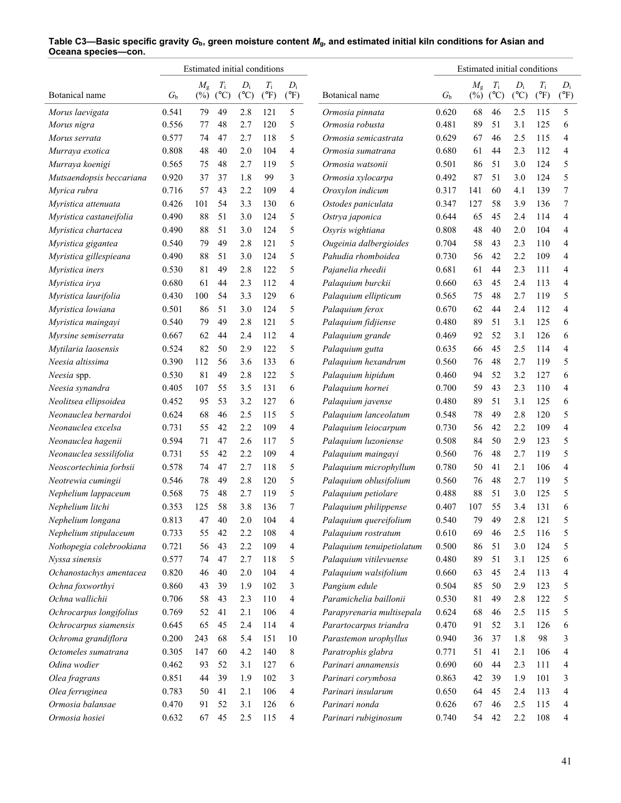|                          |             | Estimated initial conditions |                              |                        |                              |                        |                           |             | Estimated initial conditions |                              |                        |                              |                        |
|--------------------------|-------------|------------------------------|------------------------------|------------------------|------------------------------|------------------------|---------------------------|-------------|------------------------------|------------------------------|------------------------|------------------------------|------------------------|
| Botanical name           | $G_{\rm b}$ | $M_{\rm g}$<br>$(\%)$        | $T_{\rm i}$<br>$(^{\circ}C)$ | $D_i$<br>$(^{\circ}C)$ | $T_{\rm i}$<br>$(^{\circ}F)$ | $D_i$<br>$(^{\circ}F)$ | Botanical name            | $G_{\rm b}$ | $M_{\rm g}$<br>$(\%)$        | $T_{\rm i}$<br>$(^{\circ}C)$ | $D_i$<br>$(^{\circ}C)$ | $T_{\rm i}$<br>$(^{\circ}F)$ | $D_i$<br>$(^{\circ}F)$ |
| Morus laevigata          | 0.541       | 79                           | 49                           | 2.8                    | 121                          | 5                      | Ormosia pinnata           | 0.620       | 68                           | 46                           | 2.5                    | 115                          | 5                      |
| Morus nigra              | 0.556       | 77                           | 48                           | 2.7                    | 120                          | 5                      | Ormosia robusta           | 0.481       | 89                           | 51                           | 3.1                    | 125                          | 6                      |
| Morus serrata            | 0.577       | 74                           | 47                           | 2.7                    | 118                          | 5                      | Ormosia semicastrata      | 0.629       | 67                           | 46                           | 2.5                    | 115                          | 4                      |
| Murraya exotica          | 0.808       | 48                           | 40                           | 2.0                    | 104                          | 4                      | Ormosia sumatrana         | 0.680       | 61                           | 44                           | 2.3                    | 112                          | 4                      |
| Murraya koenigi          | 0.565       | 75                           | 48                           | 2.7                    | 119                          | 5                      | Ormosia watsonii          | 0.501       | 86                           | 51                           | 3.0                    | 124                          | 5                      |
| Mutsaendopsis beccariana | 0.920       | 37                           | 37                           | 1.8                    | 99                           | 3                      | Ormosia xylocarpa         | 0.492       | 87                           | 51                           | 3.0                    | 124                          | 5                      |
| Myrica rubra             | 0.716       | 57                           | 43                           | 2.2                    | 109                          | 4                      | Oroxylon indicum          | 0.317       | 141                          | 60                           | 4.1                    | 139                          | 7                      |
| Myristica attenuata      | 0.426       | 101                          | 54                           | 3.3                    | 130                          | 6                      | Ostodes paniculata        | 0.347       | 127                          | 58                           | 3.9                    | 136                          | 7                      |
|                          | 0.490       | 88                           | 51                           | 3.0                    | 124                          | 5                      |                           | 0.644       | 65                           | 45                           | 2.4                    | 114                          | 4                      |
| Myristica castaneifolia  |             | 88                           | 51                           | 3.0                    | 124                          | 5                      | Ostrya japonica           |             | 48                           | 40                           | 2.0                    | 104                          | 4                      |
| Myristica chartacea      | 0.490       |                              |                              |                        |                              |                        | Osyris wightiana          | 0.808       |                              |                              |                        |                              |                        |
| Myristica gigantea       | 0.540       | 79                           | 49                           | 2.8                    | 121                          | 5                      | Ougeinia dalbergioides    | 0.704       | 58                           | 43                           | 2.3                    | 110                          | 4                      |
| Myristica gillespieana   | 0.490       | 88                           | 51                           | 3.0                    | 124                          | 5                      | Pahudia rhomboidea        | 0.730       | 56                           | 42                           | 2.2                    | 109                          | 4                      |
| Myristica iners          | 0.530       | 81                           | 49                           | 2.8                    | 122                          | 5                      | Pajanelia rheedii         | 0.681       | 61                           | 44                           | 2.3                    | 111                          | 4                      |
| Myristica irya           | 0.680       | 61                           | 44                           | 2.3                    | 112                          | 4                      | Palaquium burckii         | 0.660       | 63                           | 45                           | 2.4                    | 113                          | 4                      |
| Myristica laurifolia     | 0.430       | 100                          | 54                           | 3.3                    | 129                          | 6                      | Palaquium ellipticum      | 0.565       | 75                           | 48                           | 2.7                    | 119                          | 5                      |
| Myristica lowiana        | 0.501       | 86                           | 51                           | 3.0                    | 124                          | 5                      | Palaquium ferox           | 0.670       | 62                           | 44                           | 2.4                    | 112                          | $\overline{4}$         |
| Myristica maingayi       | 0.540       | 79                           | 49                           | 2.8                    | 121                          | 5                      | Palaquium fidjiense       | 0.480       | 89                           | 51                           | 3.1                    | 125                          | 6                      |
| Myrsine semiserrata      | 0.667       | 62                           | 44                           | 2.4                    | 112                          | 4                      | Palaquium grande          | 0.469       | 92                           | 52                           | 3.1                    | 126                          | 6                      |
| Mytilaria laosensis      | 0.524       | 82                           | 50                           | 2.9                    | 122                          | 5                      | Palaquium gutta           | 0.635       | 66                           | 45                           | 2.5                    | 114                          | 4                      |
| Neesia altissima         | 0.390       | 112                          | 56                           | 3.6                    | 133                          | 6                      | Palaquium hexandrum       | 0.560       | 76                           | 48                           | 2.7                    | 119                          | 5                      |
| Neesia spp.              | 0.530       | 81                           | 49                           | 2.8                    | 122                          | 5                      | Palaquium hipidum         | 0.460       | 94                           | 52                           | 3.2                    | 127                          | 6                      |
| Neesia synandra          | 0.405       | 107                          | 55                           | 3.5                    | 131                          | 6                      | Palaquium hornei          | 0.700       | 59                           | 43                           | 2.3                    | 110                          | 4                      |
| Neolitsea ellipsoidea    | 0.452       | 95                           | 53                           | 3.2                    | 127                          | 6                      | Palaquium javense         | 0.480       | 89                           | 51                           | 3.1                    | 125                          | 6                      |
| Neonauclea bernardoi     | 0.624       | 68                           | 46                           | 2.5                    | 115                          | 5                      | Palaquium lanceolatum     | 0.548       | 78                           | 49                           | 2.8                    | 120                          | 5                      |
| Neonauclea excelsa       | 0.731       | 55                           | 42                           | 2.2                    | 109                          | 4                      | Palaquium leiocarpum      | 0.730       | 56                           | 42                           | 2.2                    | 109                          | 4                      |
| Neonauclea hagenii       | 0.594       | 71                           | 47                           | 2.6                    | 117                          | 5                      | Palaquium luzoniense      | 0.508       | 84                           | 50                           | 2.9                    | 123                          | 5                      |
| Neonauclea sessilifolia  | 0.731       | 55                           | 42                           | 2.2                    | 109                          | 4                      | Palaquium maingayi        | 0.560       | 76                           | 48                           | 2.7                    | 119                          | 5                      |
| Neoscortechinia forbsii  | 0.578       | 74                           | 47                           | 2.7                    | 118                          | 5                      | Palaquium microphyllum    | 0.780       | 50                           | 41                           | 2.1                    | 106                          | 4                      |
| Neotrewia cumingii       | 0.546       | 78                           | 49                           | 2.8                    | 120                          | 5                      | Palaquium oblusifolium    | 0.560       | 76                           | 48                           | 2.7                    | 119                          | 5                      |
| Nephelium lappaceum      | 0.568       | 75                           | 48                           | 2.7                    | 119                          | 5                      | Palaquium petiolare       | 0.488       | 88                           | 51                           | 3.0                    | 125                          | 5                      |
| Nephelium litchi         | 0.353       | 125                          | 58                           | 3.8                    | 136                          | 7                      | Palaquium philippense     | 0.407       | 107                          | 55                           | 3.4                    | 131                          | 6                      |
| Nephelium longana        | 0.813       | 47                           | 40                           | 2.0                    | 104                          | 4                      | Palaquium quereifolium    | 0.540       | 79                           | 49                           | 2.8                    | 121                          | 5                      |
| Nephelium stipulaceum    | 0.733       | 55                           | 42                           | 2.2                    | 108                          | 4                      | Palaquium rostratum       | 0.610       | 69                           | 46                           | 2.5                    | 116                          | 5                      |
| Nothopegia colebrookiana | 0.721       | 56                           | 43                           | 2.2                    | 109                          | 4                      | Palaquium tenuipetiolatum | 0.500       | 86                           | 51                           | 3.0                    | 124                          | 5                      |
| Nyssa sinensis           | 0.577       | 74                           | 47                           | 2.7                    | 118                          | 5                      | Palaquium vitilevuense    | 0.480       | 89                           | 51                           | 3.1                    | 125                          | 6                      |
| Ochanostachys amentacea  | 0.820       | 46                           | 40                           | 2.0                    | 104                          | 4                      | Palaquium walsifolium     | 0.660       | 63                           | 45                           | 2.4                    | 113                          | 4                      |
| Ochna foxworthyi         | 0.860       | 43                           | 39                           | 1.9                    | 102                          | 3                      | Pangium edule             | 0.504       | 85                           | 50                           | 2.9                    | 123                          | 5                      |
| Ochna wallichii          | 0.706       | 58                           | 43                           | 2.3                    | 110                          | 4                      | Paramichelia baillonii    | 0.530       | 81                           | 49                           | 2.8                    | 122                          | 5                      |
| Ochrocarpus longifolius  | 0.769       | 52                           | 41                           | 2.1                    | 106                          | 4                      | Parapyrenaria multisepala | 0.624       | 68                           | 46                           | 2.5                    | 115                          | 5                      |
| Ochrocarpus siamensis    | 0.645       | 65                           | 45                           | 2.4                    | 114                          | 4                      | Parartocarpus triandra    | 0.470       | 91                           | 52                           | 3.1                    | 126                          | 6                      |
| Ochroma grandiflora      | 0.200       | 243                          | 68                           | 5.4                    | 151                          | 10                     | Parastemon urophyllus     | 0.940       | 36                           | 37                           | 1.8                    | 98                           | 3                      |
| Octomeles sumatrana      | 0.305       | 147                          | 60                           | 4.2                    | 140                          | 8                      | Paratrophis glabra        | 0.771       | 51                           | 41                           | 2.1                    | 106                          | 4                      |
| Odina wodier             | 0.462       | 93                           | 52                           | 3.1                    | 127                          | 6                      | Parinari annamensis       | 0.690       | 60                           | 44                           | 2.3                    | 111                          | 4                      |
| Olea fragrans            | 0.851       | 44                           | 39                           | 1.9                    | 102                          | 3                      | Parinari corymbosa        | 0.863       | 42                           | 39                           | 1.9                    | 101                          | 3                      |
| Olea ferruginea          | 0.783       | 50                           | 41                           | 2.1                    | 106                          | 4                      | Parinari insularum        | 0.650       | 64                           | 45                           | 2.4                    | 113                          | 4                      |
| Ormosia balansae         | 0.470       | 91                           | 52                           | 3.1                    | 126                          | 6                      | Parinari nonda            | 0.626       | 67                           | 46                           | 2.5                    | 115                          | 4                      |
| Ormosia hosiei           | 0.632       | 67                           | 45                           | 2.5                    | 115                          | 4                      | Parinari rubiginosum      | 0.740       | 54                           | 42                           | 2.2                    | 108                          | 4                      |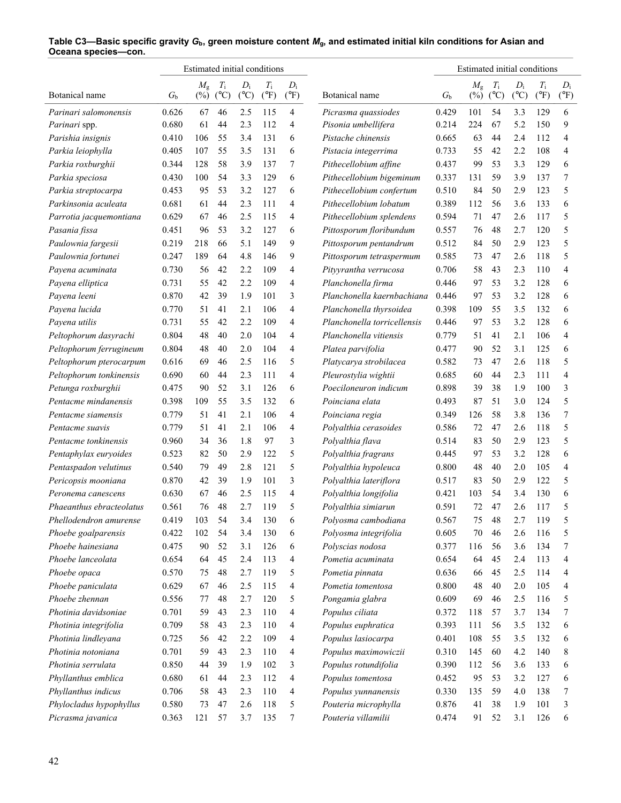|                          |             | Estimated initial conditions |               |               |               |               |                             |             | Estimated initial conditions |               |               |               |               |
|--------------------------|-------------|------------------------------|---------------|---------------|---------------|---------------|-----------------------------|-------------|------------------------------|---------------|---------------|---------------|---------------|
|                          |             | $M_{\rm g}$                  | $T_{\rm i}$   | $D_i$         | $T_{\rm i}$   | $D_i$         |                             |             | $M_{\rm g}$                  | $T_{\rm i}$   | $D_i$         | $T_{\rm i}$   | $D_i$         |
| Botanical name           | $G_{\rm b}$ | $(\%)$                       | $(^{\circ}C)$ | $(^{\circ}C)$ | $(^{\circ}F)$ | $(^{\circ}F)$ | Botanical name              | $G_{\rm b}$ | $(\%)$                       | $(^{\circ}C)$ | $(^{\circ}C)$ | $(^{\circ}F)$ | $(^{\circ}F)$ |
| Parinari salomonensis    | 0.626       | 67                           | 46            | 2.5           | 115           | 4             | Picrasma quassiodes         | 0.429       | 101                          | 54            | 3.3           | 129           | 6             |
| Parinari spp.            | 0.680       | 61                           | 44            | 2.3           | 112           | 4             | Pisonia umbellifera         | 0.214       | 224                          | 67            | 5.2           | 150           | 9             |
| Parishia insignis        | 0.410       | 106                          | 55            | 3.4           | 131           | 6             | Pistache chinensis          | 0.665       | 63                           | 44            | 2.4           | 112           | 4             |
| Parkia leiophylla        | 0.405       | 107                          | 55            | 3.5           | 131           | 6             | Pistacia integerrima        | 0.733       | 55                           | 42            | 2.2           | 108           | 4             |
| Parkia roxburghii        | 0.344       | 128                          | 58            | 3.9           | 137           | 7             | Pithecellobium affine       | 0.437       | 99                           | 53            | 3.3           | 129           | 6             |
| Parkia speciosa          | 0.430       | 100                          | 54            | 3.3           | 129           | 6             | Pithecellobium bigeminum    | 0.337       | 131                          | 59            | 3.9           | 137           | 7             |
| Parkia streptocarpa      | 0.453       | 95                           | 53            | 3.2           | 127           | 6             | Pithecellobium confertum    | 0.510       | 84                           | 50            | 2.9           | 123           | 5             |
| Parkinsonia aculeata     | 0.681       | 61                           | 44            | 2.3           | 111           | 4             | Pithecellobium lobatum      | 0.389       | 112                          | 56            | 3.6           | 133           | 6             |
| Parrotia jacquemontiana  | 0.629       | 67                           | 46            | 2.5           | 115           | 4             | Pithecellobium splendens    | 0.594       | 71                           | 47            | 2.6           | 117           | 5             |
| Pasania fissa            | 0.451       | 96                           | 53            | 3.2           | 127           | 6             | Pittosporum floribundum     | 0.557       | 76                           | 48            | 2.7           | 120           | 5             |
| Paulownia fargesii       | 0.219       | 218                          | 66            | 5.1           | 149           | 9             | Pittosporum pentandrum      | 0.512       | 84                           | 50            | 2.9           | 123           | 5             |
| Paulownia fortunei       | 0.247       | 189                          | 64            | 4.8           | 146           | 9             | Pittosporum tetraspermum    | 0.585       | 73                           | 47            | 2.6           | 118           | 5             |
| Payena acuminata         | 0.730       | 56                           | 42            | 2.2           | 109           | 4             | Pityyrantha verrucosa       | 0.706       | 58                           | 43            | 2.3           | 110           | 4             |
| Payena elliptica         | 0.731       | 55                           | 42            | 2.2           | 109           | 4             | Planchonella firma          | 0.446       | 97                           | 53            | 3.2           | 128           | 6             |
| Payena leeni             | 0.870       | 42                           | 39            | 1.9           | 101           | 3             | Planchonella kaernbachiana  | 0.446       | 97                           | 53            | 3.2           | 128           | 6             |
| Payena lucida            | 0.770       | 51                           | 41            | 2.1           | 106           | 4             | Planchonella thyrsoidea     | 0.398       | 109                          | 55            | 3.5           | 132           | 6             |
| Payena utilis            | 0.731       | 55                           | 42            | 2.2           | 109           | 4             | Planchonella torricellensis | 0.446       | 97                           | 53            | 3.2           | 128           | 6             |
| Peltophorum dasyrachi    | 0.804       | 48                           | 40            | 2.0           | 104           | 4             | Planchonella vitiensis      | 0.779       | 51                           | 41            | 2.1           | 106           | 4             |
| Peltophorum ferrugineum  | 0.804       | 48                           | 40            | 2.0           | 104           | 4             | Platea parvifolia           | 0.477       | 90                           | 52            | 3.1           | 125           | 6             |
| Peltophorum pterocarpum  | 0.616       | 69                           | 46            | 2.5           | 116           | 5             | Platycarya strobilacea      | 0.582       | 73                           | 47            | 2.6           | 118           | 5             |
| Peltophorum tonkinensis  | 0.690       | 60                           | 44            | 2.3           | 111           | 4             | Pleurostylia wightii        | 0.685       | 60                           | 44            | 2.3           | 111           | 4             |
| Petunga roxburghii       | 0.475       | 90                           | 52            | 3.1           | 126           | 6             | Poeciloneuron indicum       | 0.898       | 39                           | 38            | 1.9           | 100           | 3             |
| Pentacme mindanensis     | 0.398       | 109                          | 55            | 3.5           | 132           | 6             | Poinciana elata             | 0.493       | 87                           | 51            | 3.0           | 124           | 5             |
| Pentacme siamensis       | 0.779       | 51                           | 41            | 2.1           | 106           | 4             | Poinciana regia             | 0.349       | 126                          | 58            | 3.8           | 136           | 7             |
| Pentacme suavis          | 0.779       | 51                           | 41            | 2.1           | 106           | 4             | Polyalthia cerasoides       | 0.586       | 72                           | 47            | 2.6           | 118           | 5             |
| Pentacme tonkinensis     | 0.960       | 34                           | 36            | 1.8           | 97            | 3             | Polyalthia flava            | 0.514       | 83                           | 50            | 2.9           | 123           | 5             |
| Pentaphylax euryoides    | 0.523       | 82                           | 50            | 2.9           | 122           | 5             | Polyalthia fragrans         | 0.445       | 97                           | 53            | 3.2           | 128           | 6             |
| Pentaspadon velutinus    | 0.540       | 79                           | 49            | 2.8           | 121           | 5             | Polyalthia hypoleuca        | 0.800       | 48                           | 40            | 2.0           | 105           | 4             |
| Pericopsis mooniana      | 0.870       | 42                           | 39            | 1.9           | 101           | 3             | Polyalthia lateriflora      | 0.517       | 83                           | 50            | 2.9           | 122           | 5             |
| Peronema canescens       | 0.630       | 67                           | 46            | 2.5           | 115           | 4             | Polyalthia longifolia       | 0.421       | 103                          | 54            | 3.4           | 130           | 6             |
| Phaeanthus ebracteolatus | 0.561       | 76                           | 48            | 2.7           | 119           | 5             | Polyalthia simiarun         | 0.591       | 72                           | 47            | 2.6           | 117           | 5             |
| Phellodendron amurense   | 0.419       | 103                          | 54            | 3.4           | 130           | 6             | Polyosma cambodiana         | 0.567       | 75                           | 48            | 2.7           | 119           | 5             |
| Phoebe goalparensis      | 0.422       | 102                          | 54            | 3.4           | 130           | 6             | Polyosma integrifolia       | 0.605       | 70                           | 46            | 2.6           | 116           | 5             |
| Phoebe hainesiana        | 0.475       | 90                           | 52            | 3.1           | 126           | 6             | Polyscias nodosa            | 0.377       | 116                          | 56            | 3.6           | 134           | 7             |
| Phoebe lanceolata        | 0.654       |                              | 45            |               | 113           |               | Pometia acuminata           |             | 64                           | 45            |               |               |               |
|                          |             | 64                           | 48            | 2.4           |               | 4             |                             | 0.654       |                              | 45            | 2.4           | 113           | 4             |
| Phoebe opaca             | 0.570       | 75                           |               | 2.7           | 119           | 5             | Pometia pinnata             | 0.636       | 66                           |               | 2.5           | 114           | 4             |
| Phoebe paniculata        | 0.629       | 67                           | 46            | 2.5           | 115           | 4             | Pometia tomentosa           | 0.800       | 48                           | 40            | 2.0           | 105           | 4             |
| Phoebe zhennan           | 0.556       | 77                           | 48            | 2.7           | 120           | 5             | Pongamia glabra             | 0.609       | 69                           | 46            | 2.5           | 116           | 5             |
| Photinia davidsoniae     | 0.701       | 59                           | 43            | 2.3           | 110           | 4             | Populus ciliata             | 0.372       | 118                          | 57            | 3.7           | 134           | 7             |
| Photinia integrifolia    | 0.709       | 58                           | 43            | 2.3           | 110           | 4             | Populus euphratica          | 0.393       | 111                          | 56            | 3.5           | 132           | 6             |
| Photinia lindleyana      | 0.725       | 56                           | 42            | 2.2           | 109           | 4             | Populus lasiocarpa          | 0.401       | 108                          | 55            | 3.5           | 132           | 6             |
| Photinia notoniana       | 0.701       | 59                           | 43            | 2.3           | 110           | 4             | Populus maximowiczii        | 0.310       | 145                          | 60            | 4.2           | 140           | 8             |
| Photinia serrulata       | 0.850       | 44                           | 39            | 1.9           | 102           | 3             | Populus rotundifolia        | 0.390       | 112                          | 56            | 3.6           | 133           | 6             |
| Phyllanthus emblica      | 0.680       | 61                           | 44            | 2.3           | 112           | 4             | Populus tomentosa           | 0.452       | 95                           | 53            | 3.2           | 127           | 6             |
| Phyllanthus indicus      | 0.706       | 58                           | 43            | 2.3           | 110           | 4             | Populus yunnanensis         | 0.330       | 135                          | 59            | 4.0           | 138           | 7             |
| Phylocladus hypophyllus  | 0.580       | 73                           | 47            | 2.6           | 118           | 5             | Pouteria microphylla        | 0.876       | 41                           | 38            | 1.9           | 101           | 3             |
| Picrasma javanica        | 0.363       | 121                          | 57            | 3.7           | 135           | 7             | Pouteria villamilii         | 0.474       | 91                           | 52            | 3.1           | 126           | 6             |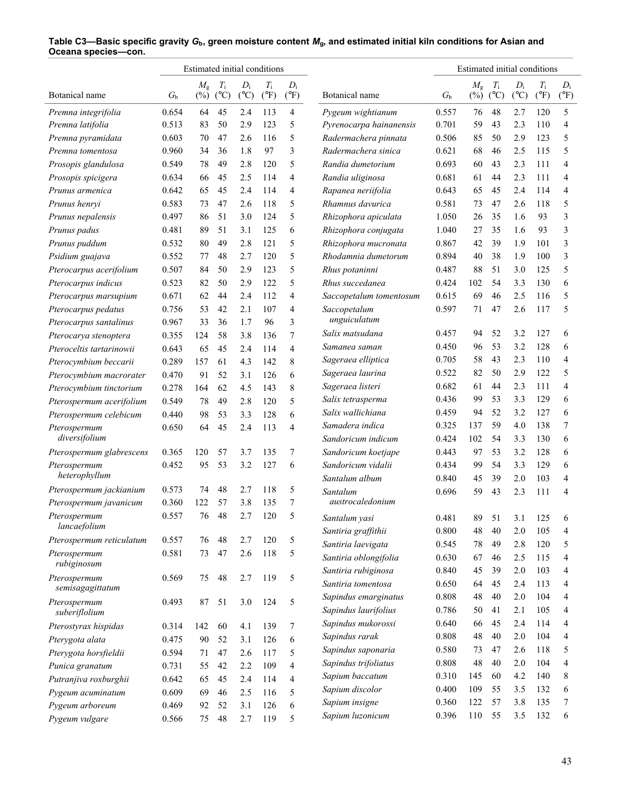|                              |             | Estimated initial conditions |                              |                        |                              |                        |                         |                  | Estimated initial conditions |                              |                        |                              |                        |
|------------------------------|-------------|------------------------------|------------------------------|------------------------|------------------------------|------------------------|-------------------------|------------------|------------------------------|------------------------------|------------------------|------------------------------|------------------------|
| Botanical name               | $G_{\rm b}$ | $M_{\rm g}$<br>$(\%)$        | $T_{\rm i}$<br>$(^{\circ}C)$ | $D_i$<br>$(^{\circ}C)$ | $T_{\rm i}$<br>$(^{\circ}F)$ | $D_i$<br>$(^{\circ}F)$ | Botanical name          | $G_{\mathrm{b}}$ | $M_{\rm g}$<br>$(\%)$        | $T_{\rm i}$<br>$(^{\circ}C)$ | $D_i$<br>$(^{\circ}C)$ | $T_{\rm i}$<br>$(^{\circ}F)$ | $D_i$<br>$(^{\circ}F)$ |
| Premna integrifolia          | 0.654       | 64                           | 45                           | 2.4                    | 113                          | 4                      | Pygeum wightianum       | 0.557            | 76                           | 48                           | 2.7                    | 120                          | 5                      |
| Premna latifolia             | 0.513       | 83                           | 50                           | 2.9                    | 123                          | 5                      | Pyrenocarpa hainanensis | 0.701            | 59                           | 43                           | 2.3                    | 110                          | 4                      |
| Premna pyramidata            | 0.603       | 70                           | 47                           | 2.6                    | 116                          | 5                      | Radermachera pinnata    | 0.506            | 85                           | 50                           | 2.9                    | 123                          | 5                      |
| Premna tomentosa             | 0.960       | 34                           | 36                           | 1.8                    | 97                           | 3                      | Radermachera sinica     | 0.621            | 68                           | 46                           | 2.5                    | 115                          | 5                      |
| Prosopis glandulosa          | 0.549       | 78                           | 49                           | 2.8                    | 120                          | 5                      | Randia dumetorium       | 0.693            | 60                           | 43                           | 2.3                    | 111                          | 4                      |
| Prosopis spicigera           | 0.634       | 66                           | 45                           | 2.5                    | 114                          | 4                      | Randia uliginosa        | 0.681            | 61                           | 44                           | 2.3                    | 111                          | 4                      |
| Prunus armenica              | 0.642       | 65                           | 45                           | 2.4                    | 114                          | 4                      | Rapanea neriifolia      | 0.643            | 65                           | 45                           | 2.4                    | 114                          | 4                      |
| Prunus henryi                | 0.583       | 73                           | 47                           | 2.6                    | 118                          | 5                      | Rhamnus davurica        | 0.581            | 73                           | 47                           | 2.6                    | 118                          | 5                      |
| Prunus nepalensis            | 0.497       | 86                           | 51                           | 3.0                    | 124                          | 5                      | Rhizophora apiculata    | 1.050            | 26                           | 35                           | 1.6                    | 93                           | 3                      |
| Prunus padus                 | 0.481       | 89                           | 51                           | 3.1                    | 125                          | 6                      | Rhizophora conjugata    | 1.040            | 27                           | 35                           | 1.6                    | 93                           | 3                      |
| Prunus puddum                | 0.532       | 80                           | 49                           | 2.8                    | 121                          | 5                      | Rhizophora mucronata    | 0.867            | 42                           | 39                           | 1.9                    | 101                          | 3                      |
| Psidium guajava              | 0.552       | 77                           | 48                           | 2.7                    | 120                          | 5                      | Rhodamnia dumetorum     | 0.894            | 40                           | 38                           | 1.9                    | 100                          | 3                      |
| Pterocarpus acerifolium      | 0.507       | 84                           | 50                           | 2.9                    | 123                          | 5                      | Rhus potaninni          | 0.487            | 88                           | 51                           | 3.0                    | 125                          | 5                      |
| Pterocarpus indicus          | 0.523       | 82                           | 50                           | 2.9                    | 122                          | 5                      | Rhus succedanea         | 0.424            | 102                          | 54                           | 3.3                    | 130                          | 6                      |
| Pterocarpus marsupium        | 0.671       | 62                           | 44                           | 2.4                    | 112                          | 4                      | Saccopetalum tomentosum | 0.615            | 69                           | 46                           | 2.5                    | 116                          | 5                      |
| Pterocarpus pedatus          | 0.756       | 53                           | 42                           | 2.1                    | 107                          | 4                      | Saccopetalum            | 0.597            | 71                           | 47                           | 2.6                    | 117                          | 5                      |
| Pterocarpus santalinus       | 0.967       | 33                           | 36                           | 1.7                    | 96                           | 3                      | unguiculatum            |                  |                              |                              |                        |                              |                        |
| Pterocarya stenoptera        | 0.355       | 124                          | 58                           | 3.8                    | 136                          | 7                      | Salix matsudana         | 0.457            | 94                           | 52                           | 3.2                    | 127                          | 6                      |
| Pteroceltis tartarinowii     | 0.643       | 65                           | 45                           | 2.4                    | 114                          | 4                      | Samanea saman           | 0.450            | 96                           | 53                           | 3.2                    | 128                          | 6                      |
| Pterocymbium beccarii        | 0.289       | 157                          | 61                           | 4.3                    | 142                          | 8                      | Sageraea elliptica      | 0.705            | 58                           | 43                           | 2.3                    | 110                          | 4                      |
| Pterocymbium macrorater      | 0.470       | 91                           | 52                           | 3.1                    | 126                          | 6                      | Sageraea laurina        | 0.522            | 82                           | 50                           | 2.9                    | 122                          | 5                      |
| Pterocymbium tinctorium      | 0.278       | 164                          | 62                           | 4.5                    | 143                          | 8                      | Sageraea listeri        | 0.682            | 61                           | 44                           | 2.3                    | 111                          | 4                      |
| Pterospermum acerifolium     | 0.549       | 78                           | 49                           | 2.8                    | 120                          | 5                      | Salix tetrasperma       | 0.436            | 99                           | 53                           | 3.3                    | 129                          | 6                      |
| Pterospermum celebicum       | 0.440       | 98                           | 53                           | 3.3                    | 128                          | 6                      | Salix wallichiana       | 0.459            | 94                           | 52                           | 3.2                    | 127                          | 6                      |
| Pterospermum                 | 0.650       | 64                           | 45                           | 2.4                    | 113                          | 4                      | Samadera indica         | 0.325            | 137                          | 59                           | 4.0                    | 138                          | 7                      |
| diversifolium                |             |                              |                              |                        |                              |                        | Sandoricum indicum      | 0.424            | 102                          | 54                           | 3.3                    | 130                          | 6                      |
| Pterospermum glabrescens     | 0.365       | 120                          | 57                           | 3.7                    | 135                          | 7                      | Sandoricum koetjape     | 0.443            | 97                           | 53                           | 3.2                    | 128                          | 6                      |
| Pterospermum                 | 0.452       | 95                           | 53                           | 3.2                    | 127                          | 6                      | Sandoricum vidalii      | 0.434            | 99                           | 54                           | 3.3                    | 129                          | 6                      |
| heterophyllum                |             |                              |                              |                        |                              |                        | Santalum album          | 0.840            | 45                           | 39                           | 2.0                    | 103                          | 4                      |
| Pterospermum jackianium      | 0.573       | 74                           | 48                           | 2.7                    | 118                          | 5                      | Santalum                | 0.696            | 59                           | 43                           | 2.3                    | 111                          | 4                      |
| Pterospermum javanicum       | 0.360       | 122                          | 57                           | 3.8                    | 135                          | 7                      | austrocaledonium        |                  |                              |                              |                        |                              |                        |
| Pterospermum<br>lancaefolium | 0.557       | $76\,$                       | 48                           | 2.7                    | 120                          | 5                      | Santalum yasi           | 0.481            | 89                           | 51                           | 3.1                    | 125                          | 6                      |
|                              |             |                              |                              |                        |                              |                        | Santiria graffithii     | 0.800            | $48\,$                       | 40                           | 2.0                    | 105                          | 4                      |
| Pterospermum reticulatum     | 0.557       | 76                           | 48                           | 2.7                    | 120                          | 5                      | Santiria laevigata      | 0.545            | 78                           | 49                           | 2.8                    | 120                          | 5                      |
| Pterospermum<br>rubiginosum  | 0.581       | 73                           | 47                           | 2.6                    | 118                          | 5                      | Santiria oblongifolia   | 0.630            | 67                           | 46                           | 2.5                    | 115                          | 4                      |
| Pterospermum                 | 0.569       | 75                           | 48                           | 2.7                    | 119                          | 5                      | Santiria rubiginosa     | 0.840            | 45                           | 39                           | 2.0                    | 103                          | 4                      |
| semisagagittatum             |             |                              |                              |                        |                              |                        | Santiria tomentosa      | 0.650            | 64                           | 45                           | 2.4                    | 113                          | 4                      |
| Pterospermum                 | 0.493       | 87                           | 51                           | 3.0                    | 124                          | 5                      | Sapindus emarginatus    | 0.808            | 48                           | 40                           | 2.0                    | 104                          | 4                      |
| suberiflolium                |             |                              |                              |                        |                              |                        | Sapindus laurifolius    | 0.786            | 50                           | 41                           | 2.1                    | 105                          | 4                      |
| Pterostyrax hispidas         | 0.314       | 142                          | 60                           | 4.1                    | 139                          | 7                      | Sapindus mukorossi      | 0.640            | 66                           | 45                           | 2.4                    | 114                          | 4                      |
| Pterygota alata              | 0.475       | 90                           | 52                           | 3.1                    | 126                          | 6                      | Sapindus rarak          | 0.808            | 48                           | 40                           | 2.0                    | 104                          | 4                      |
| Pterygota horsfieldii        | 0.594       | 71                           | 47                           | 2.6                    | 117                          | 5                      | Sapindus saponaria      | 0.580            | 73                           | 47                           | 2.6                    | 118                          | 5                      |
| Punica granatum              | 0.731       | 55                           | 42                           | 2.2                    | 109                          | 4                      | Sapindus trifoliatus    | 0.808            | $48\,$                       | 40                           | 2.0                    | 104                          | 4                      |
| Putranjiva roxburghii        | 0.642       | 65                           | 45                           | 2.4                    | 114                          | 4                      | Sapium baccatum         | 0.310            | 145                          | 60                           | 4.2                    | 140                          | 8                      |
| Pygeum acuminatum            | 0.609       | 69                           | 46                           | 2.5                    | 116                          | 5                      | Sapium discolor         | 0.400            | 109                          | 55                           | 3.5                    | 132                          | 6                      |
| Pygeum arboreum              | 0.469       | 92                           | 52                           | 3.1                    | 126                          | 6                      | Sapium insigne          | 0.360            | 122                          | 57                           | 3.8                    | 135                          | 7                      |
| Pygeum vulgare               | 0.566       | 75                           | 48                           | 2.7                    | 119                          | 5                      | Sapium luzonicum        | 0.396            | 110                          | 55                           | 3.5                    | 132                          | 6                      |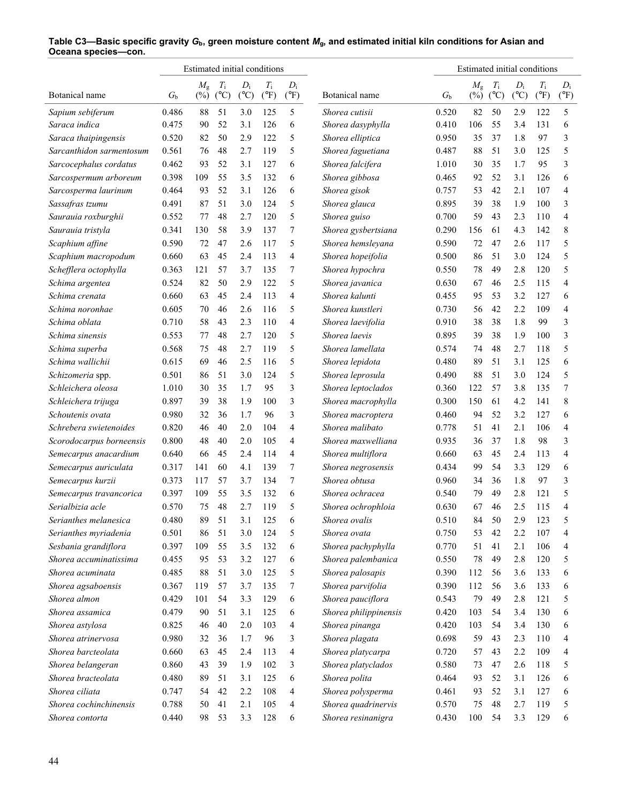|                          |             | Estimated initial conditions |                              |                        |                              |                        |                       |             | Estimated initial conditions |                              |                        |                              |                        |
|--------------------------|-------------|------------------------------|------------------------------|------------------------|------------------------------|------------------------|-----------------------|-------------|------------------------------|------------------------------|------------------------|------------------------------|------------------------|
| Botanical name           | $G_{\rm b}$ | $M_{\rm g}$<br>$(\%)$        | $T_{\rm i}$<br>$(^{\circ}C)$ | $D_i$<br>$(^{\circ}C)$ | $T_{\rm i}$<br>$(^{\circ}F)$ | $D_i$<br>$(^{\circ}F)$ | Botanical name        | $G_{\rm b}$ | $M_{\rm g}$<br>$(\%)$        | $T_{\rm i}$<br>$(^{\circ}C)$ | $D_i$<br>$(^{\circ}C)$ | $T_{\rm i}$<br>$(^{\circ}F)$ | $D_i$<br>$(^{\circ}F)$ |
| Sapium sebiferum         | 0.486       | 88                           | 51                           | 3.0                    | 125                          | 5                      | Shorea cutisii        | 0.520       | 82                           | 50                           | 2.9                    | 122                          | 5                      |
| Saraca indica            | 0.475       | 90                           | 52                           | 3.1                    | 126                          | 6                      | Shorea dasyphylla     | 0.410       | 106                          | 55                           | 3.4                    | 131                          | 6                      |
| Saraca thaipingensis     | 0.520       | 82                           | 50                           | 2.9                    | 122                          | 5                      | Shorea elliptica      | 0.950       | 35                           | 37                           | 1.8                    | 97                           | 3                      |
| Sarcanthidon sarmentosum | 0.561       | 76                           | 48                           | 2.7                    | 119                          | 5                      | Shorea faguetiana     | 0.487       | 88                           | 51                           | 3.0                    | 125                          | 5                      |
| Sarcocephalus cordatus   | 0.462       | 93                           | 52                           | 3.1                    | 127                          | 6                      | Shorea falcifera      | 1.010       | 30                           | 35                           | 1.7                    | 95                           | 3                      |
| Sarcospermum arboreum    | 0.398       | 109                          | 55                           | 3.5                    | 132                          | 6                      | Shorea gibbosa        | 0.465       | 92                           | 52                           | 3.1                    | 126                          | 6                      |
| Sarcosperma laurinum     | 0.464       | 93                           | 52                           | 3.1                    | 126                          | 6                      | Shorea gisok          | 0.757       | 53                           | 42                           | 2.1                    | 107                          | 4                      |
| Sassafras tzumu          | 0.491       | 87                           | 51                           | 3.0                    | 124                          | 5                      | Shorea glauca         | 0.895       | 39                           | 38                           | 1.9                    | 100                          | 3                      |
| Saurauia roxburghii      | 0.552       | 77                           | 48                           | 2.7                    | 120                          | 5                      | Shorea guiso          | 0.700       | 59                           | 43                           | 2.3                    | 110                          | $\overline{4}$         |
| Saurauia tristyla        | 0.341       | 130                          | 58                           | 3.9                    | 137                          | 7                      | Shorea gysbertsiana   | 0.290       | 156                          | 61                           | 4.3                    | 142                          | 8                      |
| Scaphium affine          | 0.590       | 72                           | 47                           | 2.6                    | 117                          | 5                      | Shorea hemsleyana     | 0.590       | 72                           | 47                           | 2.6                    | 117                          | 5                      |
| Scaphium macropodum      | 0.660       | 63                           | 45                           | 2.4                    | 113                          | 4                      | Shorea hopeifolia     | 0.500       | 86                           | 51                           | 3.0                    | 124                          | 5                      |
| Schefflera octophylla    | 0.363       | 121                          | 57                           | 3.7                    | 135                          | 7                      | Shorea hypochra       | 0.550       | 78                           | 49                           | 2.8                    | 120                          | 5                      |
| Schima argentea          | 0.524       | 82                           | 50                           | 2.9                    | 122                          | 5                      | Shorea javanica       | 0.630       | 67                           | 46                           | 2.5                    | 115                          | $\overline{4}$         |
| Schima crenata           | 0.660       | 63                           | 45                           | 2.4                    | 113                          | 4                      | Shorea kalunti        | 0.455       | 95                           | 53                           | 3.2                    | 127                          | 6                      |
| Schima noronhae          | 0.605       | 70                           | 46                           | 2.6                    | 116                          | 5                      | Shorea kunstleri      | 0.730       | 56                           | 42                           | 2.2                    | 109                          | 4                      |
| Schima oblata            | 0.710       | 58                           | 43                           | 2.3                    | 110                          | 4                      | Shorea laevifolia     | 0.910       | 38                           | 38                           | 1.8                    | 99                           | 3                      |
| Schima sinensis          | 0.553       | 77                           | 48                           | 2.7                    | 120                          | 5                      | Shorea laevis         | 0.895       | 39                           | 38                           | 1.9                    | 100                          | 3                      |
| Schima superba           | 0.568       | 75                           | 48                           | 2.7                    | 119                          | 5                      | Shorea lamellata      | 0.574       | 74                           | 48                           | 2.7                    | 118                          | 5                      |
| Schima wallichii         | 0.615       | 69                           | 46                           | 2.5                    | 116                          | 5                      | Shorea lepidota       | 0.480       | 89                           | 51                           | 3.1                    | 125                          | 6                      |
| Schizomeria spp.         | 0.501       | 86                           | 51                           | 3.0                    | 124                          | 5                      | Shorea leprosula      | 0.490       | 88                           | 51                           | 3.0                    | 124                          | 5                      |
| Schleichera oleosa       | 1.010       | 30                           | 35                           | 1.7                    | 95                           | 3                      | Shorea leptoclados    | 0.360       | 122                          | 57                           | 3.8                    | 135                          | 7                      |
| Schleichera trijuga      | 0.897       | 39                           | 38                           | 1.9                    | 100                          | 3                      | Shorea macrophylla    | 0.300       | 150                          | 61                           | 4.2                    | 141                          | 8                      |
| Schoutenis ovata         | 0.980       | 32                           | 36                           | 1.7                    | 96                           | 3                      | Shorea macroptera     | 0.460       | 94                           | 52                           | 3.2                    | 127                          | 6                      |
| Schrebera swietenoides   | 0.820       | 46                           | 40                           | 2.0                    | 104                          | 4                      | Shorea malibato       | 0.778       | 51                           | 41                           | 2.1                    | 106                          | 4                      |
| Scorodocarpus borneensis | 0.800       | 48                           | 40                           | 2.0                    | 105                          | 4                      | Shorea maxwelliana    | 0.935       | 36                           | 37                           | 1.8                    | 98                           | 3                      |
| Semecarpus anacardium    | 0.640       | 66                           | 45                           | 2.4                    | 114                          | 4                      | Shorea multiflora     | 0.660       | 63                           | 45                           | 2.4                    | 113                          | 4                      |
| Semecarpus auriculata    | 0.317       | 141                          | 60                           | 4.1                    | 139                          | 7                      | Shorea negrosensis    | 0.434       | 99                           | 54                           | 3.3                    | 129                          | 6                      |
| Semecarpus kurzii        | 0.373       | 117                          | 57                           | 3.7                    | 134                          | 7                      | Shorea obtusa         | 0.960       | 34                           | 36                           | 1.8                    | 97                           | 3                      |
| Semecarpus travancorica  | 0.397       | 109                          | 55                           | 3.5                    | 132                          | 6                      | Shorea ochracea       | 0.540       | 79                           | 49                           | 2.8                    | 121                          | 5                      |
| Serialbizia acle         | 0.570       | 75                           | 48                           | 2.7                    | 119                          | 5                      | Shorea ochrophloia    | 0.630       | 67                           | 46                           | 2.5                    | 115                          | 4                      |
| Serianthes melanesica    | 0.480       | 89                           | 51                           | 3.1                    | 125                          | 6                      | Shorea ovalis         | 0.510       | 84                           | 50                           | 2.9                    | 123                          | 5                      |
| Serianthes myriadenia    | 0.501       | 86                           | 51                           | 3.0                    | 124                          | 5                      | Shorea ovata          | 0.750       | 53                           | 42                           | 2.2                    | 107                          | 4                      |
| Sesbania grandiflora     | 0.397       | 109                          | 55                           | 3.5                    | 132                          | 6                      | Shorea pachyphylla    | 0.770       | 51                           | 41                           | 2.1                    | 106                          | 4                      |
| Shorea accuminatissima   | 0.455       | 95                           | 53                           | 3.2                    | 127                          | 6                      | Shorea palembanica    | 0.550       | 78                           | 49                           | 2.8                    | 120                          | 5                      |
| Shorea acuminata         | 0.485       | 88                           | 51                           | 3.0                    | 125                          | 5                      | Shorea palosapis      | 0.390       | 112                          | 56                           | 3.6                    | 133                          | 6                      |
| Shorea agsaboensis       | 0.367       | 119                          | 57                           | 3.7                    | 135                          | 7                      | Shorea parvifolia     | 0.390       | 112                          | 56                           | 3.6                    | 133                          | 6                      |
| Shorea almon             | 0.429       | 101                          | 54                           | 3.3                    | 129                          | 6                      | Shorea pauciflora     | 0.543       | 79                           | 49                           | 2.8                    | 121                          | 5                      |
| Shorea assamica          | 0.479       | 90                           | 51                           | 3.1                    | 125                          | 6                      | Shorea philippinensis | 0.420       | 103                          | 54                           | 3.4                    | 130                          | 6                      |
| Shorea astylosa          | 0.825       | 46                           | 40                           | 2.0                    | 103                          | 4                      | Shorea pinanga        | 0.420       | 103                          | 54                           | 3.4                    | 130                          | 6                      |
| Shorea atrinervosa       | 0.980       | 32                           | 36                           | 1.7                    | 96                           | 3                      | Shorea plagata        | 0.698       | 59                           | 43                           | 2.3                    | 110                          | 4                      |
| Shorea barcteolata       | 0.660       | 63                           | 45                           | 2.4                    | 113                          | 4                      | Shorea platycarpa     | 0.720       | 57                           | 43                           | 2.2                    | 109                          | 4                      |
| Shorea belangeran        | 0.860       | 43                           | 39                           | 1.9                    | 102                          | 3                      | Shorea platyclados    | 0.580       | 73                           | 47                           | 2.6                    | 118                          | 5                      |
| Shorea bracteolata       | 0.480       | 89                           | 51                           | 3.1                    | 125                          | 6                      | Shorea polita         | 0.464       | 93                           | 52                           | 3.1                    | 126                          | 6                      |
| Shorea ciliata           | 0.747       | 54                           | 42                           | 2.2                    | 108                          | 4                      | Shorea polysperma     | 0.461       | 93                           | 52                           | 3.1                    | 127                          | 6                      |
| Shorea cochinchinensis   | 0.788       | 50                           | 41                           | 2.1                    | 105                          | 4                      | Shorea quadrinervis   | 0.570       | 75                           | 48                           | 2.7                    | 119                          | 5                      |
| Shorea contorta          | 0.440       | 98                           | 53                           | 3.3                    | 128                          | 6                      | Shorea resinanigra    | 0.430       | 100                          | 54                           | 3.3                    | 129                          | 6                      |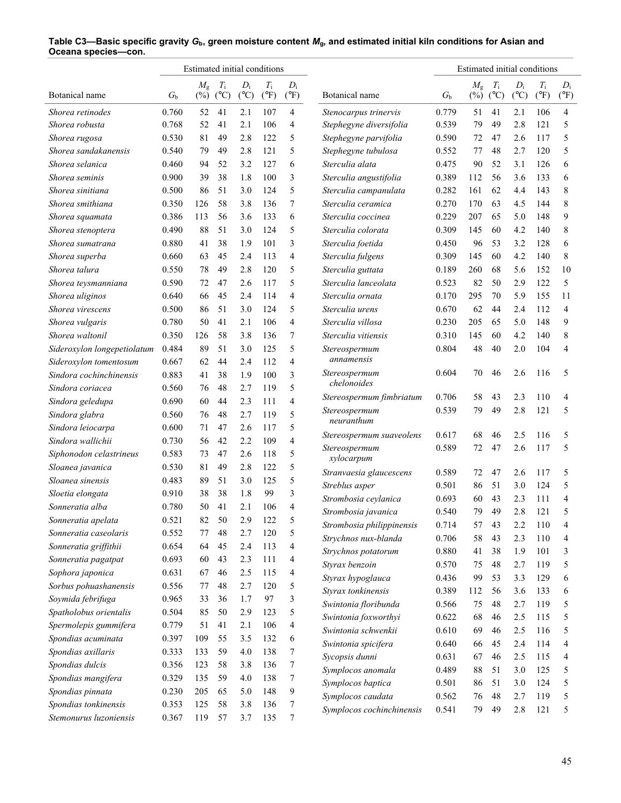|                             |             | Estimated initial conditions |               |               |               |                |                           |             | Estimated initial conditions |               |               |               |                |
|-----------------------------|-------------|------------------------------|---------------|---------------|---------------|----------------|---------------------------|-------------|------------------------------|---------------|---------------|---------------|----------------|
|                             |             | $M_{\rm g}$                  | $T_{\rm i}$   | $D_i$         | $T_{\rm i}$   | $D_i$          |                           |             | $M_{\rm g}$                  | $T_{\rm i}$   | $D_i$         | $T_{\rm i}$   | $D_i$          |
| Botanical name              | $G_{\rm b}$ | $(\%)$                       | $(^{\circ}C)$ | $(^{\circ}C)$ | $(^{\circ}F)$ | $(^{\circ}F)$  | Botanical name            | $G_{\rm b}$ | $(\%)$                       | $(^{\circ}C)$ | $(^{\circ}C)$ | $(^{\circ}F)$ | $(^{\circ}F)$  |
| Shorea retinodes            | 0.760       | 52                           | 41            | 2.1           | 107           | $\overline{4}$ | Stenocarpus trinervis     | 0.779       | 51                           | 41            | 2.1           | 106           | $\overline{4}$ |
| Shorea robusta              | 0.768       | 52                           | 41            | 2.1           | 106           | 4              | Stephegyne diversifolia   | 0.539       | 79                           | 49            | 2.8           | 121           | 5              |
| Shorea rugosa               | 0.530       | 81                           | 49            | 2.8           | 122           | 5              | Stephegyne parvifolia     | 0.590       | 72                           | 47            | 2.6           | 117           | 5              |
| Shorea sandakanensis        | 0.540       | 79                           | 49            | 2.8           | 121           | 5              | Stephegyne tubulosa       | 0.552       | 77                           | 48            | 2.7           | 120           | 5              |
| Shorea selanica             | 0.460       | 94                           | 52            | 3.2           | 127           | 6              | Sterculia alata           | 0.475       | 90                           | 52            | 3.1           | 126           | 6              |
| Shorea seminis              | 0.900       | 39                           | 38            | 1.8           | 100           | 3              | Sterculia angustifolia    | 0.389       | 112                          | 56            | 3.6           | 133           | 6              |
| Shorea sinitiana            | 0.500       | 86                           | 51            | 3.0           | 124           | 5              | Sterculia campanulata     | 0.282       | 161                          | 62            | 4.4           | 143           | 8              |
| Shorea smithiana            | 0.350       | 126                          | 58            | 3.8           | 136           | 7              | Sterculia ceramica        | 0.270       | 170                          | 63            | 4.5           | 144           | 8              |
| Shorea squamata             | 0.386       | 113                          | 56            | 3.6           | 133           | 6              | Sterculia coccinea        | 0.229       | 207                          | 65            | 5.0           | 148           | 9              |
| Shorea stenoptera           | 0.490       | 88                           | 51            | 3.0           | 124           | 5              | Sterculia colorata        | 0.309       | 145                          | 60            | 4.2           | 140           | 8              |
| Shorea sumatrana            | 0.880       | 41                           | 38            | 1.9           | 101           | 3              | Sterculia foetida         | 0.450       | 96                           | 53            | 3.2           | 128           | 6              |
| Shorea superba              | 0.660       | 63                           | 45            | 2.4           | 113           | 4              | Sterculia fulgens         | 0.309       | 145                          | 60            | 4.2           | 140           | 8              |
| Shorea talura               | 0.550       | 78                           | 49            | 2.8           | 120           | 5              | Sterculia guttata         | 0.189       | 260                          | 68            | 5.6           | 152           | 10             |
| Shorea teysmanniana         | 0.590       | 72                           | 47            | 2.6           | 117           | 5              | Sterculia lanceolata      | 0.523       | 82                           | 50            | 2.9           | 122           | 5              |
| Shorea uliginos             | 0.640       | 66                           | 45            | 2.4           | 114           | 4              | Sterculia ornata          | 0.170       | 295                          | 70            | 5.9           | 155           | 11             |
| Shorea virescens            | 0.500       | 86                           | 51            | 3.0           | 124           | 5              | Sterculia urens           | 0.670       | 62                           | 44            | 2.4           | 112           | $\overline{4}$ |
| Shorea vulgaris             | 0.780       | 50                           | 41            | 2.1           | 106           | $\overline{4}$ | Sterculia villosa         | 0.230       | 205                          | 65            | 5.0           | 148           | 9              |
| Shorea waltonil             | 0.350       | 126                          | 58            | 3.8           | 136           | 7              | Sterculia vitiensis       | 0.310       | 145                          | 60            | 4.2           | 140           | 8              |
| Sideroxylon longepetiolatum | 0.484       | 89                           | 51            | 3.0           | 125           | 5              | Stereospermum             | 0.804       | 48                           | 40            | 2.0           | 104           | $\overline{4}$ |
| Sideroxylon tomentosum      | 0.667       | 62                           | 44            | 2.4           | 112           | 4              | annamensis                |             |                              |               |               |               |                |
| Sindora cochinchinensis     | 0.883       | 41                           | 38            | 1.9           | 100           | 3              | Stereospermum             | 0.604       | 70                           | 46            | 2.6           | 116           | 5              |
| Sindora coriacea            | 0.560       | 76                           | 48            | 2.7           | 119           | 5              | chelonoides               |             |                              |               |               |               |                |
| Sindora geledupa            | 0.690       | 60                           | 44            | 2.3           | 111           | 4              | Stereospermum fimbriatum  | 0.706       | 58                           | 43            | 2.3           | 110           | 4              |
| Sindora glabra              | 0.560       | 76                           | 48            | 2.7           | 119           | 5              | Stereospermum             | 0.539       | 79                           | 49            | 2.8           | 121           | 5              |
| Sindora leiocarpa           | 0.600       | 71                           | 47            | 2.6           | 117           | 5              | neuranthum                |             |                              |               |               |               |                |
| Sindora wallichii           | 0.730       | 56                           | 42            | 2.2           | 109           | 4              | Stereospermum suaveolens  | 0.617       | 68                           | 46            | 2.5           | 116           | 5              |
| Siphonodon celastrineus     | 0.583       | 73                           | 47            | 2.6           | 118           | 5              | Stereospermum             | 0.589       | 72                           | 47            | 2.6           | 117           | 5              |
| Sloanea javanica            | 0.530       | 81                           | 49            | 2.8           | 122           | 5              | xylocarpum                |             |                              |               |               |               |                |
| Sloanea sinensis            | 0.483       | 89                           | 51            | 3.0           | 125           | 5              | Stranvaesia glaucescens   | 0.589       | 72                           | 47            | 2.6           | 117           | 5              |
| Sloetia elongata            | 0.910       | 38                           | 38            | 1.8           | 99            | 3              | Streblus asper            | 0.501       | 86                           | 51            | 3.0           | 124           | 5              |
| Sonneratia alba             | 0.780       | 50                           | 41            | 2.1           | 106           | 4              | Strombosia ceylanica      | 0.693       | 60                           | 43            | 2.3           | 111           | $\overline{4}$ |
| Sonneratia apelata          | 0.521       | 82                           | 50            | 2.9           | 122           | 5              | Strombosia javanica       | 0.540       | 79                           | 49            | $2.8\,$       | 121           | 5              |
| Sonneratia caseolaris       | 0.552       | 77                           | 48            | 2.7           | 120           | 5              | Strombosia philippinensis | 0.714       | 57                           | 43            | 2.2           | 110           | 4              |
| Sonneratia griffithii       | 0.654       | 64                           | 45            | 2.4           | 113           | 4              | Strychnos nux-blanda      | 0.706       | 58                           | 43            | 2.3           | 110           | 4              |
| Sonneratia pagatpat         | 0.693       | 60                           | 43            | 2.3           | 111           | 4              | Strychnos potatorum       | 0.880       | 41                           | 38            | 1.9           | 101           | 3              |
| Sophora japonica            | 0.631       | 67                           | 46            | 2.5           | 115           | 4              | Styrax benzoin            | 0.570       | 75                           | 48            | 2.7           | 119           | 5              |
| Sorbus pohuashanensis       | 0.556       | 77                           | 48            | 2.7           | 120           | 5              | Styrax hypoglauca         | 0.436       | 99                           | 53            | 3.3           | 129           | 6              |
| Soymida febrifuga           | 0.965       | 33                           | 36            | 1.7           | 97            | 3              | Styrax tonkinensis        | 0.389       | 112                          | 56            | 3.6           | 133           | 6              |
| Spatholobus orientalis      | 0.504       | 85                           | 50            | 2.9           | 123           | 5              | Swintonia floribunda      | 0.566       | 75                           | 48            | 2.7           | 119           | 5              |
|                             | 0.779       | 51                           | 41            | 2.1           | 106           |                | Swintonia foxworthyi      | 0.622       | 68                           | 46            | 2.5           | 115           | 5              |
| Spermolepis gummifera       |             |                              | 55            |               | 132           | 4              | Swintonia schwenkii       | 0.610       | 69                           | 46            | 2.5           | 116           | 5              |
| Spondias acuminata          | 0.397       | 109                          |               | 3.5           |               | 6              | Swintonia spicifera       | 0.640       | 66                           | 45            | 2.4           | 114           | 4              |
| Spondias axillaris          | 0.333       | 133                          | 59            | 4.0           | 138           | 7              | Sycopsis dunni            | 0.631       | 67                           | 46            | 2.5           | 115           | 4              |
| Spondias dulcis             | 0.356       | 123                          | 58            | 3.8           | 136           | 7              | Symplocos anomala         | 0.489       | 88                           | 51            | 3.0           | 125           | 5              |
| Spondias mangifera          | 0.329       | 135                          | 59            | 4.0           | 138           | 7              | Symplocos baptica         | 0.501       | 86                           | 51            | 3.0           | 124           | 5              |
| Spondias pinnata            | 0.230       | 205                          | 65            | 5.0           | 148           | 9              | Symplocos caudata         | 0.562       | 76                           | 48            | 2.7           | 119           | 5              |
| Spondias tonkinensis        | 0.353       | 125                          | 58            | 3.8           | 136           | 7              | Symplocos cochinchinensis | 0.541       | 79                           | 49            | 2.8           | 121           | 5              |
| Stemonurus luzoniensis      | 0.367       | 119                          | 57            | 3.7           | 135           | 7              |                           |             |                              |               |               |               |                |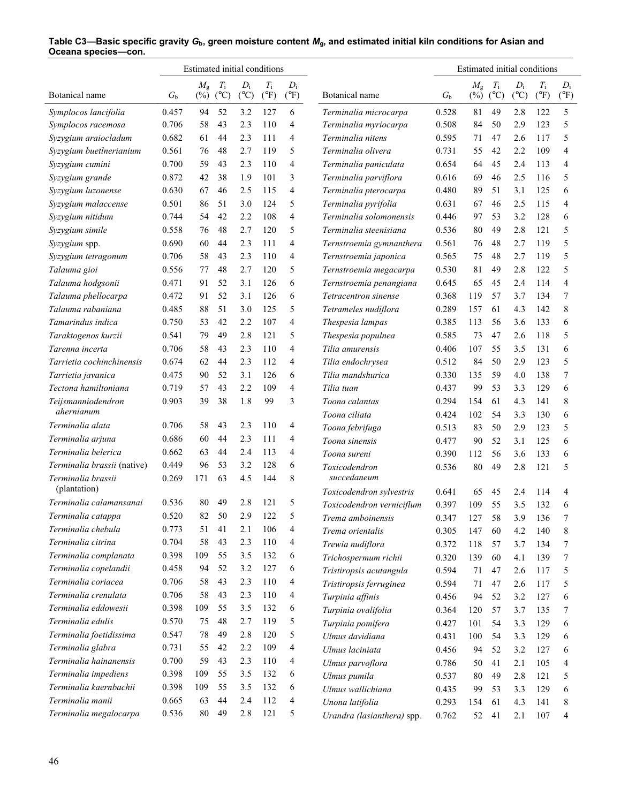|                             |             | Estimated initial conditions |               |               |               |               |                            |             | Estimated initial conditions |               |               |               |                |
|-----------------------------|-------------|------------------------------|---------------|---------------|---------------|---------------|----------------------------|-------------|------------------------------|---------------|---------------|---------------|----------------|
|                             |             | $M_{\rm g}$                  | $T_{\rm i}$   | $D_i$         | $T_{\rm i}$   | $D_i$         |                            |             | $M_{\rm g}$                  | $T_{\rm i}$   | $D_i$         | $T_{\rm i}$   | $D_i$          |
| Botanical name              | $G_{\rm b}$ | $(\%)$                       | $(^{\circ}C)$ | $(^{\circ}C)$ | $(^{\circ}F)$ | $(^{\circ}F)$ | Botanical name             | $G_{\rm b}$ | $(\%)$                       | $(^{\circ}C)$ | $(^{\circ}C)$ | $(^{\circ}F)$ | $(^{\circ}F)$  |
| Symplocos lancifolia        | 0.457       | 94                           | 52            | 3.2           | 127           | 6             | Terminalia microcarpa      | 0.528       | 81                           | 49            | 2.8           | 122           | 5              |
| Symplocos racemosa          | 0.706       | 58                           | 43            | 2.3           | 110           | 4             | Terminalia myriocarpa      | 0.508       | 84                           | 50            | 2.9           | 123           | 5              |
| Syzygium araiocladum        | 0.682       | 61                           | 44            | 2.3           | 111           | 4             | Terminalia nitens          | 0.595       | 71                           | 47            | 2.6           | 117           | 5              |
| Syzygium buetlnerianium     | 0.561       | 76                           | 48            | 2.7           | 119           | 5             | Terminalia olivera         | 0.731       | 55                           | 42            | 2.2           | 109           | $\overline{4}$ |
| Syzygium cumini             | 0.700       | 59                           | 43            | 2.3           | 110           | 4             | Terminalia paniculata      | 0.654       | 64                           | 45            | 2.4           | 113           | 4              |
| Syzygium grande             | 0.872       | 42                           | 38            | 1.9           | 101           | 3             | Terminalia parviflora      | 0.616       | 69                           | 46            | 2.5           | 116           | 5              |
| Syzygium luzonense          | 0.630       | 67                           | 46            | 2.5           | 115           | 4             | Terminalia pterocarpa      | 0.480       | 89                           | 51            | 3.1           | 125           | 6              |
| Syzygium malaccense         | 0.501       | 86                           | 51            | 3.0           | 124           | 5             | Terminalia pyrifolia       | 0.631       | 67                           | 46            | 2.5           | 115           | 4              |
| Syzygium nitidum            | 0.744       | 54                           | 42            | 2.2           | 108           | 4             | Terminalia solomonensis    | 0.446       | 97                           | 53            | 3.2           | 128           | 6              |
| Syzygium simile             | 0.558       | 76                           | 48            | 2.7           | 120           | 5             | Terminalia steenisiana     | 0.536       | 80                           | 49            | 2.8           | 121           | 5              |
| Syzygium spp.               | 0.690       | 60                           | 44            | 2.3           | 111           | 4             | Ternstroemia gymnanthera   | 0.561       | 76                           | 48            | 2.7           | 119           | 5              |
| Syzygium tetragonum         | 0.706       | 58                           | 43            | 2.3           | 110           | 4             | Ternstroemia japonica      | 0.565       | 75                           | 48            | 2.7           | 119           | 5              |
| Talauma gioi                | 0.556       | 77                           | 48            | 2.7           | 120           | 5             | Ternstroemia megacarpa     | 0.530       | 81                           | 49            | 2.8           | 122           | 5              |
| Talauma hodgsonii           | 0.471       | 91                           | 52            | 3.1           | 126           | 6             | Ternstroemia penangiana    | 0.645       | 65                           | 45            | 2.4           | 114           | 4              |
| Talauma phellocarpa         | 0.472       | 91                           | 52            | 3.1           | 126           | 6             | Tetracentron sinense       | 0.368       | 119                          | 57            | 3.7           | 134           | 7              |
| Talauma rabaniana           | 0.485       | 88                           | 51            | 3.0           | 125           | 5             | Tetrameles nudiflora       | 0.289       | 157                          | 61            | 4.3           | 142           | 8              |
| Tamarindus indica           | 0.750       | 53                           | 42            | 2.2           | 107           | 4             | Thespesia lampas           | 0.385       | 113                          | 56            | 3.6           | 133           | 6              |
| Taraktogenos kurzii         | 0.541       | 79                           | 49            | 2.8           | 121           | 5             | Thespesia populnea         | 0.585       | 73                           | 47            | 2.6           | 118           | 5              |
| Tarenna incerta             | 0.706       | 58                           | 43            | 2.3           | 110           | 4             | Tilia amurensis            | 0.406       | 107                          | 55            | 3.5           | 131           | 6              |
| Tarrietia cochinchinensis   | 0.674       | 62                           | 44            | 2.3           | 112           | 4             | Tilia endochrysea          | 0.512       | 84                           | 50            | 2.9           | 123           | 5              |
| Tarrietia javanica          | 0.475       | 90                           | 52            | 3.1           | 126           | 6             | Tilia mandshurica          | 0.330       | 135                          | 59            | 4.0           | 138           | 7              |
| Tectona hamiltoniana        | 0.719       | 57                           | 43            | 2.2           | 109           | 4             | Tilia tuan                 | 0.437       | 99                           | 53            | 3.3           | 129           | 6              |
| Teijsmanniodendron          | 0.903       | 39                           | 38            | 1.8           | 99            | 3             | Toona calantas             | 0.294       | 154                          | 61            | 4.3           | 141           | 8              |
| ahernianum                  |             |                              |               |               |               |               | Toona ciliata              | 0.424       | 102                          | 54            | 3.3           | 130           | 6              |
| Terminalia alata            | 0.706       | 58                           | 43            | 2.3           | 110           | 4             | Toona febrifuga            | 0.513       | 83                           | 50            | 2.9           | 123           | 5              |
| Terminalia arjuna           | 0.686       | 60                           | 44            | 2.3           | 111           | 4             | Toona sinensis             | 0.477       | 90                           | 52            | 3.1           | 125           | 6              |
| Terminalia belerica         | 0.662       | 63                           | 44            | 2.4           | 113           | 4             | Toona sureni               | 0.390       | 112                          | 56            | 3.6           | 133           | 6              |
| Terminalia brassii (native) | 0.449       | 96                           | 53            | 3.2           | 128           | 6             | Toxicodendron              | 0.536       | 80                           | 49            | 2.8           | 121           | 5              |
| Terminalia brassii          | 0.269       | 171                          | 63            | 4.5           | 144           | 8             | succedaneum                |             |                              |               |               |               |                |
| (plantation)                |             |                              |               |               |               |               | Toxicodendron sylvestris   | 0.641       | 65                           | 45            | 2.4           | 114           | 4              |
| Terminalia calamansanai     | 0.536       | 80                           | 49            | 2.8           | 121           | 5             | Toxicodendron verniciflum  | 0.397       | 109                          | 55            | 3.5           | 132           | 6              |
| Terminalia catappa          | 0.520       | 82                           | $50\,$        | 2.9           | 122           | 5             | Trema amboinensis          | 0.347       | 127                          | 58            | 3.9           | 136           | 7              |
| Terminalia chebula          | 0.773       | 51                           | 41            | 2.1           | 106           | 4             | Trema orientalis           | 0.305       | 147                          | 60            | 4.2           | 140           | 8              |
| Terminalia citrina          | 0.704       | 58                           | 43            | 2.3           | 110           | 4             | Trewia nudiflora           | 0.372       | 118                          | 57            | 3.7           | 134           | 7              |
| Terminalia complanata       | 0.398       | 109                          | 55            | 3.5           | 132           | 6             | Trichospermum richii       | 0.320       | 139                          | 60            | 4.1           | 139           | 7              |
| Terminalia copelandii       | 0.458       | 94                           | 52            | 3.2           | 127           | 6             | Tristiropsis acutangula    | 0.594       | 71                           | 47            | 2.6           | 117           | 5              |
| Terminalia coriacea         | 0.706       | 58                           | 43            | 2.3           | 110           | 4             | Tristiropsis ferruginea    | 0.594       | 71                           | 47            | 2.6           | 117           | 5              |
| Terminalia crenulata        | 0.706       | 58                           | 43            | 2.3           | 110           | 4             | Turpinia affinis           | 0.456       | 94                           | 52            | 3.2           | 127           | 6              |
| Terminalia eddowesii        | 0.398       | 109                          | 55            | 3.5           | 132           | 6             | Turpinia ovalifolia        | 0.364       | 120                          | 57            | 3.7           | 135           | 7              |
| Terminalia edulis           | 0.570       | 75                           | 48            | 2.7           | 119           | 5             | Turpinia pomifera          | 0.427       | 101                          | 54            | 3.3           | 129           | 6              |
| Terminalia foetidissima     | 0.547       | 78                           | 49            | 2.8           | 120           | 5             | Ulmus davidiana            | 0.431       | 100                          | 54            | 3.3           | 129           | 6              |
| Terminalia glabra           | 0.731       | 55                           | 42            | 2.2           | 109           | 4             | Ulmus laciniata            | 0.456       | 94                           | 52            | 3.2           | 127           | 6              |
| Terminalia hainanensis      | 0.700       | 59                           | 43            | 2.3           | 110           | 4             | Ulmus parvoflora           | 0.786       | 50                           | 41            | 2.1           | 105           | 4              |
| Terminalia impediens        | 0.398       | 109                          | 55            | 3.5           | 132           | 6             | Ulmus pumila               | 0.537       | 80                           | 49            | 2.8           | 121           | 5              |
| Terminalia kaernbachii      | 0.398       | 109                          | 55            | 3.5           | 132           | 6             | Ulmus wallichiana          | 0.435       | 99                           | 53            | 3.3           | 129           | 6              |
| Terminalia manii            | 0.665       | 63                           | 44            | 2.4           | 112           | 4             | Unona latifolia            | 0.293       | 154                          | 61            | 4.3           | 141           | 8              |
| Terminalia megalocarpa      | 0.536       | 80                           | 49            | 2.8           | 121           | 5             | Urandra (lasianthera) spp. | 0.762       | 52                           | 41            | 2.1           | 107           | 4              |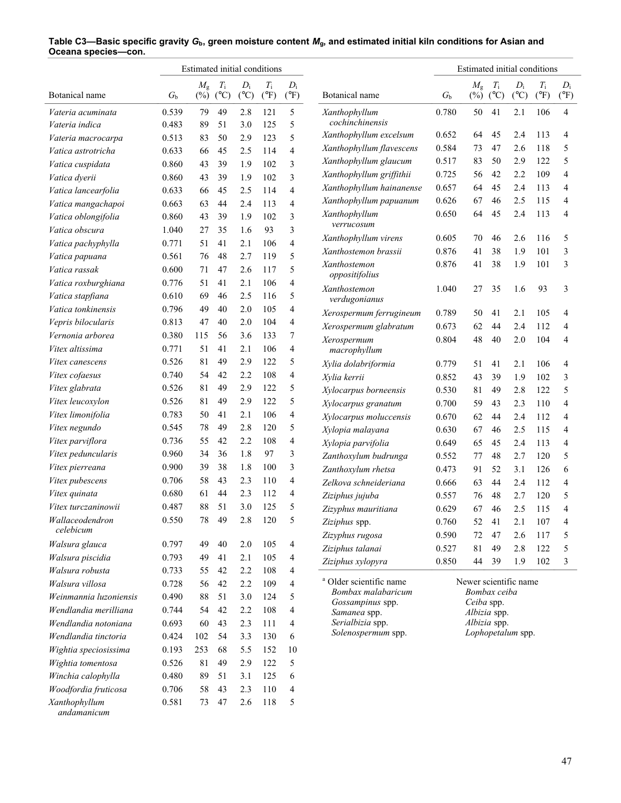|                        |             | Estimated initial conditions |                              |                        |                              |                        |                                        |             | Estimated initial conditions |                              |                        |                              |                        |
|------------------------|-------------|------------------------------|------------------------------|------------------------|------------------------------|------------------------|----------------------------------------|-------------|------------------------------|------------------------------|------------------------|------------------------------|------------------------|
| Botanical name         | $G_{\rm b}$ | $M_{\rm g}$<br>$(\%)$        | $T_{\rm i}$<br>$(^{\circ}C)$ | $D_i$<br>$(^{\circ}C)$ | $T_{\rm i}$<br>$(^{\circ}F)$ | $D_i$<br>$(^{\circ}F)$ | Botanical name                         | $G_{\rm b}$ | $M_{\rm g}$<br>$(\%)$        | $T_{\rm i}$<br>$(^{\circ}C)$ | $D_i$<br>$(^{\circ}C)$ | $T_{\rm i}$<br>$(^{\circ}F)$ | $D_i$<br>$(^{\circ}F)$ |
| Vateria acuminata      | 0.539       | 79                           | 49                           | 2.8                    | 121                          | 5                      | Xanthophyllum                          | 0.780       | 50                           | 41                           | 2.1                    | 106                          | 4                      |
| Vateria indica         | 0.483       | 89                           | 51                           | 3.0                    | 125                          | 5                      | cochinchinensis                        |             |                              |                              |                        |                              |                        |
| Vateria macrocarpa     | 0.513       | 83                           | 50                           | 2.9                    | 123                          | 5                      | Xanthophyllum excelsum                 | 0.652       | 64                           | 45                           | 2.4                    | 113                          | 4                      |
| Vatica astrotricha     | 0.633       | 66                           | 45                           | 2.5                    | 114                          | $\overline{4}$         | Xanthophyllum flavescens               | 0.584       | 73                           | 47                           | 2.6                    | 118                          | 5                      |
| Vatica cuspidata       | 0.860       | 43                           | 39                           | 1.9                    | 102                          | 3                      | Xanthophyllum glaucum                  | 0.517       | 83                           | 50                           | 2.9                    | 122                          | 5                      |
| Vatica dyerii          | 0.860       | 43                           | 39                           | 1.9                    | 102                          | 3                      | Xanthophyllum griffithii               | 0.725       | 56                           | 42                           | 2.2                    | 109                          | 4                      |
| Vatica lancearfolia    | 0.633       | 66                           | 45                           | 2.5                    | 114                          | $\overline{4}$         | Xanthophyllum hainanense               | 0.657       | 64                           | 45                           | 2.4                    | 113                          | 4                      |
| Vatica mangachapoi     | 0.663       | 63                           | 44                           | 2.4                    | 113                          | 4                      | Xanthophyllum papuanum                 | 0.626       | 67                           | 46                           | 2.5                    | 115                          | 4                      |
| Vatica oblongifolia    | 0.860       | 43                           | 39                           | 1.9                    | 102                          | 3                      | Xanthophyllum                          | 0.650       | 64                           | 45                           | 2.4                    | 113                          | 4                      |
| Vatica obscura         | 1.040       | 27                           | 35                           | 1.6                    | 93                           | 3                      | verrucosum                             |             |                              |                              |                        |                              |                        |
| Vatica pachyphylla     | 0.771       | 51                           | 41                           | 2.1                    | 106                          | 4                      | Xanthophyllum virens                   | 0.605       | 70                           | 46                           | 2.6                    | 116                          | 5                      |
| Vatica papuana         | 0.561       | 76                           | 48                           | 2.7                    | 119                          | 5                      | Xanthostemon brassii                   | 0.876       | 41                           | 38                           | 1.9                    | 101                          | 3                      |
| Vatica rassak          | 0.600       | 71                           | 47                           | 2.6                    | 117                          | 5                      | <b>Xanthostemon</b>                    | 0.876       | 41                           | 38                           | 1.9                    | 101                          | 3                      |
| Vatica roxburghiana    | 0.776       | 51                           | 41                           | 2.1                    | 106                          | 4                      | oppositifolius                         |             |                              |                              |                        |                              |                        |
| Vatica stapfiana       | 0.610       | 69                           | 46                           | 2.5                    | 116                          | 5                      | Xanthostemon<br>verdugonianus          | 1.040       | 27                           | 35                           | 1.6                    | 93                           | 3                      |
| Vatica tonkinensis     | 0.796       | 49                           | 40                           | 2.0                    | 105                          | 4                      | Xerospermum ferrugineum                | 0.789       | 50                           | 41                           | 2.1                    | 105                          | 4                      |
| Vepris bilocularis     | 0.813       | 47                           | 40                           | 2.0                    | 104                          | 4                      | Xerospermum glabratum                  | 0.673       | 62                           | 44                           | 2.4                    | 112                          | 4                      |
| Vernonia arborea       | 0.380       | 115                          | 56                           | 3.6                    | 133                          | 7                      | Xerospermum                            | 0.804       | 48                           | 40                           | 2.0                    | 104                          | 4                      |
| Vitex altissima        | 0.771       | 51                           | 41                           | 2.1                    | 106                          | 4                      | macrophyllum                           |             |                              |                              |                        |                              |                        |
| <i>Vitex canescens</i> | 0.526       | 81                           | 49                           | 2.9                    | 122                          | 5                      | Xylia dolabriformia                    | 0.779       | 51                           | 41                           | 2.1                    | 106                          | 4                      |
| Vitex cofaesus         | 0.740       | 54                           | 42                           | 2.2                    | 108                          | 4                      | Xylia kerrii                           | 0.852       | 43                           | 39                           | 1.9                    | 102                          | 3                      |
| Vitex glabrata         | 0.526       | 81                           | 49                           | 2.9                    | 122                          | 5                      | Xylocarpus borneensis                  | 0.530       | 81                           | 49                           | 2.8                    | 122                          | 5                      |
| Vitex leucoxylon       | 0.526       | 81                           | 49                           | 2.9                    | 122                          | 5                      | Xylocarpus granatum                    | 0.700       | 59                           | 43                           | 2.3                    | 110                          | 4                      |
| Vitex limonifolia      | 0.783       | 50                           | 41                           | 2.1                    | 106                          | 4                      | Xylocarpus moluccensis                 | 0.670       | 62                           | 44                           | 2.4                    | 112                          | 4                      |
| Vitex negundo          | 0.545       | 78                           | 49                           | 2.8                    | 120                          | 5                      | Xylopia malayana                       | 0.630       | 67                           | 46                           | 2.5                    | 115                          | 4                      |
| Vitex parviflora       | 0.736       | 55                           | 42                           | 2.2                    | 108                          | 4                      | Xylopia parvifolia                     | 0.649       | 65                           | 45                           | 2.4                    | 113                          | 4                      |
| Vitex peduncularis     | 0.960       | 34                           | 36                           | 1.8                    | 97                           | 3                      | Zanthoxylum budrunga                   | 0.552       | 77                           | 48                           | 2.7                    | 120                          | 5                      |
| Vitex pierreana        | 0.900       | 39                           | 38                           | 1.8                    | 100                          | 3                      | Zanthoxylum rhetsa                     | 0.473       | 91                           | 52                           | 3.1                    | 126                          | 6                      |
| Vitex pubescens        | 0.706       | 58                           | 43                           | 2.3                    | 110                          | 4                      | Zelkova schneideriana                  | 0.666       | 63                           | 44                           | 2.4                    | 112                          | 4                      |
| Vitex quinata          | 0.680       | 61                           | 44                           | 2.3                    | 112                          | 4                      | Ziziphus jujuba                        | 0.557       | 76                           | 48                           | 2.7                    | 120                          | 5                      |
| Vitex turczaninowii    | 0.487       | 88                           | 51                           | 3.0                    | 125                          | 5                      | Zizyphus mauritiana                    | 0.629       | 67                           | 46                           | 2.5                    | 115                          | 4                      |
| Wallaceodendron        | 0.550       | 78                           | 49                           | 2.8                    | 120                          | 5                      | Ziziphus spp.                          | 0.760       | 52                           | 41                           | 2.1                    | 107                          | 4                      |
| celebicum              |             |                              |                              |                        |                              |                        | Zizyphus rugosa                        | 0.590       | 72                           | 47                           | 2.6                    | 117                          | 5                      |
| Walsura glauca         | 0.797       | 49                           | 40                           | 2.0                    | 105                          | 4                      | Ziziphus talanai                       | 0.527       | 81                           | 49                           | 2.8                    | 122                          | 5                      |
| Walsura piscidia       | 0.793       | 49                           | 41                           | 2.1                    | 105                          | 4                      | Ziziphus xylopyra                      | 0.850       | 44                           | 39                           | 1.9                    | 102                          | 3                      |
| Walsura robusta        | 0.733       | 55                           | 42                           | 2.2                    | 108                          | 4                      |                                        |             |                              |                              |                        |                              |                        |
| Walsura villosa        | 0.728       | 56                           | 42                           | 2.2                    | 109                          | 4                      | <sup>a</sup> Older scientific name     |             | Newer scientific name        |                              |                        |                              |                        |
| Weinmannia luzoniensis | 0.490       | 88                           | 51                           | 3.0                    | 124                          | 5                      | Bombax malabaricum<br>Gossampinus spp. |             | Ceiba spp.                   | Bombax ceiba                 |                        |                              |                        |
| Wendlandia merilliana  | 0.744       | 54                           | 42                           | 2.2                    | 108                          | 4                      | Samanea spp.                           |             | Albizia spp.                 |                              |                        |                              |                        |
| Wendlandia notoniana   | 0.693       | 60                           | 43                           | 2.3                    | 111                          | 4                      | Serialbizia spp.                       |             | Albizia spp.                 |                              |                        |                              |                        |
| Wendlandia tinctoria   | 0.424       | 102                          | 54                           | 3.3                    | 130                          | 6                      | Solenospermum spp.                     |             |                              |                              | Lophopetalum spp.      |                              |                        |
| Wightia speciosissima  | 0.193       | 253                          | 68                           | 5.5                    | 152                          | 10                     |                                        |             |                              |                              |                        |                              |                        |
| Wightia tomentosa      | 0.526       | 81                           | 49                           | 2.9                    | 122                          | 5                      |                                        |             |                              |                              |                        |                              |                        |
| Winchia calophylla     | 0.480       | 89                           | 51                           | 3.1                    | 125                          | 6                      |                                        |             |                              |                              |                        |                              |                        |
| Woodfordia fruticosa   | 0.706       | 58                           | 43                           | 2.3                    | 110                          | 4                      |                                        |             |                              |                              |                        |                              |                        |
| Xanthophyllum          | 0.581       | 73                           | 47                           | 2.6                    | 118                          | 5                      |                                        |             |                              |                              |                        |                              |                        |

 *andamanicum*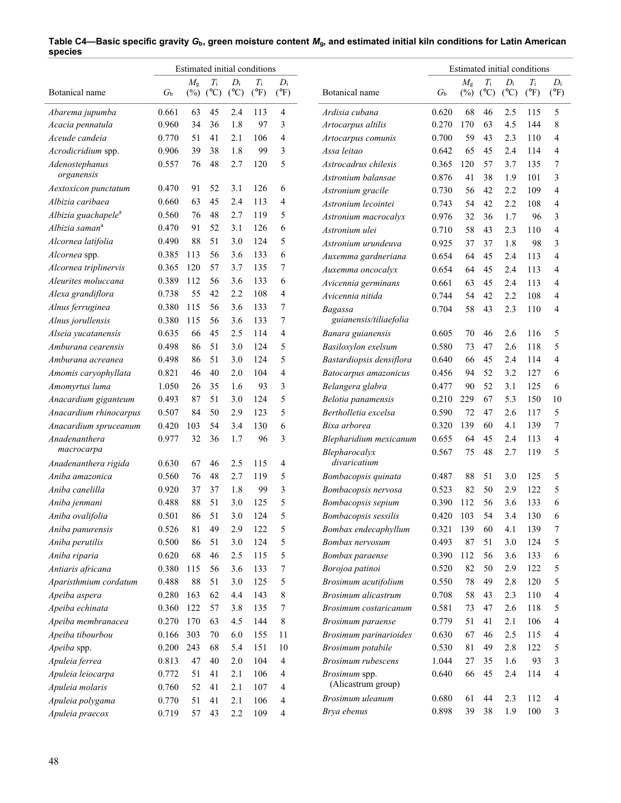|                                                |                  |                       |                    |                        | Estimated initial conditions |                        |                                            |                |                       |                              |                        | Estimated initial conditions |                        |
|------------------------------------------------|------------------|-----------------------|--------------------|------------------------|------------------------------|------------------------|--------------------------------------------|----------------|-----------------------|------------------------------|------------------------|------------------------------|------------------------|
| Botanical name                                 | $G_{\mathrm{b}}$ | $M_{\rm g}$<br>$(\%)$ | $T_{\rm i}$<br>(C) | $D_i$<br>$(^{\circ}C)$ | $T_{\rm i}$<br>$(^{\circ}F)$ | $D_i$<br>$(^{\circ}F)$ | Botanical name                             | $G_{\rm b}$    | $M_{\rm g}$<br>$(\%)$ | $T_{\rm i}$<br>$(^{\circ}C)$ | $D_i$<br>$(^{\circ}C)$ | $T_{\rm i}$<br>$(^{\circ}F)$ | $D_i$<br>$(^{\circ}F)$ |
| Abarema jupumba                                | 0.661            | 63                    | 45                 | 2.4                    | 113                          | 4                      | Ardisia cubana                             | 0.620          | 68                    | 46                           | 2.5                    | 115                          | 5                      |
| Acacia pennatula                               | 0.960            | 34                    | 36                 | 1.8                    | 97                           | 3                      | Artocarpus altilis                         | 0.270          | 170                   | 63                           | 4.5                    | 144                          | 8                      |
| Aceude candeia                                 | 0.770            | 51                    | 41                 | 2.1                    | 106                          | 4                      | Artocarpus comunis                         | 0.700          | 59                    | 43                           | 2.3                    | 110                          | 4                      |
| Acrodicridium spp.                             | 0.906            | 39                    | 38                 | 1.8                    | 99                           | 3                      | Assa leitao                                | 0.642          | 65                    | 45                           | 2.4                    | 114                          | 4                      |
| Adenostephanus<br>organensis                   | 0.557            | 76                    | 48                 | 2.7                    | 120                          | 5                      | Astrocadrus chilesis<br>Astronium balansae | 0.365<br>0.876 | 120<br>41             | 57<br>38                     | 3.7<br>1.9             | 135<br>101                   | 7<br>3                 |
| Aextoxicon punctatum                           | 0.470            | 91                    | 52                 | 3.1                    | 126                          | 6                      | Astronium gracile                          | 0.730          | 56                    | 42                           | 2.2                    | 109                          | $\overline{4}$         |
| Albizia caribaea                               | 0.660            | 63                    | 45                 | 2.4                    | 113                          | 4                      | Astronium lecointei                        | 0.743          | 54                    | 42                           | 2.2                    | 108                          | $\overline{4}$         |
| Albizia guachapele <sup>a</sup>                | 0.560            | 76                    | 48                 | 2.7                    | 119                          | 5                      | Astronium macrocalyx                       | 0.976          | 32                    | 36                           | 1.7                    | 96                           | 3                      |
| Albizia saman <sup>a</sup>                     | 0.470            | 91                    | 52                 | 3.1                    | 126                          | 6                      | Astronium ulei                             | 0.710          | 58                    | 43                           | 2.3                    | 110                          | 4                      |
| Alcornea latifolia                             | 0.490            | 88                    | 51                 | 3.0                    | 124                          | 5                      | Astronium urundeuva                        | 0.925          | 37                    | 37                           | 1.8                    | 98                           | 3                      |
| Alcornea spp.                                  | 0.385            | 113                   | 56                 | 3.6                    | 133                          | 6                      | Auxemma gardneriana                        | 0.654          | 64                    | 45                           | 2.4                    | 113                          | 4                      |
| Alcornea triplinervis                          | 0.365            | 120                   | 57                 | 3.7                    | 135                          | 7                      | Auxemma oncocalyx                          | 0.654          | 64                    | 45                           | 2.4                    | 113                          | 4                      |
| Aleurites moluccana                            | 0.389            | 112                   | 56                 | 3.6                    | 133                          | 6                      | Avicennia germinans                        | 0.661          | 63                    | 45                           | 2.4                    | 113                          | 4                      |
| Alexa grandiflora                              | 0.738            | 55                    | 42                 | 2.2                    | 108                          | 4                      | Avicennia nitida                           | 0.744          | 54                    | 42                           | 2.2                    | 108                          | 4                      |
| Alnus ferruginea                               | 0.380            | 115                   | 56                 | 3.6                    | 133                          | 7                      |                                            | 0.704          | 58                    | 43                           | 2.3                    | 110                          | 4                      |
| Alnus jorullensis                              | 0.380            | 115                   | 56                 | 3.6                    | 133                          | 7                      | Bagassa<br>guianensis/tiliaefolia          |                |                       |                              |                        |                              |                        |
| Alseia yucatanensis                            | 0.635            | 66                    | 45                 | 2.5                    | 114                          | 4                      | Banara guianensis                          | 0.605          | 70                    | 46                           | 2.6                    | 116                          | 5                      |
| Amburana cearensis                             | 0.498            | 86                    | 51                 | 3.0                    | 124                          | 5                      | Basiloxylon exelsum                        | 0.580          | 73                    | 47                           | 2.6                    | 118                          | 5                      |
| Amburana acreanea                              | 0.498            | 86                    | 51                 | 3.0                    | 124                          | 5                      | Bastardiopsis densiflora                   | 0.640          | 66                    | 45                           | 2.4                    | 114                          | $\overline{4}$         |
| Amomis caryophyllata                           | 0.821            | 46                    | 40                 | 2.0                    | 104                          | 4                      | Batocarpus amazonicus                      | 0.456          | 94                    | 52                           | 3.2                    | 127                          | 6                      |
| Amomyrtus luma                                 | 1.050            | 26                    | 35                 | 1.6                    | 93                           | 3                      | Belangera glabra                           | 0.477          | 90                    | 52                           | 3.1                    | 125                          | 6                      |
|                                                | 0.493            | 87                    | 51                 | 3.0                    | 124                          | 5                      | Belotia panamensis                         | 0.210          | 229                   | 67                           | 5.3                    | 150                          | 10                     |
| Anacardium giganteum<br>Anacardium rhinocarpus | 0.507            | 84                    | 50                 | 2.9                    | 123                          | 5                      | Bertholletia excelsa                       | 0.590          | 72                    | 47                           | 2.6                    | 117                          | 5                      |
|                                                | 0.420            |                       | 54                 | 3.4                    | 130                          | 6                      | Bixa arborea                               | 0.320          | 139                   | 60                           | 4.1                    | 139                          | 7                      |
| Anacardium spruceanum<br>Anadenanthera         | 0.977            | 103<br>32             | 36                 | 1.7                    | 96                           | 3                      |                                            |                | 64                    | 45                           | 2.4                    | 113                          | $\overline{4}$         |
| macrocarpa                                     |                  |                       |                    |                        |                              |                        | Blepharidium mexicanum<br>Blepharocalyx    | 0.655<br>0.567 | 75                    | 48                           | 2.7                    | 119                          | 5                      |
| Anadenanthera rigida                           | 0.630            | 67                    | 46                 | 2.5                    | 115                          | 4                      | divaricatium                               |                |                       |                              |                        |                              |                        |
| Aniba amazonica                                | 0.560            | 76                    | 48                 | 2.7                    | 119                          | 5                      | Bombacopsis quinata                        | 0.487          | 88                    | 51                           | 3.0                    | 125                          | 5                      |
| Aniba canelilla                                | 0.920            | 37                    | 37                 | 1.8                    | 99                           | 3                      | Bombacopsis nervosa                        | 0.523          | 82                    | 50                           | 2.9                    | 122                          | 5                      |
| Aniba jenmani                                  | 0.488            | 88                    | 51                 | 3.0                    | 125                          | 5                      | Bombacopsis sepium                         | 0.390          | 112                   | 56                           | 3.6                    | 133                          | 6                      |
| Aniba ovalifolia                               | 0.501            | 86                    | 51                 | 3.0                    | 124                          | 5                      | Bombacopsis sessilis                       | 0.420          | 103                   | 54                           | 3.4                    | 130                          | 6                      |
| Aniba panurensis                               | 0.526            | 81                    | 49                 | 2.9                    | 122                          | 5                      | Bombax endecaphyllum                       | 0.321          | 139                   | 60                           | 4.1                    | 139                          | 7                      |
| Aniba perutilis                                | 0.500            | 86                    | 51                 | 3.0                    | 124                          | 5                      | Bombax nervosum                            | 0.493          | $87\,$                | 51                           | 3.0                    | 124                          | 5                      |
| Aniba riparia                                  | 0.620            | 68                    | 46                 | 2.5                    | 115                          | 5                      | Bombax paraense                            | 0.390          | 112                   | 56                           | 3.6                    | 133                          | 6                      |
| Antiaris africana                              | 0.380            | 115                   | 56                 | 3.6                    | 133                          | 7                      | Borojoa patinoi                            | 0.520          | 82                    | 50                           | 2.9                    | 122                          | 5                      |
| Aparisthmium cordatum                          | 0.488            | 88                    | 51                 | 3.0                    | 125                          | 5                      | Brosimum acutifolium                       | 0.550          | 78                    | 49                           | 2.8                    | 120                          | 5                      |
| Apeiba aspera                                  | 0.280            | 163                   | 62                 | 4.4                    | 143                          | 8                      | Brosimum alicastrum                        | 0.708          | 58                    | 43                           | 2.3                    | 110                          | 4                      |
| Apeiba echinata                                | 0.360            | 122                   | 57                 | 3.8                    | 135                          | 7                      | Brosimum costaricanum                      | 0.581          | 73                    | 47                           | 2.6                    | 118                          | 5                      |
| Apeiba membranacea                             | 0.270            | 170                   | 63                 | 4.5                    | 144                          | 8                      | Brosimum paraense                          | 0.779          | 51                    | 41                           | 2.1                    | 106                          | 4                      |
| Apeiba tibourbou                               | 0.166            | 303                   | 70                 | 6.0                    | 155                          | 11                     | Brosimum parinarioides                     | 0.630          | 67                    | 46                           | 2.5                    | 115                          | 4                      |
| Apeiba spp.                                    | 0.200            | 243                   | 68                 | 5.4                    | 151                          | 10                     | Brosimum potabile                          | 0.530          | $81\,$                | 49                           | 2.8                    | 122                          | 5                      |
| Apuleia ferrea                                 | 0.813            | 47                    | 40                 | 2.0                    | 104                          | 4                      | Brosimum rubescens                         | 1.044          | 27                    | 35                           | 1.6                    | 93                           | 3                      |
| Apuleia leiocarpa                              | 0.772            | 51                    | 41                 | 2.1                    | 106                          | 4                      | Brosimum spp.                              | 0.640          | 66                    | 45                           | 2.4                    | 114                          | 4                      |
| Apuleia molaris                                | 0.760            | 52                    | 41                 | 2.1                    | 107                          | 4                      | (Alicastrum group)                         |                |                       |                              |                        |                              |                        |
| Apuleia polygama                               | 0.770            | 51                    | 41                 | 2.1                    | 106                          | 4                      | Brosimum uleanum                           | 0.680          | 61                    | 44                           | 2.3                    | 112                          | 4                      |
| Apuleia praecox                                | 0.719            | 57                    | 43                 | 2.2                    | 109                          | 4                      | Brya ebenus                                | 0.898          | 39                    | 38                           | 1.9                    | 100                          | 3                      |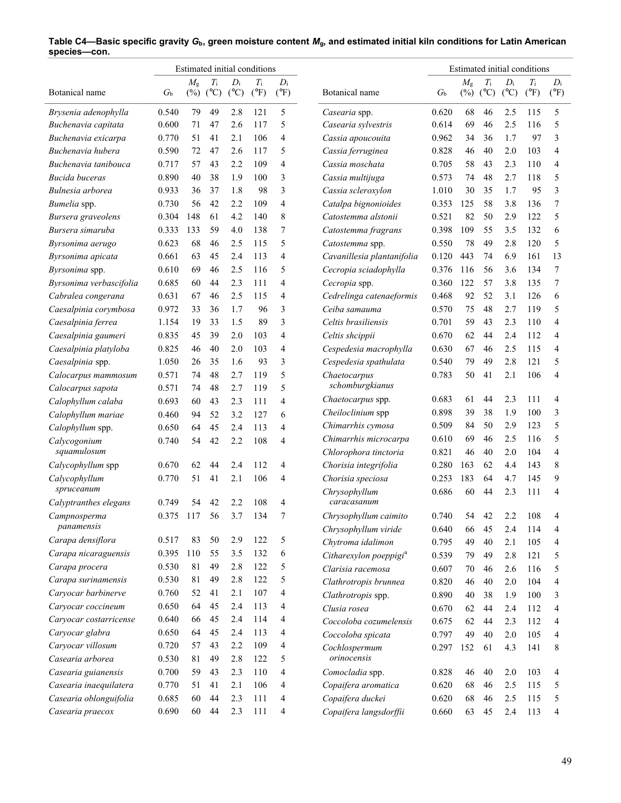| Estimated initial conditions |             |                       |                    |                        |                              |                        | Estimated initial conditions                   |                |             |                            |                        |                              |                        |  |  |
|------------------------------|-------------|-----------------------|--------------------|------------------------|------------------------------|------------------------|------------------------------------------------|----------------|-------------|----------------------------|------------------------|------------------------------|------------------------|--|--|
| Botanical name               | $G_{\rm b}$ | $M_{\rm g}$<br>$(\%)$ | $T_{\rm i}$<br>(C) | $D_i$<br>$(^{\circ}C)$ | $T_{\rm i}$<br>$(^{\circ}F)$ | $D_i$<br>$(^{\circ}F)$ | Botanical name                                 | $G_{\rm b}$    | $M_{\rm g}$ | $T_{\rm i}$<br>$(\%)$ (°C) | $D_i$<br>$(^{\circ}C)$ | $T_{\rm i}$<br>$(^{\circ}F)$ | $D_i$<br>$(^{\circ}F)$ |  |  |
| Brysenia adenophylla         | 0.540       | 79                    | 49                 | 2.8                    | 121                          | 5                      | Casearia spp.                                  | 0.620          | 68          | 46                         | 2.5                    | 115                          | 5                      |  |  |
| Buchenavia capitata          | 0.600       | 71                    | 47                 | 2.6                    | 117                          | 5                      | Casearia sylvestris                            | 0.614          | 69          | 46                         | 2.5                    | 116                          | 5                      |  |  |
| Buchenavia exicarpa          | 0.770       | 51                    | 41                 | 2.1                    | 106                          | 4                      | Cassia apoucouita                              | 0.962          | 34          | 36                         | 1.7                    | 97                           | 3                      |  |  |
| Buchenavia hubera            | 0.590       | 72                    | 47                 | 2.6                    | 117                          | 5                      | Cassia ferruginea                              | 0.828          | 46          | 40                         | 2.0                    | 103                          | $\overline{4}$         |  |  |
| Buchenavia tanibouca         | 0.717       | 57                    | 43                 | 2.2                    | 109                          | 4                      | Cassia moschata                                | 0.705          | 58          | 43                         | 2.3                    | 110                          | 4                      |  |  |
| <b>Bucida</b> buceras        | 0.890       | 40                    | 38                 | 1.9                    | 100                          | 3                      | Cassia multijuga                               | 0.573          | 74          | 48                         | 2.7                    | 118                          | 5                      |  |  |
| Bulnesia arborea             | 0.933       | 36                    | 37                 | 1.8                    | 98                           | 3                      | Cassia scleroxylon                             | 1.010          | 30          | 35                         | 1.7                    | 95                           | 3                      |  |  |
| Bumelia spp.                 | 0.730       | 56                    | 42                 | 2.2                    | 109                          | 4                      | Catalpa bignonioides                           | 0.353          | 125         | 58                         | 3.8                    | 136                          | 7                      |  |  |
| Bursera graveolens           | 0.304       | 148                   | 61                 | 4.2                    | 140                          | 8                      | Catostemma alstonii                            | 0.521          | 82          | 50                         | 2.9                    | 122                          | 5                      |  |  |
| Bursera simaruba             | 0.333       | 133                   | 59                 | 4.0                    | 138                          | 7                      | Catostemma fragrans                            | 0.398          | 109         | 55                         | 3.5                    | 132                          | 6                      |  |  |
| Byrsonima aerugo             | 0.623       | 68                    | 46                 | 2.5                    | 115                          | 5                      | Catostemma spp.                                | 0.550          | 78          | 49                         | 2.8                    | 120                          | 5                      |  |  |
| Byrsonima apicata            | 0.661       | 63                    | 45                 | 2.4                    | 113                          | 4                      | Cavanillesia plantanifolia                     | 0.120          | 443         | 74                         | 6.9                    | 161                          | 13                     |  |  |
| Byrsonima spp.               | 0.610       | 69                    | 46                 | 2.5                    | 116                          | 5                      | Cecropia sciadophylla                          | 0.376          | 116         | 56                         | 3.6                    | 134                          | 7                      |  |  |
| Byrsonima verbascifolia      | 0.685       | 60                    | 44                 | 2.3                    | 111                          | 4                      | Cecropia spp.                                  | 0.360          | 122         | 57                         | 3.8                    | 135                          | 7                      |  |  |
| Cabralea congerana           | 0.631       | 67                    | 46                 | 2.5                    | 115                          | 4                      | Cedrelinga catenaeformis                       | 0.468          | 92          | 52                         | 3.1                    | 126                          | 6                      |  |  |
| Caesalpinia corymbosa        | 0.972       | 33                    | 36                 | 1.7                    | 96                           | 3                      | Ceiba samauma                                  | 0.570          | 75          | 48                         | 2.7                    | 119                          | 5                      |  |  |
| Caesalpinia ferrea           | 1.154       | 19                    | 33                 | 1.5                    | 89                           | 3                      | Celtis brasiliensis                            | 0.701          | 59          | 43                         | 2.3                    | 110                          | $\overline{4}$         |  |  |
| Caesalpinia gaumeri          | 0.835       | 45                    | 39                 | 2.0                    | 103                          | 4                      | Celtis shcippii                                | 0.670          | 62          | 44                         | 2.4                    | 112                          | 4                      |  |  |
| Caesalpinia platyloba        | 0.825       | 46                    | 40                 | 2.0                    | 103                          | 4                      | Cespedesia macrophylla                         | 0.630          | 67          | 46                         | 2.5                    | 115                          | $\overline{4}$         |  |  |
| Caesalpinia spp.             | 1.050       | 26                    | 35                 | 1.6                    | 93                           | 3                      | Cespedesia spathulata                          | 0.540          | 79          | 49                         | 2.8                    | 121                          | 5                      |  |  |
| Calocarpus mammosum          | 0.571       | 74                    | 48                 | 2.7                    | 119                          | 5                      | Chaetocarpus                                   | 0.783          | 50          | 41                         | 2.1                    | 106                          | $\overline{4}$         |  |  |
| Calocarpus sapota            | 0.571       | 74                    | 48                 | 2.7                    | 119                          | 5                      | schomburgkianus                                |                |             |                            |                        |                              |                        |  |  |
| Calophyllum calaba           | 0.693       | 60                    | 43                 | 2.3                    | 111                          | 4                      | Chaetocarpus spp.                              | 0.683          | 61          | 44                         | 2.3                    | 111                          | 4                      |  |  |
| Calophyllum mariae           | 0.460       | 94                    | 52                 | 3.2                    | 127                          | 6                      | Cheiloclinium spp                              | 0.898          | 39          | 38                         | 1.9                    | 100                          | 3                      |  |  |
| Calophyllum spp.             | 0.650       | 64                    | 45                 | 2.4                    | 113                          | 4                      | Chimarrhis cymosa                              | 0.509          | 84          | 50                         | 2.9                    | 123                          | 5                      |  |  |
| Calycogonium<br>squamulosum  | 0.740       | 54                    | 42                 | 2.2                    | 108                          | 4                      | Chimarrhis microcarpa<br>Chlorophora tinctoria | 0.610<br>0.821 | 69<br>46    | 46<br>40                   | 2.5<br>2.0             | 116<br>104                   | 5<br>$\overline{4}$    |  |  |
| Calycophyllum spp            | 0.670       | 62                    | 44                 | 2.4                    | 112                          | 4                      | Chorisia integrifolia                          | 0.280          | 163         | 62                         | 4.4                    | 143                          | 8                      |  |  |
| Calycophyllum                | 0.770       | 51                    | 41                 | 2.1                    | 106                          | 4                      | Chorisia speciosa                              | 0.253          | 183         | 64                         | 4.7                    | 145                          | 9                      |  |  |
| spruceanum                   |             |                       |                    |                        |                              |                        | Chrysophyllum                                  | 0.686          | 60          | 44                         | 2.3                    | 111                          | 4                      |  |  |
| Calyptranthes elegans        | 0.749       | 54                    | 42                 | 2.2                    | 108                          | 4                      | caracasanum                                    |                |             |                            |                        |                              |                        |  |  |
| Campnosperma                 | 0.375       | 117                   | 56                 | 3.7                    | 134                          | 7                      | Chrysophyllum caimito                          | 0.740          | 54          | 42                         | 2.2                    | 108                          |                        |  |  |
| panamensis                   |             |                       |                    |                        |                              |                        | Chrysophyllum viride                           | 0.640          | 66          | 45                         | 2.4                    | 114                          | 4                      |  |  |
| Carapa densiflora            | 0.517       | 83                    | 50                 | 2.9                    | 122                          | 5                      | Chytroma idalimon                              | 0.795          | 49          | 40                         | 2.1                    | 105                          | 4                      |  |  |
| Carapa nicaraguensis         | 0.395       | 110                   | 55                 | 3.5                    | 132                          | 6                      | Citharexylon poeppigi <sup>a</sup>             | 0.539          | 79          | 49                         | 2.8                    | 121                          | 5                      |  |  |
| Carapa procera               | 0.530       | 81                    | 49                 | 2.8                    | 122                          | 5                      | Clarisia racemosa                              | 0.607          | 70          | 46                         | 2.6                    | 116                          | 5                      |  |  |
| Carapa surinamensis          | 0.530       | 81                    | 49                 | 2.8                    | 122                          | 5                      | Clathrotropis brunnea                          | 0.820          | 46          | 40                         | 2.0                    | 104                          | 4                      |  |  |
| Caryocar barbinerve          | 0.760       | 52                    | 41                 | 2.1                    | 107                          | 4                      | Clathrotropis spp.                             | 0.890          | 40          | 38                         | 1.9                    | 100                          | 3                      |  |  |
| Caryocar coccineum           | 0.650       | 64                    | 45                 | 2.4                    | 113                          | 4                      | Clusia rosea                                   | 0.670          | 62          | 44                         | 2.4                    | 112                          | 4                      |  |  |
| Caryocar costarricense       | 0.640       | 66                    | 45                 | 2.4                    | 114                          | 4                      | Coccoloba cozumelensis                         | 0.675          | 62          | 44                         | 2.3                    | 112                          | 4                      |  |  |
| Caryocar glabra              | 0.650       | 64                    | 45                 | 2.4                    | 113                          | 4                      | Coccoloba spicata                              | 0.797          | 49          | 40                         | 2.0                    | 105                          | 4                      |  |  |
| Caryocar villosum            | 0.720       | 57                    | 43                 | 2.2                    | 109                          | 4                      | Cochlospermum                                  | 0.297          | 152         | 61                         | 4.3                    | 141                          | 8                      |  |  |
| Casearia arborea             | 0.530       | 81                    | 49                 | 2.8                    | 122                          | 5                      | orinocensis                                    |                |             |                            |                        |                              |                        |  |  |
| Casearia guianensis          | 0.700       | 59                    | 43                 | 2.3                    | 110                          | 4                      | Comocladia spp.                                | 0.828          | 46          | 40                         | 2.0                    | 103                          | 4                      |  |  |
| Casearia inaequilatera       | 0.770       | 51                    | 41                 | 2.1                    | 106                          | 4                      | Copaifera aromatica                            | 0.620          | 68          | 46                         | 2.5                    | 115                          | 5                      |  |  |
| Casearia oblonguifolia       | 0.685       | 60                    | 44                 | 2.3                    | 111                          | 4                      | Copaifera duckei                               | 0.620          | 68          | 46                         | 2.5                    | 115                          | 5                      |  |  |
| Casearia praecox             | 0.690       | 60                    | 44                 | 2.3                    | 111                          | 4                      | Copaifera langsdorffii                         | 0.660          | 63          | 45                         | 2.4                    | 113                          | $\overline{4}$         |  |  |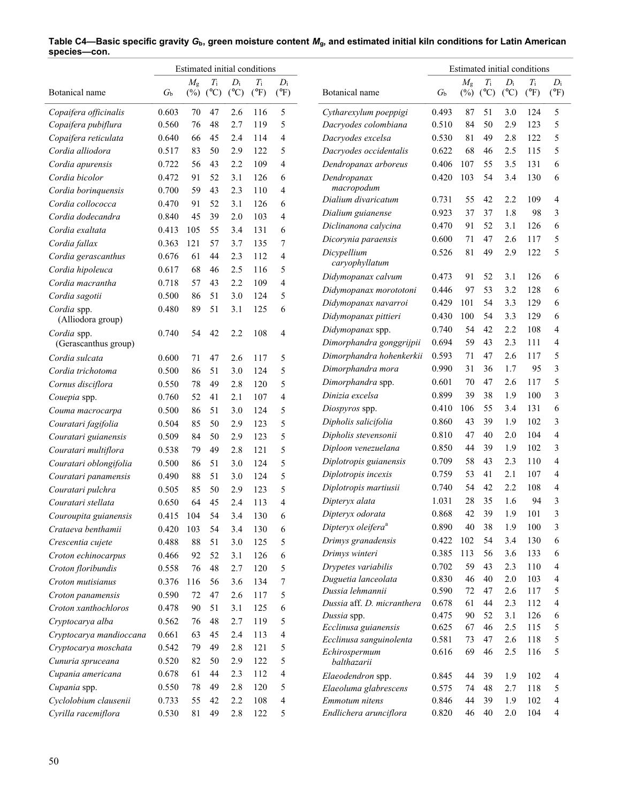|                         |             |             |                            |                        | Estimated initial conditions |                        |                                                 | Estimated initial conditions |             |                            |                        |                              |                        |
|-------------------------|-------------|-------------|----------------------------|------------------------|------------------------------|------------------------|-------------------------------------------------|------------------------------|-------------|----------------------------|------------------------|------------------------------|------------------------|
| Botanical name          | $G_{\rm b}$ | $M_{\rm g}$ | $T_{\rm i}$<br>$(\%)$ (°C) | $D_i$<br>$(^{\circ}C)$ | $T_{\rm i}$<br>$(^{\circ}F)$ | $D_i$<br>$(^{\circ}F)$ | Botanical name                                  | $G_{\rm b}$                  | $M_{\rm g}$ | $T_{\rm i}$<br>$(\%)$ (°C) | $D_i$<br>$(^{\circ}C)$ | $T_{\rm i}$<br>$(^{\circ}F)$ | $D_i$<br>$(^{\circ}F)$ |
| Copaifera officinalis   | 0.603       | 70          | 47                         | 2.6                    | 116                          | 5                      | Cytharexylum poeppigi                           | 0.493                        | 87          | 51                         | 3.0                    | 124                          | 5                      |
| Copaifera pubiflura     | 0.560       | 76          | 48                         | 2.7                    | 119                          | 5                      | Dacryodes colombiana                            | 0.510                        | 84          | 50                         | 2.9                    | 123                          | 5                      |
| Copaifera reticulata    | 0.640       | 66          | 45                         | 2.4                    | 114                          | 4                      | Dacryodes excelsa                               | 0.530                        | 81          | 49                         | 2.8                    | 122                          | 5                      |
| Cordia alliodora        | 0.517       | 83          | 50                         | 2.9                    | 122                          | 5                      | Dacryodes occidentalis                          | 0.622                        | 68          | 46                         | 2.5                    | 115                          | 5                      |
| Cordia apurensis        | 0.722       | 56          | 43                         | 2.2                    | 109                          | 4                      | Dendropanax arboreus                            | 0.406                        | 107         | 55                         | 3.5                    | 131                          | 6                      |
| Cordia bicolor          | 0.472       | 91          | 52                         | 3.1                    | 126                          | 6                      | Dendropanax                                     | 0.420                        | 103         | 54                         | 3.4                    | 130                          | 6                      |
| Cordia boringuensis     | 0.700       | 59          | 43                         | 2.3                    | 110                          | 4                      | macropodum                                      |                              |             |                            |                        |                              |                        |
| Cordia collococca       | 0.470       | 91          | 52                         | 3.1                    | 126                          | 6                      | Dialium divaricatum                             | 0.731                        | 55          | 42                         | 2.2                    | 109                          | 4                      |
| Cordia dodecandra       | 0.840       | 45          | 39                         | 2.0                    | 103                          | 4                      | Dialium guianense                               | 0.923                        | 37          | 37                         | 1.8                    | 98                           | 3                      |
| Cordia exaltata         | 0.413       | 105         | 55                         | 3.4                    | 131                          | 6                      | Diclinanona calycina                            | 0.470                        | 91          | 52                         | 3.1                    | 126                          | 6                      |
| Cordia fallax           | 0.363       | 121         | 57                         | 3.7                    | 135                          | 7                      | Dicorynia paraensis                             | 0.600                        | 71          | 47                         | 2.6                    | 117                          | 5                      |
| Cordia gerascanthus     | 0.676       | 61          | 44                         | 2.3                    | 112                          | 4                      | Dicypellium                                     | 0.526                        | 81          | 49                         | 2.9                    | 122                          | 5                      |
| Cordia hipoleuca        | 0.617       | 68          | 46                         | 2.5                    | 116                          | 5                      | caryophyllatum                                  |                              |             |                            |                        |                              |                        |
| Cordia macrantha        | 0.718       | 57          | 43                         | 2.2                    | 109                          | 4                      | Didymopanax calvum                              | 0.473                        | 91          | 52                         | 3.1                    | 126                          | 6                      |
| Cordia sagotii          | 0.500       | 86          | 51                         | 3.0                    | 124                          | 5                      | Didymopanax morototoni                          | 0.446                        | 97          | 53                         | 3.2                    | 128                          | 6                      |
| Cordia spp.             | 0.480       | 89          | 51                         | 3.1                    | 125                          | 6                      | Didymopanax navarroi                            | 0.429                        | 101         | 54                         | 3.3                    | 129                          | 6                      |
| (Alliodora group)       |             |             |                            |                        |                              |                        | Didymopanax pittieri                            | 0.430                        | 100         | 54                         | 3.3                    | 129                          | 6                      |
| Cordia spp.             | 0.740       | 54          | 42                         | 2.2                    | 108                          | $\overline{4}$         | Didymopanax spp.                                | 0.740                        | 54          | 42                         | 2.2                    | 108                          | $\overline{4}$         |
| (Gerascanthus group)    |             |             |                            |                        |                              |                        | Dimorphandra gonggrijpii                        | 0.694                        | 59          | 43                         | 2.3                    | 111                          | $\overline{4}$         |
| Cordia sulcata          | 0.600       | 71          | 47                         | 2.6                    | 117                          | 5                      | Dimorphandra hohenkerkii                        | 0.593                        | 71          | 47                         | 2.6                    | 117                          | 5                      |
| Cordia trichotoma       | 0.500       | 86          | 51                         | 3.0                    | 124                          | 5                      | Dimorphandra mora                               | 0.990                        | 31          | 36                         | 1.7                    | 95                           | 3                      |
| Cornus disciflora       | 0.550       | 78          | 49                         | 2.8                    | 120                          | 5                      | Dimorphandra spp.                               | 0.601                        | 70          | 47                         | 2.6                    | 117                          | 5                      |
| Couepia spp.            | 0.760       | 52          | 41                         | 2.1                    | 107                          | $\overline{4}$         | Dinizia excelsa                                 | 0.899                        | 39          | 38                         | 1.9                    | 100                          | 3                      |
| Couma macrocarpa        | 0.500       | 86          | 51                         | 3.0                    | 124                          | 5                      | Diospyros spp.                                  | 0.410                        | 106         | 55                         | 3.4                    | 131                          | 6                      |
| Couratari fagifolia     | 0.504       | 85          | 50                         | 2.9                    | 123                          | 5                      | Dipholis salicifolia                            | 0.860                        | 43          | 39                         | 1.9                    | 102                          | 3                      |
| Couratari guianensis    | 0.509       | 84          | 50                         | 2.9                    | 123                          | 5                      | Dipholis stevensonii                            | 0.810                        | 47          | 40                         | 2.0                    | 104                          | $\overline{4}$         |
| Couratari multiflora    | 0.538       | 79          | 49                         | 2.8                    | 121                          | 5                      | Diploon venezuelana                             | 0.850                        | 44          | 39                         | 1.9                    | 102                          | 3                      |
| Couratari oblongifolia  | 0.500       | 86          | 51                         | 3.0                    | 124                          | 5                      | Diplotropis guianensis                          | 0.709                        | 58          | 43                         | 2.3                    | 110                          | $\overline{4}$         |
| Couratari panamensis    | 0.490       | 88          | 51                         | 3.0                    | 124                          | 5                      | Diplotropis incexis                             | 0.759                        | 53          | 41                         | 2.1                    | 107                          | 4                      |
| Couratari pulchra       | 0.505       | 85          | 50                         | 2.9                    | 123                          | 5                      | Diplotropis martiusii                           | 0.740                        | 54          | 42                         | 2.2                    | 108                          | 4                      |
| Couratari stellata      | 0.650       | 64          | 45                         | 2.4                    | 113                          | 4                      | Dipteryx alata                                  | 1.031                        | 28          | 35                         | 1.6                    | 94                           | 3                      |
| Couroupita guianensis   | 0.415 104   |             | 54                         | 3.4                    | 130                          | 6                      | Dipteryx odorata                                | 0.868                        | 42          | 39                         | 1.9                    | 101                          |                        |
| Crataeva benthamii      | 0.420       | 103         | 54                         | 3.4                    | 130                          | 6                      | Dipteryx oleifera <sup>a</sup>                  | 0.890                        | 40          | 38                         | 1.9                    | 100                          | 3                      |
| Crescentia cujete       | 0.488       | 88          | 51                         | 3.0                    | 125                          | 5                      | Drimys granadensis                              | 0.422                        | 102         | 54                         | 3.4                    | 130                          | 6                      |
| Croton echinocarpus     | 0.466       | 92          | 52                         | 3.1                    | 126                          | 6                      | Drimys winteri                                  | 0.385                        | 113         | 56                         | 3.6                    | 133                          | 6                      |
| Croton floribundis      | 0.558       | 76          | 48                         | 2.7                    | 120                          | 5                      | Drypetes variabilis                             | 0.702                        | 59          | 43                         | 2.3                    | 110                          | 4                      |
| Croton mutisianus       | 0.376       | 116         | 56                         | 3.6                    | 134                          | 7                      | Duguetia lanceolata                             | 0.830                        | 46          | 40                         | $2.0$                  | 103                          | 4                      |
| Croton panamensis       | 0.590       | 72          | 47                         | 2.6                    | 117                          | 5                      | Dussia lehmannii                                | 0.590                        | 72          | 47                         | 2.6                    | 117                          | 5                      |
| Croton xanthochloros    | 0.478       | 90          | 51                         | 3.1                    | 125                          | 6                      | Dussia aff. D. micranthera                      | 0.678                        | 61          | 44                         | 2.3                    | 112                          | 4                      |
| Cryptocarya alba        | 0.562       | 76          | 48                         | 2.7                    | 119                          | 5                      | Dussia spp.                                     | 0.475                        | 90          | 52                         | 3.1                    | 126                          | 6                      |
| Cryptocarya mandioccana | 0.661       | 63          | 45                         | 2.4                    | 113                          | 4                      | Ecclinusa guianensis<br>Ecclinusa sanguinolenta | 0.625                        | 67          | 46<br>47                   | 2.5                    | 115                          | 5                      |
| Cryptocarya moschata    | 0.542       | 79          | 49                         | 2.8                    | 121                          | 5                      | Echirospermum                                   | 0.581<br>0.616               | 73<br>69    | 46                         | 2.6<br>2.5             | 118<br>116                   | 5<br>5                 |
| Cunuria spruceana       | 0.520       | 82          | 50                         | 2.9                    | 122                          | 5                      | balthazarii                                     |                              |             |                            |                        |                              |                        |
| Cupania americana       | 0.678       | 61          | 44                         | 2.3                    | 112                          | 4                      | Elaeodendron spp.                               | 0.845                        | 44          | 39                         | 1.9                    | 102                          | 4                      |
| Cupania spp.            | 0.550       | 78          | 49                         | 2.8                    | 120                          | 5                      | Elaeoluma glabrescens                           | 0.575                        | 74          | 48                         | 2.7                    | 118                          | 5                      |
| Cyclolobium clausenii   | 0.733       | 55          | 42                         | 2.2                    | 108                          | 4                      | Emmotum nitens                                  | 0.846                        | 44          | 39                         | 1.9                    | 102                          | 4                      |
| Cyrilla racemiflora     | 0.530       | 81          | 49                         | 2.8                    | 122                          | 5                      | Endlichera arunciflora                          | 0.820                        | 46          | 40                         | 2.0                    | 104                          | 4                      |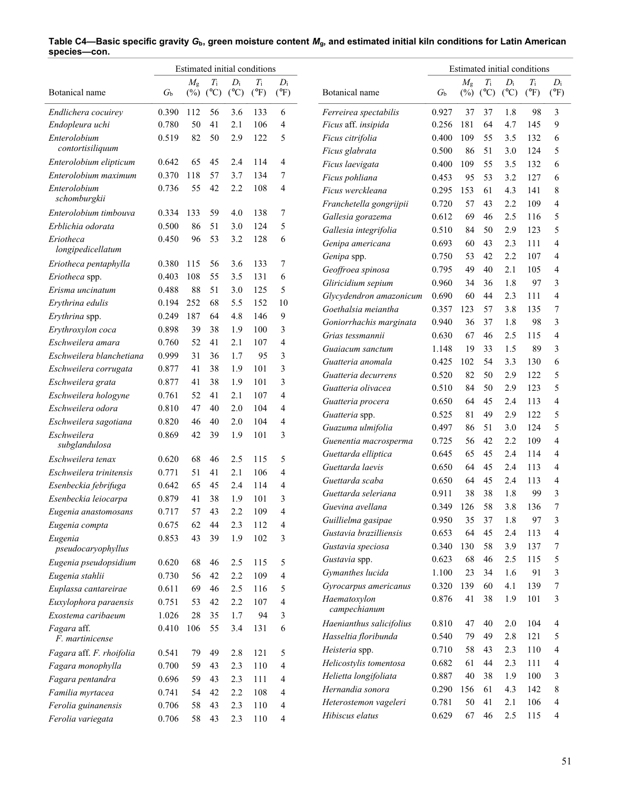|                                | Estimated initial conditions |             |             |       |               |                |                                                | Estimated initial conditions |             |             |               |               |                |  |
|--------------------------------|------------------------------|-------------|-------------|-------|---------------|----------------|------------------------------------------------|------------------------------|-------------|-------------|---------------|---------------|----------------|--|
|                                |                              | $M_{\rm g}$ | $T_{\rm i}$ | $D_i$ | $T_{\rm i}$   | $D_i$          |                                                |                              | $M_{\rm g}$ | $T_{\rm i}$ | $D_i$         | $T_{\rm i}$   | $D_i$          |  |
| Botanical name                 | $G_{\rm b}$                  | $(\%)$      | (C)         | (C)   | $(^{\circ}F)$ | $(^{\circ}F)$  | Botanical name                                 | $G_{\rm b}$                  |             | $(\%)$ (°C) | $(^{\circ}C)$ | $(^{\circ}F)$ | $(^{\circ}F)$  |  |
| Endlichera cocuirey            | 0.390                        | 112         | 56          | 3.6   | 133           | 6              | Ferreirea spectabilis                          | 0.927                        | 37          | 37          | 1.8           | 98            | 3              |  |
| Endopleura uchi                | 0.780                        | 50          | 41          | 2.1   | 106           | 4              | Ficus aff. insipida                            | 0.256                        | 181         | 64          | 4.7           | 145           | 9              |  |
| Enterolobium                   | 0.519                        | 82          | 50          | 2.9   | 122           | 5              | Ficus citrifolia                               | 0.400                        | 109         | 55          | 3.5           | 132           | 6              |  |
| contortisiliquum               |                              |             |             |       |               |                | Ficus glabrata                                 | 0.500                        | 86          | 51          | 3.0           | 124           | 5              |  |
| Enterolobium elipticum         | 0.642                        | 65          | 45          | 2.4   | 114           | 4              | Ficus laevigata                                | 0.400                        | 109         | 55          | 3.5           | 132           | 6              |  |
| Enterolobium maximum           | 0.370                        | 118         | 57          | 3.7   | 134           | 7              | Ficus pohliana                                 | 0.453                        | 95          | 53          | 3.2           | 127           | 6              |  |
| Enterolobium<br>schomburgkii   | 0.736                        | 55          | 42          | 2.2   | 108           | $\overline{4}$ | Ficus werckleana                               | 0.295                        | 153         | 61          | 4.3           | 141           | 8              |  |
| Enterolobium timbouva          | 0.334                        | 133         | 59          | 4.0   | 138           | 7              | Franchetella gongrijpii                        | 0.720                        | 57          | 43          | 2.2           | 109           | $\overline{4}$ |  |
| Erblichia odorata              | 0.500                        | 86          | 51          | 3.0   | 124           | 5              | Gallesia gorazema                              | 0.612                        | 69          | 46          | 2.5           | 116           | 5              |  |
| Eriotheca                      | 0.450                        | 96          | 53          | 3.2   | 128           | 6              | Gallesia integrifolia                          | 0.510                        | 84          | 50          | 2.9           | 123           | 5              |  |
| longipedicellatum              |                              |             |             |       |               |                | Genipa americana                               | 0.693                        | 60          | 43          | 2.3           | 111           | $\overline{4}$ |  |
| Eriotheca pentaphylla          | 0.380                        | 115         | 56          | 3.6   | 133           | 7              | Genipa spp.                                    | 0.750                        | 53          | 42          | 2.2           | 107           | $\overline{4}$ |  |
| Eriotheca spp.                 | 0.403                        | 108         | 55          | 3.5   | 131           | 6              | Geoffroea spinosa                              | 0.795                        | 49          | 40          | 2.1           | 105           | $\overline{4}$ |  |
| Erisma uncinatum               | 0.488                        | 88          | 51          | 3.0   | 125           | 5              | Gliricidium sepium                             | 0.960                        | 34          | 36          | 1.8           | 97            | 3              |  |
| Erythrina edulis               | 0.194                        | 252         | 68          | 5.5   | 152           | 10             | Glycydendron amazonicum<br>Goethalsia meiantha | 0.690                        | 60          | 44          | 2.3           | 111           | $\overline{4}$ |  |
| Erythrina spp.                 | 0.249                        | 187         | 64          | 4.8   | 146           | 9              |                                                | 0.357                        | 123         | 57          | 3.8           | 135           | $\tau$         |  |
| Erythroxylon coca              | 0.898                        | 39          | 38          | 1.9   | 100           | 3              | Goniorrhachis marginata                        | 0.940                        | 36          | 37          | 1.8           | 98            | 3              |  |
| Eschweilera amara              | 0.760                        | 52          | 41          | 2.1   | 107           | 4              | Grias tessmannii                               | 0.630                        | 67          | 46          | 2.5           | 115           | $\overline{4}$ |  |
| Eschweilera blanchetiana       | 0.999                        | 31          | 36          | 1.7   | 95            | 3              | Guaiacum sanctum                               | 1.148                        | 19          | 33          | 1.5           | 89            | 3              |  |
| Eschweilera corrugata          | 0.877                        | 41          | 38          | 1.9   | 101           | 3              | Guatteria anomala                              | 0.425                        | 102         | 54          | 3.3           | 130           | 6              |  |
| Eschweilera grata              | 0.877                        | 41          | 38          | 1.9   | 101           | 3              | Guatteria decurrens                            | 0.520                        | 82          | 50          | 2.9           | 122           | 5<br>5         |  |
| Eschweilera hologyne           | 0.761                        | 52          | 41          | 2.1   | 107           | $\overline{4}$ | Guatteria olivacea                             | 0.510                        | 84          | 50          | 2.9           | 123           | $\overline{4}$ |  |
| Eschweilera odora              | 0.810                        | 47          | 40          | 2.0   | 104           | 4              | Guatteria procera                              | 0.650<br>0.525               | 64<br>81    | 45<br>49    | 2.4<br>2.9    | 113<br>122    | 5              |  |
| Eschweilera sagotiana          | 0.820                        | 46          | 40          | 2.0   | 104           | 4              | Guatteria spp.                                 | 0.497                        |             | 51          | 3.0           | 124           | 5              |  |
| Eschweilera                    | 0.869                        | 42          | 39          | 1.9   | 101           | 3              | Guazuma ulmifolia                              | 0.725                        | 86<br>56    | 42          | 2.2           | 109           | $\overline{4}$ |  |
| subglandulosa                  |                              |             |             |       |               |                | Guenentia macrosperma<br>Guettarda elliptica   | 0.645                        | 65          | 45          | 2.4           | 114           | $\overline{4}$ |  |
| Eschweilera tenax              | 0.620                        | 68          | 46          | 2.5   | 115           | 5              | Guettarda laevis                               | 0.650                        | 64          | 45          | 2.4           | 113           | $\overline{4}$ |  |
| Eschweilera trinitensis        | 0.771                        | 51          | 41          | 2.1   | 106           | 4              | Guettarda scaba                                | 0.650                        | 64          | 45          | 2.4           | 113           | $\overline{4}$ |  |
| Esenbeckia febrifuga           | 0.642                        | 65          | 45          | 2.4   | 114           | $\overline{4}$ | Guettarda seleriana                            | 0.911                        | 38          | 38          | 1.8           | 99            | 3              |  |
| Esenbeckia leiocarpa           | 0.879                        | 41          | 38          | 1.9   | 101           | 3              | Guevina avellana                               | 0.349                        | 126         | 58          | 3.8           | 136           | 7              |  |
| Eugenia anastomosans           | 0.717                        | 57          | 43          | 2.2   | 109           | 4              | Guillielma gasipae                             | 0.950                        | 35          | 37          | 1.8           | 97            | 3              |  |
| Eugenia compta                 | 0.675                        | 62          | 44          | 2.3   | 112           | 4              | Gustavia brazilliensis                         | 0.653                        | 64          | 45          | 2.4           | 113           | 4              |  |
| Eugenia                        | 0.853                        | 43          | 39          | 1.9   | 102           | 3              | Gustavia speciosa                              | 0.340                        | 130         | 58          | 3.9           | 137           | 7              |  |
| pseudocaryophyllus             |                              |             |             |       |               |                | Gustavia spp.                                  | 0.623                        | 68          | 46          | 2.5           | 115           | 5              |  |
| Eugenia pseudopsidium          | 0.620                        | 68          | 46          | 2.5   | 115           | 5              | Gymanthes lucida                               | 1.100                        | 23          | 34          | 1.6           | 91            | 3              |  |
| Eugenia stahlii                | 0.730                        | 56          | 42          | 2.2   | 109           | 4              | Gyrocarpus americanus                          | 0.320                        | 139         | 60          | 4.1           | 139           | 7              |  |
| Euplassa cantareirae           | 0.611                        | 69          | 46          | 2.5   | 116           | 5              | Haematoxylon                                   | 0.876                        | 41          | 38          | 1.9           | 101           | 3              |  |
| Euxylophora paraensis          | 0.751                        | 53          | 42          | 2.2   | 107           | 4              | campechianum                                   |                              |             |             |               |               |                |  |
| Exostema caribaeum             | 1.026                        | 28          | 35          | 1.7   | 94            | 3              | Haenianthus salicifolius                       | 0.810                        | 47          | 40          | 2.0           | 104           | 4              |  |
| Fagara aff.<br>F. martinicense | 0.410                        | 106         | 55          | 3.4   | 131           | 6              | Hasseltia floribunda                           | 0.540                        | 79          | 49          | 2.8           | 121           | 5              |  |
| Fagara aff. F. rhoifolia       | 0.541                        | 79          | 49          | 2.8   | 121           | 5              | Heisteria spp.                                 | 0.710                        | 58          | 43          | 2.3           | 110           | 4              |  |
| Fagara monophylla              | 0.700                        | 59          | 43          | 2.3   | 110           | 4              | Helicostylis tomentosa                         | 0.682                        | 61          | 44          | 2.3           | 111           | 4              |  |
| Fagara pentandra               | 0.696                        | 59          | 43          | 2.3   | 111           | 4              | Helietta longifoliata                          | 0.887                        | 40          | 38          | 1.9           | 100           | 3              |  |
| Familia myrtacea               | 0.741                        | 54          | 42          | 2.2   | 108           | 4              | Hernandia sonora                               | 0.290                        | 156         | 61          | 4.3           | 142           | 8              |  |
| Ferolia guinanensis            | 0.706                        | 58          | 43          | 2.3   | 110           | 4              | Heterostemon vageleri                          | 0.781                        | 50          | 41          | 2.1           | 106           | 4              |  |
| Ferolia variegata              | 0.706                        | 58          | 43          | 2.3   | 110           | 4              | Hibiscus elatus                                | 0.629                        | 67          | 46          | 2.5           | 115           | 4              |  |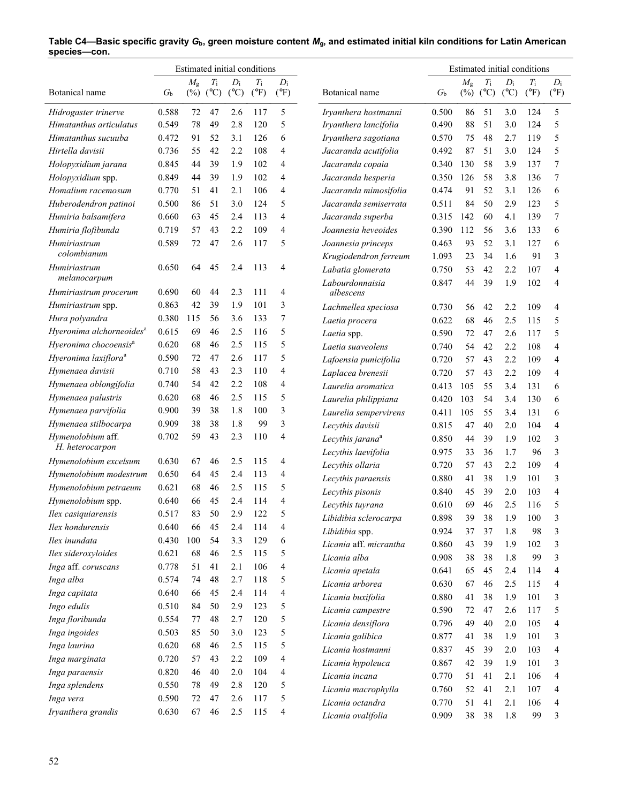|                                            | Estimated initial conditions |             |                            |                          |                              |                        |                              |             |             |                            |                        |                              |                        |
|--------------------------------------------|------------------------------|-------------|----------------------------|--------------------------|------------------------------|------------------------|------------------------------|-------------|-------------|----------------------------|------------------------|------------------------------|------------------------|
| Botanical name                             | $G_{\rm b}$                  | $M_{\rm g}$ | $T_{\rm i}$<br>$(\%)$ (°C) | $D_i$<br>$({}^{\circ}C)$ | $T_{\rm i}$<br>$(^{\circ}F)$ | $D_i$<br>$(^{\circ}F)$ | Botanical name               | $G_{\rm b}$ | $M_{\rm g}$ | $T_{\rm i}$<br>$(\%)$ (°C) | $D_i$<br>$(^{\circ}C)$ | $T_{\rm i}$<br>$(^{\circ}F)$ | $D_i$<br>$(^{\circ}F)$ |
| Hidrogaster trinerve                       | 0.588                        | 72          | 47                         | 2.6                      | 117                          | 5                      | Iryanthera hostmanni         | 0.500       | 86          | 51                         | 3.0                    | 124                          | 5                      |
| Himatanthus articulatus                    | 0.549                        | 78          | 49                         | 2.8                      | 120                          | 5                      | Iryanthera lancifolia        | 0.490       | 88          | 51                         | 3.0                    | 124                          | 5                      |
| Himatanthus sucuuba                        | 0.472                        | 91          | 52                         | 3.1                      | 126                          | 6                      | Iryanthera sagotiana         | 0.570       | 75          | 48                         | 2.7                    | 119                          | 5                      |
| Hirtella davisii                           | 0.736                        | 55          | 42                         | 2.2                      | 108                          | 4                      | Jacaranda acutifolia         | 0.492       | 87          | 51                         | 3.0                    | 124                          | 5                      |
| Holopyxidium jarana                        | 0.845                        | 44          | 39                         | 1.9                      | 102                          | 4                      | Jacaranda copaia             | 0.340       | 130         | 58                         | 3.9                    | 137                          | 7                      |
| Holopyxidium spp.                          | 0.849                        | 44          | 39                         | 1.9                      | 102                          | 4                      | Jacaranda hesperia           | 0.350       | 126         | 58                         | 3.8                    | 136                          | 7                      |
| Homalium racemosum                         | 0.770                        | 51          | 41                         | 2.1                      | 106                          | 4                      | Jacaranda mimosifolia        | 0.474       | 91          | 52                         | 3.1                    | 126                          | 6                      |
| Huberodendron patinoi                      | 0.500                        | 86          | 51                         | 3.0                      | 124                          | 5                      | Jacaranda semiserrata        | 0.511       | 84          | 50                         | 2.9                    | 123                          | 5                      |
| Humiria balsamifera                        | 0.660                        | 63          | 45                         | 2.4                      | 113                          | 4                      | Jacaranda superba            | 0.315       | 142         | 60                         | 4.1                    | 139                          | 7                      |
| Humiria flofibunda                         | 0.719                        | 57          | 43                         | 2.2                      | 109                          | 4                      | Joannesia heveoides          | 0.390       | 112         | 56                         | 3.6                    | 133                          | 6                      |
| Humiriastrum                               | 0.589                        | 72          | 47                         | 2.6                      | 117                          | 5                      | Joannesia princeps           | 0.463       | 93          | 52                         | 3.1                    | 127                          | 6                      |
| colombianum                                |                              |             |                            |                          |                              |                        | Krugiodendron ferreum        | 1.093       | 23          | 34                         | 1.6                    | 91                           | 3                      |
| Humiriastrum                               | 0.650                        | 64          | 45                         | 2.4                      | 113                          | 4                      | Labatia glomerata            | 0.750       | 53          | 42                         | 2.2                    | 107                          | 4                      |
| melanocarpum                               |                              |             |                            |                          |                              |                        | Labourdonnaisia              | 0.847       | 44          | 39                         | 1.9                    | 102                          | 4                      |
| Humiriastrum procerum                      | 0.690                        | 60          | 44                         | 2.3                      | 111                          | 4                      | albescens                    |             |             |                            |                        |                              |                        |
| Humiriastrum spp.                          | 0.863                        | 42          | 39                         | 1.9                      | 101                          | 3                      | Lachmellea speciosa          | 0.730       | 56          | 42                         | 2.2                    | 109                          | $\overline{4}$         |
| Hura polyandra                             | 0.380                        | 115         | 56                         | 3.6                      | 133                          | 7                      | Laetia procera               | 0.622       | 68          | 46                         | 2.5                    | 115                          | 5                      |
| Hyeronima alchorneoides <sup>a</sup>       | 0.615                        | 69          | 46                         | 2.5                      | 116                          | 5                      | Laetia spp.                  | 0.590       | 72          | 47                         | 2.6                    | 117                          | 5                      |
| Hyeronima chocoensis <sup>a</sup>          | 0.620                        | 68          | 46                         | 2.5                      | 115                          | 5                      | Laetia suaveolens            | 0.740       | 54          | 42                         | 2.2                    | 108                          | 4                      |
| Hyeronima laxiflora <sup>a</sup>           | 0.590                        | 72          | 47                         | 2.6                      | 117                          | 5                      | Lafoensia punicifolia        | 0.720       | 57          | 43                         | 2.2                    | 109                          | $\overline{4}$         |
| Hymenaea davisii                           | 0.710                        | 58          | 43                         | 2.3                      | 110                          | 4                      | Laplacea brenesii            | 0.720       | 57          | 43                         | 2.2                    | 109                          | $\overline{4}$         |
| Hymenaea oblongifolia                      | 0.740                        | 54          | 42                         | 2.2                      | 108                          | 4                      | Laurelia aromatica           | 0.413       | 105         | 55                         | 3.4                    | 131                          | 6                      |
| Hymenaea palustris                         | 0.620                        | 68          | 46                         | 2.5                      | 115                          | 5                      | Laurelia philippiana         | 0.420       | 103         | 54                         | 3.4                    | 130                          | 6                      |
| Hymenaea parvifolia                        | 0.900                        | 39          | 38                         | 1.8                      | 100                          | 3                      | Laurelia sempervirens        | 0.411       | 105         | 55                         | 3.4                    | 131                          | 6                      |
| Hymenaea stilbocarpa                       | 0.909                        | 38          | 38                         | 1.8                      | 99                           | 3                      | Lecythis davisii             | 0.815       | 47          | 40                         | 2.0                    | 104                          | $\overline{4}$         |
| Hymenolobium aff.<br>H. heterocarpon       | 0.702                        | 59          | 43                         | 2.3                      | 110                          | 4                      | Lecythis jarana <sup>a</sup> | 0.850       | 44          | 39                         | 1.9                    | 102                          | 3                      |
|                                            | 0.630                        |             | 46                         | 2.5                      | 115                          |                        | Lecythis laevifolia          | 0.975       | 33          | 36                         | 1.7                    | 96                           | 3                      |
| Hymenolobium excelsum                      |                              | 67          | 45                         | 2.4                      | 113                          | 4<br>4                 | Lecythis ollaria             | 0.720       | 57          | 43                         | 2.2                    | 109                          | $\overline{4}$         |
| Hymenolobium modestrum                     | 0.650                        | 64<br>68    | 46                         | 2.5                      | 115                          | 5                      | Lecythis paraensis           | 0.880       | 41          | 38                         | 1.9                    | 101                          | 3                      |
| Hymenolobium petraeum<br>Hymenolobium spp. | 0.621<br>0.640               | 66          | 45                         | 2.4                      | 114                          | 4                      | Lecythis pisonis             | 0.840       | 45          | 39                         | 2.0                    | 103                          | 4                      |
|                                            |                              | 83          | 50                         | 2.9                      | 122                          |                        | Lecythis tuyrana             | 0.610       | 69          | 46                         | 2.5                    | 116                          | 5                      |
| Ilex casiquiarensis                        | 0.517                        |             | 45                         | 2.4                      | 114                          | 4                      | Libidibia sclerocarpa        | 0.898       | 39          | 38                         | 1.9                    | 100                          | 3                      |
| Ilex hondurensis<br>Ilex inundata          | 0.640<br>0.430               | 66<br>100   | 54                         | 3.3                      | 129                          | 6                      | Libidibia spp.               | 0.924       | 37          | 37                         | 1.8                    | 98                           | 3                      |
| Ilex sideroxyloides                        | 0.621                        | 68          | 46                         | 2.5                      | 115                          | 5                      | Licania aff. micrantha       | 0.860       | 43          | 39                         | 1.9                    | 102                          | 3                      |
| Inga aff. coruscans                        | 0.778                        | 51          | 41                         | 2.1                      | 106                          | 4                      | Licania alba                 | 0.908       | 38          | 38                         | 1.8                    | 99                           | 3                      |
| Inga alba                                  | 0.574                        | 74          | 48                         | 2.7                      | 118                          | 5                      | Licania apetala              | 0.641       | 65          | 45                         | 2.4                    | 114                          | 4                      |
| Inga capitata                              | 0.640                        | 66          | 45                         | 2.4                      | 114                          | 4                      | Licania arborea              | 0.630       | 67          | 46                         | 2.5                    | 115                          | $\overline{4}$         |
| Ingo edulis                                | 0.510                        | 84          | 50                         | 2.9                      | 123                          | 5                      | Licania buxifolia            | 0.880       | 41          | 38                         | 1.9                    | 101                          | 3                      |
| Inga floribunda                            | 0.554                        | 77          | 48                         | 2.7                      | 120                          | 5                      | Licania campestre            | 0.590       | 72          | 47                         | 2.6                    | 117                          | 5                      |
| Inga ingoides                              | 0.503                        | 85          | 50                         | 3.0                      | 123                          | 5                      | Licania densiflora           | 0.796       | 49          | 40                         | 2.0                    | 105                          | 4                      |
| Inga laurina                               | 0.620                        | 68          | 46                         | 2.5                      | 115                          | 5                      | Licania galibica             | 0.877       | 41          | 38                         | 1.9                    | 101                          | 3                      |
|                                            | 0.720                        | 57          | 43                         | 2.2                      | 109                          | 4                      | Licania hostmanni            | 0.837       | 45          | 39                         | 2.0                    | 103                          | 4                      |
| Inga marginata<br>Inga paraensis           | 0.820                        | 46          | 40                         | 2.0                      | 104                          | 4                      | Licania hypoleuca            | 0.867       | 42          | 39                         | 1.9                    | 101                          | 3                      |
| Inga splendens                             | 0.550                        | 78          | 49                         | 2.8                      | 120                          | 5                      | Licania incana               | 0.770       | 51          | 41                         | 2.1                    | 106                          | 4                      |
| Inga vera                                  | 0.590                        | 72          | 47                         | 2.6                      | 117                          | 5                      | Licania macrophylla          | 0.760       | 52          | 41                         | 2.1                    | 107                          | 4                      |
|                                            |                              |             |                            |                          |                              |                        | Licania octandra             | 0.770       | 51          | 41                         | 2.1                    | 106                          | 4                      |
| Iryanthera grandis                         | 0.630                        | 67          | 46                         | 2.5                      | 115                          | 4                      | Licania ovalifolia           | 0.909       | 38          | 38                         | 1.8                    | 99                           | 3                      |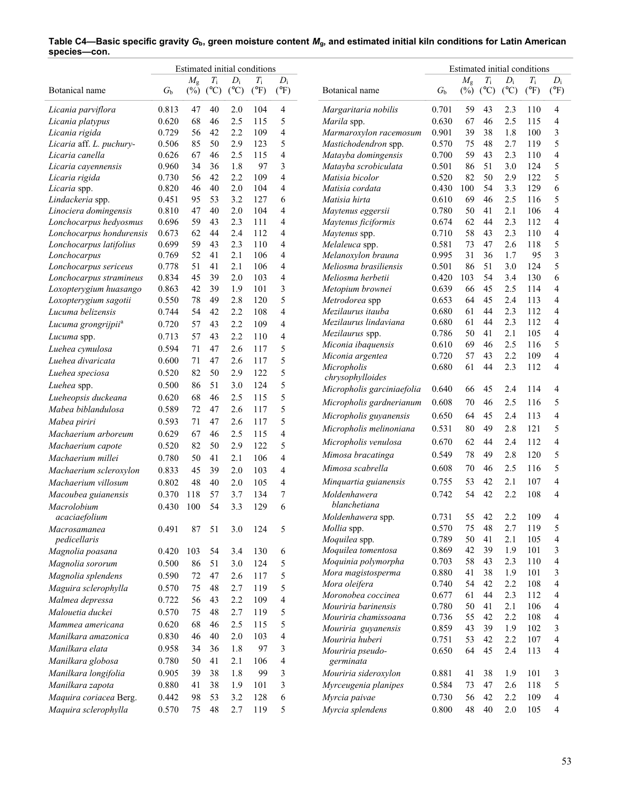|                                 | Estimated initial conditions |                       |                              |                        |                        |                          |                                        | Estimated initial conditions |                       |                              |                        |                              |                                  |
|---------------------------------|------------------------------|-----------------------|------------------------------|------------------------|------------------------|--------------------------|----------------------------------------|------------------------------|-----------------------|------------------------------|------------------------|------------------------------|----------------------------------|
| Botanical name                  | $G_{\rm b}$                  | $M_{\rm g}$<br>$(\%)$ | $T_{\rm i}$<br>$(^{\circ}C)$ | $D_i$<br>$(^{\circ}C)$ | $T_i$<br>$(^{\circ}F)$ | $D_i$<br>$(^{\circ}F)$   | Botanical name                         | $G_{\rm b}$                  | $M_{\rm g}$<br>$(\%)$ | $T_{\rm i}$<br>$(^{\circ}C)$ | $D_i$<br>$(^{\circ}C)$ | $T_{\rm i}$<br>$(^{\circ}F)$ | $D_i$<br>$(^{\circ}F)$           |
| Licania parviflora              | 0.813                        | 47                    | 40                           | 2.0                    | 104                    | 4                        | Margaritaria nobilis                   | 0.701                        | 59                    | 43                           | 2.3                    | 110                          | 4                                |
| Licania platypus                | 0.620                        | 68                    | 46                           | 2.5                    | 115                    | 5                        | Marila spp.                            | 0.630                        | 67                    | 46                           | 2.5                    | 115                          | $\overline{4}$                   |
| Licania rigida                  | 0.729                        | 56                    | 42                           | 2.2                    | 109                    | 4                        | Marmaroxylon racemosum                 | 0.901                        | 39                    | 38                           | 1.8                    | 100                          | 3                                |
| Licaria aff. L. puchury-        | 0.506                        | 85                    | 50                           | 2.9                    | 123                    | 5                        | Mastichodendron spp.                   | 0.570                        | 75                    | 48                           | 2.7                    | 119                          | 5                                |
| Licaria canella                 | 0.626                        | 67                    | 46                           | 2.5                    | 115                    | 4                        | Matayba domingensis                    | 0.700                        | 59                    | 43                           | 2.3                    | 110                          | $\overline{4}$                   |
| Licaria cayennensis             | 0.960                        | 34                    | 36                           | 1.8                    | 97                     | 3                        | Matayba scrobiculata                   | 0.501                        | 86                    | 51                           | 3.0                    | 124                          | 5                                |
| Licaria rigida                  | 0.730                        | 56                    | 42                           | 2.2                    | 109                    | 4                        | Matisia bicolor                        | 0.520                        | 82                    | 50                           | 2.9                    | 122                          | 5                                |
| Licaria spp.                    | 0.820                        | 46                    | 40                           | 2.0                    | 104                    | 4                        | Matisia cordata                        | 0.430                        | 100                   | 54                           | 3.3                    | 129                          | 6                                |
| Lindackeria spp.                | 0.451                        | 95                    | 53                           | 3.2                    | 127                    | 6                        | Matisia hirta                          | 0.610                        | 69                    | 46                           | 2.5                    | 116                          | 5                                |
| Linociera domingensis           | 0.810                        | 47                    | 40                           | 2.0                    | 104                    | 4                        | Maytenus eggersii                      | 0.780                        | 50                    | 41                           | 2.1                    | 106                          | $\overline{4}$                   |
| Lonchocarpus hedyosmus          | 0.696                        | 59                    | 43                           | 2.3                    | 111                    | $\overline{4}$           | Maytenus ficiformis                    | 0.674                        | 62                    | 44                           | 2.3                    | 112                          | $\overline{4}$                   |
| Lonchocarpus hondurensis        | 0.673                        | 62                    | 44                           | 2.4                    | 112                    | 4                        | Maytenus spp.                          | 0.710                        | 58                    | 43                           | 2.3                    | 110                          | $\overline{4}$                   |
| Lonchocarpus latifolius         | 0.699                        | 59                    | 43                           | 2.3                    | 110                    | 4                        | Melaleuca spp.                         | 0.581                        | 73                    | 47                           | 2.6                    | 118                          | 5                                |
| Lonchocarpus                    | 0.769                        | 52                    | 41                           | 2.1                    | 106                    | $\overline{4}$           | Melanoxylon brauna                     | 0.995                        | 31                    | 36                           | 1.7                    | 95                           | $\mathfrak{Z}$                   |
| Lonchocarpus sericeus           | 0.778                        | 51                    | 41                           | 2.1                    | 106                    | 4                        | Meliosma brasiliensis                  | 0.501                        | 86                    | 51                           | 3.0                    | 124                          | 5                                |
| Lonchocarpus stramineus         | 0.834                        | 45                    | 39                           | 2.0                    | 103                    | 4                        | Meliosma herbetii                      | 0.420                        | 103                   | 54                           | 3.4                    | 130                          | 6                                |
| Loxopterygium huasango          | 0.863                        | 42                    | 39                           | 1.9                    | 101                    | 3                        | Metopium brownei                       | 0.639                        | 66                    | 45                           | 2.5                    | 114                          | $\overline{4}$                   |
| Loxopterygium sagotii           | 0.550                        | 78                    | 49                           | 2.8                    | 120                    | 5                        | Metrodorea spp                         | 0.653                        | 64                    | 45                           | 2.4                    | 113                          | $\overline{4}$                   |
| Lucuma belizensis               | 0.744                        | 54                    | 42                           | 2.2                    | 108                    | $\overline{4}$           | Mezilaurus itauba                      | 0.680                        | 61                    | 44                           | 2.3                    | 112                          | $\overline{4}$                   |
| Lucuma grongrijpii <sup>a</sup> | 0.720                        | 57                    | 43                           | 2.2                    | 109                    | $\overline{4}$           | Mezilaurus lindaviana                  | 0.680                        | 61<br>50              | 44<br>41                     | 2.3<br>2.1             | 112<br>105                   | $\overline{4}$<br>$\overline{4}$ |
| Lucuma spp.                     | 0.713                        | 57                    | 43                           | 2.2                    | 110                    | $\overline{4}$           | Mezilaurus spp.                        | 0.786<br>0.610               | 69                    |                              | 2.5                    | 116                          | 5                                |
| Luehea cymulosa                 | 0.594                        | 71                    | 47                           | 2.6                    | 117                    | 5                        | Miconia ibaquensis<br>Miconia argentea | 0.720                        | 57                    | 46<br>43                     | 2.2                    | 109                          | $\overline{4}$                   |
| Luehea divaricata               | 0.600                        | 71                    | 47                           | 2.6                    | 117                    | 5                        | Micropholis                            | 0.680                        | 61                    | 44                           | 2.3                    | 112                          | $\overline{4}$                   |
| Luehea speciosa                 | 0.520                        | 82                    | 50                           | 2.9                    | 122                    | 5                        | chrysophylloides                       |                              |                       |                              |                        |                              |                                  |
| Luehea spp.                     | 0.500                        | 86                    | 51                           | 3.0                    | 124                    | 5                        | Micropholis garciniaefolia             | 0.640                        | 66                    | 45                           | 2.4                    | 114                          | $\overline{4}$                   |
| Lueheopsis duckeana             | 0.620                        | 68                    | 46                           | 2.5                    | 115                    | 5                        | Micropholis gardnerianum               | 0.608                        | 70                    | 46                           | 2.5                    | 116                          | 5                                |
| Mabea biblandulosa              | 0.589                        | 72                    | 47                           | 2.6                    | 117                    | 5                        |                                        |                              |                       |                              |                        |                              |                                  |
| Mabea piriri                    | 0.593                        | 71                    | 47                           | 2.6                    | 117                    | 5                        | Micropholis guyanensis                 | 0.650                        | 64                    | 45                           | 2.4                    | 113                          | $\overline{4}$                   |
| Machaerium arboreum             | 0.629                        | 67                    | 46                           | 2.5                    | 115                    | $\overline{\mathcal{L}}$ | Micropholis melinoniana                | 0.531                        | 80                    | 49                           | 2.8                    | 121                          | 5                                |
| Machaerium capote               | 0.520                        | 82                    | 50                           | 2.9                    | 122                    | 5                        | Micropholis venulosa                   | 0.670                        | 62                    | 44                           | 2.4                    | 112                          | $\overline{4}$                   |
| Machaerium millei               | 0.780                        | 50                    | 41                           | 2.1                    | 106                    | $\overline{4}$           | Mimosa bracatinga                      | 0.549                        | 78                    | 49                           | 2.8                    | 120                          | 5                                |
| Machaerium scleroxylon          | 0.833                        | 45                    | 39                           | 2.0                    | 103                    | $\overline{4}$           | Mimosa scabrella                       | 0.608                        | 70                    | 46                           | 2.5                    | 116                          | 5                                |
| Machaerium villosum             | 0.802                        | 48                    | 40                           | 2.0                    | 105                    | $\overline{4}$           | Minquartia guianensis                  | 0.755                        | 53                    | 42                           | 2.1                    | 107                          | $\overline{4}$                   |
| Macoubea guianensis             | 0.370                        | 118                   | 57                           | 3.7                    | 134                    | 7                        | Moldenhawera                           | 0.742                        | 54                    | 42                           | 2.2                    | 108                          | 4                                |
| Macrolobium                     | 0.430                        | 100                   | 54                           | 3.3                    | 129                    | 6                        | blanchetiana                           |                              |                       |                              |                        |                              |                                  |
| acaciaefolium                   |                              |                       |                              |                        |                        |                          | Moldenhawera spp.                      | 0.731                        | 55                    | 42                           | 2.2                    | 109                          | $\Lambda$                        |
| Macrosamanea                    | 0.491                        | 87                    | 51                           | 3.0                    | 124                    | 5                        | <i>Mollia</i> spp.                     | 0.570                        | 75                    | 48                           | 2.7                    | 119                          | 5                                |
| pedicellaris                    |                              |                       |                              |                        |                        |                          | Moquilea spp.                          | 0.789                        | 50                    | 41                           | 2.1                    | 105                          | 4                                |
| Magnolia poasana                | 0.420                        | 103                   | 54                           | 3.4                    | 130                    | 6                        | Moquilea tomentosa                     | 0.869                        | 42                    | 39                           | 1.9                    | 101                          | 3                                |
| Magnolia sororum                | 0.500                        | 86                    | 51                           | 3.0                    | 124                    | 5                        | Moquinia polymorpha                    | 0.703                        | 58                    | 43                           | 2.3                    | 110                          | $\overline{4}$                   |
| Magnolia splendens              | 0.590                        | 72                    | 47                           | 2.6                    | 117                    | 5                        | Mora magistosperma                     | 0.880                        | 41                    | 38                           | 1.9                    | 101                          | 3                                |
| Maguira sclerophylla            | 0.570                        | 75                    | 48                           | 2.7                    | 119                    | 5                        | Mora oleifera                          | 0.740                        | 54                    | 42                           | 2.2                    | 108                          | 4                                |
| Malmea depressa                 | 0.722                        | 56                    | 43                           | 2.2                    | 109                    | 4                        | Moronobea coccinea                     | 0.677                        | 61                    | 44                           | 2.3                    | 112                          | 4                                |
| Malouetia duckei                | 0.570                        | 75                    | 48                           | 2.7                    |                        | 5                        | Mouriria barinensis                    | 0.780                        | 50                    | 41                           | 2.1                    | 106                          | 4                                |
|                                 |                              |                       |                              |                        | 119                    |                          | Mouriria chamissoana                   | 0.736                        | 55                    | 42                           | 2.2                    | 108                          | $\overline{4}$                   |
| Mammea americana                | 0.620                        | 68                    | 46                           | 2.5                    | 115                    | 5                        | Mouriria guyanensis                    | 0.859                        | 43                    | 39                           | 1.9                    | 102                          | 3                                |
| Manilkara amazonica             | 0.830                        | 46                    | 40                           | 2.0                    | 103                    | 4                        | Mouriria huberi                        | 0.751                        | 53                    | 42                           | 2.2                    | 107                          | 4                                |
| Manilkara elata                 | 0.958                        | 34                    | 36                           | 1.8                    | 97                     | 3                        | Mouriria pseudo-                       | 0.650                        | 64                    | 45                           | 2.4                    | 113                          | 4                                |
| Manilkara globosa               | 0.780                        | 50                    | 41                           | 2.1                    | 106                    | 4                        | germinata                              |                              |                       |                              |                        |                              |                                  |
| Manilkara longifolia            | 0.905                        | 39                    | 38                           | 1.8                    | 99                     | 3                        | Mouriria sideroxylon                   | 0.881                        | 41                    | 38                           | 1.9                    | 101                          | 3                                |
| Manilkara zapota                | 0.880                        | 41                    | 38                           | 1.9                    | 101                    | 3                        | Myrceugenia planipes                   | 0.584                        | 73                    | 47                           | 2.6                    | 118                          | 5                                |
| Maquira coriacea Berg.          | 0.442                        | 98                    | 53                           | 3.2                    | 128                    | 6                        | Myrcia paivae                          | 0.730                        | 56                    | 42                           | 2.2                    | 109                          | $\overline{4}$                   |
| Maquira sclerophylla            | 0.570                        | 75                    | 48                           | 2.7                    | 119                    | 5                        | Myrcia splendens                       | 0.800                        | 48                    | 40                           | 2.0                    | 105                          | 4                                |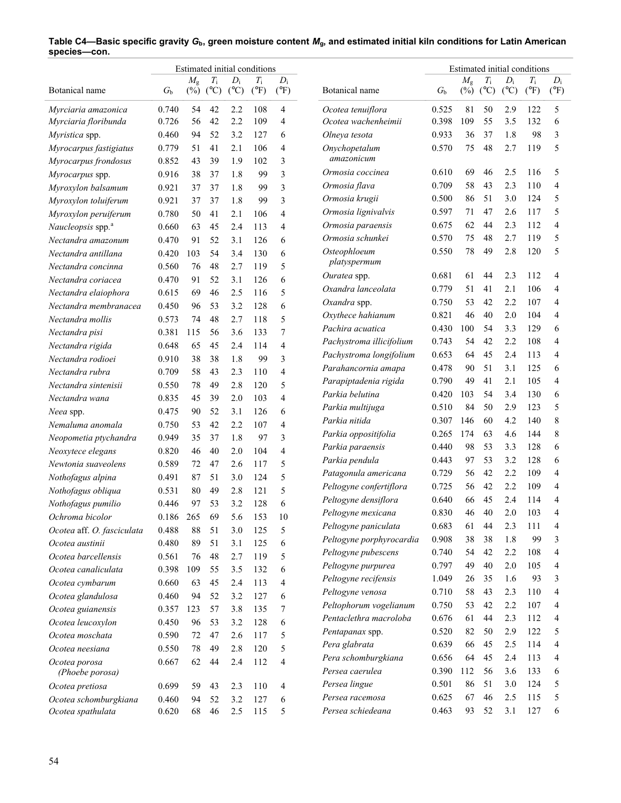|                               |             |                       |                    |                        | Estimated initial conditions |                        |                          | Estimated initial conditions |                       |                              |                        |                              |                              |
|-------------------------------|-------------|-----------------------|--------------------|------------------------|------------------------------|------------------------|--------------------------|------------------------------|-----------------------|------------------------------|------------------------|------------------------------|------------------------------|
| Botanical name                | $G_{\rm b}$ | $M_{\rm g}$<br>$(\%)$ | $T_{\rm i}$<br>(C) | $D_i$<br>$(^{\circ}C)$ | $T_{\rm i}$<br>$(^{\circ}F)$ | $D_i$<br>$(^{\circ}F)$ | Botanical name           | $G_{\rm b}$                  | $M_{\rm g}$<br>$(\%)$ | $T_{\rm i}$<br>$(^{\circ}C)$ | $D_i$<br>$(^{\circ}C)$ | $T_{\rm i}$<br>$(^{\circ}F)$ | $D_{\rm i}$<br>$(^{\circ}F)$ |
| Myrciaria amazonica           | 0.740       | 54                    | 42                 | 2.2                    | 108                          | 4                      | Ocotea tenuiflora        | 0.525                        | 81                    | 50                           | 2.9                    | 122                          | 5                            |
| Myrciaria floribunda          | 0.726       | 56                    | 42                 | 2.2                    | 109                          | $\overline{4}$         | Ocotea wachenheimii      | 0.398                        | 109                   | 55                           | 3.5                    | 132                          | 6                            |
| <i>Myristica</i> spp.         | 0.460       | 94                    | 52                 | 3.2                    | 127                          | 6                      | Olneya tesota            | 0.933                        | 36                    | 37                           | 1.8                    | 98                           | 3                            |
| Myrocarpus fastigiatus        | 0.779       | 51                    | 41                 | 2.1                    | 106                          | 4                      | Onychopetalum            | 0.570                        | 75                    | 48                           | 2.7                    | 119                          | 5                            |
| Myrocarpus frondosus          | 0.852       | 43                    | 39                 | 1.9                    | 102                          | 3                      | amazonicum               |                              |                       |                              |                        |                              |                              |
| Myrocarpus spp.               | 0.916       | 38                    | 37                 | 1.8                    | 99                           | 3                      | Ormosia coccinea         | 0.610                        | 69                    | 46                           | 2.5                    | 116                          | 5                            |
| Myroxylon balsamum            | 0.921       | 37                    | 37                 | 1.8                    | 99                           | 3                      | Ormosia flava            | 0.709                        | 58                    | 43                           | 2.3                    | 110                          | 4                            |
| Myroxylon toluiferum          | 0.921       | 37                    | 37                 | 1.8                    | 99                           | 3                      | Ormosia krugii           | 0.500                        | 86                    | 51                           | 3.0                    | 124                          | 5                            |
| Myroxylon peruiferum          | 0.780       | 50                    | 41                 | 2.1                    | 106                          | 4                      | Ormosia lignivalvis      | 0.597                        | 71                    | 47                           | 2.6                    | 117                          | 5                            |
| Naucleopsis spp. <sup>a</sup> | 0.660       | 63                    | 45                 | 2.4                    | 113                          | 4                      | Ormosia paraensis        | 0.675                        | 62                    | 44                           | 2.3                    | 112                          | 4                            |
| Nectandra amazonum            | 0.470       | 91                    | 52                 | 3.1                    | 126                          | 6                      | Ormosia schunkei         | 0.570                        | 75                    | 48                           | 2.7                    | 119                          | 5                            |
| Nectandra antillana           | 0.420       | 103                   | 54                 | 3.4                    | 130                          | 6                      | Osteophloeum             | 0.550                        | 78                    | 49                           | 2.8                    | 120                          | 5                            |
| Nectandra concinna            | 0.560       | 76                    | 48                 | 2.7                    | 119                          | 5                      | platyspermum             |                              |                       |                              |                        |                              |                              |
| Nectandra coriacea            | 0.470       | 91                    | 52                 | 3.1                    | 126                          | 6                      | Ouratea spp.             | 0.681                        | 61                    | 44                           | 2.3                    | 112                          | 4                            |
| Nectandra elaiophora          | 0.615       | 69                    | 46                 | 2.5                    | 116                          | 5                      | Oxandra lanceolata       | 0.779                        | 51                    | 41                           | 2.1                    | 106                          | 4                            |
| Nectandra membranacea         | 0.450       | 96                    | 53                 | 3.2                    | 128                          | 6                      | Oxandra spp.             | 0.750                        | 53                    | 42                           | 2.2                    | 107                          | 4                            |
| Nectandra mollis              | 0.573       | 74                    | 48                 | 2.7                    | 118                          | 5                      | Oxythece hahianum        | 0.821                        | 46                    | 40                           | 2.0                    | 104                          | 4                            |
| Nectandra pisi                | 0.381       | 115                   | 56                 | 3.6                    | 133                          | 7                      | Pachira acuatica         | 0.430                        | 100                   | 54                           | 3.3                    | 129                          | 6                            |
| Nectandra rigida              | 0.648       | 65                    | 45                 | 2.4                    | 114                          | 4                      | Pachystroma illicifolium | 0.743                        | 54                    | 42                           | 2.2                    | 108                          | 4                            |
| Nectandra rodioei             | 0.910       | 38                    | 38                 | 1.8                    | 99                           | 3                      | Pachystroma longifolium  | 0.653                        | 64                    | 45                           | 2.4                    | 113                          | 4                            |
| Nectandra rubra               | 0.709       | 58                    | 43                 | 2.3                    | 110                          | 4                      | Parahancornia amapa      | 0.478                        | 90                    | 51                           | 3.1                    | 125                          | 6                            |
| Nectandra sintenisii          | 0.550       | 78                    | 49                 | 2.8                    | 120                          | 5                      | Parapiptadenia rigida    | 0.790                        | 49                    | 41                           | 2.1                    | 105                          | 4                            |
| Nectandra wana                | 0.835       | 45                    | 39                 | 2.0                    | 103                          | $\overline{4}$         | Parkia belutina          | 0.420                        | 103                   | 54                           | 3.4                    | 130                          | 6                            |
| Neea spp.                     | 0.475       | 90                    | 52                 | 3.1                    | 126                          | 6                      | Parkia multijuga         | 0.510                        | 84                    | 50                           | 2.9                    | 123                          | 5                            |
| Nemaluma anomala              | 0.750       | 53                    | 42                 | 2.2                    | 107                          | $\overline{4}$         | Parkia nitida            | 0.307                        | 146                   | 60                           | 4.2                    | 140                          | 8                            |
| Neopometia ptychandra         | 0.949       | 35                    | 37                 | 1.8                    | 97                           | 3                      | Parkia oppositifolia     | 0.265                        | 174                   | 63                           | 4.6                    | 144                          | 8                            |
| Neoxytece elegans             | 0.820       | 46                    | 40                 | 2.0                    | 104                          | 4                      | Parkia paraensis         | 0.440                        | 98                    | 53                           | 3.3                    | 128                          | 6                            |
| Newtonia suaveolens           | 0.589       | 72                    | 47                 | 2.6                    | 117                          | 5                      | Parkia pendula           | 0.443                        | 97                    | 53                           | 3.2                    | 128                          | 6                            |
| Nothofagus alpina             | 0.491       | 87                    | 51                 | 3.0                    | 124                          | 5                      | Patagonula americana     | 0.729                        | 56                    | 42                           | 2.2                    | 109                          | 4                            |
| Nothofagus obliqua            | 0.531       | 80                    | 49                 | 2.8                    | 121                          | 5                      | Peltogyne confertiflora  | 0.725                        | 56                    | 42                           | 2.2                    | 109                          | 4                            |
| Nothofagus pumilio            | 0.446       | 97                    | 53                 | 3.2                    | 128                          | 6                      | Peltogyne densiflora     | 0.640                        | 66                    | 45                           | 2.4                    | 114                          | 4                            |
| Ochroma bicolor               | 0.186 265   |                       | 69                 | 5.6                    | 153                          | 10                     | Peltogyne mexicana       | 0.830                        | 46                    | 40                           | 2.0                    | 103                          | 4                            |
| Ocotea aff. O. fasciculata    | 0.488       | 88                    | 51                 | 3.0                    | 125                          | 5                      | Peltogyne paniculata     | 0.683                        | 61                    | 44                           | 2.3                    | 111                          | 4                            |
| Ocotea austinii               | 0.480       | 89                    | 51                 | 3.1                    | 125                          | 6                      | Peltogyne porphyrocardia | 0.908                        | 38                    | 38                           | 1.8                    | 99                           | 3                            |
| Ocotea barcellensis           | 0.561       | 76                    | $48\,$             | 2.7                    | 119                          | 5                      | Peltogyne pubescens      | 0.740                        | 54                    | 42                           | 2.2                    | 108                          | 4                            |
| Ocotea canaliculata           | 0.398       | 109                   | 55                 | 3.5                    | 132                          | 6                      | Peltogyne purpurea       | 0.797                        | 49                    | 40                           | 2.0                    | 105                          | 4                            |
| Ocotea cymbarum               | 0.660       | 63                    | 45                 | 2.4                    | 113                          | 4                      | Peltogyne recifensis     | 1.049                        | 26                    | 35                           | 1.6                    | 93                           | 3                            |
| Ocotea glandulosa             | 0.460       | 94                    | 52                 | 3.2                    | 127                          | 6                      | Peltogyne venosa         | 0.710                        | 58                    | 43                           | 2.3                    | 110                          | 4                            |
| Ocotea guianensis             | 0.357       | 123                   | 57                 | 3.8                    | 135                          | 7                      | Peltophorum vogelianum   | 0.750                        | 53                    | 42                           | 2.2                    | 107                          | 4                            |
| Ocotea leucoxylon             | 0.450       | 96                    | 53                 | 3.2                    | 128                          | 6                      | Pentaclethra macroloba   | 0.676                        | 61                    | 44                           | 2.3                    | 112                          | 4                            |
| Ocotea moschata               | 0.590       | 72                    | 47                 | 2.6                    | 117                          | 5                      | Pentapanax spp.          | 0.520                        | 82                    | 50                           | 2.9                    | 122                          | 5                            |
| Ocotea neesiana               | 0.550       | 78                    | 49                 | 2.8                    | 120                          | 5                      | Pera glabrata            | 0.639                        | 66                    | 45                           | 2.5                    | 114                          | 4                            |
| Ocotea porosa                 | 0.667       | 62                    | 44                 | 2.4                    | 112                          | 4                      | Pera schomburgkiana      | 0.656                        | 64                    | 45                           | 2.4                    | 113                          | 4                            |
| (Phoebe porosa)               |             |                       |                    |                        |                              |                        | Persea caerulea          | 0.390                        | 112                   | 56                           | 3.6                    | 133                          | 6                            |
| Ocotea pretiosa               | 0.699       | 59                    | 43                 | 2.3                    | 110                          | 4                      | Persea lingue            | 0.501                        | 86                    | 51                           | 3.0                    | 124                          | 5                            |
| Ocotea schomburgkiana         | 0.460       | 94                    | 52                 | 3.2                    | 127                          | 6                      | Persea racemosa          | 0.625                        | 67                    | 46                           | 2.5                    | 115                          | 5                            |
| Ocotea spathulata             | 0.620       | 68                    | 46                 | 2.5                    | 115                          | 5                      | Persea schiedeana        | 0.463                        | 93                    | 52                           | 3.1                    | 127                          | 6                            |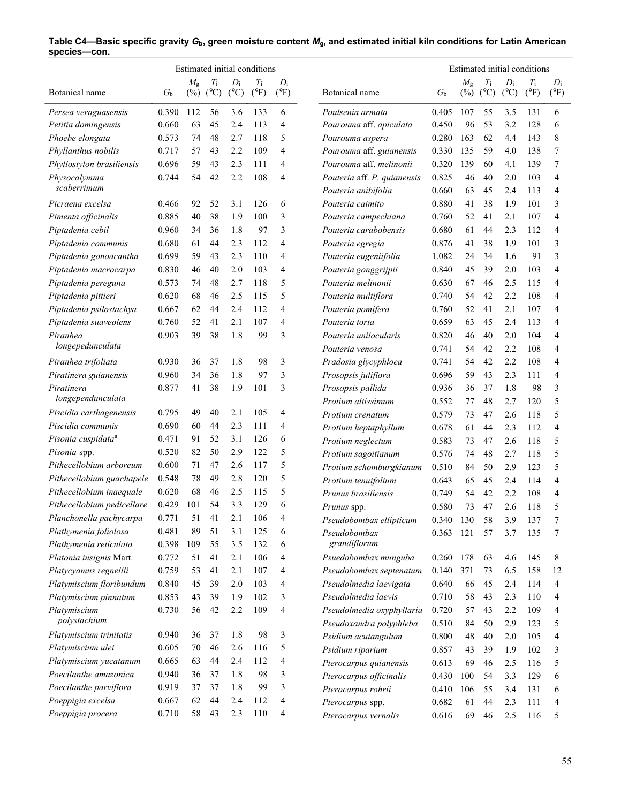|                                |             |             |             |                 | Estimated initial conditions |                |                                                | Estimated initial conditions |             |             |               |               |                |  |  |
|--------------------------------|-------------|-------------|-------------|-----------------|------------------------------|----------------|------------------------------------------------|------------------------------|-------------|-------------|---------------|---------------|----------------|--|--|
|                                |             | $M_{\rm g}$ | $T_{\rm i}$ | $D_i$           | $T_{\rm i}$                  | $D_i$          |                                                |                              | $M_{\rm g}$ | $T_{\rm i}$ | $D_i$         | $T_{\rm i}$   | $D_i$          |  |  |
| Botanical name                 | $G_{\rm b}$ | $(\%)$      | (C)         | $({}^{\circ}C)$ | $(^{\circ}F)$                | $(^{\circ}F)$  | Botanical name                                 | $G_{\rm b}$                  |             | $(\%)$ (°C) | $(^{\circ}C)$ | $(^{\circ}F)$ | $(^{\circ}F)$  |  |  |
| Persea veraguasensis           | 0.390       | 112         | 56          | 3.6             | 133                          | 6              | Poulsenia armata                               | 0.405                        | 107         | 55          | 3.5           | 131           | 6              |  |  |
| Petitia domingensis            | 0.660       | 63          | 45          | 2.4             | 113                          | 4              | Pourouma aff. apiculata                        | 0.450                        | 96          | 53          | 3.2           | 128           | 6              |  |  |
| Phoebe elongata                | 0.573       | 74          | 48          | 2.7             | 118                          | 5              | Pourouma aspera                                | 0.280                        | 163         | 62          | 4.4           | 143           | 8              |  |  |
| Phyllanthus nobilis            | 0.717       | 57          | 43          | 2.2             | 109                          | $\overline{4}$ | Pourouma aff. guianensis                       | 0.330                        | 135         | 59          | 4.0           | 138           | 7              |  |  |
| Phyllostylon brasiliensis      | 0.696       | 59          | 43          | 2.3             | 111                          | 4              | Pourouma aff. melinonii                        | 0.320                        | 139         | 60          | 4.1           | 139           | 7              |  |  |
| Physocalymma                   | 0.744       | 54          | 42          | 2.2             | 108                          | 4              | Pouteria aff. P. quianensis                    | 0.825                        | 46          | 40          | 2.0           | 103           | $\overline{4}$ |  |  |
| scaberrimum                    |             |             |             |                 |                              |                | Pouteria anibifolia                            | 0.660                        | 63          | 45          | 2.4           | 113           | 4              |  |  |
| Picraena excelsa               | 0.466       | 92          | 52          | 3.1             | 126                          | 6              | Pouteria caimito                               | 0.880                        | 41          | 38          | 1.9           | 101           | 3              |  |  |
| Pimenta officinalis            | 0.885       | 40          | 38          | 1.9             | 100                          | 3              | Pouteria campechiana                           | 0.760                        | 52          | 41          | 2.1           | 107           | $\overline{4}$ |  |  |
| Piptadenia cebil               | 0.960       | 34          | 36          | 1.8             | 97                           | 3              | Pouteria carabobensis                          | 0.680                        | 61          | 44          | 2.3           | 112           | 4              |  |  |
| Piptadenia communis            | 0.680       | 61          | 44          | 2.3             | 112                          | 4              | Pouteria egregia                               | 0.876                        | 41          | 38          | 1.9           | 101           | 3              |  |  |
| Piptadenia gonoacantha         | 0.699       | 59          | 43          | 2.3             | 110                          | 4              | Pouteria eugeniifolia                          | 1.082                        | 24          | 34          | 1.6           | 91            | 3              |  |  |
| Piptadenia macrocarpa          | 0.830       | 46          | 40          | 2.0             | 103                          | 4              | Pouteria gonggrijpii                           | 0.840                        | 45          | 39          | 2.0           | 103           | $\overline{4}$ |  |  |
| Piptadenia pereguna            | 0.573       | 74          | 48          | 2.7             | 118                          | 5              | Pouteria melinonii                             | 0.630                        | 67          | 46          | 2.5           | 115           | $\overline{4}$ |  |  |
| Piptadenia pittieri            | 0.620       | 68          | 46          | 2.5             | 115                          | 5              | Pouteria multiflora                            | 0.740                        | 54          | 42          | 2.2           | 108           | $\overline{4}$ |  |  |
| Piptadenia psilostachya        | 0.667       | 62          | 44          | 2.4             | 112                          | 4              | Pouteria pomifera                              | 0.760                        | 52          | 41          | 2.1           | 107           | $\overline{4}$ |  |  |
| Piptadenia suaveolens          | 0.760       | 52          | 41          | 2.1             | 107                          | 4              | Pouteria torta                                 | 0.659                        | 63          | 45          | 2.4           | 113           | 4              |  |  |
| Piranhea                       | 0.903       | 39          | 38          | 1.8             | 99                           | 3              | Pouteria unilocularis                          | 0.820                        | 46          | 40          | 2.0           | 104           | $\overline{4}$ |  |  |
| longepedunculata               |             |             |             |                 |                              |                | Pouteria venosa                                | 0.741                        | 54          | 42          | 2.2           | 108           | $\overline{4}$ |  |  |
| Piranhea trifoliata            | 0.930       | 36          | 37          | 1.8             | 98                           | 3              | Pradosia glycyphloea                           | 0.741                        | 54          | 42          | 2.2           | 108           | 4              |  |  |
| Piratinera guianensis          | 0.960       | 34          | 36          | 1.8             | 97                           | 3              | Prosopsis juliflora                            | 0.696                        | 59          | 43          | 2.3           | 111           | 4              |  |  |
| Piratinera                     | 0.877       | 41          | 38          | 1.9             | 101                          | 3              | Prosopsis pallida                              | 0.936                        | 36          | 37          | 1.8           | 98            | 3              |  |  |
| longependunculata              |             |             |             |                 |                              |                | Protium altissimum                             | 0.552                        | 77          | 48          | 2.7           | 120           | 5              |  |  |
| Piscidia carthagenensis        | 0.795       | 49          | 40          | 2.1             | 105                          | 4              | Protium crenatum                               | 0.579                        | 73          | 47          | 2.6           | 118           | 5              |  |  |
| Piscidia communis              | 0.690       | 60          | 44          | 2.3             | 111                          | 4              | Protium heptaphyllum                           | 0.678                        | 61          | 44          | 2.3           | 112           | $\overline{4}$ |  |  |
| Pisonia cuspidata <sup>a</sup> | 0.471       | 91          | 52          | 3.1             | 126                          | 6              | Protium neglectum                              | 0.583                        | 73          | 47          | 2.6           | 118           | 5              |  |  |
| Pisonia spp.                   | 0.520       | 82          | 50          | 2.9             | 122                          | 5              | Protium sagoitianum                            | 0.576                        | 74          | 48          | 2.7           | 118           | 5              |  |  |
| Pithecellobium arboreum        | 0.600       | 71          | 47          | 2.6             | 117                          | 5              | Protium schomburgkianum                        | 0.510                        | 84          | 50          | 2.9           | 123           | 5              |  |  |
| Pithecellobium guachapele      | 0.548       | 78          | 49          | 2.8             | 120                          | 5              | Protium tenuifolium                            | 0.643                        | 65          | 45          | 2.4           | 114           | 4              |  |  |
| Pithecellobium inaequale       | 0.620       | 68          | 46          | 2.5             | 115                          | 5              | Prunus brasiliensis                            | 0.749                        | 54          | 42          | 2.2           | 108           | $\overline{4}$ |  |  |
| Pithecellobium pedicellare     | 0.429       | 101         | 54          | 3.3             | 129                          | 6              | Prunus spp.                                    | 0.580                        | 73          | 47          | 2.6           | 118           | 5              |  |  |
| Planchonella pachycarpa        | 0.771       | 51          | 41          | 2.1             | 106                          | 4              | Pseudobombax ellipticum                        | 0.340                        | 130         | 58          | 3.9           | 137           | 7              |  |  |
| Plathymenia foliolosa          | 0.481       | 89          | 51          | 3.1             | 125                          | 6              | Pseudobombax                                   | 0.363                        | 121         | 57          | 3.7           | 135           | 7              |  |  |
| Plathymenia reticulata         | 0.398       | 109         | 55          | 3.5             | 132                          | 6              | grandiflorum                                   |                              |             |             |               |               |                |  |  |
| Platonia insignis Mart.        | 0.772       | 51          | 41          | 2.1             | 106                          | 4              | Psuedobombax munguba                           | 0.260                        | 178         | 63          | 4.6           | 145           | 8              |  |  |
| Platycyamus regnellii          | 0.759       | 53          | 41          | 2.1             | 107                          | 4              | Pseudobombax septenatum                        | 0.140                        | 371         | 73          | 6.5           | 158           | 12             |  |  |
| Platymiscium floribundum       | 0.840       | 45          | 39          | 2.0             | 103                          | 4              | Pseudolmedia laevigata                         | 0.640                        | 66          | 45          | 2.4           | 114           | $\overline{4}$ |  |  |
| Platymiscium pinnatum          | 0.853       | 43          | 39          | 1.9             | 102                          | 3              | Pseudolmedia laevis                            | 0.710                        | 58          | 43          | 2.3           | 110           | 4              |  |  |
| Platymiscium<br>polystachium   | 0.730       | 56          | 42          | 2.2             | 109                          | 4              | Pseudolmedia oxyphyllaria                      | 0.720                        | 57          | 43          | 2.2           | 109           | 4              |  |  |
| Platymiscium trinitatis        | 0.940       | 36          | 37          | 1.8             | 98                           | 3              | Pseudoxandra polyphleba<br>Psidium acutangulum | 0.510<br>0.800               | 84<br>48    | 50<br>40    | 2.9<br>2.0    | 123<br>105    | 5<br>4         |  |  |
| Platymiscium ulei              | 0.605       | 70          | 46          | 2.6             | 116                          | 5              | Psidium riparium                               | 0.857                        | 43          | 39          | 1.9           | 102           | 3              |  |  |
| Platymiscium yucatanum         | 0.665       | 63          | 44          | 2.4             | 112                          | 4              | Pterocarpus quianensis                         | 0.613                        | 69          | 46          | 2.5           | 116           | 5              |  |  |
| Poecilanthe amazonica          | 0.940       | 36          | 37          | 1.8             | 98                           | 3              | Pterocarpus officinalis                        | 0.430                        | 100         | 54          | 3.3           | 129           | 6              |  |  |
| Poecilanthe parviflora         | 0.919       | 37          | 37          | 1.8             | 99                           | 3              | Pterocarpus rohrii                             | 0.410                        | 106         | 55          | 3.4           | 131           | 6              |  |  |
| Poeppigia excelsa              | 0.667       | 62          | 44          | 2.4             | 112                          | 4              | Pterocarpus spp.                               | 0.682                        | 61          | 44          | 2.3           | 111           | 4              |  |  |
| Poeppigia procera              | 0.710       | 58          | 43          | 2.3             | 110                          | 4              | Pterocarpus vernalis                           | 0.616                        | 69          | 46          | 2.5           | 116           | 5              |  |  |
|                                |             |             |             |                 |                              |                |                                                |                              |             |             |               |               |                |  |  |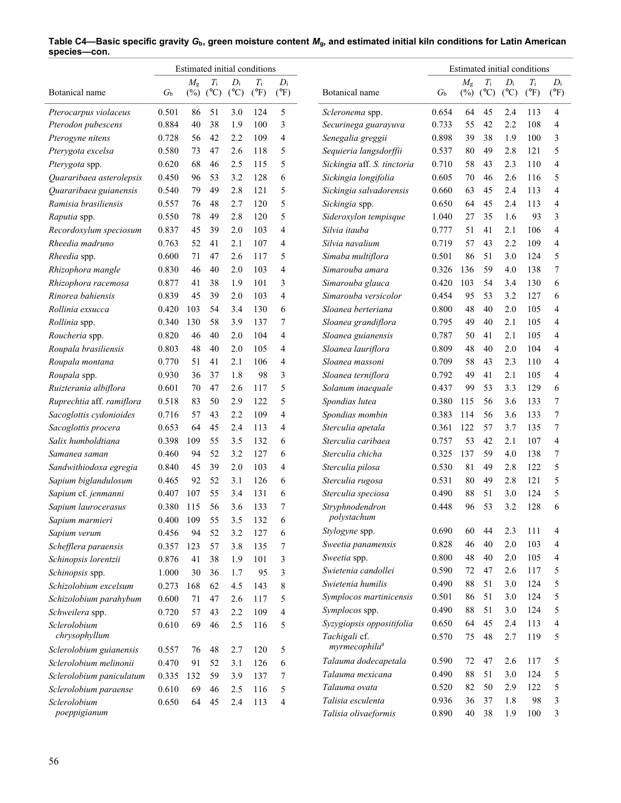| Estimated initial conditions |             |             |                            |                          |                              |                        | Estimated initial conditions              |                |             |                            |                          |                              |                        |
|------------------------------|-------------|-------------|----------------------------|--------------------------|------------------------------|------------------------|-------------------------------------------|----------------|-------------|----------------------------|--------------------------|------------------------------|------------------------|
| Botanical name               | $G_{\rm b}$ | $M_{\rm g}$ | $T_{\rm i}$<br>$(\%)$ (°C) | $D_i$<br>$({}^{\circ}C)$ | $T_{\rm i}$<br>$(^{\circ}F)$ | $D_i$<br>$(^{\circ}F)$ | Botanical name                            | $G_{\rm b}$    | $M_{\rm g}$ | $T_{\rm i}$<br>$(\%)$ (°C) | $D_i$<br>$({}^{\circ}C)$ | $T_{\rm i}$<br>$(^{\circ}F)$ | $D_i$<br>$(^{\circ}F)$ |
| Pterocarpus violaceus        | 0.501       | 86          | 51                         | 3.0                      | 124                          | 5                      | Scleronema spp.                           | 0.654          | 64          | 45                         | 2.4                      | 113                          | 4                      |
| Pterodon pubescens           | 0.884       | 40          | 38                         | 1.9                      | 100                          | 3                      | Securinega guarayuva                      | 0.733          | 55          | 42                         | 2.2                      | 108                          | 4                      |
| Pterogyne nitens             | 0.728       | 56          | 42                         | 2.2                      | 109                          | 4                      | Senegalia greggii                         | 0.898          | 39          | 38                         | 1.9                      | 100                          | 3                      |
| Pterygota excelsa            | 0.580       | 73          | 47                         | 2.6                      | 118                          | 5                      | Sequieria langsdorffii                    | 0.537          | 80          | 49                         | 2.8                      | 121                          | 5                      |
| Pterygota spp.               | 0.620       | 68          | 46                         | 2.5                      | 115                          | 5                      | Sickingia aff. S. tinctoria               | 0.710          | 58          | 43                         | 2.3                      | 110                          | 4                      |
| Quararibaea asterolepsis     | 0.450       | 96          | 53                         | 3.2                      | 128                          | 6                      | Sickingia longifolia                      | 0.605          | 70          | 46                         | 2.6                      | 116                          | 5                      |
| Quararibaea guianensis       | 0.540       | 79          | 49                         | 2.8                      | 121                          | 5                      | Sickingia salvadorensis                   | 0.660          | 63          | 45                         | 2.4                      | 113                          | 4                      |
| Ramisia brasiliensis         | 0.557       | 76          | 48                         | 2.7                      | 120                          | 5                      | Sickingia spp.                            | 0.650          | 64          | 45                         | 2.4                      | 113                          | 4                      |
| Raputia spp.                 | 0.550       | 78          | 49                         | 2.8                      | 120                          | 5                      | Sideroxylon tempisque                     | 1.040          | 27          | 35                         | 1.6                      | 93                           | 3                      |
| Recordoxylum speciosum       | 0.837       | 45          | 39                         | 2.0                      | 103                          | 4                      | Silvia itauba                             | 0.777          | 51          | 41                         | 2.1                      | 106                          | 4                      |
| Rheedia madruno              | 0.763       | 52          | 41                         | 2.1                      | 107                          | 4                      | Silvia navalium                           | 0.719          | 57          | 43                         | 2.2                      | 109                          | 4                      |
| Rheedia spp.                 | 0.600       | 71          | 47                         | 2.6                      | 117                          | 5                      | Simaba multiflora                         | 0.501          | 86          | 51                         | 3.0                      | 124                          | 5                      |
| Rhizophora mangle            | 0.830       | 46          | 40                         | 2.0                      | 103                          | 4                      | Simarouba amara                           | 0.326          | 136         | 59                         | 4.0                      | 138                          | 7                      |
| Rhizophora racemosa          | 0.877       | 41          | 38                         | 1.9                      | 101                          | 3                      | Simarouba glauca                          | 0.420          | 103         | 54                         | 3.4                      | 130                          | 6                      |
| Rinorea bahiensis            | 0.839       | 45          | 39                         | 2.0                      | 103                          | 4                      | Simarouba versicolor                      | 0.454          | 95          | 53                         | 3.2                      | 127                          | 6                      |
| Rollinia exsucca             | 0.420       | 103         | 54                         | 3.4                      | 130                          | 6                      | Sloanea berteriana                        | 0.800          | 48          | 40                         | 2.0                      | 105                          | $\overline{4}$         |
| Rollinia spp.                | 0.340       | 130         | 58                         | 3.9                      | 137                          | 7                      | Sloanea grandiflora                       | 0.795          | 49          | 40                         | 2.1                      | 105                          | 4                      |
| Roucheria spp.               | 0.820       | 46          | 40                         | 2.0                      | 104                          | 4                      | Sloanea guianensis                        | 0.787          | 50          | 41                         | 2.1                      | 105                          | 4                      |
| Roupala brasiliensis         | 0.803       | 48          | 40                         | 2.0                      | 105                          | 4                      | Sloanea lauriflora                        | 0.809          | 48          | 40                         | 2.0                      | 104                          | 4                      |
| Roupala montana              | 0.770       | 51          | 41                         | 2.1                      | 106                          | 4                      | Sloanea massoni                           | 0.709          | 58          | 43                         | 2.3                      | 110                          | 4                      |
| Roupala spp.                 | 0.930       | 36          | 37                         | 1.8                      | 98                           | 3                      | Sloanea terniflora                        | 0.792          | 49          | 41                         | 2.1                      | 105                          | 4                      |
| Ruizterania albiflora        | 0.601       | 70          | 47                         | 2.6                      | 117                          | 5                      | Solanum inaequale                         | 0.437          | 99          | 53                         | 3.3                      | 129                          | 6                      |
| Ruprechtia aff. ramiflora    | 0.518       | 83          | 50                         | 2.9                      | 122                          | 5                      | Spondias lutea                            | 0.380          | 115         | 56                         | 3.6                      | 133                          | 7                      |
| Sacoglottis cydonioides      | 0.716       | 57          | 43                         | 2.2                      | 109                          | 4                      | Spondias mombin                           | 0.383          | 114         | 56                         | 3.6                      | 133                          | 7                      |
| Sacoglottis procera          | 0.653       | 64          | 45                         | 2.4                      | 113                          | 4                      | Sterculia apetala                         | 0.361          | 122         | 57                         | 3.7                      | 135                          | 7                      |
| Salix humboldtiana           | 0.398       | 109         | 55                         | 3.5                      | 132                          | 6                      | Sterculia caribaea                        | 0.757          | 53          | 42                         | 2.1                      | 107                          | 4                      |
| Samanea saman                | 0.460       | 94          | 52                         | 3.2                      | 127                          | 6                      | Sterculia chicha                          | 0.325          | 137         | 59                         | 4.0                      | 138                          | 7                      |
| Sandwithiodoxa egregia       | 0.840       | 45          | 39                         | 2.0                      | 103                          | 4                      | Sterculia pilosa                          | 0.530          | 81          | 49                         | 2.8                      | 122                          | 5                      |
| Sapium biglandulosum         | 0.465       | 92          | 52                         | 3.1                      | 126                          | 6                      | Sterculia rugosa                          | 0.531          | 80          | 49                         | 2.8                      | 121                          | 5                      |
| Sapium cf. jenmanni          | 0.407       | 107         | 55                         | 3.4                      | 131                          | 6                      | Sterculia speciosa                        | 0.490          | 88          | 51                         | 3.0                      | 124                          | 5                      |
| Sapium laurocerasus          | 0.380       | 115         | 56                         | 3.6                      | 133                          | 7                      | Stryphnodendron                           | 0.448          | 96          | 53                         | 3.2                      | 128                          | 6                      |
| Sapium marmieri              | 0.400       | 109         | 55                         | 3.5                      | 132                          | 6                      | polystachum                               |                |             |                            |                          |                              |                        |
| Sapium verum                 | 0.456       | 94          | 52                         | 3.2                      | 127                          | 6                      | Stylogyne spp.                            | 0.690          | 60          | 44                         | 2.3                      | 111                          | 4                      |
| Schefflera paraensis         | 0.357       | 123         | 57                         | 3.8                      | 135                          | 7                      | Sweetia panamensis                        | 0.828          | 46          | 40                         | 2.0                      | 103                          | 4                      |
| Schinopsis lorentzii         | 0.876       | 41          | 38                         | 1.9                      | 101                          | 3                      | Sweetia spp.                              | 0.800          | 48          | 40                         | 2.0                      | 105                          | 4                      |
| Schinopsis spp.              | 1.000       | 30          | 36                         | 1.7                      | 95                           | 3                      | Swietenia candollei                       | 0.590          | 72          | 47                         | 2.6                      | 117                          | 5                      |
| Schizolobium excelsum        | 0.273       | 168         | 62                         | 4.5                      | 143                          | 8                      | Swietenia humilis                         | 0.490          | 88          | 51                         | 3.0                      | 124                          | 5                      |
| Schizolobium parahybum       | 0.600       | 71          | 47                         | 2.6                      | 117                          | 5                      | Symplocos martinicensis                   | 0.501          | 86          | 51                         | 3.0                      | 124                          | 5                      |
| Schweilera spp.              | 0.720       | 57          | 43                         | 2.2                      | 109                          | 4                      | Symplocos spp.                            | 0.490          | 88          | 51                         | 3.0                      | 124                          | 5                      |
| Sclerolobium                 | 0.610       | 69          | 46                         | 2.5                      | 116                          | 5                      | Syzygiopsis oppositifolia                 | 0.650          | 64          | 45                         | 2.4                      | 113                          | 4                      |
| chrysophyllum                |             |             |                            |                          |                              |                        | Tachigali cf.                             | 0.570          | 75          | 48                         | 2.7                      | 119                          | 5                      |
| Sclerolobium guianensis      | 0.557       | 76          | 48                         | 2.7                      | 120                          | 5                      | myrmecophila <sup>a</sup>                 |                |             |                            |                          |                              |                        |
| Sclerolobium melinonii       | 0.470       | 91          | 52                         | 3.1                      | 126                          | 6                      | Talauma dodecapetala                      | 0.590          | 72          | 47                         | 2.6                      | 117                          | 5                      |
| Sclerolobium paniculatum     | 0.335       | 132         | 59                         | 3.9                      | 137                          | 7                      | Talauma mexicana                          | 0.490          | 88          | 51                         | 3.0                      | 124                          | 5                      |
| Sclerolobium paraense        | 0.610       | 69          | 46                         | 2.5                      | 116                          | 5                      | Talauma ovata                             | 0.520          | 82          | 50                         | 2.9                      | 122                          | 5                      |
| Sclerolobium<br>poeppigianum | 0.650       | 64          | 45                         | 2.4                      | 113                          | 4                      | Talisia esculenta<br>Talisia olivaeformis | 0.936<br>0.890 | 36<br>40    | 37<br>38                   | 1.8<br>1.9               | 98<br>100                    | 3<br>3                 |